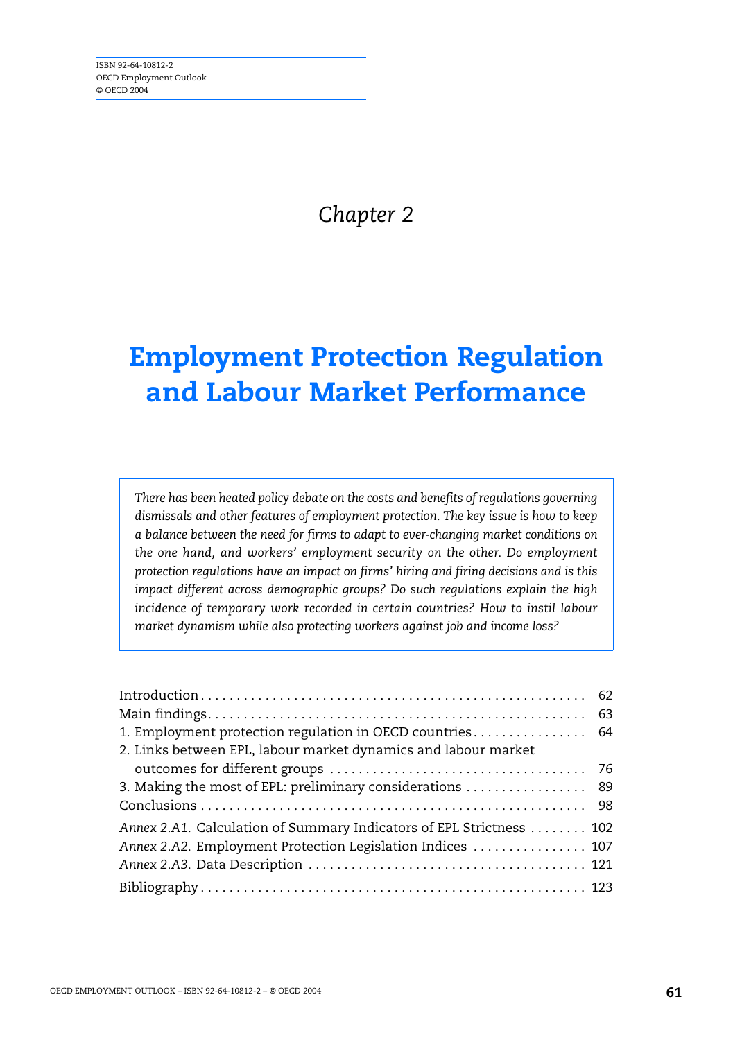*Chapter 2* 

# **Employment Protection Regulation and Labour Market Performance**

*There has been heated policy debate on the costs and benefits of regulations governing dismissals and other features of employment protection. The key issue is how to keep a balance between the need for firms to adapt to ever-changing market conditions on the one hand, and workers' employment security on the other. Do employment protection regulations have an impact on firms' hiring and firing decisions and is this impact different across demographic groups? Do such regulations explain the high incidence of temporary work recorded in certain countries? How to instil labour market dynamism while also protecting workers against job and income loss?*

| 1. Employment protection regulation in OECD countries 64             |  |
|----------------------------------------------------------------------|--|
| 2. Links between EPL, labour market dynamics and labour market       |  |
|                                                                      |  |
| 3. Making the most of EPL: preliminary considerations  89            |  |
|                                                                      |  |
| Annex 2.A1. Calculation of Summary Indicators of EPL Strictness  102 |  |
| Annex 2.A2. Employment Protection Legislation Indices  107           |  |
|                                                                      |  |
|                                                                      |  |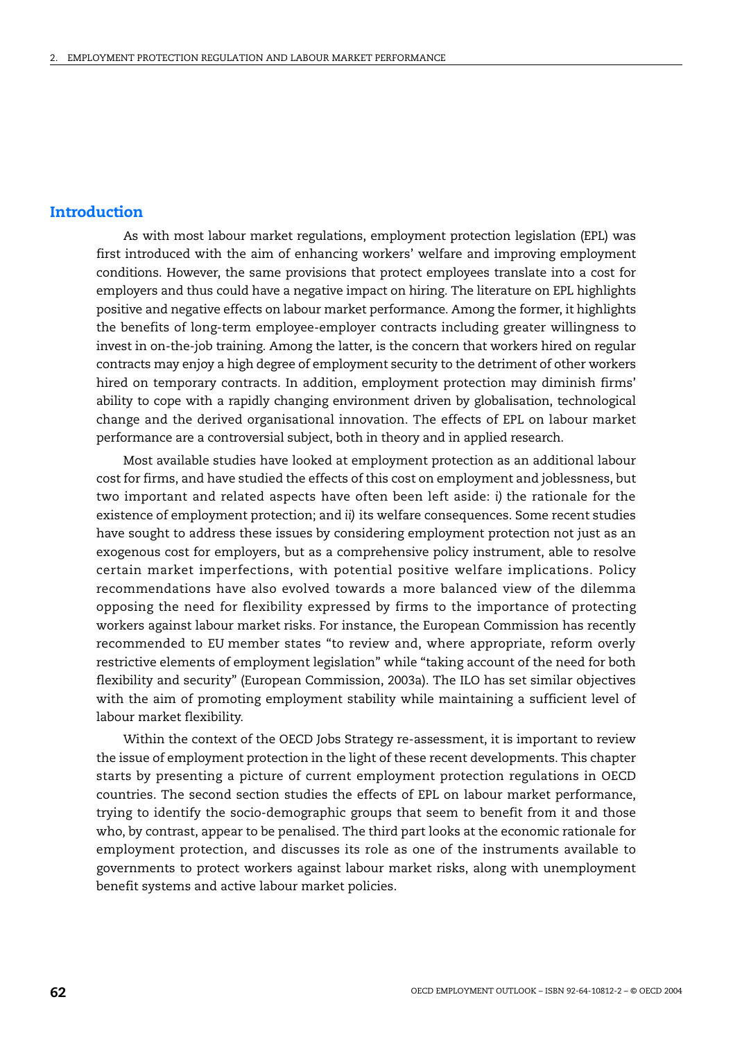#### **Introduction**

As with most labour market regulations, employment protection legislation (EPL) was first introduced with the aim of enhancing workers' welfare and improving employment conditions. However, the same provisions that protect employees translate into a cost for employers and thus could have a negative impact on hiring. The literature on EPL highlights positive and negative effects on labour market performance. Among the former, it highlights the benefits of long-term employee-employer contracts including greater willingness to invest in on-the-job training. Among the latter, is the concern that workers hired on regular contracts may enjoy a high degree of employment security to the detriment of other workers hired on temporary contracts. In addition, employment protection may diminish firms' ability to cope with a rapidly changing environment driven by globalisation, technological change and the derived organisational innovation. The effects of EPL on labour market performance are a controversial subject, both in theory and in applied research.

Most available studies have looked at employment protection as an additional labour cost for firms, and have studied the effects of this cost on employment and joblessness, but two important and related aspects have often been left aside: *i)* the rationale for the existence of employment protection; and *ii)* its welfare consequences. Some recent studies have sought to address these issues by considering employment protection not just as an exogenous cost for employers, but as a comprehensive policy instrument, able to resolve certain market imperfections, with potential positive welfare implications. Policy recommendations have also evolved towards a more balanced view of the dilemma opposing the need for flexibility expressed by firms to the importance of protecting workers against labour market risks. For instance, the European Commission has recently recommended to EU member states "to review and, where appropriate, reform overly restrictive elements of employment legislation" while "taking account of the need for both flexibility and security" (European Commission, 2003a). The ILO has set similar objectives with the aim of promoting employment stability while maintaining a sufficient level of labour market flexibility.

Within the context of the OECD Jobs Strategy re-assessment, it is important to review the issue of employment protection in the light of these recent developments. This chapter starts by presenting a picture of current employment protection regulations in OECD countries. The second section studies the effects of EPL on labour market performance, trying to identify the socio-demographic groups that seem to benefit from it and those who, by contrast, appear to be penalised. The third part looks at the economic rationale for employment protection, and discusses its role as one of the instruments available to governments to protect workers against labour market risks, along with unemployment benefit systems and active labour market policies.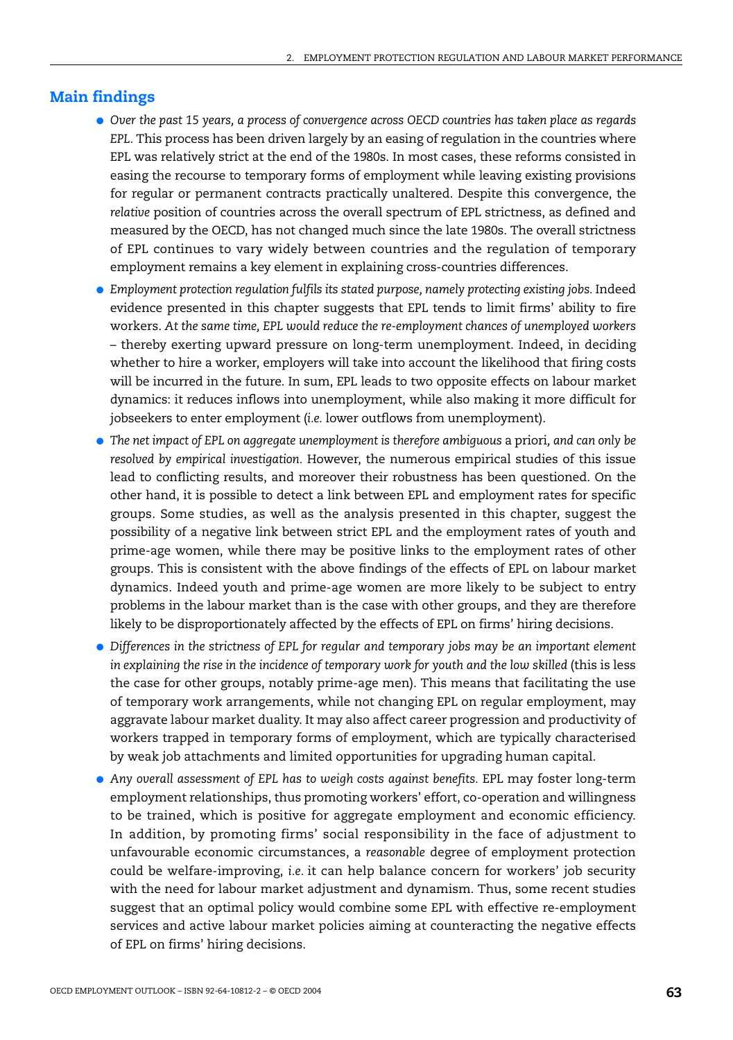## **Main findings**

- *Over the past 15 years, a process of convergence across OECD countries has taken place as regards EPL.* This process has been driven largely by an easing of regulation in the countries where EPL was relatively strict at the end of the 1980s. In most cases, these reforms consisted in easing the recourse to temporary forms of employment while leaving existing provisions for regular or permanent contracts practically unaltered. Despite this convergence, the *relative* position of countries across the overall spectrum of EPL strictness, as defined and measured by the OECD, has not changed much since the late 1980s. The overall strictness of EPL continues to vary widely between countries and the regulation of temporary employment remains a key element in explaining cross-countries differences.
- *Employment protection regulation fulfils its stated purpose, namely protecting existing jobs.* Indeed evidence presented in this chapter suggests that EPL tends to limit firms' ability to fire workers. *At the same time, EPL would reduce the re-employment chances of unemployed workers* – thereby exerting upward pressure on long-term unemployment. Indeed, in deciding whether to hire a worker, employers will take into account the likelihood that firing costs will be incurred in the future. In sum, EPL leads to two opposite effects on labour market dynamics: it reduces inflows into unemployment, while also making it more difficult for jobseekers to enter employment (*i.e.* lower outflows from unemployment).
- *The net impact of EPL on aggregate unemployment is therefore ambiguous* a priori*, and can only be resolved by empirical investigation.* However, the numerous empirical studies of this issue lead to conflicting results, and moreover their robustness has been questioned. On the other hand, it is possible to detect a link between EPL and employment rates for specific groups. Some studies, as well as the analysis presented in this chapter, suggest the possibility of a negative link between strict EPL and the employment rates of youth and prime-age women, while there may be positive links to the employment rates of other groups. This is consistent with the above findings of the effects of EPL on labour market dynamics. Indeed youth and prime-age women are more likely to be subject to entry problems in the labour market than is the case with other groups, and they are therefore likely to be disproportionately affected by the effects of EPL on firms' hiring decisions.
- *Differences in the strictness of EPL for regular and temporary jobs may be an important element in explaining the rise in the incidence of temporary work for youth and the low skilled* (this is less the case for other groups, notably prime-age men). This means that facilitating the use of temporary work arrangements, while not changing EPL on regular employment, may aggravate labour market duality. It may also affect career progression and productivity of workers trapped in temporary forms of employment, which are typically characterised by weak job attachments and limited opportunities for upgrading human capital.
- *Any overall assessment of EPL has to weigh costs against benefits.* EPL may foster long-term employment relationships, thus promoting workers' effort, co-operation and willingness to be trained, which is positive for aggregate employment and economic efficiency. In addition, by promoting firms' social responsibility in the face of adjustment to unfavourable economic circumstances, a *reasonable* degree of employment protection could be welfare-improving, *i.e.* it can help balance concern for workers' job security with the need for labour market adjustment and dynamism. Thus, some recent studies suggest that an optimal policy would combine some EPL with effective re-employment services and active labour market policies aiming at counteracting the negative effects of EPL on firms' hiring decisions.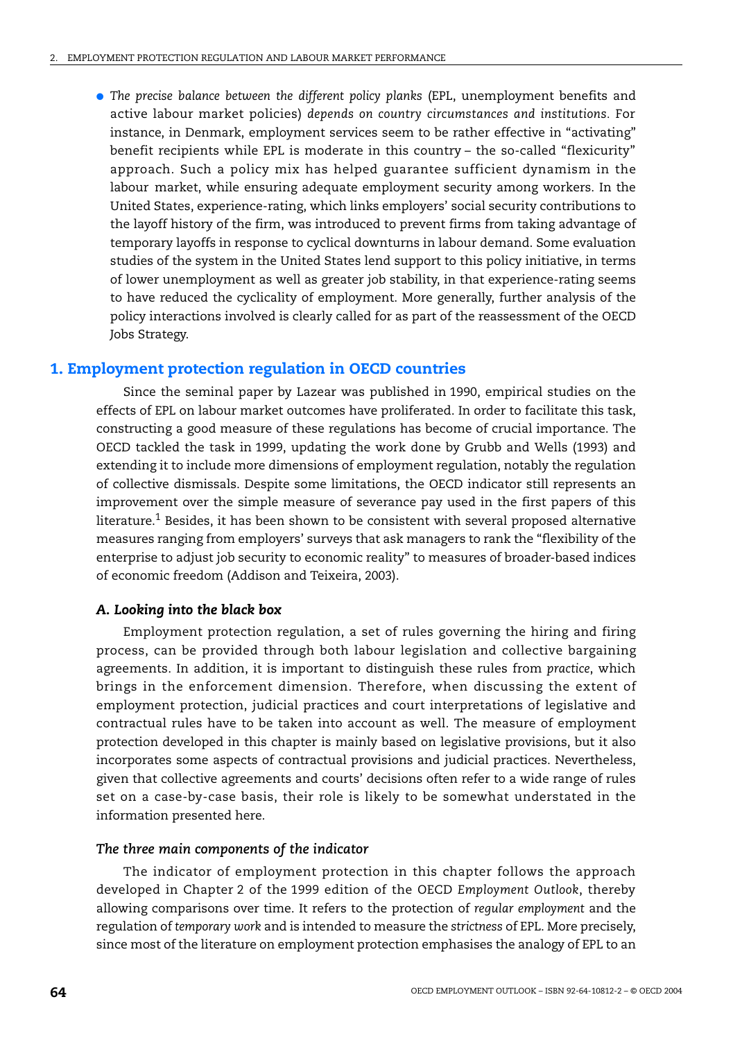● *The precise balance between the different policy planks* (EPL, unemployment benefits and active labour market policies) *depends on country circumstances and institutions.* For instance, in Denmark, employment services seem to be rather effective in "activating" benefit recipients while EPL is moderate in this country – the so-called "flexicurity" approach. Such a policy mix has helped guarantee sufficient dynamism in the labour market, while ensuring adequate employment security among workers. In the United States, experience-rating, which links employers' social security contributions to the layoff history of the firm, was introduced to prevent firms from taking advantage of temporary layoffs in response to cyclical downturns in labour demand. Some evaluation studies of the system in the United States lend support to this policy initiative, in terms of lower unemployment as well as greater job stability, in that experience-rating seems to have reduced the cyclicality of employment. More generally, further analysis of the policy interactions involved is clearly called for as part of the reassessment of the OECD Jobs Strategy.

### **1. Employment protection regulation in OECD countries**

Since the seminal paper by Lazear was published in 1990, empirical studies on the effects of EPL on labour market outcomes have proliferated. In order to facilitate this task, constructing a good measure of these regulations has become of crucial importance. The OECD tackled the task in 1999, updating the work done by Grubb and Wells (1993) and extending it to include more dimensions of employment regulation, notably the regulation of collective dismissals. Despite some limitations, the OECD indicator still represents an improvement over the simple measure of severance pay used in the first papers of this literature.<sup>1</sup> Besides, it has been shown to be consistent with several proposed alternative measures ranging from employers' surveys that ask managers to rank the "flexibility of the enterprise to adjust job security to economic reality" to measures of broader-based indices of economic freedom (Addison and Teixeira, 2003).

### *A. Looking into the black box*

Employment protection regulation, a set of rules governing the hiring and firing process, can be provided through both labour legislation and collective bargaining agreements. In addition, it is important to distinguish these rules from *practice*, which brings in the enforcement dimension. Therefore, when discussing the extent of employment protection, judicial practices and court interpretations of legislative and contractual rules have to be taken into account as well. The measure of employment protection developed in this chapter is mainly based on legislative provisions, but it also incorporates some aspects of contractual provisions and judicial practices. Nevertheless, given that collective agreements and courts' decisions often refer to a wide range of rules set on a case-by-case basis, their role is likely to be somewhat understated in the information presented here.

#### *The three main components of the indicator*

The indicator of employment protection in this chapter follows the approach developed in Chapter 2 of the 1999 edition of the OECD *Employment Outlook*, thereby allowing comparisons over time. It refers to the protection of *regular employment* and the regulation of *temporary work* and is intended to measure the *strictness* of EPL. More precisely, since most of the literature on employment protection emphasises the analogy of EPL to an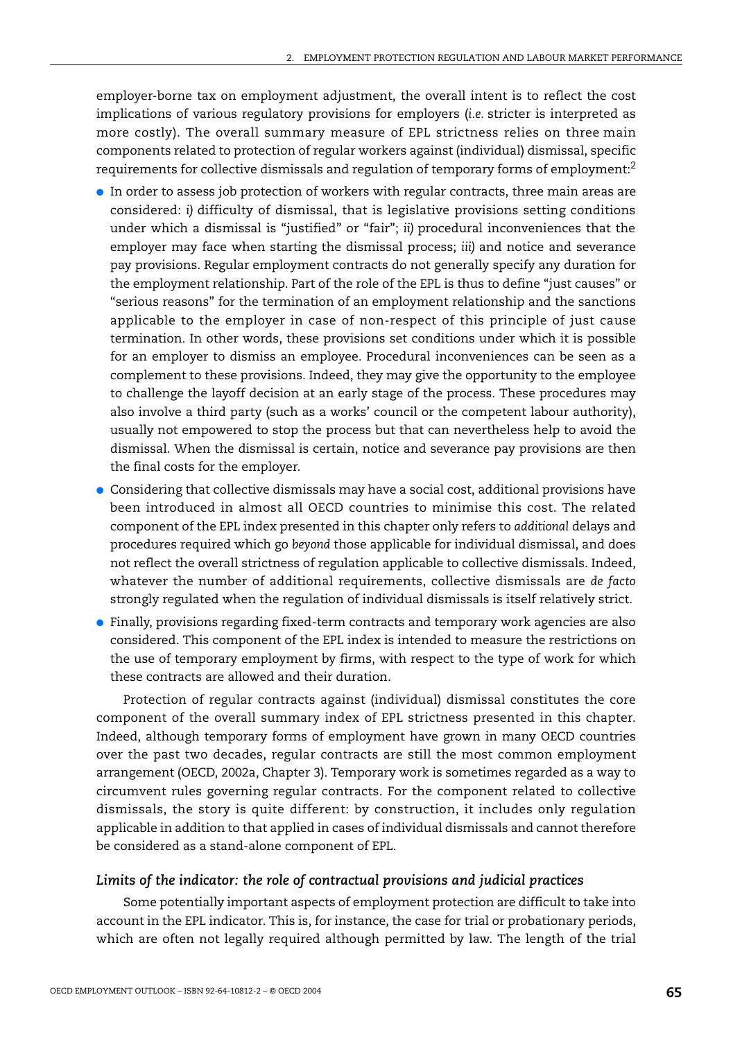employer-borne tax on employment adjustment, the overall intent is to reflect the cost implications of various regulatory provisions for employers (*i.e.* stricter is interpreted as more costly). The overall summary measure of EPL strictness relies on three main components related to protection of regular workers against (individual) dismissal, specific requirements for collective dismissals and regulation of temporary forms of employment:2

- In order to assess job protection of workers with regular contracts, three main areas are considered: *i)* difficulty of dismissal, that is legislative provisions setting conditions under which a dismissal is "justified" or "fair"; *ii)* procedural inconveniences that the employer may face when starting the dismissal process; *iii)* and notice and severance pay provisions. Regular employment contracts do not generally specify any duration for the employment relationship. Part of the role of the EPL is thus to define "just causes" or "serious reasons" for the termination of an employment relationship and the sanctions applicable to the employer in case of non-respect of this principle of just cause termination. In other words, these provisions set conditions under which it is possible for an employer to dismiss an employee. Procedural inconveniences can be seen as a complement to these provisions. Indeed, they may give the opportunity to the employee to challenge the layoff decision at an early stage of the process. These procedures may also involve a third party (such as a works' council or the competent labour authority), usually not empowered to stop the process but that can nevertheless help to avoid the dismissal. When the dismissal is certain, notice and severance pay provisions are then the final costs for the employer.
- Considering that collective dismissals may have a social cost, additional provisions have been introduced in almost all OECD countries to minimise this cost. The related component of the EPL index presented in this chapter only refers to *additional* delays and procedures required which go *beyond* those applicable for individual dismissal, and does not reflect the overall strictness of regulation applicable to collective dismissals. Indeed, whatever the number of additional requirements, collective dismissals are *de facto* strongly regulated when the regulation of individual dismissals is itself relatively strict.
- Finally, provisions regarding fixed-term contracts and temporary work agencies are also considered. This component of the EPL index is intended to measure the restrictions on the use of temporary employment by firms, with respect to the type of work for which these contracts are allowed and their duration.

Protection of regular contracts against (individual) dismissal constitutes the core component of the overall summary index of EPL strictness presented in this chapter. Indeed, although temporary forms of employment have grown in many OECD countries over the past two decades, regular contracts are still the most common employment arrangement (OECD, 2002a, Chapter 3). Temporary work is sometimes regarded as a way to circumvent rules governing regular contracts. For the component related to collective dismissals, the story is quite different: by construction, it includes only regulation applicable in addition to that applied in cases of individual dismissals and cannot therefore be considered as a stand-alone component of EPL.

#### *Limits of the indicator: the role of contractual provisions and judicial practices*

Some potentially important aspects of employment protection are difficult to take into account in the EPL indicator. This is, for instance, the case for trial or probationary periods, which are often not legally required although permitted by law. The length of the trial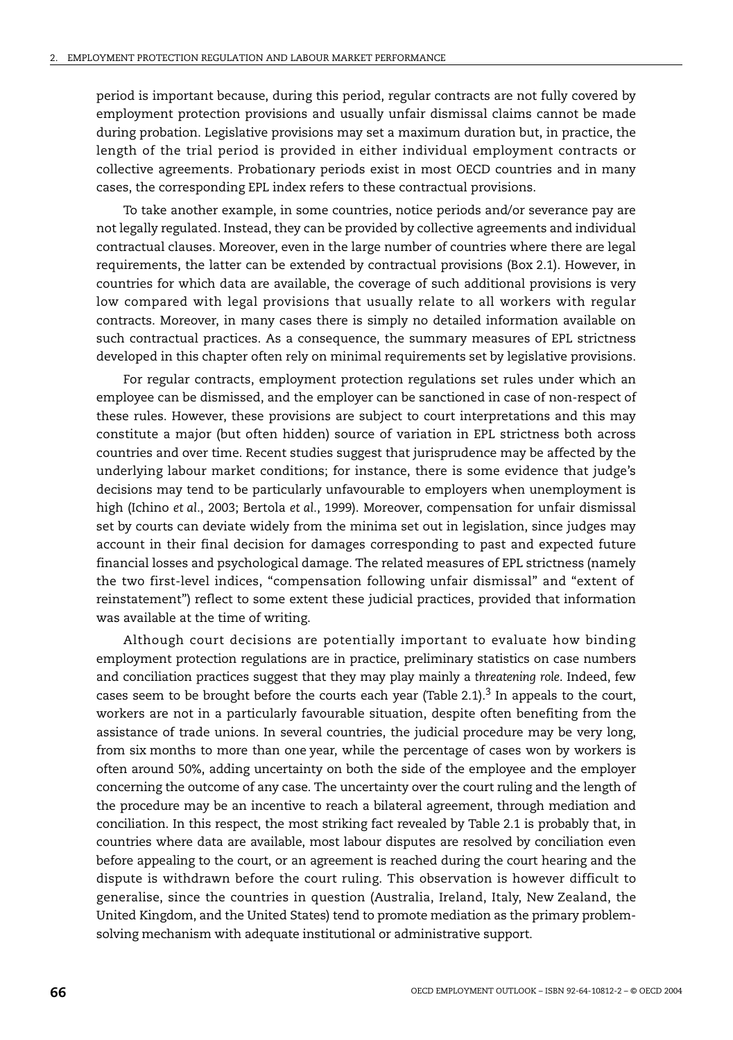period is important because, during this period, regular contracts are not fully covered by employment protection provisions and usually unfair dismissal claims cannot be made during probation. Legislative provisions may set a maximum duration but, in practice, the length of the trial period is provided in either individual employment contracts or collective agreements. Probationary periods exist in most OECD countries and in many cases, the corresponding EPL index refers to these contractual provisions.

To take another example, in some countries, notice periods and/or severance pay are not legally regulated. Instead, they can be provided by collective agreements and individual contractual clauses. Moreover, even in the large number of countries where there are legal requirements, the latter can be extended by contractual provisions (Box 2.1). However, in countries for which data are available, the coverage of such additional provisions is very low compared with legal provisions that usually relate to all workers with regular contracts. Moreover, in many cases there is simply no detailed information available on such contractual practices. As a consequence, the summary measures of EPL strictness developed in this chapter often rely on minimal requirements set by legislative provisions.

For regular contracts, employment protection regulations set rules under which an employee can be dismissed, and the employer can be sanctioned in case of non-respect of these rules. However, these provisions are subject to court interpretations and this may constitute a major (but often hidden) source of variation in EPL strictness both across countries and over time. Recent studies suggest that jurisprudence may be affected by the underlying labour market conditions; for instance, there is some evidence that judge's decisions may tend to be particularly unfavourable to employers when unemployment is high (Ichino *et al.*, 2003; Bertola *et al.*, 1999). Moreover, compensation for unfair dismissal set by courts can deviate widely from the minima set out in legislation, since judges may account in their final decision for damages corresponding to past and expected future financial losses and psychological damage. The related measures of EPL strictness (namely the two first-level indices, "compensation following unfair dismissal" and "extent of reinstatement") reflect to some extent these judicial practices, provided that information was available at the time of writing.

Although court decisions are potentially important to evaluate how binding employment protection regulations are in practice, preliminary statistics on case numbers and conciliation practices suggest that they may play mainly a *threatening role*. Indeed, few cases seem to be brought before the courts each year (Table 2.1). $3$  In appeals to the court, workers are not in a particularly favourable situation, despite often benefiting from the assistance of trade unions. In several countries, the judicial procedure may be very long, from six months to more than one year, while the percentage of cases won by workers is often around 50%, adding uncertainty on both the side of the employee and the employer concerning the outcome of any case. The uncertainty over the court ruling and the length of the procedure may be an incentive to reach a bilateral agreement, through mediation and conciliation. In this respect, the most striking fact revealed by Table 2.1 is probably that, in countries where data are available, most labour disputes are resolved by conciliation even before appealing to the court, or an agreement is reached during the court hearing and the dispute is withdrawn before the court ruling. This observation is however difficult to generalise, since the countries in question (Australia, Ireland, Italy, New Zealand, the United Kingdom, and the United States) tend to promote mediation as the primary problemsolving mechanism with adequate institutional or administrative support.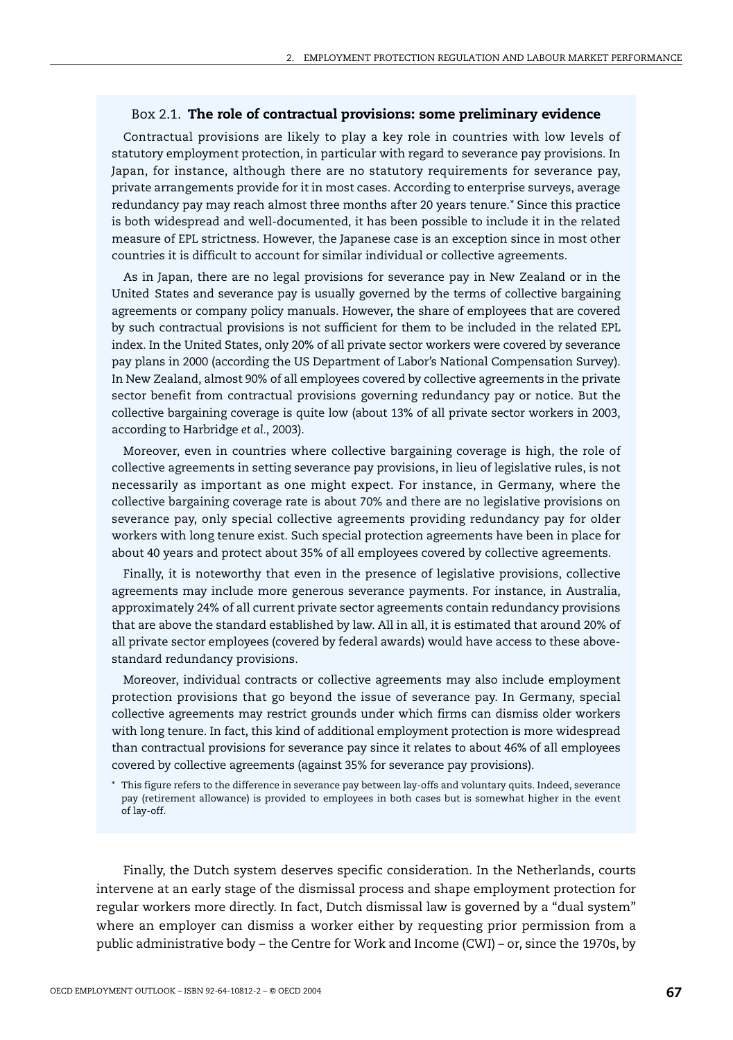#### Box 2.1. **The role of contractual provisions: some preliminary evidence**

Contractual provisions are likely to play a key role in countries with low levels of statutory employment protection, in particular with regard to severance pay provisions. In Japan, for instance, although there are no statutory requirements for severance pay, private arrangements provide for it in most cases. According to enterprise surveys, average redundancy pay may reach almost three months after 20 years tenure.*\** Since this practice is both widespread and well-documented, it has been possible to include it in the related measure of EPL strictness. However, the Japanese case is an exception since in most other countries it is difficult to account for similar individual or collective agreements.

As in Japan, there are no legal provisions for severance pay in New Zealand or in the United States and severance pay is usually governed by the terms of collective bargaining agreements or company policy manuals. However, the share of employees that are covered by such contractual provisions is not sufficient for them to be included in the related EPL index. In the United States, only 20% of all private sector workers were covered by severance pay plans in 2000 (according the US Department of Labor's National Compensation Survey). In New Zealand, almost 90% of all employees covered by collective agreements in the private sector benefit from contractual provisions governing redundancy pay or notice. But the collective bargaining coverage is quite low (about 13% of all private sector workers in 2003, according to Harbridge *et al.*, 2003).

Moreover, even in countries where collective bargaining coverage is high, the role of collective agreements in setting severance pay provisions, in lieu of legislative rules, is not necessarily as important as one might expect. For instance, in Germany, where the collective bargaining coverage rate is about 70% and there are no legislative provisions on severance pay, only special collective agreements providing redundancy pay for older workers with long tenure exist. Such special protection agreements have been in place for about 40 years and protect about 35% of all employees covered by collective agreements.

Finally, it is noteworthy that even in the presence of legislative provisions, collective agreements may include more generous severance payments. For instance, in Australia, approximately 24% of all current private sector agreements contain redundancy provisions that are above the standard established by law. All in all, it is estimated that around 20% of all private sector employees (covered by federal awards) would have access to these abovestandard redundancy provisions.

Moreover, individual contracts or collective agreements may also include employment protection provisions that go beyond the issue of severance pay. In Germany, special collective agreements may restrict grounds under which firms can dismiss older workers with long tenure. In fact, this kind of additional employment protection is more widespread than contractual provisions for severance pay since it relates to about 46% of all employees covered by collective agreements (against 35% for severance pay provisions).

Finally, the Dutch system deserves specific consideration. In the Netherlands, courts intervene at an early stage of the dismissal process and shape employment protection for regular workers more directly. In fact, Dutch dismissal law is governed by a "dual system" where an employer can dismiss a worker either by requesting prior permission from a public administrative body – the Centre for Work and Income (CWI) – or, since the 1970s, by

<sup>\*</sup> This figure refers to the difference in severance pay between lay-offs and voluntary quits. Indeed, severance pay (retirement allowance) is provided to employees in both cases but is somewhat higher in the event of lay-off.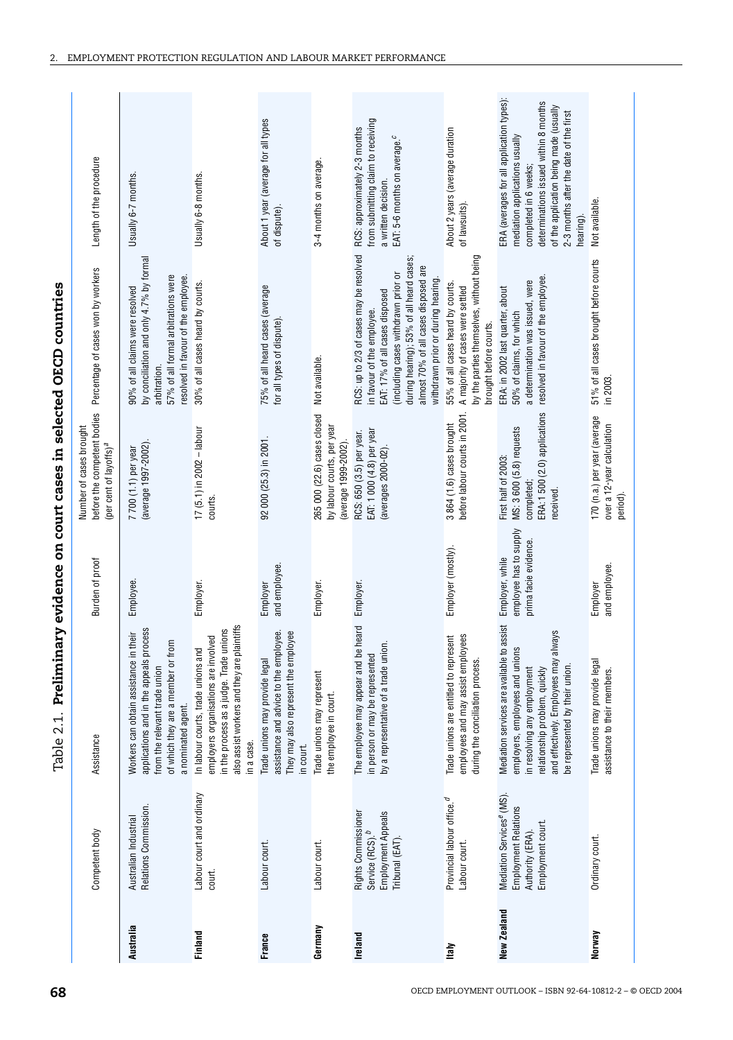|             | Competent body                                                                                                | Assistance                                                                                                                                                                                                               | Burden of proof                                                    | before the competent bodies<br>Number of cases brought<br>(per cent of layoffs) <sup>a</sup>               | Percentage of cases won by workers                                                                                                                                                                                                                                       | Length of the procedure                                                                                                                                                                                                                       |
|-------------|---------------------------------------------------------------------------------------------------------------|--------------------------------------------------------------------------------------------------------------------------------------------------------------------------------------------------------------------------|--------------------------------------------------------------------|------------------------------------------------------------------------------------------------------------|--------------------------------------------------------------------------------------------------------------------------------------------------------------------------------------------------------------------------------------------------------------------------|-----------------------------------------------------------------------------------------------------------------------------------------------------------------------------------------------------------------------------------------------|
| Australia   | Relations Commission.<br>Australian Industrial                                                                | applications and in the appeals process<br>Workers can obtain assistance in their<br>of which they are a member or from<br>from the relevant trade union<br>a nominated agent.                                           | <b>Employee</b>                                                    | (average 1997-2002)<br>7 700 (1.1) per year                                                                | by conciliation and only 4.7% by formal<br>57% of all formal arbitrations were<br>resolved in favour of the employee.<br>90% of all claims were resolved<br>arbitration.                                                                                                 | Usually 6-7 months.                                                                                                                                                                                                                           |
| Finland     | Labour court and ordinary<br>court.                                                                           | also assist workers and they are plaintiffs<br>in the process as a judge. Trade unions<br>employers organisations are involved<br>In labour courts, trade unions and<br>in a case.                                       | Employer.                                                          | $17(5.1)$ in 2002 - labour<br>courts.                                                                      | 30% of all cases heard by courts.                                                                                                                                                                                                                                        | Usually 6-8 months.                                                                                                                                                                                                                           |
| France      | Labour court.                                                                                                 | assistance and advice to the employee.<br>They may also represent the employee<br>vide legal<br>Trade unions may pro<br>in court.                                                                                        | and employee.<br>Employer                                          | 92 000 (25.3) in 2001.                                                                                     | 75% of all heard cases (average<br>for all types of dispute).                                                                                                                                                                                                            | About 1 year (average for all types<br>of dispute).                                                                                                                                                                                           |
| Germany     | Labour court.                                                                                                 | Trade unions may represent<br>the employee in court                                                                                                                                                                      | Employer.                                                          | 265 000 (22.6) cases closed<br>by labour courts, per year<br>(average 1999-2002).                          | Not available.                                                                                                                                                                                                                                                           | 3-4 months on average.                                                                                                                                                                                                                        |
| Ireland     | Rights Commissioner<br>Employment Appeals<br>Service (RCS). <sup>b</sup><br>Tribunal (EAT).                   | The employee may appear and be heard<br>a trade union.<br>in person or may be represented<br>by a representative of                                                                                                      | Employer.                                                          | EAT: 1 000 (4.8) per year<br>RCS: 650 (3.5) per year.<br>(averages 2000-02)                                | RCS: up to 2/3 of cases may be resolved<br>during hearing); 53% of all heard cases;<br>almost 70% of all cases disposed are<br>(including cases withdrawn prior or<br>withdrawn prior or during hearing.<br>EAT: 17% of all cases disposed<br>in favour of the employee. | from submitting claim to receiving<br>RCS: approximately 2-3 months<br>EAT: 5-6 months on average. <sup>c</sup><br>a written decision.                                                                                                        |
| Italy       | Provincial labour office. <sup>d</sup><br>Labour court.                                                       | employees and may assist employees<br>tled to represent<br>during the conciliation process.<br>Trade unions are entit                                                                                                    | Employer (mostly).                                                 | before labour courts in 2001.<br>3 864 (1.6) cases brought                                                 | by the parties themselves, without being<br>55% of all cases heard by courts.<br>A majority of cases were settled<br>brought before courts.                                                                                                                              | About 2 years (average duration<br>of lawsuits).                                                                                                                                                                                              |
| New Zealand | Mediation Services <sup>e</sup> (MS).<br><b>Employment Relations</b><br>Employment court.<br>Authority (ERA). | Mediation services are available to assist<br>and effectively. Employees may always<br>employers, employees and unions<br>be represented by their union.<br>in resolving any employment<br>relationship problem, quickly | employee has to supply<br>prima facie evidence.<br>Employer, while | ERA: 1500 (2.0) applications<br>MS: 3 600 (5.8) requests<br>First half of 2003:<br>completed;<br>received. | resolved in favour of the employee<br>a determination was issued, were<br>ERA: in 2002 last quarter, about<br>50% of claims, for which                                                                                                                                   | ERA (averages for all application types):<br>determinations issued within 8 months<br>of the application being made (usually<br>2-3 months after the date of the first<br>mediation applications usually<br>completed in 6 weeks;<br>hearing) |
| Norway      | Ordinary court.                                                                                               | Trade unions may provide legal<br>assistance to their members.                                                                                                                                                           | and employee.<br>Employer                                          | 170 (n.a.) per year (average<br>over a 12-year calculation<br>period).                                     | 51% of all cases brought before courts<br>in 2003.                                                                                                                                                                                                                       | Not available.                                                                                                                                                                                                                                |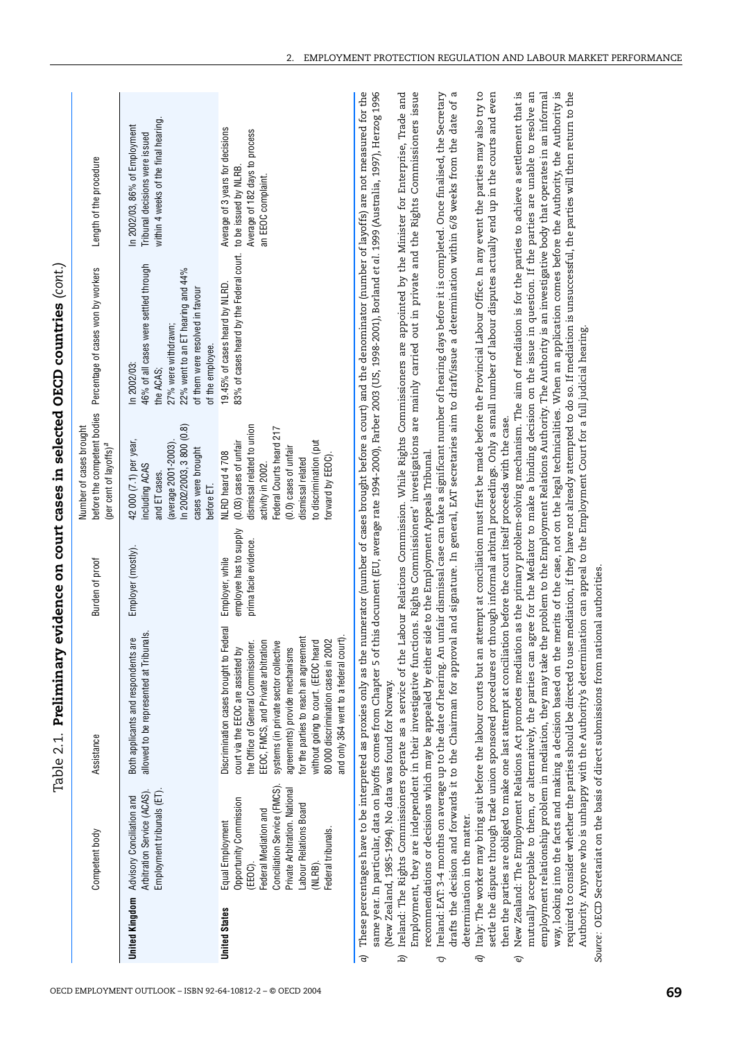|                                              |                                                                                                                                                                                                                                                                |                                                                                                                                                                                                                                                                                                                                                                                                                                                                                                                                                                                                                                                                                                                                                                                                                                                                                                                                                                                                                                                                                                                                                                                                                                                                                                                                                                                                                                                                                                                                                                                                                                                                                                                                                                                                                                                                                                                                                                                                                                                                                                                                                                                                                                                                                                                                                                                                                                                                                                   |                                                                    |                                                                                                                                                                                                                           | minary evidence on court cases in selected OECD countries (cont.)                                                                                                                    |                                                                                                                   |
|----------------------------------------------|----------------------------------------------------------------------------------------------------------------------------------------------------------------------------------------------------------------------------------------------------------------|---------------------------------------------------------------------------------------------------------------------------------------------------------------------------------------------------------------------------------------------------------------------------------------------------------------------------------------------------------------------------------------------------------------------------------------------------------------------------------------------------------------------------------------------------------------------------------------------------------------------------------------------------------------------------------------------------------------------------------------------------------------------------------------------------------------------------------------------------------------------------------------------------------------------------------------------------------------------------------------------------------------------------------------------------------------------------------------------------------------------------------------------------------------------------------------------------------------------------------------------------------------------------------------------------------------------------------------------------------------------------------------------------------------------------------------------------------------------------------------------------------------------------------------------------------------------------------------------------------------------------------------------------------------------------------------------------------------------------------------------------------------------------------------------------------------------------------------------------------------------------------------------------------------------------------------------------------------------------------------------------------------------------------------------------------------------------------------------------------------------------------------------------------------------------------------------------------------------------------------------------------------------------------------------------------------------------------------------------------------------------------------------------------------------------------------------------------------------------------------------------|--------------------------------------------------------------------|---------------------------------------------------------------------------------------------------------------------------------------------------------------------------------------------------------------------------|--------------------------------------------------------------------------------------------------------------------------------------------------------------------------------------|-------------------------------------------------------------------------------------------------------------------|
|                                              | Competent body                                                                                                                                                                                                                                                 | Assistance                                                                                                                                                                                                                                                                                                                                                                                                                                                                                                                                                                                                                                                                                                                                                                                                                                                                                                                                                                                                                                                                                                                                                                                                                                                                                                                                                                                                                                                                                                                                                                                                                                                                                                                                                                                                                                                                                                                                                                                                                                                                                                                                                                                                                                                                                                                                                                                                                                                                                        | Burden of proof                                                    | before the competent bodies<br>Number of cases brought<br>(per cent of layoffs) <sup>a</sup>                                                                                                                              | Percentage of cases won by workers                                                                                                                                                   | Length of the procedure                                                                                           |
| <b>United Kingdom</b>                        | Employment tribunals (ET).<br>Arbitration Service (ACAS)<br>Advisory Conciliation and                                                                                                                                                                          | ented at Tribunals<br>respondents are<br>allowed to be represo<br>Both applicants and                                                                                                                                                                                                                                                                                                                                                                                                                                                                                                                                                                                                                                                                                                                                                                                                                                                                                                                                                                                                                                                                                                                                                                                                                                                                                                                                                                                                                                                                                                                                                                                                                                                                                                                                                                                                                                                                                                                                                                                                                                                                                                                                                                                                                                                                                                                                                                                                             | Employer (mostly).                                                 | In 2002/2003, 3 800 (0.8)<br>42 000 (7.1) per year,<br>(average 2001-2003).<br>cases were brought<br>including ACAS<br>and ET cases.<br>before ET.                                                                        | 46% of all cases were settled through<br>22% went to an ET hearing and 44%<br>of them were resolved in favour<br>27% were withdrawn;<br>of the employee.<br>In 2002/03:<br>the ACAS; | within 4 weeks of the final hearing.<br>In 2002/03, 86% of Employment<br>Tribunal decisions were issued           |
| <b>United States</b>                         | Conciliation Service (FMCS)<br>Private Arbitration. National<br>Opportunity Commission<br>Labour Relations Board<br>Federal Mediation and<br>Equal Employment<br>Federal tribunals.<br>(NLRB).<br>(EEOC)                                                       | brought to Federal<br>for the parties to reach an agreement<br>a federal court)<br>80 000 discrimination cases in 2002<br>systems (in private sector collective<br>without going to court. (EEOC heard<br>EEOC, FMCS, and Private arbitration<br>the Office of General Commissioner.<br>mechanisms<br>court via the EEOC are assisted by<br>Discrimination cases<br>agreements) provide<br>and only 364 went to                                                                                                                                                                                                                                                                                                                                                                                                                                                                                                                                                                                                                                                                                                                                                                                                                                                                                                                                                                                                                                                                                                                                                                                                                                                                                                                                                                                                                                                                                                                                                                                                                                                                                                                                                                                                                                                                                                                                                                                                                                                                                   | employee has to supply<br>prima facie evidence.<br>Employer, while | dismissal related to union<br>Federal Courts heard 217<br>to discrimination (put<br>$(0.03)$ cases of unfair<br>$(0.0)$ cases of unfair<br>NLRD heard 4 708<br>forward by EEOC)<br>dismissal related<br>activity in 2002. | 83% of cases heard by the Federal court.<br>19.45% of cases heard by NLRD.                                                                                                           | Average of 3 years for decisions<br>Average of 182 days to process<br>to be issued by NLRB.<br>an EEOC complaint. |
| a<br>B<br>$\widehat{e}$<br>$\mathbf{g}$<br>ত | (New Zealand, 1985-1994). No data was found for Norway.<br>Authority. Anyone who is unhappy with the Authority<br>drafts the decision and forwards it to the Chairman<br>then the parties are obliged to make one last attempt<br>determination in the matter. | These percentages have to be interpreted as proxies only as the numerator (number of cases brought before a court) and the denominator (number of layoffs) are not measured for the<br>same year. In particular, data on layoffs comes from Chapter 5 of this document (EU, average rate 1994-2000), Farber 2003 (US, 1998-2001), Borland et al. 1999 (Australia, 1997), Herzog 1996<br>New Zealand: The Employment Relations Act promotes mediation as the primary problem-solving mechanism. The aim of mediation is for the parties to achieve a settlement that is<br>way, looking into the facts and making a decision based on the merits of the case, not on the legal technicalities. When an application comes before the Authority, the Authority is<br>required to consider whether the parties should be directed to use mediation, if they have not already attempted to do so. If mediation is unsuccessful, the parties will then return to the<br>Ireland: The Rights Commissioners operate as a service of the Labour Relations Commission. While Rights Commissioners are appointed by the Minister for Enterprise, Trade and<br>Employment, they are independent in their investigative functions. Rights Commissioners' investigations are mainly carried out in private and the Rights Commissioners issue<br>Ireland: EAT: 3-4 months on average up to the date of hearing. An unfair dismissal case can take a significant number of hearing days before it is completed. Once finalised, the Secretary<br>Italy: The worker may bring suit before the labour courts but an attempt at conciliation must first be made before the Provincial Labour Office. In any event the parties may also try to<br>settle the dispute through trade union sponsored procedures or through informal arbitral proceedings. Only a small number of labour disputes actually end up in the courts and even<br>mutually acceptable to them, or alternatively, the parties can agree for the Mediator to make a binding decision on the issue in question. If the parties are unable to resolve an<br>employment relationship problem in mediation, they may take the problem to the Employment Relations Authority. The Authority is an investigative body that operates in an informal<br>recommendations or decisions which may be appealed by either side to the Employment Appeals Tribunal.<br>Source: OECD Secretariat on the basis of direct submissions from national authorities. |                                                                    | 's determination can appeal to the Employment Court for a full judicial hearing.<br>at conciliation before the court itself proceeds with the case.                                                                       | for approval and signature. In general, EAT secretaries aim to draft/issue a determination within 6/8 weeks from the date of                                                         | a                                                                                                                 |
|                                              |                                                                                                                                                                                                                                                                |                                                                                                                                                                                                                                                                                                                                                                                                                                                                                                                                                                                                                                                                                                                                                                                                                                                                                                                                                                                                                                                                                                                                                                                                                                                                                                                                                                                                                                                                                                                                                                                                                                                                                                                                                                                                                                                                                                                                                                                                                                                                                                                                                                                                                                                                                                                                                                                                                                                                                                   |                                                                    |                                                                                                                                                                                                                           |                                                                                                                                                                                      |                                                                                                                   |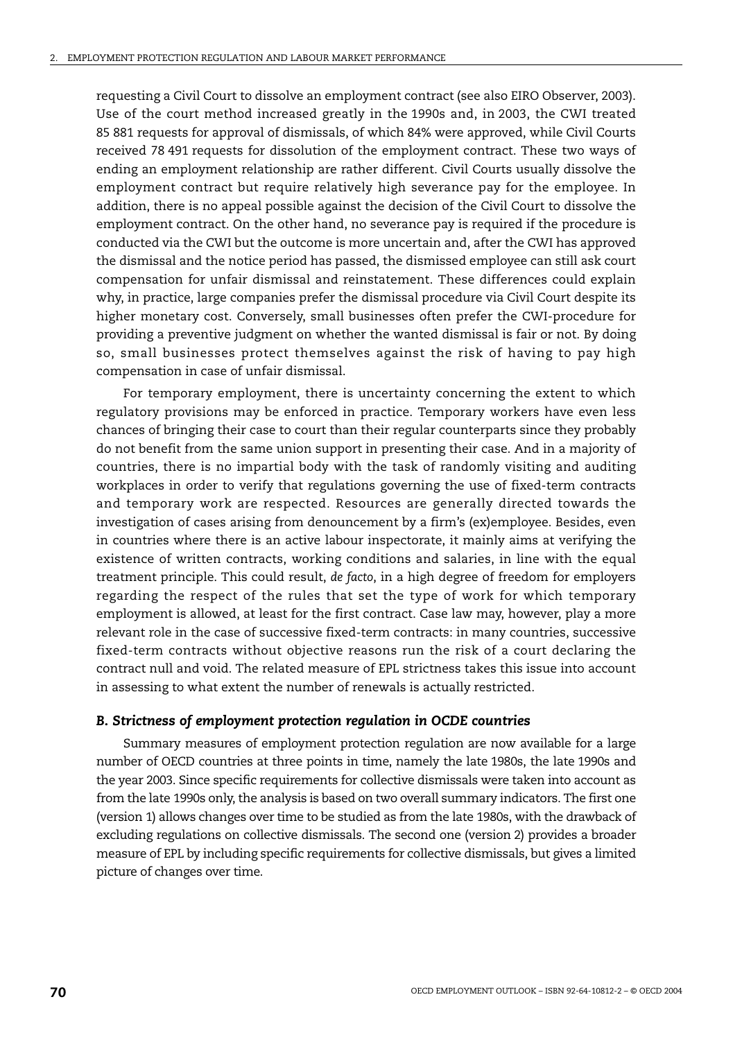requesting a Civil Court to dissolve an employment contract (see also EIRO Observer, 2003). Use of the court method increased greatly in the 1990s and, in 2003, the CWI treated 85 881 requests for approval of dismissals, of which 84% were approved, while Civil Courts received 78 491 requests for dissolution of the employment contract. These two ways of ending an employment relationship are rather different. Civil Courts usually dissolve the employment contract but require relatively high severance pay for the employee. In addition, there is no appeal possible against the decision of the Civil Court to dissolve the employment contract. On the other hand, no severance pay is required if the procedure is conducted via the CWI but the outcome is more uncertain and, after the CWI has approved the dismissal and the notice period has passed, the dismissed employee can still ask court compensation for unfair dismissal and reinstatement. These differences could explain why, in practice, large companies prefer the dismissal procedure via Civil Court despite its higher monetary cost. Conversely, small businesses often prefer the CWI-procedure for providing a preventive judgment on whether the wanted dismissal is fair or not. By doing so, small businesses protect themselves against the risk of having to pay high compensation in case of unfair dismissal.

For temporary employment, there is uncertainty concerning the extent to which regulatory provisions may be enforced in practice. Temporary workers have even less chances of bringing their case to court than their regular counterparts since they probably do not benefit from the same union support in presenting their case. And in a majority of countries, there is no impartial body with the task of randomly visiting and auditing workplaces in order to verify that regulations governing the use of fixed-term contracts and temporary work are respected. Resources are generally directed towards the investigation of cases arising from denouncement by a firm's (ex)employee. Besides, even in countries where there is an active labour inspectorate, it mainly aims at verifying the existence of written contracts, working conditions and salaries, in line with the equal treatment principle. This could result, *de facto*, in a high degree of freedom for employers regarding the respect of the rules that set the type of work for which temporary employment is allowed, at least for the first contract. Case law may, however, play a more relevant role in the case of successive fixed-term contracts: in many countries, successive fixed-term contracts without objective reasons run the risk of a court declaring the contract null and void. The related measure of EPL strictness takes this issue into account in assessing to what extent the number of renewals is actually restricted.

#### *B. Strictness of employment protection regulation in OCDE countries*

Summary measures of employment protection regulation are now available for a large number of OECD countries at three points in time, namely the late 1980s, the late 1990s and the year 2003. Since specific requirements for collective dismissals were taken into account as from the late 1990s only, the analysis is based on two overall summary indicators. The first one (version 1) allows changes over time to be studied as from the late 1980s, with the drawback of excluding regulations on collective dismissals. The second one (version 2) provides a broader measure of EPL by including specific requirements for collective dismissals, but gives a limited picture of changes over time.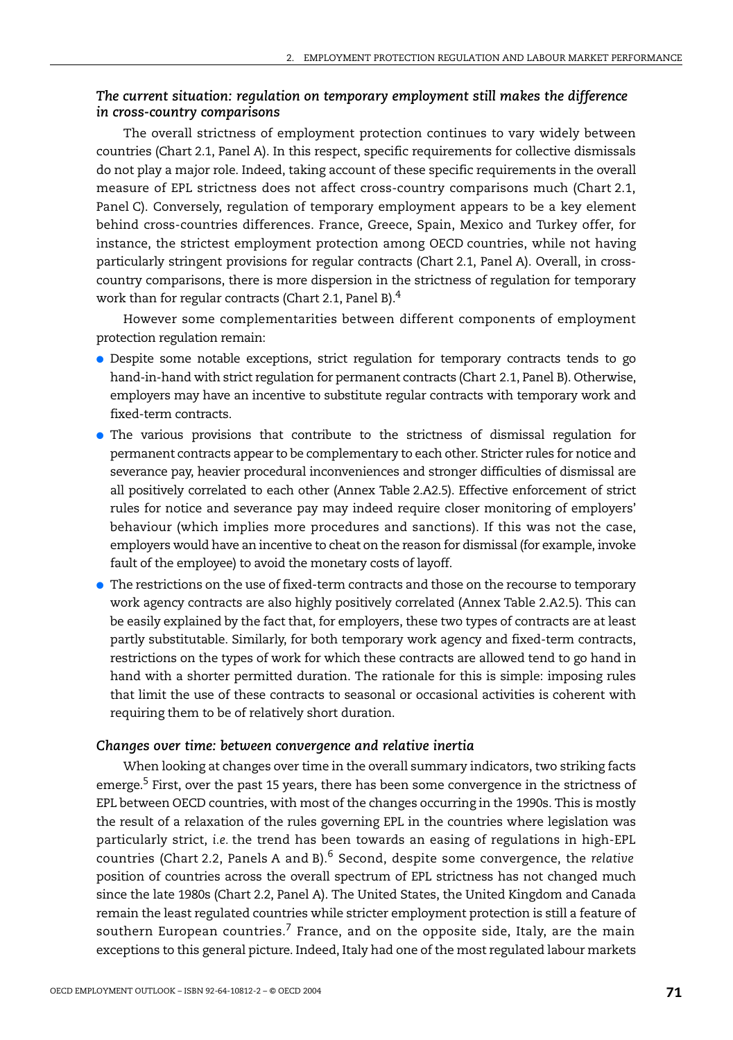## *The current situation: regulation on temporary employment still makes the difference in cross-country comparisons*

The overall strictness of employment protection continues to vary widely between countries (Chart 2.1, Panel A). In this respect, specific requirements for collective dismissals do not play a major role. Indeed, taking account of these specific requirements in the overall measure of EPL strictness does not affect cross-country comparisons much (Chart 2.1, Panel C). Conversely, regulation of temporary employment appears to be a key element behind cross-countries differences. France, Greece, Spain, Mexico and Turkey offer, for instance, the strictest employment protection among OECD countries, while not having particularly stringent provisions for regular contracts (Chart 2.1, Panel A). Overall, in crosscountry comparisons, there is more dispersion in the strictness of regulation for temporary work than for regular contracts (Chart 2.1, Panel B).<sup>4</sup>

However some complementarities between different components of employment protection regulation remain:

- Despite some notable exceptions, strict regulation for temporary contracts tends to go hand-in-hand with strict regulation for permanent contracts (Chart 2.1, Panel B). Otherwise, employers may have an incentive to substitute regular contracts with temporary work and fixed-term contracts.
- The various provisions that contribute to the strictness of dismissal regulation for permanent contracts appear to be complementary to each other. Stricter rules for notice and severance pay, heavier procedural inconveniences and stronger difficulties of dismissal are all positively correlated to each other (Annex Table 2.A2.5). Effective enforcement of strict rules for notice and severance pay may indeed require closer monitoring of employers' behaviour (which implies more procedures and sanctions). If this was not the case, employers would have an incentive to cheat on the reason for dismissal (for example, invoke fault of the employee) to avoid the monetary costs of layoff.
- The restrictions on the use of fixed-term contracts and those on the recourse to temporary work agency contracts are also highly positively correlated (Annex Table 2.A2.5). This can be easily explained by the fact that, for employers, these two types of contracts are at least partly substitutable. Similarly, for both temporary work agency and fixed-term contracts, restrictions on the types of work for which these contracts are allowed tend to go hand in hand with a shorter permitted duration. The rationale for this is simple: imposing rules that limit the use of these contracts to seasonal or occasional activities is coherent with requiring them to be of relatively short duration.

#### *Changes over time: between convergence and relative inertia*

When looking at changes over time in the overall summary indicators, two striking facts emerge.<sup>5</sup> First, over the past 15 years, there has been some convergence in the strictness of EPL between OECD countries, with most of the changes occurring in the 1990s. This is mostly the result of a relaxation of the rules governing EPL in the countries where legislation was particularly strict, *i.e.* the trend has been towards an easing of regulations in high-EPL countries (Chart 2.2, Panels A and B).6 Second, despite some convergence, the *relative* position of countries across the overall spectrum of EPL strictness has not changed much since the late 1980s (Chart 2.2, Panel A). The United States, the United Kingdom and Canada remain the least regulated countries while stricter employment protection is still a feature of southern European countries.<sup>7</sup> France, and on the opposite side, Italy, are the main exceptions to this general picture. Indeed, Italy had one of the most regulated labour markets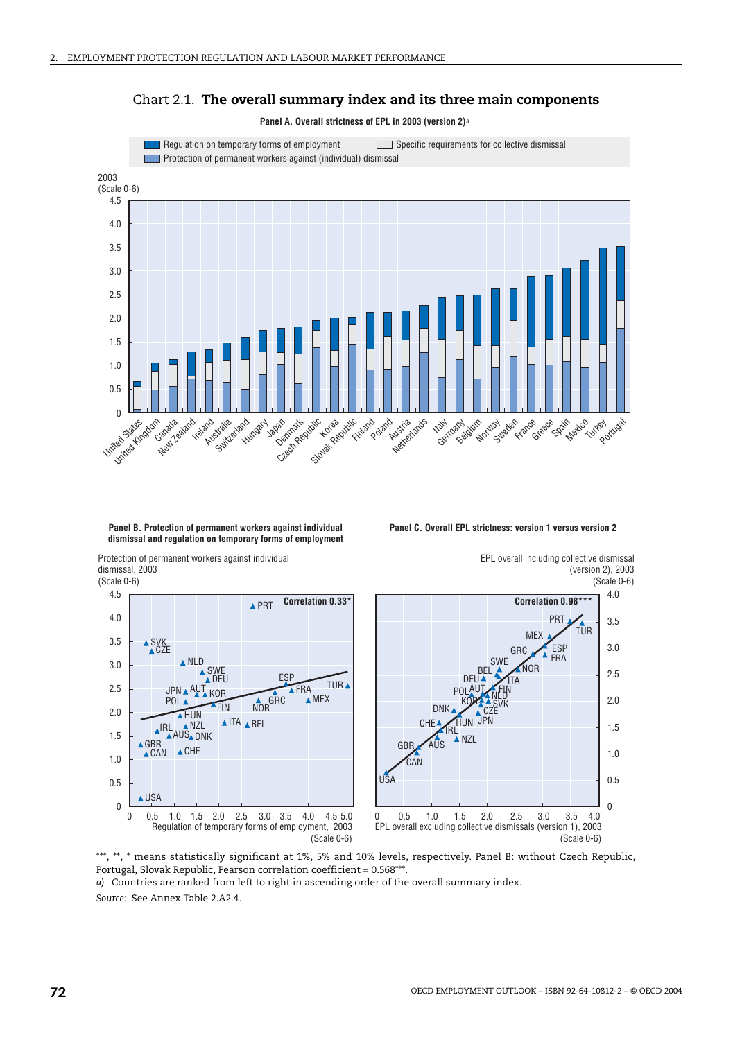

Chart 2.1. **The overall summary index and its three main components**

**Panel B. Protection of permanent workers against individual dismissal and regulation on temporary forms of employment**

Protection of permanent workers against individual dismissal, 2003 (Scale 0-6)

NLD

 $\triangle$  CHE IRL ANZL<br>LAUSADNK  $\triangle$  NZL **AHUN** 

SVK CZE

**A** CAN

**A**GBR

USA

4.0 3.5 3.0 2.5 2.0 1.5 1.0 0.5  $\theta$ 



EPL overall including collective dismissal (version 2), 2003 (Scale 0-6)

3.5 3.0 2.5 2.0 1.5 1.0 0.5  $\Omega$ 0 0.5 1.0 1.5 2.0 2.5 3.0 3.5 4.0 EPL overall excluding collective dismissals (version 1), 2003 FRA TUR PRT MEX GRC ESP **NOR** (Scale 0-6)

**Panel C. Overall EPL strictness: version 1 versus version 2**

\*\*\*, \*\*, \* means statistically significant at 1%, 5% and 10% levels, respectively. Panel B: without Czech Republic, Portugal, Slovak Republic, Pearson correlation coefficient = 0.568\*\*\*. *a)* Countries are ranked from left to right in ascending order of the overall summary index.

*Source:* See Annex Table 2.A2.4.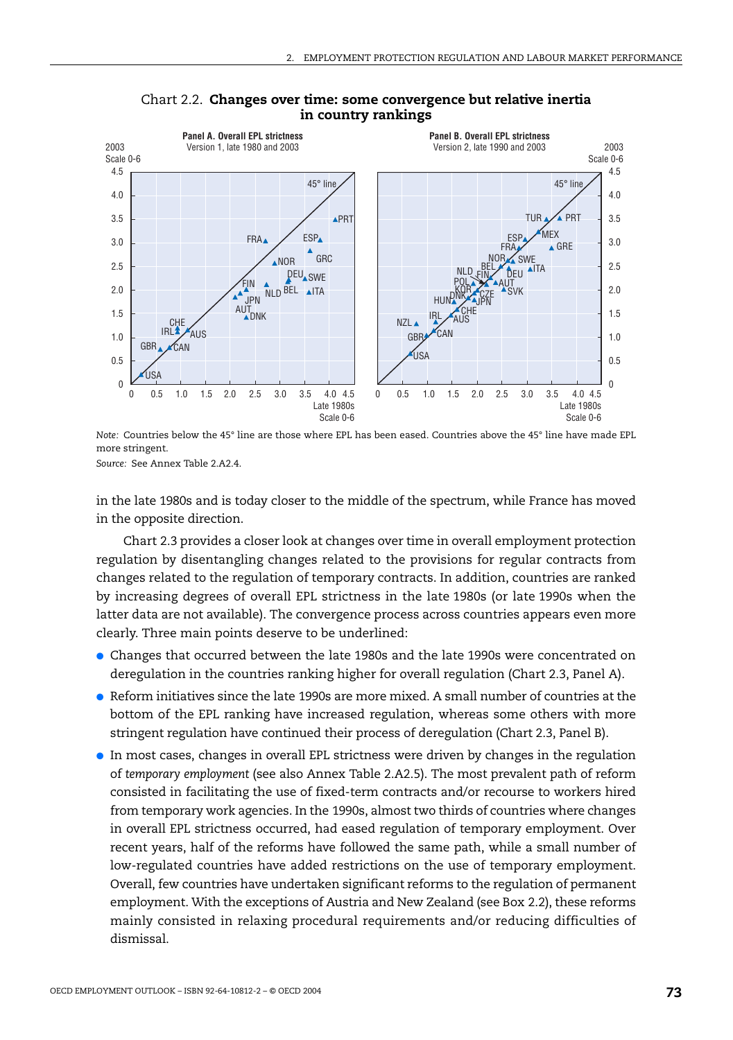

Chart 2.2. **Changes over time: some convergence but relative inertia in country rankings**

*Note:* Countries below the 45° line are those where EPL has been eased. Countries above the 45° line have made EPL more stringent.

*Source:* See Annex Table 2.A2.4.

in the late 1980s and is today closer to the middle of the spectrum, while France has moved in the opposite direction.

Chart 2.3 provides a closer look at changes over time in overall employment protection regulation by disentangling changes related to the provisions for regular contracts from changes related to the regulation of temporary contracts. In addition, countries are ranked by increasing degrees of overall EPL strictness in the late 1980s (or late 1990s when the latter data are not available). The convergence process across countries appears even more clearly. Three main points deserve to be underlined:

- Changes that occurred between the late 1980s and the late 1990s were concentrated on deregulation in the countries ranking higher for overall regulation (Chart 2.3, Panel A).
- $\bullet$  Reform initiatives since the late 1990s are more mixed. A small number of countries at the bottom of the EPL ranking have increased regulation, whereas some others with more stringent regulation have continued their process of deregulation (Chart 2.3, Panel B).
- In most cases, changes in overall EPL strictness were driven by changes in the regulation of *temporary employment* (see also Annex Table 2.A2.5). The most prevalent path of reform consisted in facilitating the use of fixed-term contracts and/or recourse to workers hired from temporary work agencies. In the 1990s, almost two thirds of countries where changes in overall EPL strictness occurred, had eased regulation of temporary employment. Over recent years, half of the reforms have followed the same path, while a small number of low-regulated countries have added restrictions on the use of temporary employment. Overall, few countries have undertaken significant reforms to the regulation of permanent employment. With the exceptions of Austria and New Zealand (see Box 2.2), these reforms mainly consisted in relaxing procedural requirements and/or reducing difficulties of dismissal.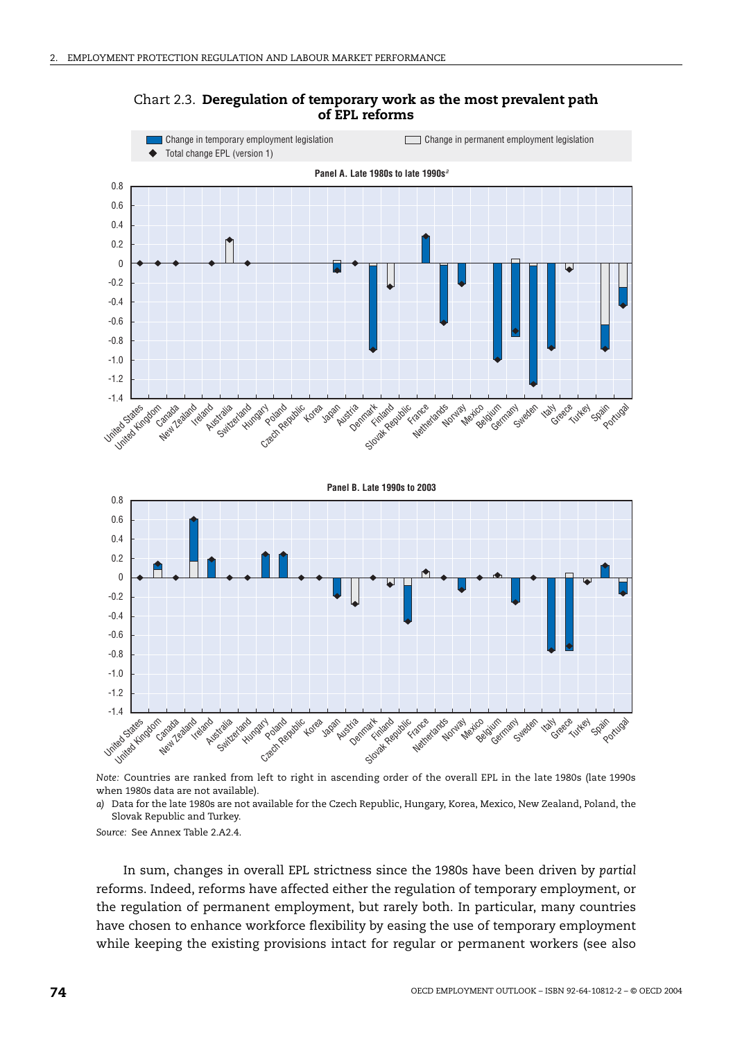

Chart 2.3. **Deregulation of temporary work as the most prevalent path of EPL reforms**

*Note:* Countries are ranked from left to right in ascending order of the overall EPL in the late 1980s (late 1990s when 1980s data are not available).

*a)* Data for the late 1980s are not available for the Czech Republic, Hungary, Korea, Mexico, New Zealand, Poland, the Slovak Republic and Turkey.

*Source:* See Annex Table 2.A2.4.

In sum, changes in overall EPL strictness since the 1980s have been driven by *partial* reforms. Indeed, reforms have affected either the regulation of temporary employment, or the regulation of permanent employment, but rarely both. In particular, many countries have chosen to enhance workforce flexibility by easing the use of temporary employment while keeping the existing provisions intact for regular or permanent workers (see also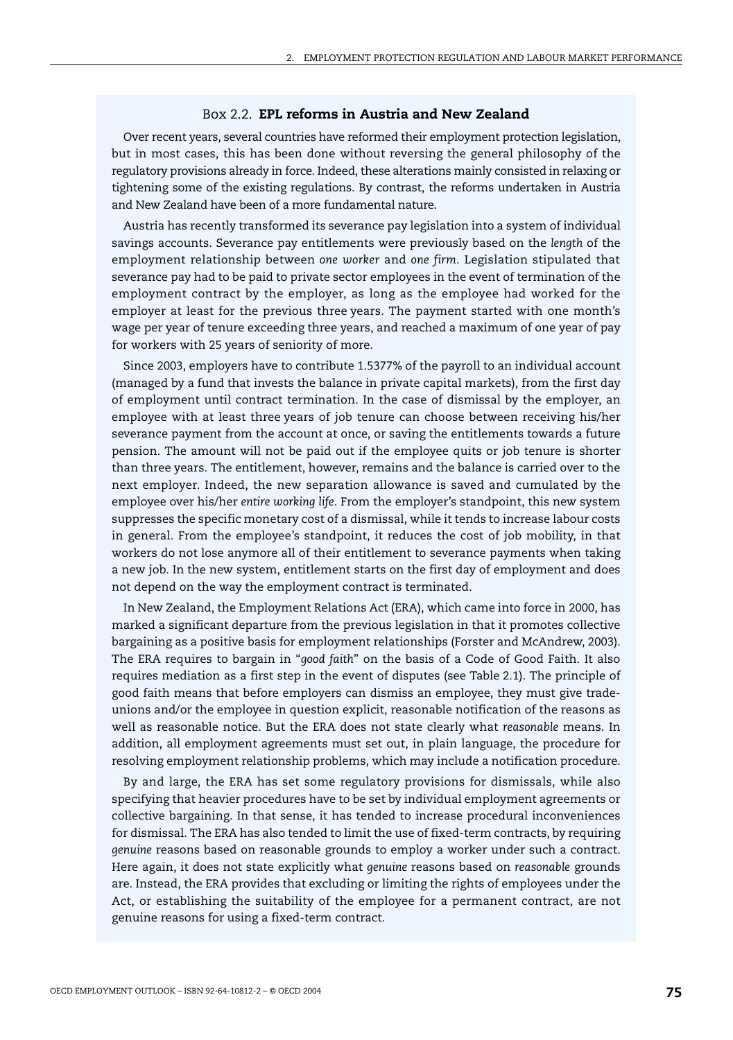#### Box 2.2. **EPL reforms in Austria and New Zealand**

Over recent years, several countries have reformed their employment protection legislation, but in most cases, this has been done without reversing the general philosophy of the regulatory provisions already in force. Indeed, these alterations mainly consisted in relaxing or tightening some of the existing regulations. By contrast, the reforms undertaken in Austria and New Zealand have been of a more fundamental nature.

Austria has recently transformed its severance pay legislation into a system of individual savings accounts. Severance pay entitlements were previously based on the *length* of the employment relationship between *one worker* and *one firm*. Legislation stipulated that severance pay had to be paid to private sector employees in the event of termination of the employment contract by the employer, as long as the employee had worked for the employer at least for the previous three years. The payment started with one month's wage per year of tenure exceeding three years, and reached a maximum of one year of pay for workers with 25 years of seniority of more.

Since 2003, employers have to contribute 1.5377% of the payroll to an individual account (managed by a fund that invests the balance in private capital markets), from the first day of employment until contract termination. In the case of dismissal by the employer, an employee with at least three years of job tenure can choose between receiving his/her severance payment from the account at once, or saving the entitlements towards a future pension. The amount will not be paid out if the employee quits or job tenure is shorter than three years. The entitlement, however, remains and the balance is carried over to the next employer. Indeed, the new separation allowance is saved and cumulated by the employee over his/her *entire working life*. From the employer's standpoint, this new system suppresses the specific monetary cost of a dismissal, while it tends to increase labour costs in general. From the employee's standpoint, it reduces the cost of job mobility, in that workers do not lose anymore all of their entitlement to severance payments when taking a new job. In the new system, entitlement starts on the first day of employment and does not depend on the way the employment contract is terminated.

In New Zealand, the Employment Relations Act (ERA), which came into force in 2000, has marked a significant departure from the previous legislation in that it promotes collective bargaining as a positive basis for employment relationships (Forster and McAndrew, 2003). The ERA requires to bargain in "*good faith*" on the basis of a Code of Good Faith. It also requires mediation as a first step in the event of disputes (see Table 2.1). The principle of good faith means that before employers can dismiss an employee, they must give tradeunions and/or the employee in question explicit, reasonable notification of the reasons as well as reasonable notice. But the ERA does not state clearly what *reasonable* means. In addition, all employment agreements must set out, in plain language, the procedure for resolving employment relationship problems, which may include a notification procedure.

By and large, the ERA has set some regulatory provisions for dismissals, while also specifying that heavier procedures have to be set by individual employment agreements or collective bargaining. In that sense, it has tended to increase procedural inconveniences for dismissal. The ERA has also tended to limit the use of fixed-term contracts, by requiring *genuine* reasons based on reasonable grounds to employ a worker under such a contract. Here again, it does not state explicitly what *genuine* reasons based on *reasonable* grounds are. Instead, the ERA provides that excluding or limiting the rights of employees under the Act, or establishing the suitability of the employee for a permanent contract, are not genuine reasons for using a fixed-term contract.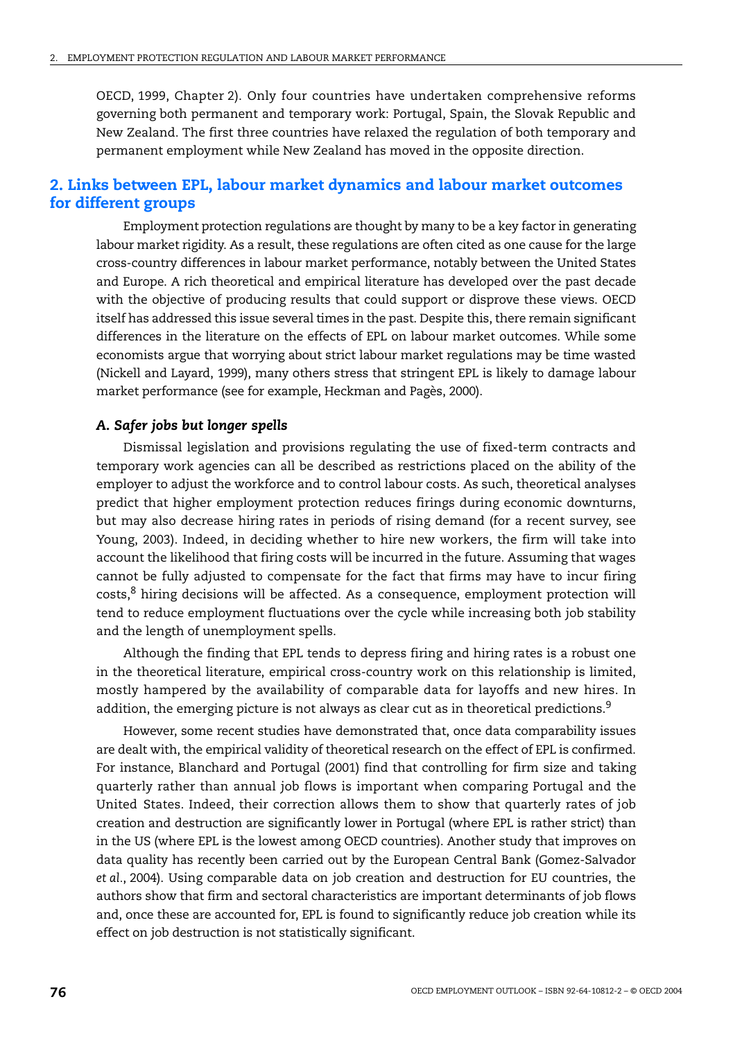OECD, 1999, Chapter 2). Only four countries have undertaken comprehensive reforms governing both permanent and temporary work: Portugal, Spain, the Slovak Republic and New Zealand. The first three countries have relaxed the regulation of both temporary and permanent employment while New Zealand has moved in the opposite direction.

## **2. Links between EPL, labour market dynamics and labour market outcomes for different groups**

Employment protection regulations are thought by many to be a key factor in generating labour market rigidity. As a result, these regulations are often cited as one cause for the large cross-country differences in labour market performance, notably between the United States and Europe. A rich theoretical and empirical literature has developed over the past decade with the objective of producing results that could support or disprove these views. OECD itself has addressed this issue several times in the past. Despite this, there remain significant differences in the literature on the effects of EPL on labour market outcomes. While some economists argue that worrying about strict labour market regulations may be time wasted (Nickell and Layard, 1999), many others stress that stringent EPL is likely to damage labour market performance (see for example, Heckman and Pagès, 2000).

#### *A. Safer jobs but longer spells*

Dismissal legislation and provisions regulating the use of fixed-term contracts and temporary work agencies can all be described as restrictions placed on the ability of the employer to adjust the workforce and to control labour costs. As such, theoretical analyses predict that higher employment protection reduces firings during economic downturns, but may also decrease hiring rates in periods of rising demand (for a recent survey, see Young, 2003). Indeed, in deciding whether to hire new workers, the firm will take into account the likelihood that firing costs will be incurred in the future. Assuming that wages cannot be fully adjusted to compensate for the fact that firms may have to incur firing costs,8 hiring decisions will be affected. As a consequence, employment protection will tend to reduce employment fluctuations over the cycle while increasing both job stability and the length of unemployment spells.

Although the finding that EPL tends to depress firing and hiring rates is a robust one in the theoretical literature, empirical cross-country work on this relationship is limited, mostly hampered by the availability of comparable data for layoffs and new hires. In addition, the emerging picture is not always as clear cut as in theoretical predictions.<sup>9</sup>

However, some recent studies have demonstrated that, once data comparability issues are dealt with, the empirical validity of theoretical research on the effect of EPL is confirmed. For instance, Blanchard and Portugal (2001) find that controlling for firm size and taking quarterly rather than annual job flows is important when comparing Portugal and the United States. Indeed, their correction allows them to show that quarterly rates of job creation and destruction are significantly lower in Portugal (where EPL is rather strict) than in the US (where EPL is the lowest among OECD countries). Another study that improves on data quality has recently been carried out by the European Central Bank (Gomez-Salvador *et al.*, 2004). Using comparable data on job creation and destruction for EU countries, the authors show that firm and sectoral characteristics are important determinants of job flows and, once these are accounted for, EPL is found to significantly reduce job creation while its effect on job destruction is not statistically significant.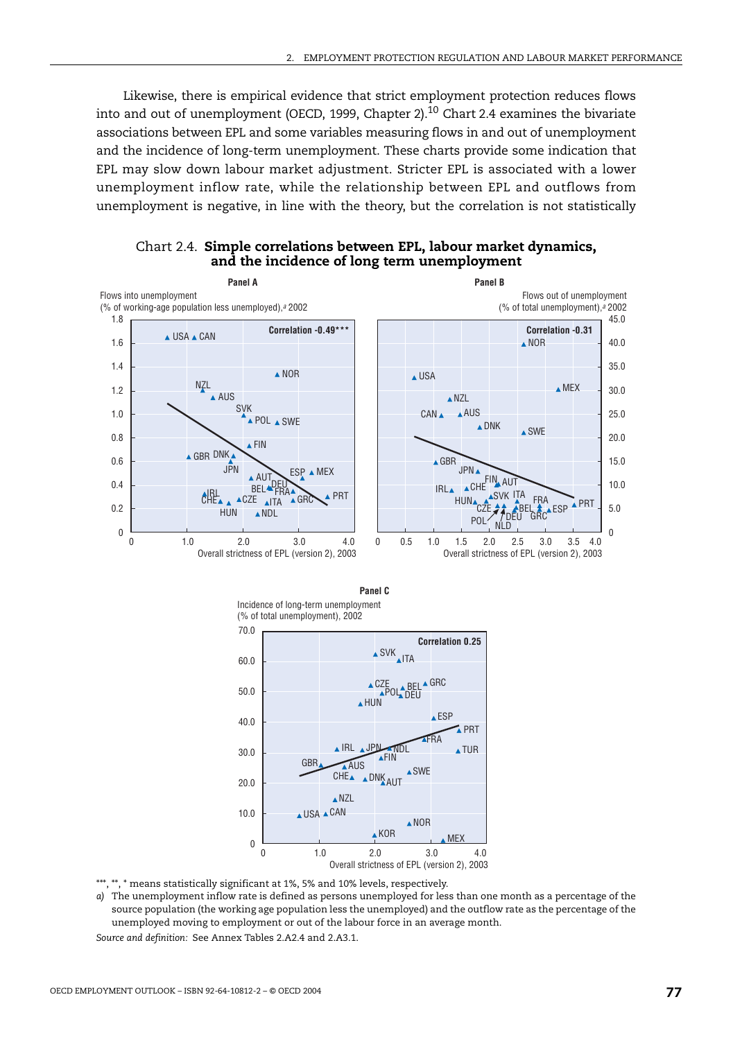Likewise, there is empirical evidence that strict employment protection reduces flows into and out of unemployment (OECD, 1999, Chapter 2).<sup>10</sup> Chart 2.4 examines the bivariate associations between EPL and some variables measuring flows in and out of unemployment and the incidence of long-term unemployment. These charts provide some indication that EPL may slow down labour market adjustment. Stricter EPL is associated with a lower unemployment inflow rate, while the relationship between EPL and outflows from unemployment is negative, in line with the theory, but the correlation is not statistically



Chart 2.4. **Simple correlations between EPL, labour market dynamics, and the incidence of long term unemployment**



\*\*\*, \*\*, \* means statistically significant at 1%, 5% and 10% levels, respectively.

*a)* The unemployment inflow rate is defined as persons unemployed for less than one month as a percentage of the source population (the working age population less the unemployed) and the outflow rate as the percentage of the unemployed moving to employment or out of the labour force in an average month.

*Source and definition:* See Annex Tables 2.A2.4 and 2.A3.1.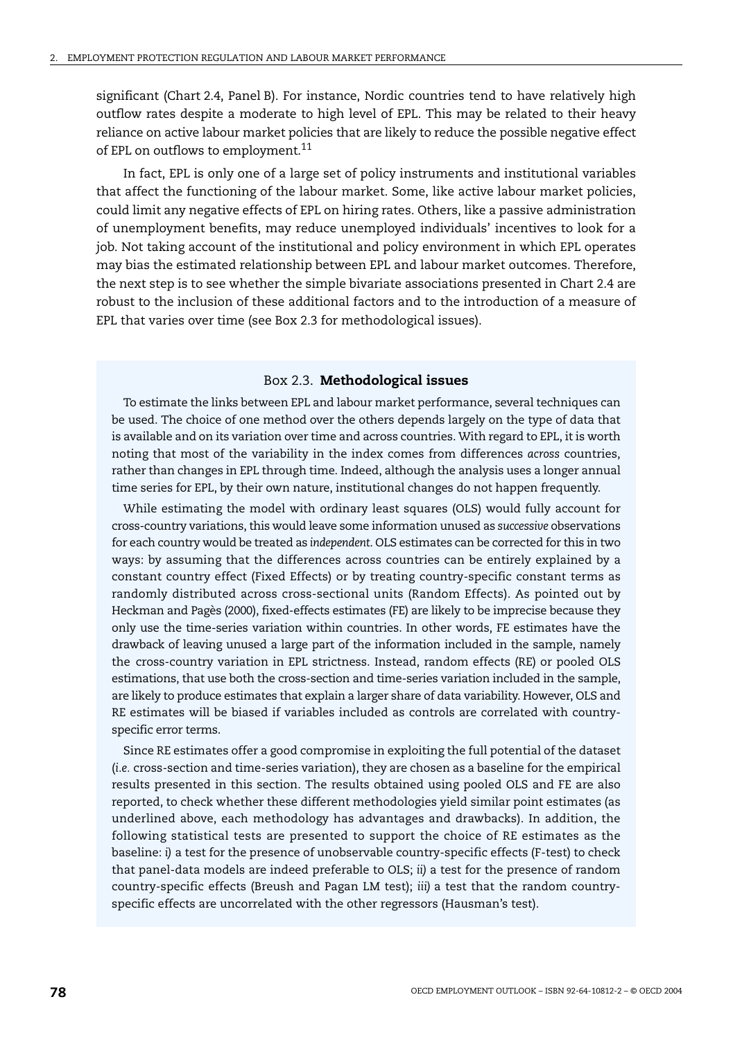significant (Chart 2.4, Panel B). For instance, Nordic countries tend to have relatively high outflow rates despite a moderate to high level of EPL. This may be related to their heavy reliance on active labour market policies that are likely to reduce the possible negative effect of EPL on outflows to employment.<sup>11</sup>

In fact, EPL is only one of a large set of policy instruments and institutional variables that affect the functioning of the labour market. Some, like active labour market policies, could limit any negative effects of EPL on hiring rates. Others, like a passive administration of unemployment benefits, may reduce unemployed individuals' incentives to look for a job. Not taking account of the institutional and policy environment in which EPL operates may bias the estimated relationship between EPL and labour market outcomes. Therefore, the next step is to see whether the simple bivariate associations presented in Chart 2.4 are robust to the inclusion of these additional factors and to the introduction of a measure of EPL that varies over time (see Box 2.3 for methodological issues).

#### Box 2.3. **Methodological issues**

To estimate the links between EPL and labour market performance, several techniques can be used. The choice of one method over the others depends largely on the type of data that is available and on its variation over time and across countries. With regard to EPL, it is worth noting that most of the variability in the index comes from differences *across* countries, rather than changes in EPL through time. Indeed, although the analysis uses a longer annual time series for EPL, by their own nature, institutional changes do not happen frequently.

While estimating the model with ordinary least squares (OLS) would fully account for cross-country variations, this would leave some information unused as *successive* observations for each country would be treated as *independent*. OLS estimates can be corrected for this in two ways: by assuming that the differences across countries can be entirely explained by a constant country effect (Fixed Effects) or by treating country-specific constant terms as randomly distributed across cross-sectional units (Random Effects). As pointed out by Heckman and Pagès (2000), fixed-effects estimates (FE) are likely to be imprecise because they only use the time-series variation within countries. In other words, FE estimates have the drawback of leaving unused a large part of the information included in the sample, namely the cross-country variation in EPL strictness. Instead, random effects (RE) or pooled OLS estimations, that use both the cross-section and time-series variation included in the sample, are likely to produce estimates that explain a larger share of data variability. However, OLS and RE estimates will be biased if variables included as controls are correlated with countryspecific error terms.

Since RE estimates offer a good compromise in exploiting the full potential of the dataset (*i.e.* cross-section and time-series variation), they are chosen as a baseline for the empirical results presented in this section. The results obtained using pooled OLS and FE are also reported, to check whether these different methodologies yield similar point estimates (as underlined above, each methodology has advantages and drawbacks). In addition, the following statistical tests are presented to support the choice of RE estimates as the baseline: *i)* a test for the presence of unobservable country-specific effects (F-test) to check that panel-data models are indeed preferable to OLS; *ii)* a test for the presence of random country-specific effects (Breush and Pagan LM test); *iii)* a test that the random countryspecific effects are uncorrelated with the other regressors (Hausman's test).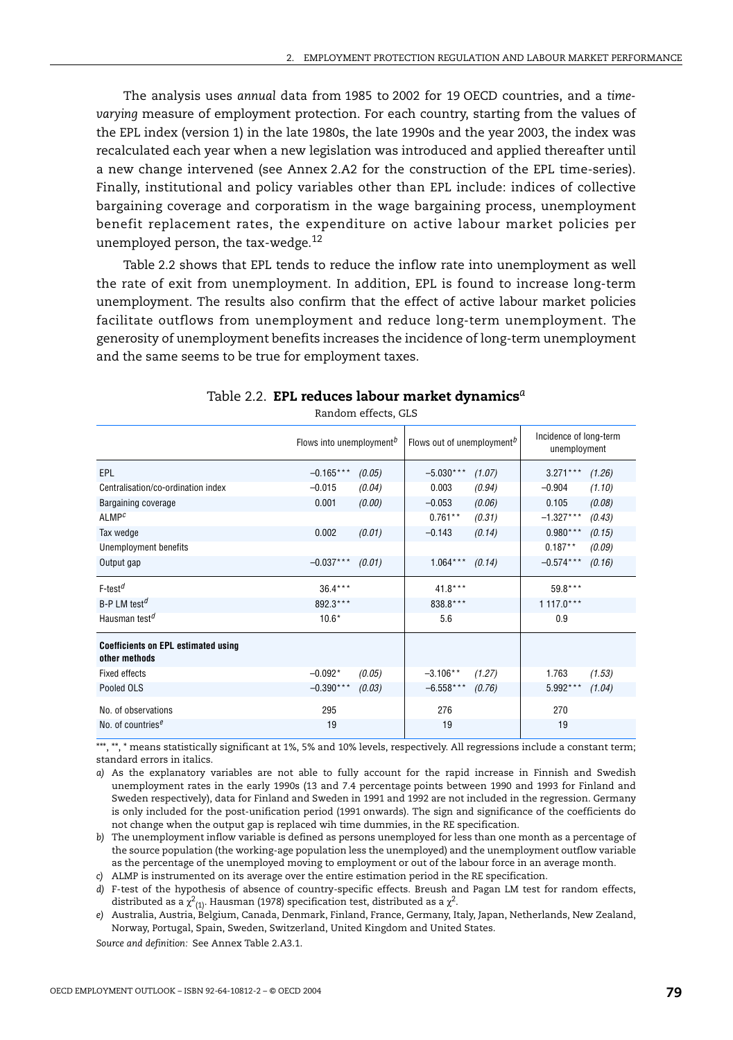The analysis uses *annual* data from 1985 to 2002 for 19 OECD countries, and a *timevarying* measure of employment protection. For each country, starting from the values of the EPL index (version 1) in the late 1980s, the late 1990s and the year 2003, the index was recalculated each year when a new legislation was introduced and applied thereafter until a new change intervened (see Annex 2.A2 for the construction of the EPL time-series). Finally, institutional and policy variables other than EPL include: indices of collective bargaining coverage and corporatism in the wage bargaining process, unemployment benefit replacement rates, the expenditure on active labour market policies per unemployed person, the tax-wedge.<sup>12</sup>

Table 2.2 shows that EPL tends to reduce the inflow rate into unemployment as well the rate of exit from unemployment. In addition, EPL is found to increase long-term unemployment. The results also confirm that the effect of active labour market policies facilitate outflows from unemployment and reduce long-term unemployment. The generosity of unemployment benefits increases the incidence of long-term unemployment and the same seems to be true for employment taxes.

|                                                             | Flows into unemployment <sup>b</sup> |        | Flows out of unemployment <sup>b</sup> |        | Incidence of long-term<br>unemployment |        |
|-------------------------------------------------------------|--------------------------------------|--------|----------------------------------------|--------|----------------------------------------|--------|
| EPL                                                         | $-0.165***$                          | (0.05) | $-5.030***$                            | (1.07) | $3.271***$                             | (1.26) |
| Centralisation/co-ordination index                          | $-0.015$                             | (0.04) | 0.003                                  | (0.94) | $-0.904$                               | (1.10) |
| Bargaining coverage                                         | 0.001                                | (0.00) | $-0.053$                               | (0.06) | 0.105                                  | (0.08) |
| ALMP <sup>c</sup>                                           |                                      |        | $0.761**$                              | (0.31) | $-1.327***$                            | (0.43) |
| Tax wedge                                                   | 0.002                                | (0.01) | $-0.143$                               | (0.14) | $0.980***$                             | (0.15) |
| Unemployment benefits                                       |                                      |        |                                        |        | $0.187**$                              | (0.09) |
| Output gap                                                  | $-0.037***$                          | (0.01) | $1.064***$                             | (0.14) | $-0.574***$                            | (0.16) |
|                                                             |                                      |        |                                        |        |                                        |        |
| $F$ -test <sup><math>d</math></sup>                         | $36.4***$                            |        | $41.8***$                              |        | 59.8***                                |        |
| $B-P$ LM test <sup>d</sup>                                  | 892.3***                             |        | 838.8 ***                              |        | $1117.0***$                            |        |
| Hausman test <sup>d</sup>                                   | $10.6*$                              |        | 5.6                                    |        | 0.9                                    |        |
| <b>Coefficients on EPL estimated using</b><br>other methods |                                      |        |                                        |        |                                        |        |
| <b>Fixed effects</b>                                        | $-0.092*$                            | (0.05) | $-3.106**$                             | (1.27) | 1.763                                  | (1.53) |
| Pooled OLS                                                  | $-0.390***$                          | (0.03) | $-6.558***$                            | (0.76) | 5.992***                               | (1.04) |
| No. of observations                                         | 295                                  |        | 276                                    |        | 270                                    |        |

## Table 2.2. **EPL reduces labour market dynamics***<sup>a</sup>*

Random effects, GLS

\*\*\*, \*\*, \* means statistically significant at 1%, 5% and 10% levels, respectively. All regressions include a constant term; standard errors in italics.

*a)* As the explanatory variables are not able to fully account for the rapid increase in Finnish and Swedish unemployment rates in the early 1990s (13 and 7.4 percentage points between 1990 and 1993 for Finland and Sweden respectively), data for Finland and Sweden in 1991 and 1992 are not included in the regression. Germany is only included for the post-unification period (1991 onwards). The sign and significance of the coefficients do not change when the output gap is replaced wih time dummies, in the RE specification.

*b)* The unemployment inflow variable is defined as persons unemployed for less than one month as a percentage of the source population (the working-age population less the unemployed) and the unemployment outflow variable as the percentage of the unemployed moving to employment or out of the labour force in an average month.

*c)* ALMP is instrumented on its average over the entire estimation period in the RE specification.

- *d)* F-test of the hypothesis of absence of country-specific effects. Breush and Pagan LM test for random effects, distributed as a  $\chi^2_{\ (1)}.$  Hausman (1978) specification test, distributed as a  $\chi^2.$
- *e)* Australia, Austria, Belgium, Canada, Denmark, Finland, France, Germany, Italy, Japan, Netherlands, New Zealand, Norway, Portugal, Spain, Sweden, Switzerland, United Kingdom and United States.

*Source and definition:* See Annex Table 2.A3.1.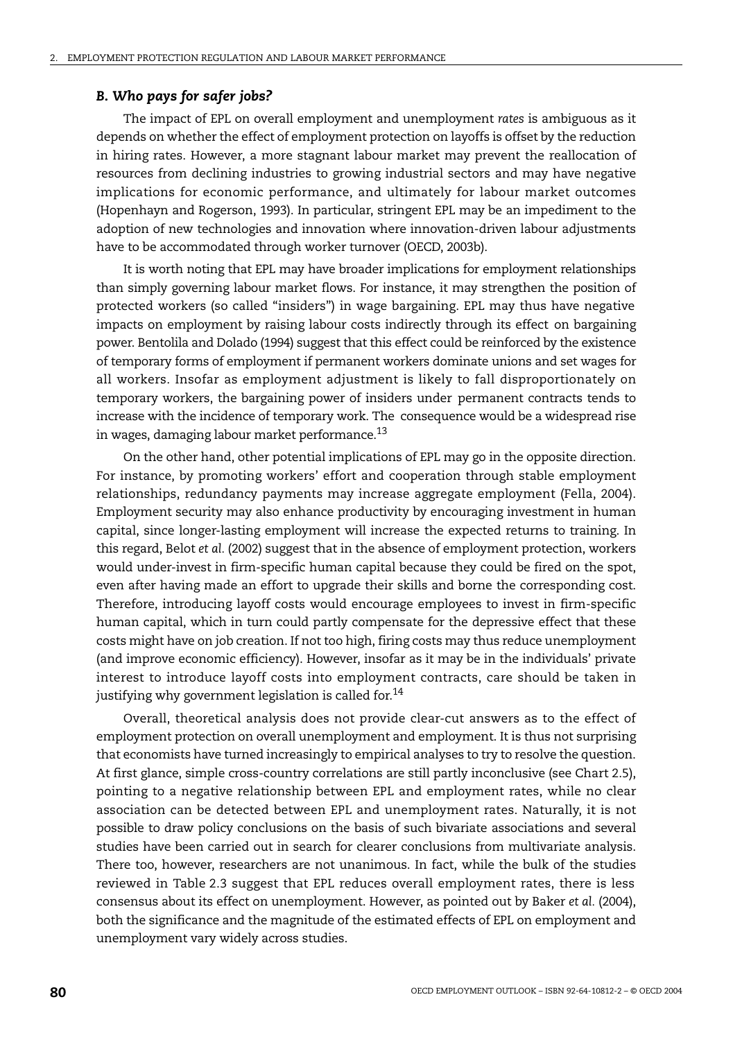#### *B. Who pays for safer jobs?*

The impact of EPL on overall employment and unemployment *rates* is ambiguous as it depends on whether the effect of employment protection on layoffs is offset by the reduction in hiring rates. However, a more stagnant labour market may prevent the reallocation of resources from declining industries to growing industrial sectors and may have negative implications for economic performance, and ultimately for labour market outcomes (Hopenhayn and Rogerson, 1993). In particular, stringent EPL may be an impediment to the adoption of new technologies and innovation where innovation-driven labour adjustments have to be accommodated through worker turnover (OECD, 2003b).

It is worth noting that EPL may have broader implications for employment relationships than simply governing labour market flows. For instance, it may strengthen the position of protected workers (so called "insiders") in wage bargaining. EPL may thus have negative impacts on employment by raising labour costs indirectly through its effect on bargaining power. Bentolila and Dolado (1994) suggest that this effect could be reinforced by the existence of temporary forms of employment if permanent workers dominate unions and set wages for all workers. Insofar as employment adjustment is likely to fall disproportionately on temporary workers, the bargaining power of insiders under permanent contracts tends to increase with the incidence of temporary work. The consequence would be a widespread rise in wages, damaging labour market performance.13

On the other hand, other potential implications of EPL may go in the opposite direction. For instance, by promoting workers' effort and cooperation through stable employment relationships, redundancy payments may increase aggregate employment (Fella, 2004). Employment security may also enhance productivity by encouraging investment in human capital, since longer-lasting employment will increase the expected returns to training. In this regard, Belot *et al.* (2002) suggest that in the absence of employment protection, workers would under-invest in firm-specific human capital because they could be fired on the spot, even after having made an effort to upgrade their skills and borne the corresponding cost. Therefore, introducing layoff costs would encourage employees to invest in firm-specific human capital, which in turn could partly compensate for the depressive effect that these costs might have on job creation. If not too high, firing costs may thus reduce unemployment (and improve economic efficiency). However, insofar as it may be in the individuals' private interest to introduce layoff costs into employment contracts, care should be taken in justifying why government legislation is called for.<sup>14</sup>

Overall, theoretical analysis does not provide clear-cut answers as to the effect of employment protection on overall unemployment and employment. It is thus not surprising that economists have turned increasingly to empirical analyses to try to resolve the question. At first glance, simple cross-country correlations are still partly inconclusive (see Chart 2.5), pointing to a negative relationship between EPL and employment rates, while no clear association can be detected between EPL and unemployment rates. Naturally, it is not possible to draw policy conclusions on the basis of such bivariate associations and several studies have been carried out in search for clearer conclusions from multivariate analysis. There too, however, researchers are not unanimous. In fact, while the bulk of the studies reviewed in Table 2.3 suggest that EPL reduces overall employment rates, there is less consensus about its effect on unemployment. However, as pointed out by Baker *et al.* (2004), both the significance and the magnitude of the estimated effects of EPL on employment and unemployment vary widely across studies.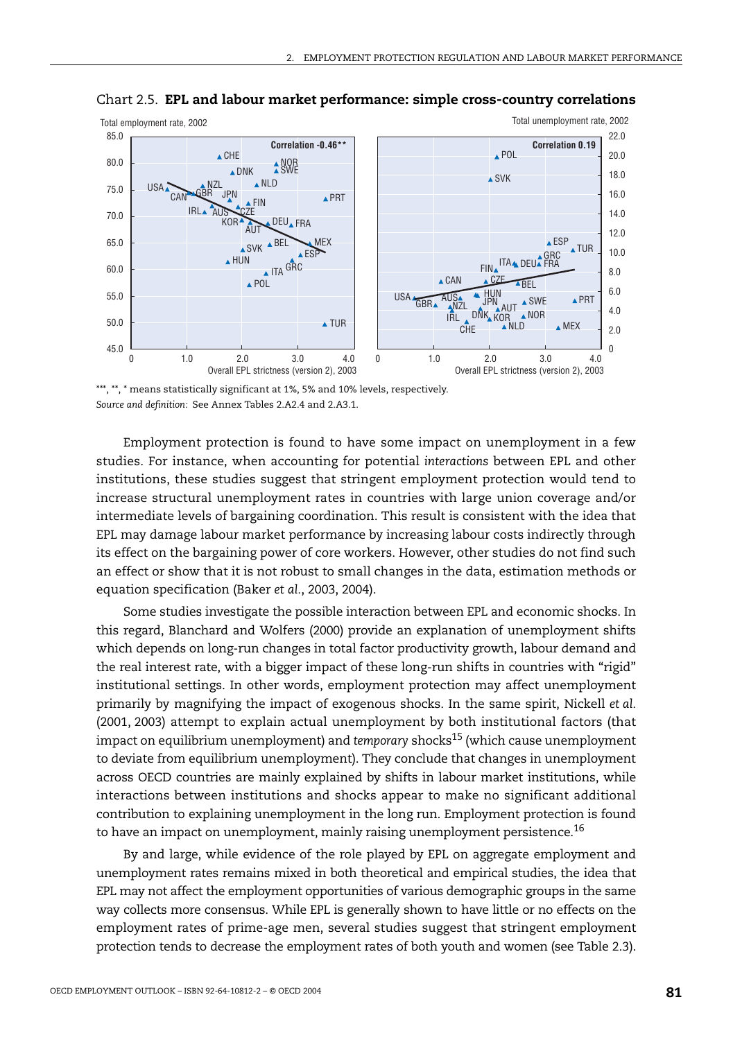

Chart 2.5. **EPL and labour market performance: simple cross-country correlations**

\*\*\*, \*\*, \* means statistically significant at 1%, 5% and 10% levels, respectively. *Source and definition:* See Annex Tables 2.A2.4 and 2.A3.1.

Employment protection is found to have some impact on unemployment in a few studies. For instance, when accounting for potential *interactions* between EPL and other institutions, these studies suggest that stringent employment protection would tend to increase structural unemployment rates in countries with large union coverage and/or intermediate levels of bargaining coordination. This result is consistent with the idea that EPL may damage labour market performance by increasing labour costs indirectly through its effect on the bargaining power of core workers. However, other studies do not find such an effect or show that it is not robust to small changes in the data, estimation methods or equation specification (Baker *et al.*, 2003, 2004).

Some studies investigate the possible interaction between EPL and economic shocks. In this regard, Blanchard and Wolfers (2000) provide an explanation of unemployment shifts which depends on long-run changes in total factor productivity growth, labour demand and the real interest rate, with a bigger impact of these long-run shifts in countries with "rigid" institutional settings. In other words, employment protection may affect unemployment primarily by magnifying the impact of exogenous shocks. In the same spirit, Nickell *et al.* (2001, 2003) attempt to explain actual unemployment by both institutional factors (that impact on equilibrium unemployment) and *temporary* shocks<sup>15</sup> (which cause unemployment to deviate from equilibrium unemployment). They conclude that changes in unemployment across OECD countries are mainly explained by shifts in labour market institutions, while interactions between institutions and shocks appear to make no significant additional contribution to explaining unemployment in the long run. Employment protection is found to have an impact on unemployment, mainly raising unemployment persistence.<sup>16</sup>

By and large, while evidence of the role played by EPL on aggregate employment and unemployment rates remains mixed in both theoretical and empirical studies, the idea that EPL may not affect the employment opportunities of various demographic groups in the same way collects more consensus. While EPL is generally shown to have little or no effects on the employment rates of prime-age men, several studies suggest that stringent employment protection tends to decrease the employment rates of both youth and women (see Table 2.3).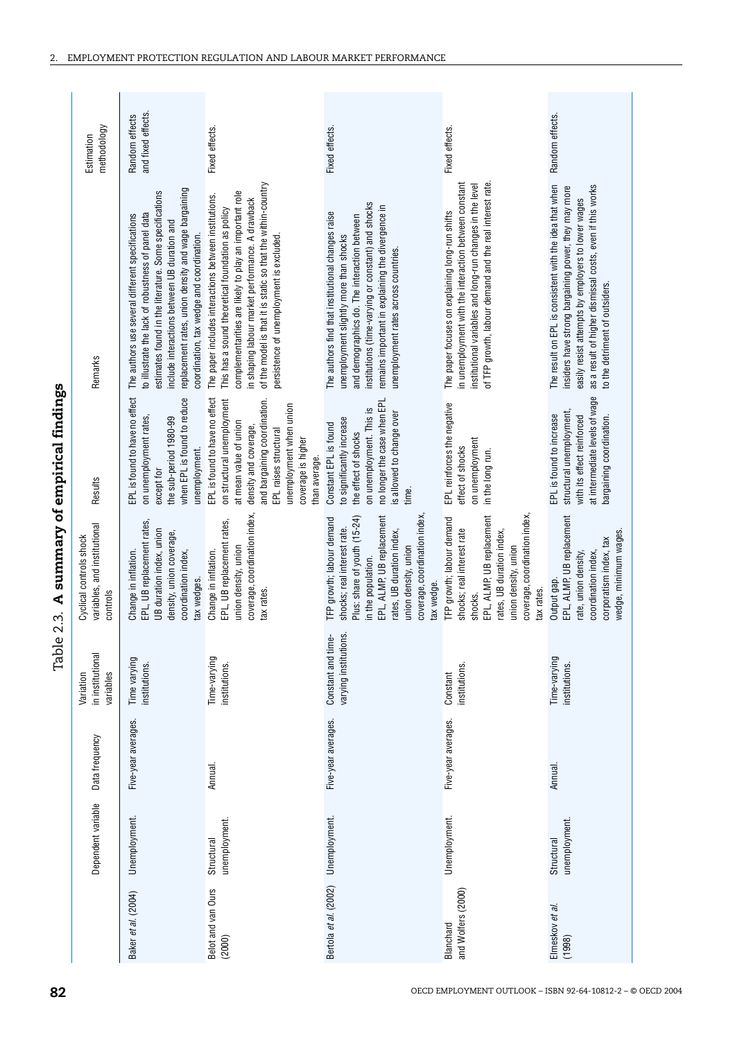|                                        | Dependent variable          | Data frequency      | in institutional<br>variables<br>Variation  | variables, and institutional<br>Cyclical controls shock<br>controls                                                                                                                                                                            | Results                                                                                                                                                                                                                                    | Remarks                                                                                                                                                                                                                                                                                                                              | methodology<br>Estimation            |
|----------------------------------------|-----------------------------|---------------------|---------------------------------------------|------------------------------------------------------------------------------------------------------------------------------------------------------------------------------------------------------------------------------------------------|--------------------------------------------------------------------------------------------------------------------------------------------------------------------------------------------------------------------------------------------|--------------------------------------------------------------------------------------------------------------------------------------------------------------------------------------------------------------------------------------------------------------------------------------------------------------------------------------|--------------------------------------|
| Baker et al. (2004)                    | Unemployment.               | Five-year averages. | Time varying<br>institutions.               | EPL, UB replacement rates,<br>UB duration index, union<br>density, union coverage,<br>Change in inflation.<br>coordination index,<br>tax wedges.                                                                                               | EPL is found to have no effect<br>when EPL is found to reduce<br>on unemployment rates,<br>the sub-period 1980-99<br>unemployment.<br>except for                                                                                           | replacement rates, union density and wage bargaining<br>estimates found in the literature. Some specifications<br>to illustrate the lack of robustness of panel data<br>The authors use several different specifications<br>include interactions between UB duration and<br>coordination, tax wedge and coordination.                | and fixed effects.<br>Random effects |
| Belot and van Ours<br>(2000)           | unemployment.<br>Structural | Annual.             | Time-varying<br>institutions.               | coverage, coordination index,<br>EPL, UB replacement rates,<br>union density, union<br>Change in inflation.<br>tax rates                                                                                                                       | EPL is found to have no effect<br>and bargaining coordination.<br>on structural unemployment<br>unemployment when union<br>at mean value of union<br>density and coverage,<br>EPL raises structural<br>coverage is higher<br>than average. | of the model is that it is static so that the within-country<br>complementarities are likely to play an important role<br>The paper includes interactions between institutions.<br>in shaping labour market performance. A drawback<br>This has a sound theoretical foundation as policy<br>persistence of unemployment is excluded. | Fixed effects.                       |
| Bertola et al. (2002)                  | Unemployment.               | Five-year averages. | varying institutions.<br>Constant and time- | coverage, coordination index<br>Plus: share of youth (15-24)<br>EPL, ALMP, UB replacement<br>TFP growth; labour demand<br>shocks; real interest rate.<br>rates, UB duration index,<br>union density, union<br>in the population.<br>tax wedge. | no longer the case when EPL<br>on unemployment. This is<br>is allowed to change over<br>to significantly increase<br>Constant EPL is found<br>the effect of shocks<br>time.                                                                | institutions (time-varying or constant) and shocks<br>remains important in explaining the divergence in<br>The authors find that institutional changes raise<br>and demographics do. The interaction between<br>unemployment slightly more than shocks<br>unemployment rates across countries.                                       | Fixed effects.                       |
| and Wolfers (2000)<br><b>Blanchard</b> | Unemployment.               | Five-year averages. | Constant<br>institutions.                   | coverage, coordination index,<br>EPL, ALMP, UB replacement<br>TFP growth; labour demand<br>shocks; real interest rate<br>ates, UB duration index,<br>union density, union<br>tax rates.<br>shocks.                                             | EPL reinforces the negative<br>on unemployment<br>effect of shocks<br>in the long run.                                                                                                                                                     | of TFP growth, labour demand and the real interest rate.<br>in unemployment with the interaction between constant<br>nstitutional variables and long-run changes in the level<br>The paper focuses on explaining long-run shifts                                                                                                     | Fixed effects.                       |
| Elmeskov et al.<br>(1998)              | unemployment.<br>Structural | Annual.             | Time-varying<br>institutions.               | EPL, ALMP, UB replacement<br>wedge, minimum wages.<br>corporatism index, tax<br>coordination index,<br>rate, union density,<br>Output gap.                                                                                                     | at intermediate levels of wage<br>structural unemployment,<br>EPL is found to increase<br>with its effect reinforced<br>bargaining coordination.                                                                                           | The result on EPL is consistent with the idea that when<br>as a result of higher dismissal costs, even if this works<br>insiders have strong bargaining power, they may more<br>easily resist attempts by employers to lower wages<br>to the detriment of outsiders.                                                                 | Random effects.                      |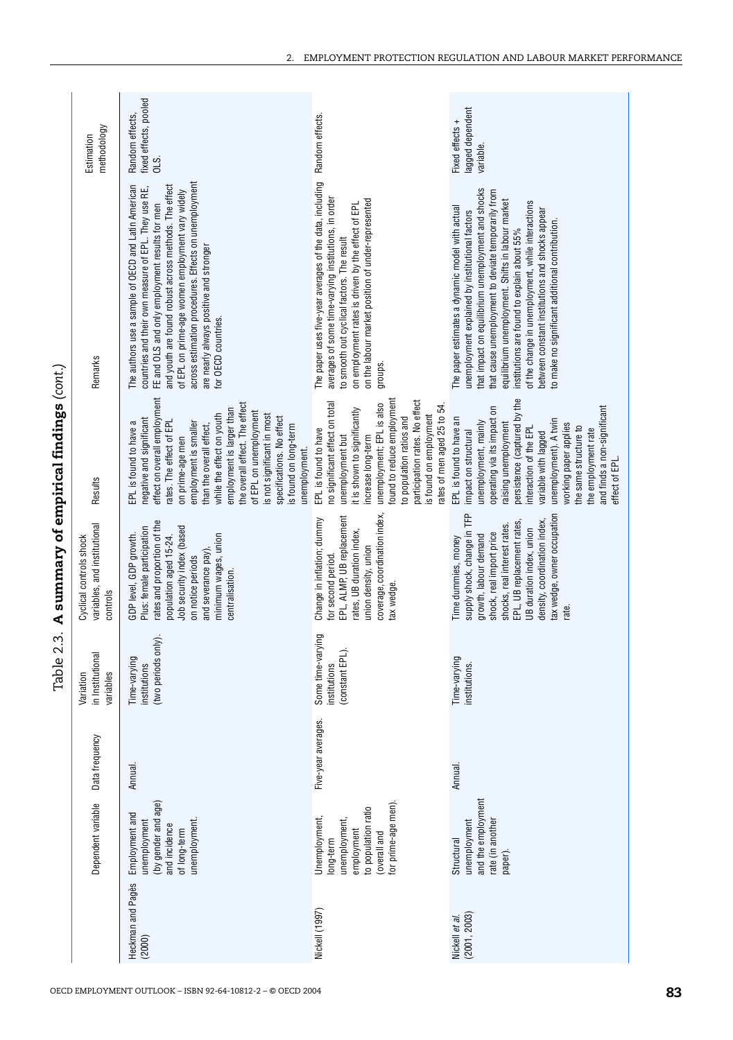|                                | Dependent variable                                                                                                     | Data frequency      | Institutional<br>Variation<br>in Instituti<br>variables | variables, and institutional<br>Cyclical controls shock<br>controls                                                                                                                                                                                                      | Results                                                                                                                                                                                                                                                                                                                                                                                                            | Remarks                                                                                                                                                                                                                                                                                                                                                                                                                                                                       | methodology<br>Estimation                        |
|--------------------------------|------------------------------------------------------------------------------------------------------------------------|---------------------|---------------------------------------------------------|--------------------------------------------------------------------------------------------------------------------------------------------------------------------------------------------------------------------------------------------------------------------------|--------------------------------------------------------------------------------------------------------------------------------------------------------------------------------------------------------------------------------------------------------------------------------------------------------------------------------------------------------------------------------------------------------------------|-------------------------------------------------------------------------------------------------------------------------------------------------------------------------------------------------------------------------------------------------------------------------------------------------------------------------------------------------------------------------------------------------------------------------------------------------------------------------------|--------------------------------------------------|
| Heckman and Pages<br>(2000)    | (by gender and age)<br>Employment and<br>unemployment<br>unemployment<br>and incidence<br>of long-term                 | Annual.             | Time-varying<br>institutions<br>(two periods only).     | rates and proportion of the<br>Job security index (based<br>Plus: female participation<br>GDP level, GDP growth.<br>minimum wages, union<br>population aged 15-24.<br>and severance pay),<br>on notice periods<br>centralisation.                                        | effect on overall employment<br>the overall effect. The effect<br>employment is larger than<br>of EPL on unemployment<br>while the effect on youth<br>is not significant in most<br>specifications. No effect<br>negative and significant<br>rates. The effect of EPL<br>EPL is found to have a<br>employment is smaller<br>than the overall effect,<br>is found on long-term<br>on prime-age men<br>unemployment. | across estimation procedures. Effects on unemployment<br>The authors use a sample of OECD and Latin American<br>and youth are found robust across methods. The effect<br>countries and their own measure of EPL. They use RE,<br>of EPL on prime-age women employment vary widely<br>FE and OLS and only employment results for men<br>are nearly always positive and stronger<br>for OECD countries.                                                                         | fixed effects, pooled<br>Random effects,<br>OLS. |
| Nickell (1997)                 | for prime-age men).<br>to population ratio<br>Unemployment,<br>unemployment<br>employment<br>(overall and<br>long-term | Five-year averages. | Some time-varying<br>institutions<br>(constant EPL).    | coverage, coordination index,<br>EPL, ALMP, UB replacement<br>Change in inflation; dummy<br>rates, UB duration index,<br>union density, union<br>for second period.<br>tax wedge.                                                                                        | participation rates. No effect<br>found to reduce employment<br>no significant effect on total<br>unemployment; EPL is also<br>rates of men aged 25 to 54<br>it is shown to significantly<br>is found on employment<br>to population ratios and<br>EPL is found to have<br>increase long-term<br>unemployment but                                                                                                  | The paper uses five-year averages of the data, including<br>averages of some time-varying institutions, in order<br>on the labour market position of under-represented<br>on employment rates is driven by the effect of EPL<br>to smooth out cyclical factors. The result<br>groups.                                                                                                                                                                                         | Random effects.                                  |
| (2001, 2003)<br>Nickell et al. | and the employment<br>rate (in another<br>unemployment<br>Structural<br>paper).                                        | Annual.             | Time-varying<br>institutions.                           | supply shock, change in TFP<br>tax wedge, owner occupation<br>density, coordination index,<br>EPL, UB replacement rates,<br>shocks, real interest rates<br>UB duration index, union<br>shock, real import price<br>growth, labour demand<br>Time dummies, money<br>rate. | persistence (captured by the<br>and finds a non-significant<br>operating via its impact on<br>EPL is found to have an<br>unemployment). A twin<br>unemployment, mainly<br>raising unemployment<br>working paper applies<br>interaction of the EPL<br>the same structure to<br>the employment rate<br>impact on structural<br>variable with lagged<br>effect of EPL.                                                | that impact on equilibrium unemployment and shocks<br>that cause unemployment to deviate temporarily from<br>equilibrium unemployment. Shifts in labour market<br>of the change in unemployment, while interactions<br>The paper estimates a dynamic model with actual<br>between constant institutions and shocks appear<br>unemployment explained by institutional factors<br>to make no significant additional contribution<br>institutions are found to explain about 55% | lagged dependent<br>Fixed effects +<br>variable. |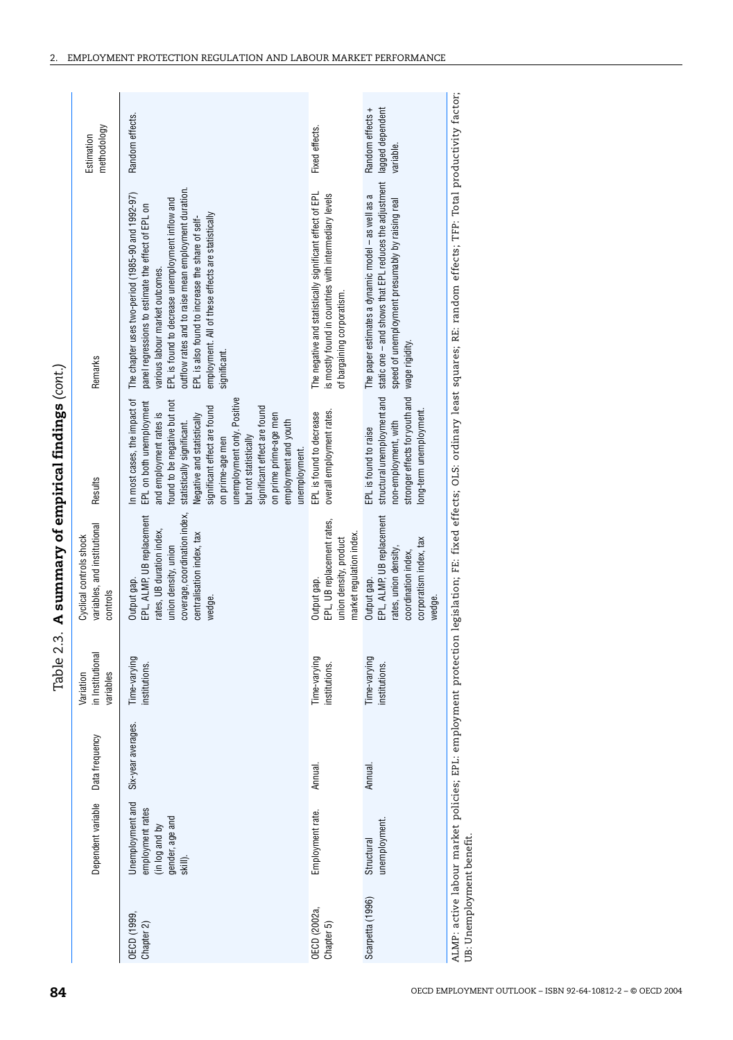| 84                                                         |                                   |                                                                                      |                    | Table 2.3.                                 |                                                                                                                                                                       | A summary of empirical findings (cont.)                                                                                                                                                                                                                                                                                                                                                               |                                                                                                                                                                                                                                                                                                                                                                                  |                                                   |
|------------------------------------------------------------|-----------------------------------|--------------------------------------------------------------------------------------|--------------------|--------------------------------------------|-----------------------------------------------------------------------------------------------------------------------------------------------------------------------|-------------------------------------------------------------------------------------------------------------------------------------------------------------------------------------------------------------------------------------------------------------------------------------------------------------------------------------------------------------------------------------------------------|----------------------------------------------------------------------------------------------------------------------------------------------------------------------------------------------------------------------------------------------------------------------------------------------------------------------------------------------------------------------------------|---------------------------------------------------|
|                                                            |                                   | Dependent variable                                                                   | Data frequency     | in Institutional<br>Variation<br>variables | variables, and institutional<br>Cyclical controls shock<br>controls                                                                                                   | Results                                                                                                                                                                                                                                                                                                                                                                                               | Remarks                                                                                                                                                                                                                                                                                                                                                                          | methodology<br>Estimation                         |
|                                                            | <b>DECD</b> (1999,<br>Chapter 2)  | Unemployment and<br>employment rates<br>gender, age and<br>(in log and by<br>skill). | Six-year averages. | Time-varying<br>institutions.              | coverage, coordination index,<br>EPL, ALMP, UB replacement<br>rates, UB duration index,<br>centralisation index, tax<br>union density, union<br>Output gap.<br>wedge. | unemployment only. Positive<br>In most cases, the impact of<br>found to be negative but not<br>EPL on both unemployment<br>significant effect are found<br>significant effect are found<br>and employment rates is<br>on prime prime-age men<br><b>Negative and statistically</b><br>employment and youth<br>statistically significant.<br>but not statistically<br>on prime-age men<br>unemployment. | outflow rates and to raise mean employment duration.<br>The chapter uses two-period (1985-90 and 1992-97)<br>EPL is found to decrease unemployment inflow and<br>panel regressions to estimate the effect of EPL on<br>employment. All of these effects are statistically<br>EPL is also found to increase the share of self-<br>various labour market outcomes.<br>significant. | Random effects.                                   |
|                                                            | <b>OECD (2002a,</b><br>Chapter 5) | Employment rate.                                                                     | Annual.            | Time-varying<br>institutions.              | EPL, UB replacement rates,<br>market regulation index<br>union density, product<br>Output gap                                                                         | overall employment rates.<br>EPL is found to decrease                                                                                                                                                                                                                                                                                                                                                 | The negative and statistically significant effect of EPL<br>is mostly found in countries with intermediary levels<br>of bargaining corporatism.                                                                                                                                                                                                                                  | Fixed effects.                                    |
|                                                            | Scarpetta (1996)                  | unemployment.<br>Structural                                                          | Annual.            | Time-varying<br>institutions.              | EPL, ALMP, UB replacement<br>corporatism index, tax<br>rates, union density,<br>coordination index,<br>Output gap.<br>wedge.                                          | structural unemploymentand<br>stronger effects for youth and<br>long-term unemployment.<br>non-employment, with<br>EPL is found to raise                                                                                                                                                                                                                                                              | static one - and shows that EPL reduces the adjustment<br>The paper estimates a dynamic model - as well as a<br>speed of unemployment presumably by raising real<br>wage rigidity.                                                                                                                                                                                               | lagged dependent<br>Random effects +<br>variable. |
| OECD EMPLOYMENT OUTLOOK - ISBN 92-64-10812-2 - @ OECD 2004 | UB: Unemployment benefit.         | ALMP: active labour market policies; EPL: employment                                 |                    |                                            |                                                                                                                                                                       |                                                                                                                                                                                                                                                                                                                                                                                                       | protection legislation; FE: fixed effects; OLS: ordinary least squares; RE: random effects; TFP: Total productivity factor;                                                                                                                                                                                                                                                      |                                                   |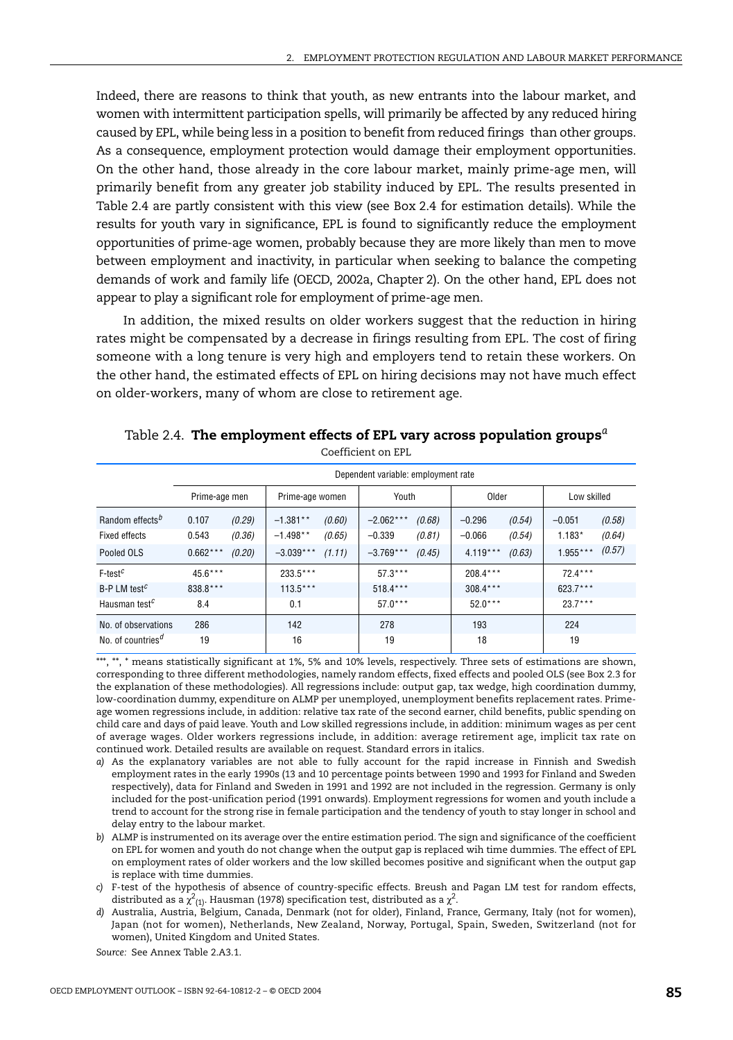Indeed, there are reasons to think that youth, as new entrants into the labour market, and women with intermittent participation spells, will primarily be affected by any reduced hiring caused by EPL, while being less in a position to benefit from reduced firings than other groups. As a consequence, employment protection would damage their employment opportunities. On the other hand, those already in the core labour market, mainly prime-age men, will primarily benefit from any greater job stability induced by EPL. The results presented in Table 2.4 are partly consistent with this view (see Box 2.4 for estimation details). While the results for youth vary in significance, EPL is found to significantly reduce the employment opportunities of prime-age women, probably because they are more likely than men to move between employment and inactivity, in particular when seeking to balance the competing demands of work and family life (OECD, 2002a, Chapter 2). On the other hand, EPL does not appear to play a significant role for employment of prime-age men.

In addition, the mixed results on older workers suggest that the reduction in hiring rates might be compensated by a decrease in firings resulting from EPL. The cost of firing someone with a long tenure is very high and employers tend to retain these workers. On the other hand, the estimated effects of EPL on hiring decisions may not have much effect on older-workers, many of whom are close to retirement age.

|                                            |               |        |                 |        | Dependent variable: employment rate |        |            |        |             |        |  |  |
|--------------------------------------------|---------------|--------|-----------------|--------|-------------------------------------|--------|------------|--------|-------------|--------|--|--|
|                                            | Prime-age men |        | Prime-age women |        | Youth                               |        | Older      |        | Low skilled |        |  |  |
| Random effects <sup>b</sup>                | 0.107         | (0.29) | $-1.381**$      | (0.60) | $-2.062***$                         | (0.68) | $-0.296$   | (0.54) | $-0.051$    | (0.58) |  |  |
| <b>Fixed effects</b>                       | 0.543         | (0.36) | $-1.498**$      | (0.65) | $-0.339$                            | (0.81) | $-0.066$   | (0.54) | $1.183*$    | (0.64) |  |  |
| Pooled OLS                                 | $0.662***$    | (0.20) | $-3.039***$     | (1.11) | $-3.769***$                         | (0.45) | $4.119***$ | (0.63) | $1.955***$  | (0.57) |  |  |
| $F$ -test $c$                              | $45.6***$     |        | $233.5***$      |        | $57.3***$                           |        | $208.4***$ |        | $72.4***$   |        |  |  |
| $B-P LM test^C$                            | 838.8***      |        | $113.5***$      |        | $518.4***$                          |        | $308.4***$ |        | $623.7***$  |        |  |  |
| Hausman test <sup><math>c</math></sup>     | 8.4           |        | 0.1             |        | $57.0***$                           |        | $52.0***$  |        | $23.7***$   |        |  |  |
| No. of observations                        | 286           |        | 142             |        | 278                                 |        | 193        |        | 224         |        |  |  |
| No. of countries <sup><math>d</math></sup> | 19            |        | 16              |        | 19                                  |        | 18         |        | 19          |        |  |  |

Table 2.4. **The employment effects of EPL vary across population groups***<sup>a</sup>*

Coefficient on EPL

\*\*\*, \*\*, \* means statistically significant at 1%, 5% and 10% levels, respectively. Three sets of estimations are shown, corresponding to three different methodologies, namely random effects, fixed effects and pooled OLS (see Box 2.3 for the explanation of these methodologies). All regressions include: output gap, tax wedge, high coordination dummy, low-coordination dummy, expenditure on ALMP per unemployed, unemployment benefits replacement rates. Primeage women regressions include, in addition: relative tax rate of the second earner, child benefits, public spending on child care and days of paid leave. Youth and Low skilled regressions include, in addition: minimum wages as per cent of average wages. Older workers regressions include, in addition: average retirement age, implicit tax rate on continued work. Detailed results are available on request. Standard errors in italics.

- *a)* As the explanatory variables are not able to fully account for the rapid increase in Finnish and Swedish employment rates in the early 1990s (13 and 10 percentage points between 1990 and 1993 for Finland and Sweden respectively), data for Finland and Sweden in 1991 and 1992 are not included in the regression. Germany is only included for the post-unification period (1991 onwards). Employment regressions for women and youth include a trend to account for the strong rise in female participation and the tendency of youth to stay longer in school and delay entry to the labour market.
- *b)* ALMP is instrumented on its average over the entire estimation period. The sign and significance of the coefficient on EPL for women and youth do not change when the output gap is replaced wih time dummies. The effect of EPL on employment rates of older workers and the low skilled becomes positive and significant when the output gap is replace with time dummies.
- *c)* F-test of the hypothesis of absence of country-specific effects. Breush and Pagan LM test for random effects, distributed as a  $\chi^2_{\ (1)}.$  Hausman (1978) specification test, distributed as a  $\chi^2.$
- *d)* Australia, Austria, Belgium, Canada, Denmark (not for older), Finland, France, Germany, Italy (not for women), Japan (not for women), Netherlands, New Zealand, Norway, Portugal, Spain, Sweden, Switzerland (not for women), United Kingdom and United States.

*Source:* See Annex Table 2.A3.1.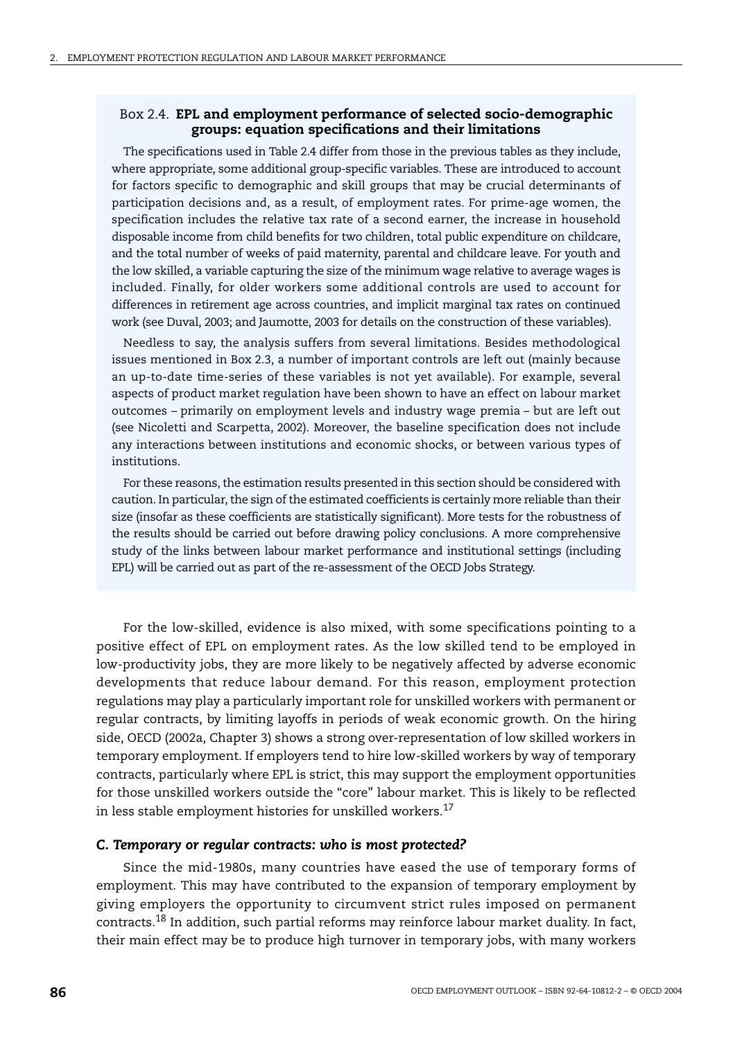#### Box 2.4. **EPL and employment performance of selected socio-demographic groups: equation specifications and their limitations**

The specifications used in Table 2.4 differ from those in the previous tables as they include, where appropriate, some additional group-specific variables. These are introduced to account for factors specific to demographic and skill groups that may be crucial determinants of participation decisions and, as a result, of employment rates. For prime-age women, the specification includes the relative tax rate of a second earner, the increase in household disposable income from child benefits for two children, total public expenditure on childcare, and the total number of weeks of paid maternity, parental and childcare leave. For youth and the low skilled, a variable capturing the size of the minimum wage relative to average wages is included. Finally, for older workers some additional controls are used to account for differences in retirement age across countries, and implicit marginal tax rates on continued work (see Duval, 2003; and Jaumotte, 2003 for details on the construction of these variables).

Needless to say, the analysis suffers from several limitations. Besides methodological issues mentioned in Box 2.3, a number of important controls are left out (mainly because an up-to-date time-series of these variables is not yet available). For example, several aspects of product market regulation have been shown to have an effect on labour market outcomes – primarily on employment levels and industry wage premia – but are left out (see Nicoletti and Scarpetta, 2002). Moreover, the baseline specification does not include any interactions between institutions and economic shocks, or between various types of institutions.

For these reasons, the estimation results presented in this section should be considered with caution. In particular, the sign of the estimated coefficients is certainly more reliable than their size (insofar as these coefficients are statistically significant). More tests for the robustness of the results should be carried out before drawing policy conclusions. A more comprehensive study of the links between labour market performance and institutional settings (including EPL) will be carried out as part of the re-assessment of the OECD Jobs Strategy.

For the low-skilled, evidence is also mixed, with some specifications pointing to a positive effect of EPL on employment rates. As the low skilled tend to be employed in low-productivity jobs, they are more likely to be negatively affected by adverse economic developments that reduce labour demand. For this reason, employment protection regulations may play a particularly important role for unskilled workers with permanent or regular contracts, by limiting layoffs in periods of weak economic growth. On the hiring side, OECD (2002a, Chapter 3) shows a strong over-representation of low skilled workers in temporary employment. If employers tend to hire low-skilled workers by way of temporary contracts, particularly where EPL is strict, this may support the employment opportunities for those unskilled workers outside the "core" labour market. This is likely to be reflected in less stable employment histories for unskilled workers.<sup>17</sup>

#### *C. Temporary or regular contracts: who is most protected?*

Since the mid-1980s, many countries have eased the use of temporary forms of employment. This may have contributed to the expansion of temporary employment by giving employers the opportunity to circumvent strict rules imposed on permanent contracts.18 In addition, such partial reforms may reinforce labour market duality. In fact, their main effect may be to produce high turnover in temporary jobs, with many workers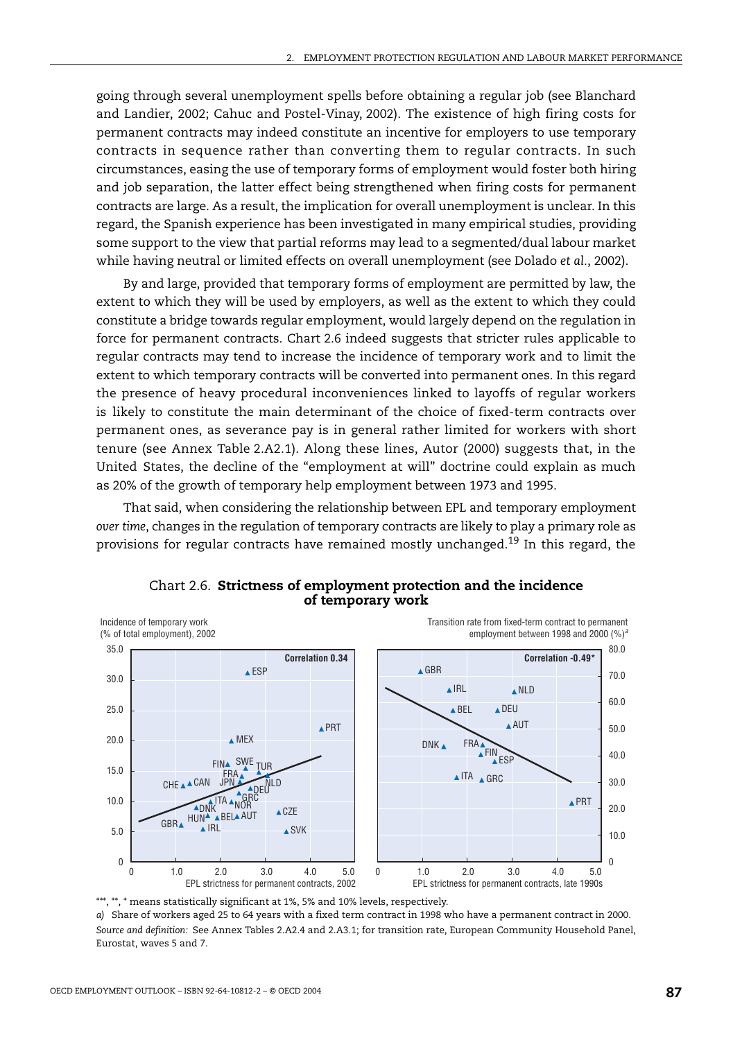going through several unemployment spells before obtaining a regular job (see Blanchard and Landier, 2002; Cahuc and Postel-Vinay, 2002). The existence of high firing costs for permanent contracts may indeed constitute an incentive for employers to use temporary contracts in sequence rather than converting them to regular contracts. In such circumstances, easing the use of temporary forms of employment would foster both hiring and job separation, the latter effect being strengthened when firing costs for permanent contracts are large. As a result, the implication for overall unemployment is unclear. In this regard, the Spanish experience has been investigated in many empirical studies, providing some support to the view that partial reforms may lead to a segmented/dual labour market while having neutral or limited effects on overall unemployment (see Dolado *et al.*, 2002).

By and large, provided that temporary forms of employment are permitted by law, the extent to which they will be used by employers, as well as the extent to which they could constitute a bridge towards regular employment, would largely depend on the regulation in force for permanent contracts. Chart 2.6 indeed suggests that stricter rules applicable to regular contracts may tend to increase the incidence of temporary work and to limit the extent to which temporary contracts will be converted into permanent ones. In this regard the presence of heavy procedural inconveniences linked to layoffs of regular workers is likely to constitute the main determinant of the choice of fixed-term contracts over permanent ones, as severance pay is in general rather limited for workers with short tenure (see Annex Table 2.A2.1). Along these lines, Autor (2000) suggests that, in the United States, the decline of the "employment at will" doctrine could explain as much as 20% of the growth of temporary help employment between 1973 and 1995.

That said, when considering the relationship between EPL and temporary employment *over time*, changes in the regulation of temporary contracts are likely to play a primary role as provisions for regular contracts have remained mostly unchanged.19 In this regard, the



Chart 2.6. **Strictness of employment protection and the incidence of temporary work**

\*\*\*, \*\*, \* means statistically significant at 1%, 5% and 10% levels, respectively.

*a)* Share of workers aged 25 to 64 years with a fixed term contract in 1998 who have a permanent contract in 2000. *Source and definition:* See Annex Tables 2.A2.4 and 2.A3.1; for transition rate, European Community Household Panel, Eurostat, waves 5 and 7.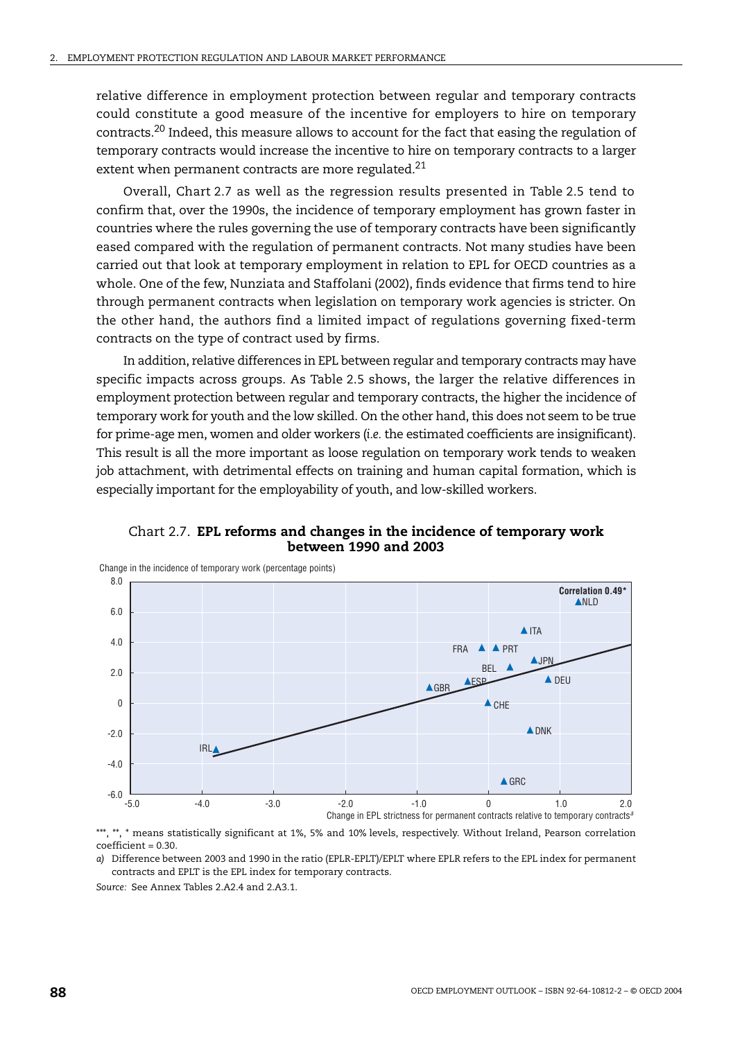relative difference in employment protection between regular and temporary contracts could constitute a good measure of the incentive for employers to hire on temporary contracts.20 Indeed, this measure allows to account for the fact that easing the regulation of temporary contracts would increase the incentive to hire on temporary contracts to a larger extent when permanent contracts are more regulated.<sup>21</sup>

Overall, Chart 2.7 as well as the regression results presented in Table 2.5 tend to confirm that, over the 1990s, the incidence of temporary employment has grown faster in countries where the rules governing the use of temporary contracts have been significantly eased compared with the regulation of permanent contracts. Not many studies have been carried out that look at temporary employment in relation to EPL for OECD countries as a whole. One of the few, Nunziata and Staffolani (2002), finds evidence that firms tend to hire through permanent contracts when legislation on temporary work agencies is stricter. On the other hand, the authors find a limited impact of regulations governing fixed-term contracts on the type of contract used by firms.

In addition, relative differences in EPL between regular and temporary contracts may have specific impacts across groups. As Table 2.5 shows, the larger the relative differences in employment protection between regular and temporary contracts, the higher the incidence of temporary work for youth and the low skilled. On the other hand, this does not seem to be true for prime-age men, women and older workers (*i.e.* the estimated coefficients are insignificant). This result is all the more important as loose regulation on temporary work tends to weaken job attachment, with detrimental effects on training and human capital formation, which is especially important for the employability of youth, and low-skilled workers.

#### Chart 2.7. **EPL reforms and changes in the incidence of temporary work between 1990 and 2003**



\*\*\*, \*\*, \* means statistically significant at 1%, 5% and 10% levels, respectively. Without Ireland, Pearson correlation  $coefficient = 0.30$ .

*a)* Difference between 2003 and 1990 in the ratio (EPLR-EPLT)/EPLT where EPLR refers to the EPL index for permanent contracts and EPLT is the EPL index for temporary contracts.

*Source:* See Annex Tables 2.A2.4 and 2.A3.1.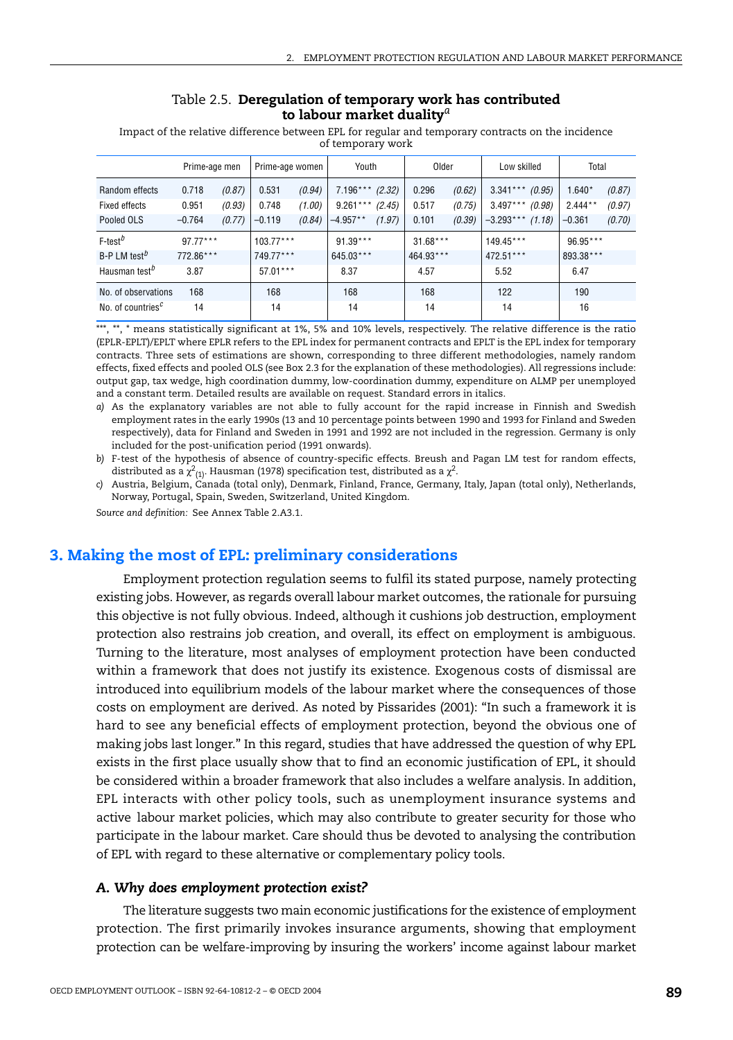|                                            | Prime-age men |        | Prime-age women |        | Youth      |        | Older      |        | Low skilled |        | Total     |        |
|--------------------------------------------|---------------|--------|-----------------|--------|------------|--------|------------|--------|-------------|--------|-----------|--------|
| Random effects                             | 0.718         | (0.87) | 0.531           | (0.94) | $7.196***$ | (2.32) | 0.296      | (0.62) | $3.341***$  | (0.95) | $1.640*$  | (0.87) |
| Fixed effects                              | 0.951         | (0.93) | 0.748           | (1.00) | $9.261***$ | (2.45) | 0.517      | (0.75) | $3.497***$  | (0.98) | $2.444**$ | (0.97) |
| Pooled OLS                                 | $-0.764$      | (0.77) | $-0.119$        | (0.84) | $-4.957**$ | (1.97) | 0.101      | (0.39) | $-3.293***$ | (1.18) | $-0.361$  | (0.70) |
| $F$ -test $^b$                             | $97.77***$    |        | $103.77***$     |        | $91.39***$ |        | $31.68***$ |        | $149.45***$ |        | 96.95***  |        |
| $B-P LM test^D$                            | 772.86***     |        | 749.77***       |        | 645.03***  |        | 464.93***  |        | 472.51***   |        | 893.38*** |        |
| Hausman test <sup>b</sup>                  | 3.87          |        | $57.01***$      |        | 8.37       |        | 4.57       |        | 5.52        |        | 6.47      |        |
| No. of observations                        | 168           |        | 168             |        | 168        |        | 168        |        | 122         |        | 190       |        |
| No. of countries <sup><math>c</math></sup> | 14            |        | 14              |        | 14         |        | 14         |        | 14          |        | 16        |        |

#### Table 2.5. **Deregulation of temporary work has contributed to labour market duality***<sup>a</sup>*

Impact of the relative difference between EPL for regular and temporary contracts on the incidence of temporary work

\*\*\*, \*\*, \* means statistically significant at 1%, 5% and 10% levels, respectively. The relative difference is the ratio (EPLR-EPLT)/EPLT where EPLR refers to the EPL index for permanent contracts and EPLT is the EPL index for temporary contracts. Three sets of estimations are shown, corresponding to three different methodologies, namely random effects, fixed effects and pooled OLS (see Box 2.3 for the explanation of these methodologies). All regressions include: output gap, tax wedge, high coordination dummy, low-coordination dummy, expenditure on ALMP per unemployed and a constant term. Detailed results are available on request. Standard errors in italics.

*a)* As the explanatory variables are not able to fully account for the rapid increase in Finnish and Swedish employment rates in the early 1990s (13 and 10 percentage points between 1990 and 1993 for Finland and Sweden respectively), data for Finland and Sweden in 1991 and 1992 are not included in the regression. Germany is only included for the post-unification period (1991 onwards).

*b)* F-test of the hypothesis of absence of country-specific effects. Breush and Pagan LM test for random effects, distributed as a  $\chi^2_{\ (1)}.$  Hausman (1978) specification test, distributed as a  $\chi^2.$ 

*c)* Austria, Belgium, Canada (total only), Denmark, Finland, France, Germany, Italy, Japan (total only), Netherlands, Norway, Portugal, Spain, Sweden, Switzerland, United Kingdom.

*Source and definition:* See Annex Table 2.A3.1.

## **3. Making the most of EPL: preliminary considerations**

Employment protection regulation seems to fulfil its stated purpose, namely protecting existing jobs. However, as regards overall labour market outcomes, the rationale for pursuing this objective is not fully obvious. Indeed, although it cushions job destruction, employment protection also restrains job creation, and overall, its effect on employment is ambiguous. Turning to the literature, most analyses of employment protection have been conducted within a framework that does not justify its existence. Exogenous costs of dismissal are introduced into equilibrium models of the labour market where the consequences of those costs on employment are derived. As noted by Pissarides (2001): "In such a framework it is hard to see any beneficial effects of employment protection, beyond the obvious one of making jobs last longer." In this regard, studies that have addressed the question of why EPL exists in the first place usually show that to find an economic justification of EPL, it should be considered within a broader framework that also includes a welfare analysis. In addition, EPL interacts with other policy tools, such as unemployment insurance systems and active labour market policies, which may also contribute to greater security for those who participate in the labour market. Care should thus be devoted to analysing the contribution of EPL with regard to these alternative or complementary policy tools.

#### *A. Why does employment protection exist?*

The literature suggests two main economic justifications for the existence of employment protection. The first primarily invokes insurance arguments, showing that employment protection can be welfare-improving by insuring the workers' income against labour market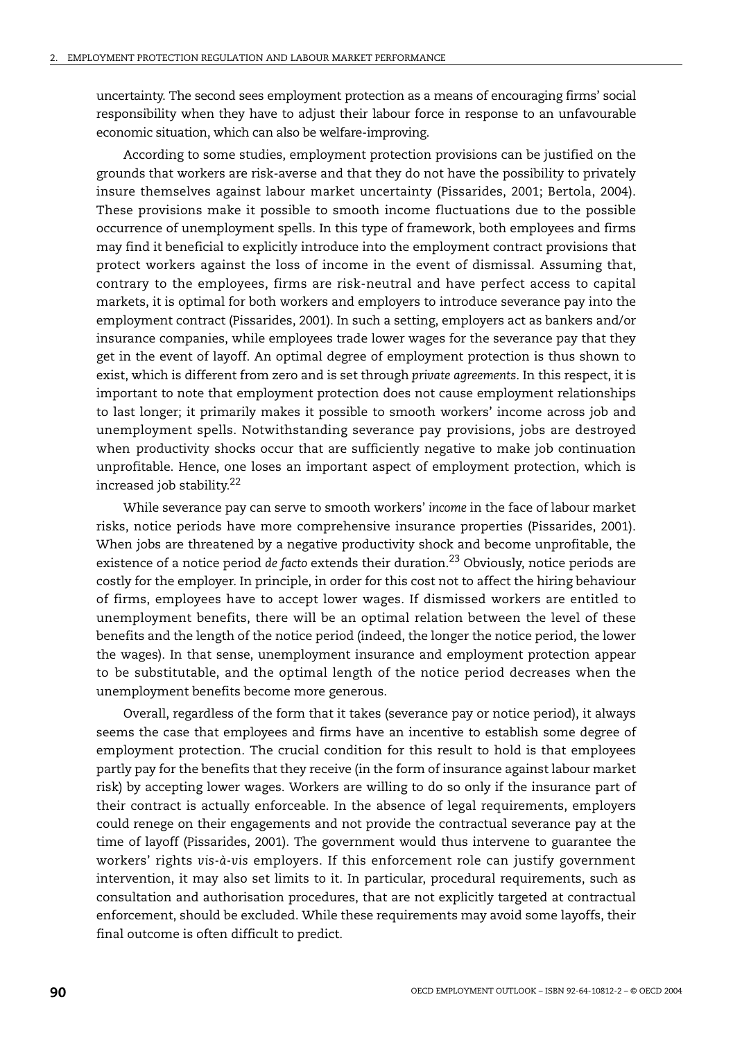uncertainty. The second sees employment protection as a means of encouraging firms' social responsibility when they have to adjust their labour force in response to an unfavourable economic situation, which can also be welfare-improving.

According to some studies, employment protection provisions can be justified on the grounds that workers are risk-averse and that they do not have the possibility to privately insure themselves against labour market uncertainty (Pissarides, 2001; Bertola, 2004). These provisions make it possible to smooth income fluctuations due to the possible occurrence of unemployment spells. In this type of framework, both employees and firms may find it beneficial to explicitly introduce into the employment contract provisions that protect workers against the loss of income in the event of dismissal. Assuming that, contrary to the employees, firms are risk-neutral and have perfect access to capital markets, it is optimal for both workers and employers to introduce severance pay into the employment contract (Pissarides, 2001). In such a setting, employers act as bankers and/or insurance companies, while employees trade lower wages for the severance pay that they get in the event of layoff. An optimal degree of employment protection is thus shown to exist, which is different from zero and is set through *private agreements*. In this respect, it is important to note that employment protection does not cause employment relationships to last longer; it primarily makes it possible to smooth workers' income across job and unemployment spells. Notwithstanding severance pay provisions, jobs are destroyed when productivity shocks occur that are sufficiently negative to make job continuation unprofitable. Hence, one loses an important aspect of employment protection, which is increased job stability.22

While severance pay can serve to smooth workers' *income* in the face of labour market risks, notice periods have more comprehensive insurance properties (Pissarides, 2001). When jobs are threatened by a negative productivity shock and become unprofitable, the existence of a notice period *de facto* extends their duration.23 Obviously, notice periods are costly for the employer. In principle, in order for this cost not to affect the hiring behaviour of firms, employees have to accept lower wages. If dismissed workers are entitled to unemployment benefits, there will be an optimal relation between the level of these benefits and the length of the notice period (indeed, the longer the notice period, the lower the wages). In that sense, unemployment insurance and employment protection appear to be substitutable, and the optimal length of the notice period decreases when the unemployment benefits become more generous.

Overall, regardless of the form that it takes (severance pay or notice period), it always seems the case that employees and firms have an incentive to establish some degree of employment protection. The crucial condition for this result to hold is that employees partly pay for the benefits that they receive (in the form of insurance against labour market risk) by accepting lower wages. Workers are willing to do so only if the insurance part of their contract is actually enforceable. In the absence of legal requirements, employers could renege on their engagements and not provide the contractual severance pay at the time of layoff (Pissarides, 2001). The government would thus intervene to guarantee the workers' rights *vis-à-vis* employers. If this enforcement role can justify government intervention, it may also set limits to it. In particular, procedural requirements, such as consultation and authorisation procedures, that are not explicitly targeted at contractual enforcement, should be excluded. While these requirements may avoid some layoffs, their final outcome is often difficult to predict.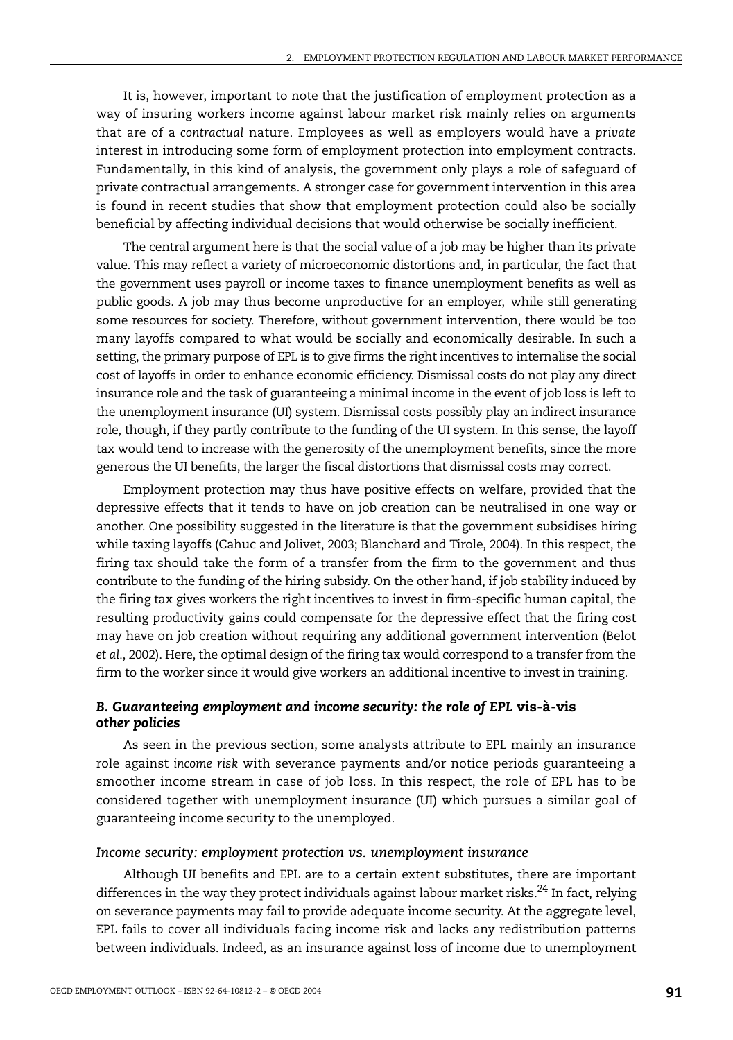It is, however, important to note that the justification of employment protection as a way of insuring workers income against labour market risk mainly relies on arguments that are of a *contractual* nature. Employees as well as employers would have a *private* interest in introducing some form of employment protection into employment contracts. Fundamentally, in this kind of analysis, the government only plays a role of safeguard of private contractual arrangements. A stronger case for government intervention in this area is found in recent studies that show that employment protection could also be socially beneficial by affecting individual decisions that would otherwise be socially inefficient.

The central argument here is that the social value of a job may be higher than its private value. This may reflect a variety of microeconomic distortions and, in particular, the fact that the government uses payroll or income taxes to finance unemployment benefits as well as public goods. A job may thus become unproductive for an employer, while still generating some resources for society. Therefore, without government intervention, there would be too many layoffs compared to what would be socially and economically desirable. In such a setting, the primary purpose of EPL is to give firms the right incentives to internalise the social cost of layoffs in order to enhance economic efficiency. Dismissal costs do not play any direct insurance role and the task of guaranteeing a minimal income in the event of job loss is left to the unemployment insurance (UI) system. Dismissal costs possibly play an indirect insurance role, though, if they partly contribute to the funding of the UI system. In this sense, the layoff tax would tend to increase with the generosity of the unemployment benefits, since the more generous the UI benefits, the larger the fiscal distortions that dismissal costs may correct.

Employment protection may thus have positive effects on welfare, provided that the depressive effects that it tends to have on job creation can be neutralised in one way or another. One possibility suggested in the literature is that the government subsidises hiring while taxing layoffs (Cahuc and Jolivet, 2003; Blanchard and Tirole, 2004). In this respect, the firing tax should take the form of a transfer from the firm to the government and thus contribute to the funding of the hiring subsidy. On the other hand, if job stability induced by the firing tax gives workers the right incentives to invest in firm-specific human capital, the resulting productivity gains could compensate for the depressive effect that the firing cost may have on job creation without requiring any additional government intervention (Belot *et al.*, 2002). Here, the optimal design of the firing tax would correspond to a transfer from the firm to the worker since it would give workers an additional incentive to invest in training.

#### *B. Guaranteeing employment and income security: the role of EPL* **vis-à-vis** *other policies*

As seen in the previous section, some analysts attribute to EPL mainly an insurance role against *income risk* with severance payments and/or notice periods guaranteeing a smoother income stream in case of job loss. In this respect, the role of EPL has to be considered together with unemployment insurance (UI) which pursues a similar goal of guaranteeing income security to the unemployed.

#### *Income security: employment protection vs. unemployment insurance*

Although UI benefits and EPL are to a certain extent substitutes, there are important differences in the way they protect individuals against labour market risks.<sup>24</sup> In fact, relying on severance payments may fail to provide adequate income security. At the aggregate level, EPL fails to cover all individuals facing income risk and lacks any redistribution patterns between individuals. Indeed, as an insurance against loss of income due to unemployment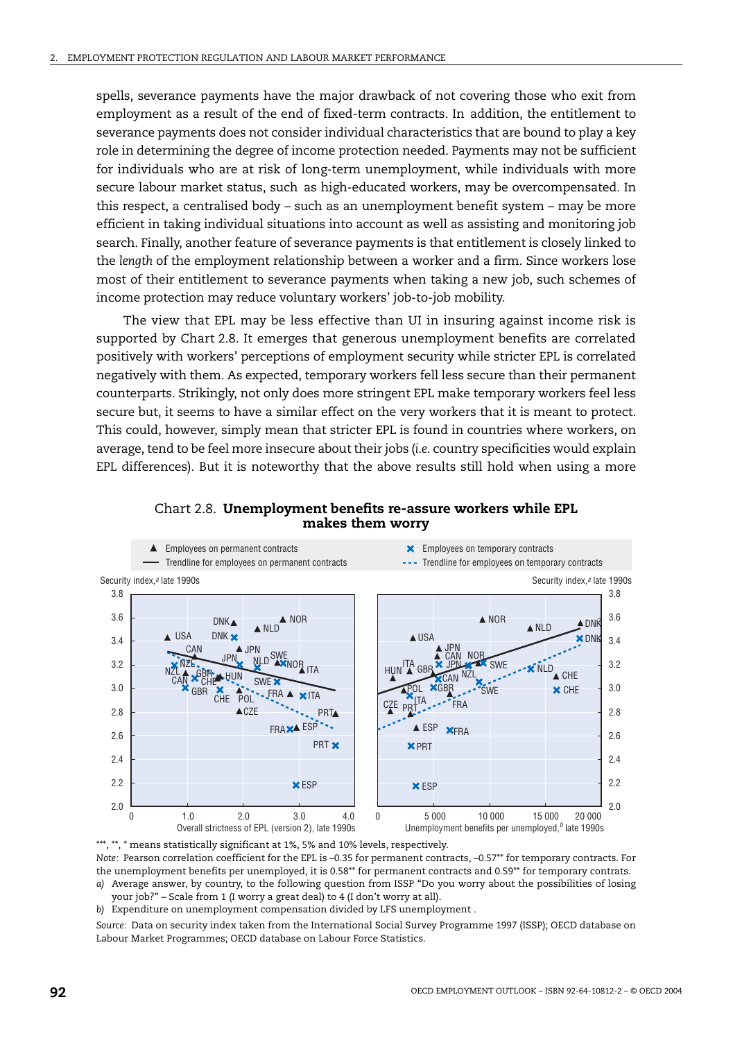spells, severance payments have the major drawback of not covering those who exit from employment as a result of the end of fixed-term contracts. In addition, the entitlement to severance payments does not consider individual characteristics that are bound to play a key role in determining the degree of income protection needed. Payments may not be sufficient for individuals who are at risk of long-term unemployment, while individuals with more secure labour market status, such as high-educated workers, may be overcompensated. In this respect, a centralised body – such as an unemployment benefit system – may be more efficient in taking individual situations into account as well as assisting and monitoring job search. Finally, another feature of severance payments is that entitlement is closely linked to the *length* of the employment relationship between a worker and a firm. Since workers lose most of their entitlement to severance payments when taking a new job, such schemes of income protection may reduce voluntary workers' job-to-job mobility.

The view that EPL may be less effective than UI in insuring against income risk is supported by Chart 2.8. It emerges that generous unemployment benefits are correlated positively with workers' perceptions of employment security while stricter EPL is correlated negatively with them. As expected, temporary workers fell less secure than their permanent counterparts. Strikingly, not only does more stringent EPL make temporary workers feel less secure but, it seems to have a similar effect on the very workers that it is meant to protect. This could, however, simply mean that stricter EPL is found in countries where workers, on average, tend to be feel more insecure about their jobs (*i.e.* country specificities would explain EPL differences). But it is noteworthy that the above results still hold when using a more





\*\*\*, \*\*, \* means statistically significant at 1%, 5% and 10% levels, respectively. *Note:* Pearson correlation coefficient for the EPL is –0.35 for permanent contracts, –0.57\*\* for temporary contracts. For the unemployment benefits per unemployed, it is 0.58\*\* for permanent contracts and 0.59\*\* for temporary contrats. *a)* Average answer, by country, to the following question from ISSP "Do you worry about the possibilities of losing

your job?" – Scale from 1 (I worry a great deal) to 4 (I don't worry at all).

*b)* Expenditure on unemployment compensation divided by LFS unemployment .

*Source:* Data on security index taken from the International Social Survey Programme 1997 (ISSP); OECD database on Labour Market Programmes; OECD database on Labour Force Statistics.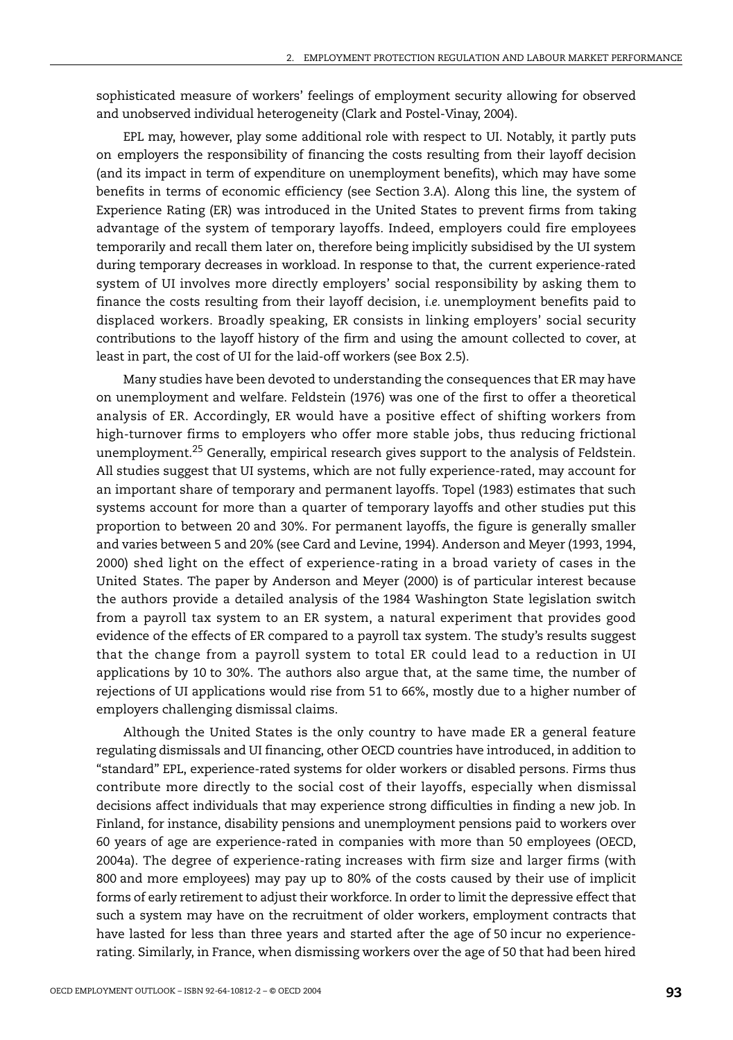sophisticated measure of workers' feelings of employment security allowing for observed and unobserved individual heterogeneity (Clark and Postel-Vinay, 2004).

EPL may, however, play some additional role with respect to UI. Notably, it partly puts on employers the responsibility of financing the costs resulting from their layoff decision (and its impact in term of expenditure on unemployment benefits), which may have some benefits in terms of economic efficiency (see Section 3.A). Along this line, the system of Experience Rating (ER) was introduced in the United States to prevent firms from taking advantage of the system of temporary layoffs. Indeed, employers could fire employees temporarily and recall them later on, therefore being implicitly subsidised by the UI system during temporary decreases in workload. In response to that, the current experience-rated system of UI involves more directly employers' social responsibility by asking them to finance the costs resulting from their layoff decision, *i.e.* unemployment benefits paid to displaced workers. Broadly speaking, ER consists in linking employers' social security contributions to the layoff history of the firm and using the amount collected to cover, at least in part, the cost of UI for the laid-off workers (see Box 2.5).

Many studies have been devoted to understanding the consequences that ER may have on unemployment and welfare. Feldstein (1976) was one of the first to offer a theoretical analysis of ER. Accordingly, ER would have a positive effect of shifting workers from high-turnover firms to employers who offer more stable jobs, thus reducing frictional unemployment.<sup>25</sup> Generally, empirical research gives support to the analysis of Feldstein. All studies suggest that UI systems, which are not fully experience-rated, may account for an important share of temporary and permanent layoffs. Topel (1983) estimates that such systems account for more than a quarter of temporary layoffs and other studies put this proportion to between 20 and 30%. For permanent layoffs, the figure is generally smaller and varies between 5 and 20% (see Card and Levine, 1994). Anderson and Meyer (1993, 1994, 2000) shed light on the effect of experience-rating in a broad variety of cases in the United States. The paper by Anderson and Meyer (2000) is of particular interest because the authors provide a detailed analysis of the 1984 Washington State legislation switch from a payroll tax system to an ER system, a natural experiment that provides good evidence of the effects of ER compared to a payroll tax system. The study's results suggest that the change from a payroll system to total ER could lead to a reduction in UI applications by 10 to 30%. The authors also argue that, at the same time, the number of rejections of UI applications would rise from 51 to 66%, mostly due to a higher number of employers challenging dismissal claims.

Although the United States is the only country to have made ER a general feature regulating dismissals and UI financing, other OECD countries have introduced, in addition to "standard" EPL, experience-rated systems for older workers or disabled persons. Firms thus contribute more directly to the social cost of their layoffs, especially when dismissal decisions affect individuals that may experience strong difficulties in finding a new job. In Finland, for instance, disability pensions and unemployment pensions paid to workers over 60 years of age are experience-rated in companies with more than 50 employees (OECD, 2004a). The degree of experience-rating increases with firm size and larger firms (with 800 and more employees) may pay up to 80% of the costs caused by their use of implicit forms of early retirement to adjust their workforce. In order to limit the depressive effect that such a system may have on the recruitment of older workers, employment contracts that have lasted for less than three years and started after the age of 50 incur no experiencerating. Similarly, in France, when dismissing workers over the age of 50 that had been hired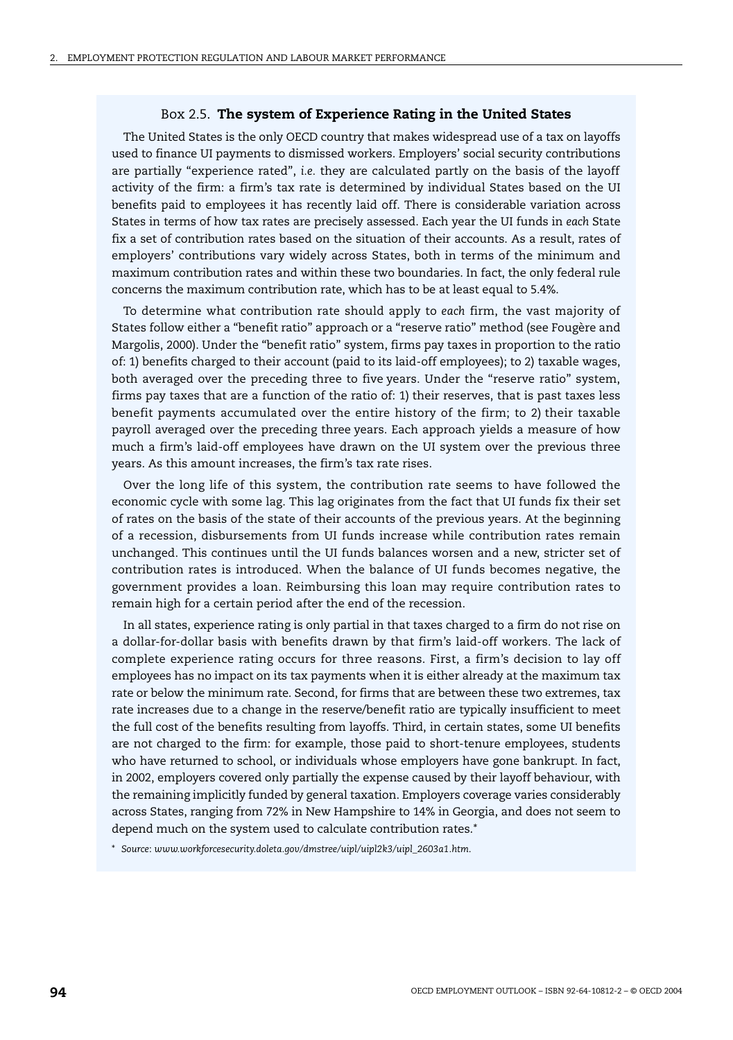#### Box 2.5. **The system of Experience Rating in the United States**

The United States is the only OECD country that makes widespread use of a tax on layoffs used to finance UI payments to dismissed workers. Employers' social security contributions are partially "experience rated", *i.e.* they are calculated partly on the basis of the layoff activity of the firm: a firm's tax rate is determined by individual States based on the UI benefits paid to employees it has recently laid off. There is considerable variation across States in terms of how tax rates are precisely assessed. Each year the UI funds in *each* State fix a set of contribution rates based on the situation of their accounts. As a result, rates of employers' contributions vary widely across States, both in terms of the minimum and maximum contribution rates and within these two boundaries. In fact, the only federal rule concerns the maximum contribution rate, which has to be at least equal to 5.4%.

To determine what contribution rate should apply to *each* firm, the vast majority of States follow either a "benefit ratio" approach or a "reserve ratio" method (see Fougère and Margolis, 2000). Under the "benefit ratio" system, firms pay taxes in proportion to the ratio of: 1) benefits charged to their account (paid to its laid-off employees); to 2) taxable wages, both averaged over the preceding three to five years. Under the "reserve ratio" system, firms pay taxes that are a function of the ratio of: 1) their reserves, that is past taxes less benefit payments accumulated over the entire history of the firm; to 2) their taxable payroll averaged over the preceding three years. Each approach yields a measure of how much a firm's laid-off employees have drawn on the UI system over the previous three years. As this amount increases, the firm's tax rate rises.

Over the long life of this system, the contribution rate seems to have followed the economic cycle with some lag. This lag originates from the fact that UI funds fix their set of rates on the basis of the state of their accounts of the previous years. At the beginning of a recession, disbursements from UI funds increase while contribution rates remain unchanged. This continues until the UI funds balances worsen and a new, stricter set of contribution rates is introduced. When the balance of UI funds becomes negative, the government provides a loan. Reimbursing this loan may require contribution rates to remain high for a certain period after the end of the recession.

In all states, experience rating is only partial in that taxes charged to a firm do not rise on a dollar-for-dollar basis with benefits drawn by that firm's laid-off workers. The lack of complete experience rating occurs for three reasons. First, a firm's decision to lay off employees has no impact on its tax payments when it is either already at the maximum tax rate or below the minimum rate. Second, for firms that are between these two extremes, tax rate increases due to a change in the reserve/benefit ratio are typically insufficient to meet the full cost of the benefits resulting from layoffs. Third, in certain states, some UI benefits are not charged to the firm: for example, those paid to short-tenure employees, students who have returned to school, or individuals whose employers have gone bankrupt. In fact, in 2002, employers covered only partially the expense caused by their layoff behaviour, with the remaining implicitly funded by general taxation. Employers coverage varies considerably across States, ranging from 72% in New Hampshire to 14% in Georgia, and does not seem to depend much on the system used to calculate contribution rates.*\**

\* *Source*: *www.workforcesecurity.doleta.gov/dmstree/uipl/uipl2k3/uipl\_2603a1.htm*.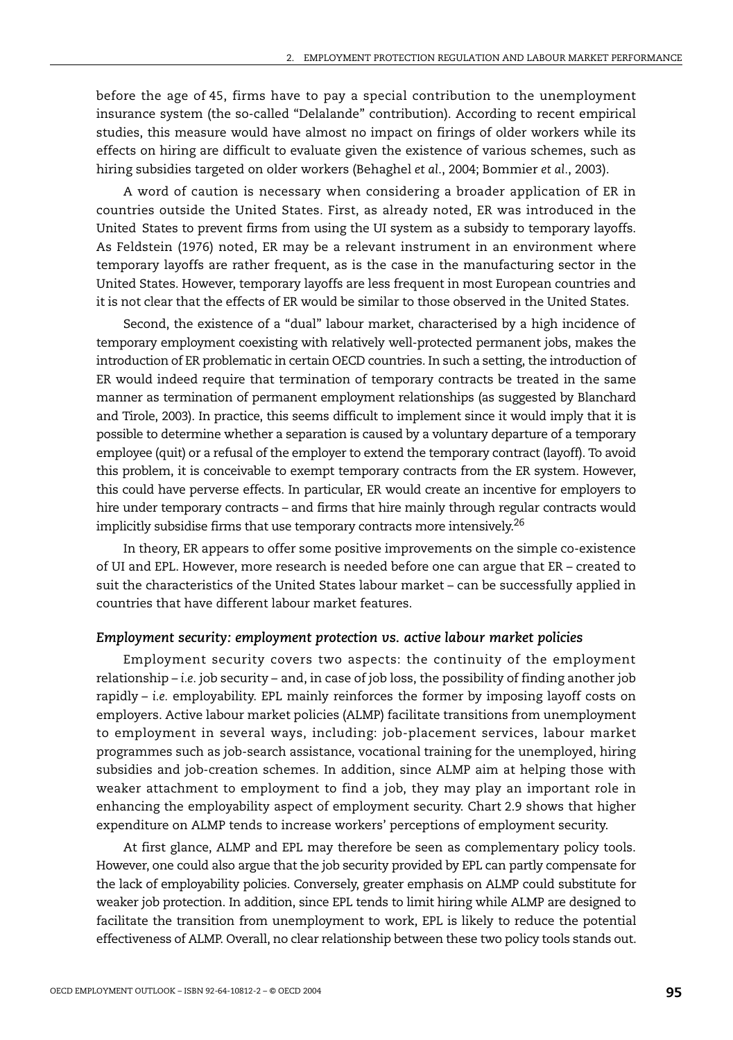before the age of 45, firms have to pay a special contribution to the unemployment insurance system (the so-called "Delalande" contribution). According to recent empirical studies, this measure would have almost no impact on firings of older workers while its effects on hiring are difficult to evaluate given the existence of various schemes, such as hiring subsidies targeted on older workers (Behaghel *et al.*, 2004; Bommier *et al.*, 2003).

A word of caution is necessary when considering a broader application of ER in countries outside the United States. First, as already noted, ER was introduced in the United States to prevent firms from using the UI system as a subsidy to temporary layoffs. As Feldstein (1976) noted, ER may be a relevant instrument in an environment where temporary layoffs are rather frequent, as is the case in the manufacturing sector in the United States. However, temporary layoffs are less frequent in most European countries and it is not clear that the effects of ER would be similar to those observed in the United States.

Second, the existence of a "dual" labour market, characterised by a high incidence of temporary employment coexisting with relatively well-protected permanent jobs, makes the introduction of ER problematic in certain OECD countries. In such a setting, the introduction of ER would indeed require that termination of temporary contracts be treated in the same manner as termination of permanent employment relationships (as suggested by Blanchard and Tirole, 2003). In practice, this seems difficult to implement since it would imply that it is possible to determine whether a separation is caused by a voluntary departure of a temporary employee (quit) or a refusal of the employer to extend the temporary contract (layoff). To avoid this problem, it is conceivable to exempt temporary contracts from the ER system. However, this could have perverse effects. In particular, ER would create an incentive for employers to hire under temporary contracts – and firms that hire mainly through regular contracts would implicitly subsidise firms that use temporary contracts more intensively.<sup>26</sup>

In theory, ER appears to offer some positive improvements on the simple co-existence of UI and EPL. However, more research is needed before one can argue that ER – created to suit the characteristics of the United States labour market – can be successfully applied in countries that have different labour market features.

#### *Employment security: employment protection vs. active labour market policies*

Employment security covers two aspects: the continuity of the employment relationship – *i.e.* job security – and, in case of job loss, the possibility of finding another job rapidly – *i.e.* employability. EPL mainly reinforces the former by imposing layoff costs on employers. Active labour market policies (ALMP) facilitate transitions from unemployment to employment in several ways, including: job-placement services, labour market programmes such as job-search assistance, vocational training for the unemployed, hiring subsidies and job-creation schemes. In addition, since ALMP aim at helping those with weaker attachment to employment to find a job, they may play an important role in enhancing the employability aspect of employment security. Chart 2.9 shows that higher expenditure on ALMP tends to increase workers' perceptions of employment security.

At first glance, ALMP and EPL may therefore be seen as complementary policy tools. However, one could also argue that the job security provided by EPL can partly compensate for the lack of employability policies. Conversely, greater emphasis on ALMP could substitute for weaker job protection. In addition, since EPL tends to limit hiring while ALMP are designed to facilitate the transition from unemployment to work, EPL is likely to reduce the potential effectiveness of ALMP. Overall, no clear relationship between these two policy tools stands out.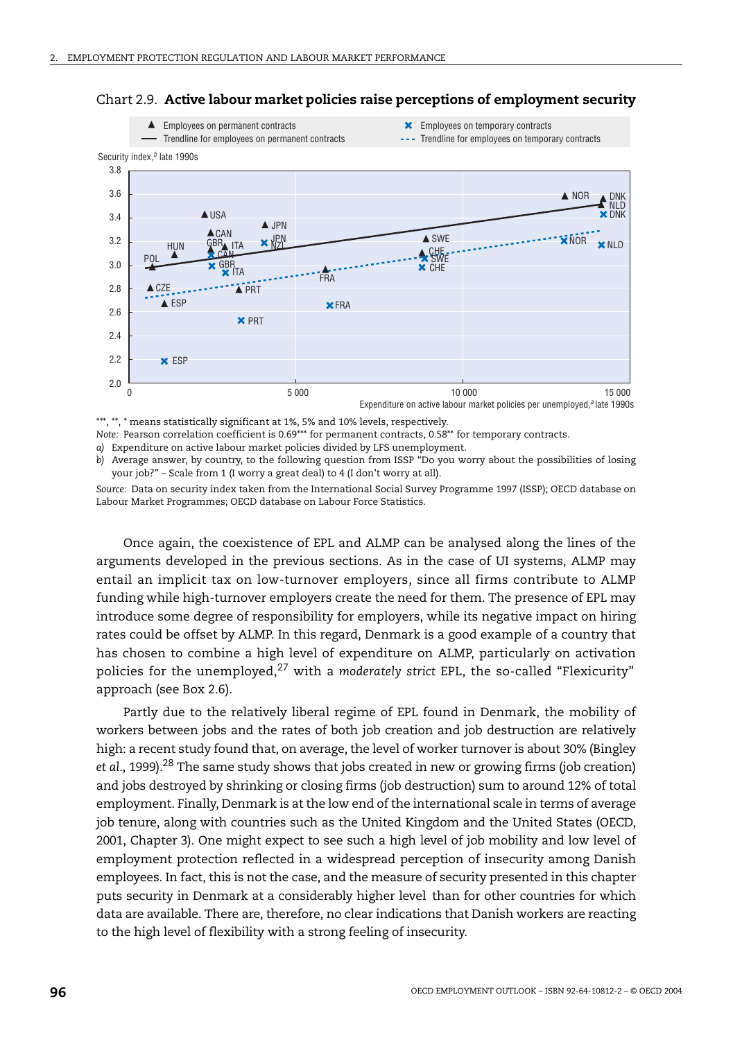Trendline for employees on permanent contracts

▲ Employees on permanent contracts



#### Chart 2.9. **Active labour market policies raise perceptions of employment security**

--- Trendline for employees on temporary contracts  $\times$  Employees on temporary contracts

\*\*\*, \*\*, \* means statistically significant at 1%, 5% and 10% levels, respectively.

*Note:* Pearson correlation coefficient is 0.69\*\*\* for permanent contracts, 0.58\*\* for temporary contracts.

*a)* Expenditure on active labour market policies divided by LFS unemployment.

*b)* Average answer, by country, to the following question from ISSP "Do you worry about the possibilities of losing your job?" – Scale from 1 (I worry a great deal) to 4 (I don't worry at all).

*Source:* Data on security index taken from the International Social Survey Programme 1997 (ISSP); OECD database on Labour Market Programmes; OECD database on Labour Force Statistics.

Once again, the coexistence of EPL and ALMP can be analysed along the lines of the arguments developed in the previous sections. As in the case of UI systems, ALMP may entail an implicit tax on low-turnover employers, since all firms contribute to ALMP funding while high-turnover employers create the need for them. The presence of EPL may introduce some degree of responsibility for employers, while its negative impact on hiring rates could be offset by ALMP. In this regard, Denmark is a good example of a country that has chosen to combine a high level of expenditure on ALMP, particularly on activation policies for the unemployed,<sup>27</sup> with a *moderately strict* EPL, the so-called "Flexicurity" approach (see Box 2.6).

Partly due to the relatively liberal regime of EPL found in Denmark, the mobility of workers between jobs and the rates of both job creation and job destruction are relatively high: a recent study found that, on average, the level of worker turnover is about 30% (Bingley et al., 1999).<sup>28</sup> The same study shows that jobs created in new or growing firms (job creation) and jobs destroyed by shrinking or closing firms (job destruction) sum to around 12% of total employment. Finally, Denmark is at the low end of the international scale in terms of average job tenure, along with countries such as the United Kingdom and the United States (OECD, 2001, Chapter 3). One might expect to see such a high level of job mobility and low level of employment protection reflected in a widespread perception of insecurity among Danish employees. In fact, this is not the case, and the measure of security presented in this chapter puts security in Denmark at a considerably higher level than for other countries for which data are available. There are, therefore, no clear indications that Danish workers are reacting to the high level of flexibility with a strong feeling of insecurity.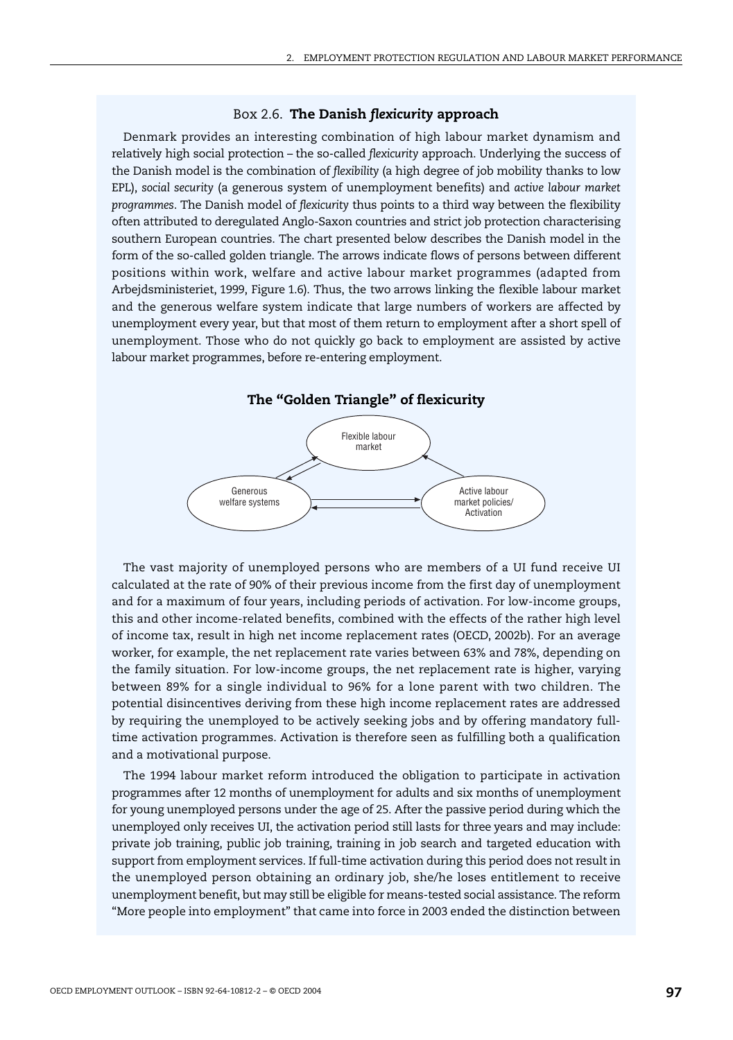#### Box 2.6. **The Danish** *flexicurity* **approach**

Denmark provides an interesting combination of high labour market dynamism and relatively high social protection – the so-called *flexicurity* approach. Underlying the success of the Danish model is the combination of *flexibility* (a high degree of job mobility thanks to low EPL), *social security* (a generous system of unemployment benefits) and *active labour market programmes*. The Danish model of *flexicurity* thus points to a third way between the flexibility often attributed to deregulated Anglo-Saxon countries and strict job protection characterising southern European countries. The chart presented below describes the Danish model in the form of the so-called golden triangle. The arrows indicate flows of persons between different positions within work, welfare and active labour market programmes (adapted from Arbejdsministeriet, 1999, Figure 1.6). Thus, the two arrows linking the flexible labour market and the generous welfare system indicate that large numbers of workers are affected by unemployment every year, but that most of them return to employment after a short spell of unemployment. Those who do not quickly go back to employment are assisted by active labour market programmes, before re-entering employment.



The vast majority of unemployed persons who are members of a UI fund receive UI calculated at the rate of 90% of their previous income from the first day of unemployment and for a maximum of four years, including periods of activation. For low-income groups, this and other income-related benefits, combined with the effects of the rather high level of income tax, result in high net income replacement rates (OECD, 2002b). For an average worker, for example, the net replacement rate varies between 63% and 78%, depending on the family situation. For low-income groups, the net replacement rate is higher, varying between 89% for a single individual to 96% for a lone parent with two children. The potential disincentives deriving from these high income replacement rates are addressed by requiring the unemployed to be actively seeking jobs and by offering mandatory fulltime activation programmes. Activation is therefore seen as fulfilling both a qualification and a motivational purpose.

The 1994 labour market reform introduced the obligation to participate in activation programmes after 12 months of unemployment for adults and six months of unemployment for young unemployed persons under the age of 25. After the passive period during which the unemployed only receives UI, the activation period still lasts for three years and may include: private job training, public job training, training in job search and targeted education with support from employment services. If full-time activation during this period does not result in the unemployed person obtaining an ordinary job, she/he loses entitlement to receive unemployment benefit, but may still be eligible for means-tested social assistance. The reform "More people into employment" that came into force in 2003 ended the distinction between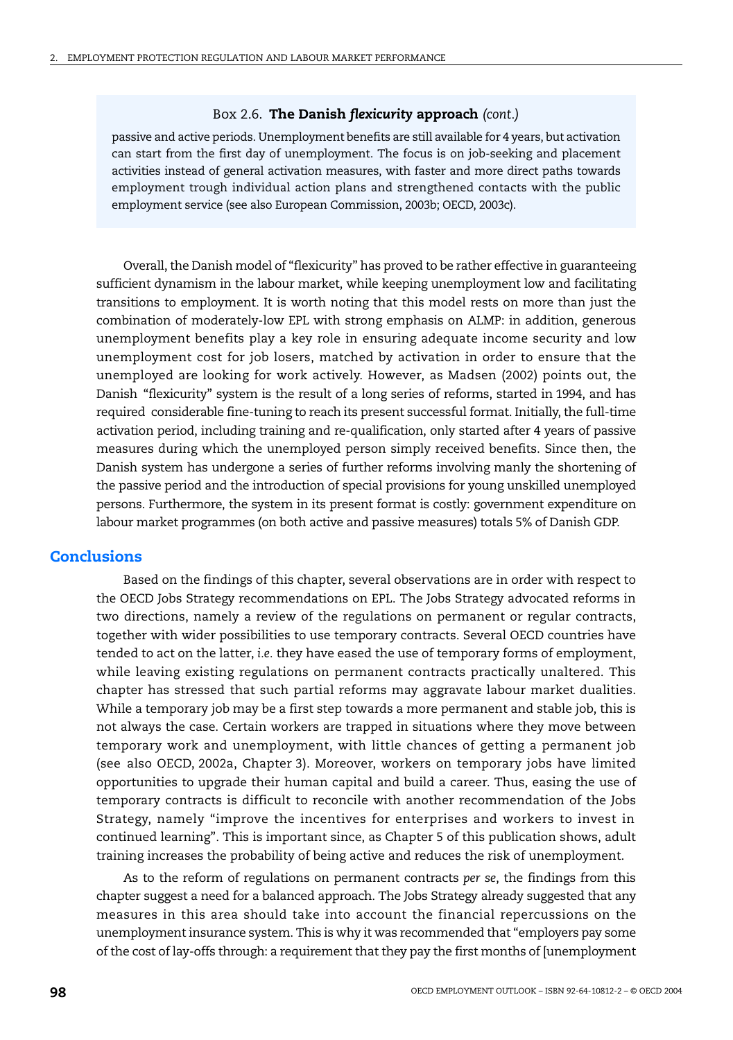#### Box 2.6. **The Danish** *flexicurity* **approach** *(cont.)*

passive and active periods. Unemployment benefits are still available for 4 years, but activation can start from the first day of unemployment. The focus is on job-seeking and placement activities instead of general activation measures, with faster and more direct paths towards employment trough individual action plans and strengthened contacts with the public employment service (see also European Commission, 2003b; OECD, 2003c).

Overall, the Danish model of "flexicurity" has proved to be rather effective in guaranteeing sufficient dynamism in the labour market, while keeping unemployment low and facilitating transitions to employment. It is worth noting that this model rests on more than just the combination of moderately-low EPL with strong emphasis on ALMP: in addition, generous unemployment benefits play a key role in ensuring adequate income security and low unemployment cost for job losers, matched by activation in order to ensure that the unemployed are looking for work actively. However, as Madsen (2002) points out, the Danish "flexicurity" system is the result of a long series of reforms, started in 1994, and has required considerable fine-tuning to reach its present successful format. Initially, the full-time activation period, including training and re-qualification, only started after 4 years of passive measures during which the unemployed person simply received benefits. Since then, the Danish system has undergone a series of further reforms involving manly the shortening of the passive period and the introduction of special provisions for young unskilled unemployed persons. Furthermore, the system in its present format is costly: government expenditure on labour market programmes (on both active and passive measures) totals 5% of Danish GDP.

## **Conclusions**

Based on the findings of this chapter, several observations are in order with respect to the OECD Jobs Strategy recommendations on EPL. The Jobs Strategy advocated reforms in two directions, namely a review of the regulations on permanent or regular contracts, together with wider possibilities to use temporary contracts. Several OECD countries have tended to act on the latter, *i.e.* they have eased the use of temporary forms of employment, while leaving existing regulations on permanent contracts practically unaltered. This chapter has stressed that such partial reforms may aggravate labour market dualities. While a temporary job may be a first step towards a more permanent and stable job, this is not always the case. Certain workers are trapped in situations where they move between temporary work and unemployment, with little chances of getting a permanent job (see also OECD, 2002a, Chapter 3). Moreover, workers on temporary jobs have limited opportunities to upgrade their human capital and build a career. Thus, easing the use of temporary contracts is difficult to reconcile with another recommendation of the Jobs Strategy, namely "improve the incentives for enterprises and workers to invest in continued learning". This is important since, as Chapter 5 of this publication shows, adult training increases the probability of being active and reduces the risk of unemployment.

As to the reform of regulations on permanent contracts *per se*, the findings from this chapter suggest a need for a balanced approach. The Jobs Strategy already suggested that any measures in this area should take into account the financial repercussions on the unemployment insurance system. This is why it was recommended that "employers pay some of the cost of lay-offs through: a requirement that they pay the first months of [unemployment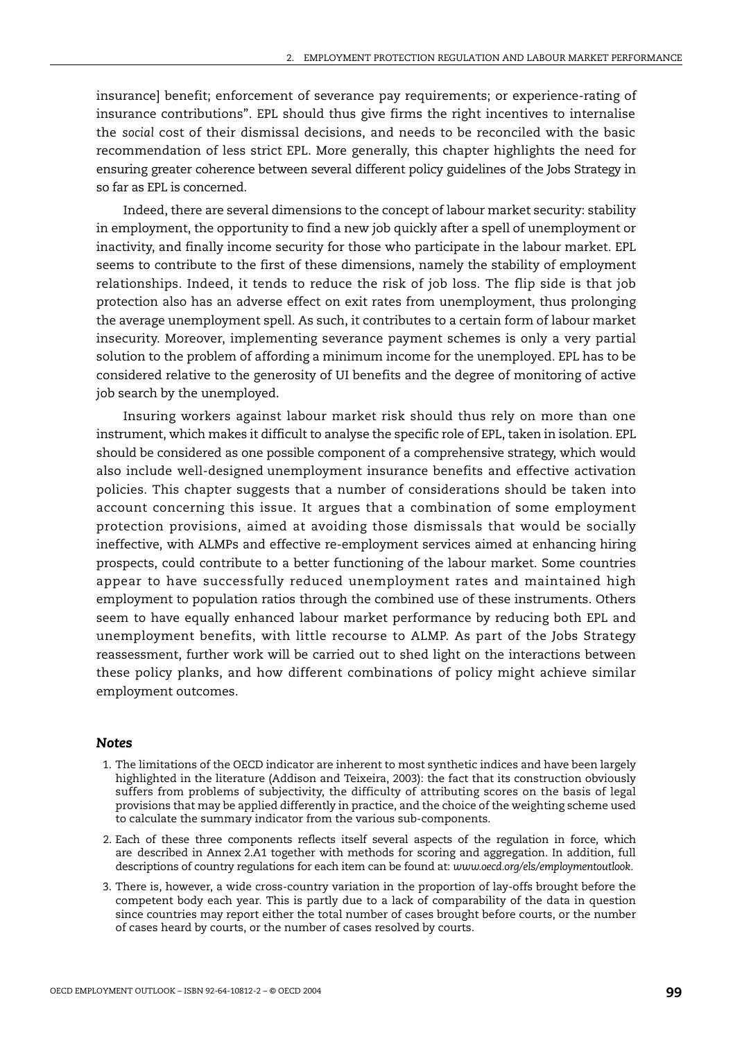insurance] benefit; enforcement of severance pay requirements; or experience-rating of insurance contributions". EPL should thus give firms the right incentives to internalise the *social* cost of their dismissal decisions, and needs to be reconciled with the basic recommendation of less strict EPL. More generally, this chapter highlights the need for ensuring greater coherence between several different policy guidelines of the Jobs Strategy in so far as EPL is concerned.

Indeed, there are several dimensions to the concept of labour market security: stability in employment, the opportunity to find a new job quickly after a spell of unemployment or inactivity, and finally income security for those who participate in the labour market. EPL seems to contribute to the first of these dimensions, namely the stability of employment relationships. Indeed, it tends to reduce the risk of job loss. The flip side is that job protection also has an adverse effect on exit rates from unemployment, thus prolonging the average unemployment spell. As such, it contributes to a certain form of labour market insecurity. Moreover, implementing severance payment schemes is only a very partial solution to the problem of affording a minimum income for the unemployed. EPL has to be considered relative to the generosity of UI benefits and the degree of monitoring of active job search by the unemployed.

Insuring workers against labour market risk should thus rely on more than one instrument, which makes it difficult to analyse the specific role of EPL, taken in isolation. EPL should be considered as one possible component of a comprehensive strategy, which would also include well-designed unemployment insurance benefits and effective activation policies. This chapter suggests that a number of considerations should be taken into account concerning this issue. It argues that a combination of some employment protection provisions, aimed at avoiding those dismissals that would be socially ineffective, with ALMPs and effective re-employment services aimed at enhancing hiring prospects, could contribute to a better functioning of the labour market. Some countries appear to have successfully reduced unemployment rates and maintained high employment to population ratios through the combined use of these instruments. Others seem to have equally enhanced labour market performance by reducing both EPL and unemployment benefits, with little recourse to ALMP. As part of the Jobs Strategy reassessment, further work will be carried out to shed light on the interactions between these policy planks, and how different combinations of policy might achieve similar employment outcomes.

#### *Notes*

- 1. The limitations of the OECD indicator are inherent to most synthetic indices and have been largely highlighted in the literature (Addison and Teixeira, 2003): the fact that its construction obviously suffers from problems of subjectivity, the difficulty of attributing scores on the basis of legal provisions that may be applied differently in practice, and the choice of the weighting scheme used to calculate the summary indicator from the various sub-components.
- 2. Each of these three components reflects itself several aspects of the regulation in force, which are described in Annex 2.A1 together with methods for scoring and aggregation. In addition, full descriptions of country regulations for each item can be found at: *www.oecd.org/els/employmentoutlook*.
- 3. There is, however, a wide cross-country variation in the proportion of lay-offs brought before the competent body each year. This is partly due to a lack of comparability of the data in question since countries may report either the total number of cases brought before courts, or the number of cases heard by courts, or the number of cases resolved by courts.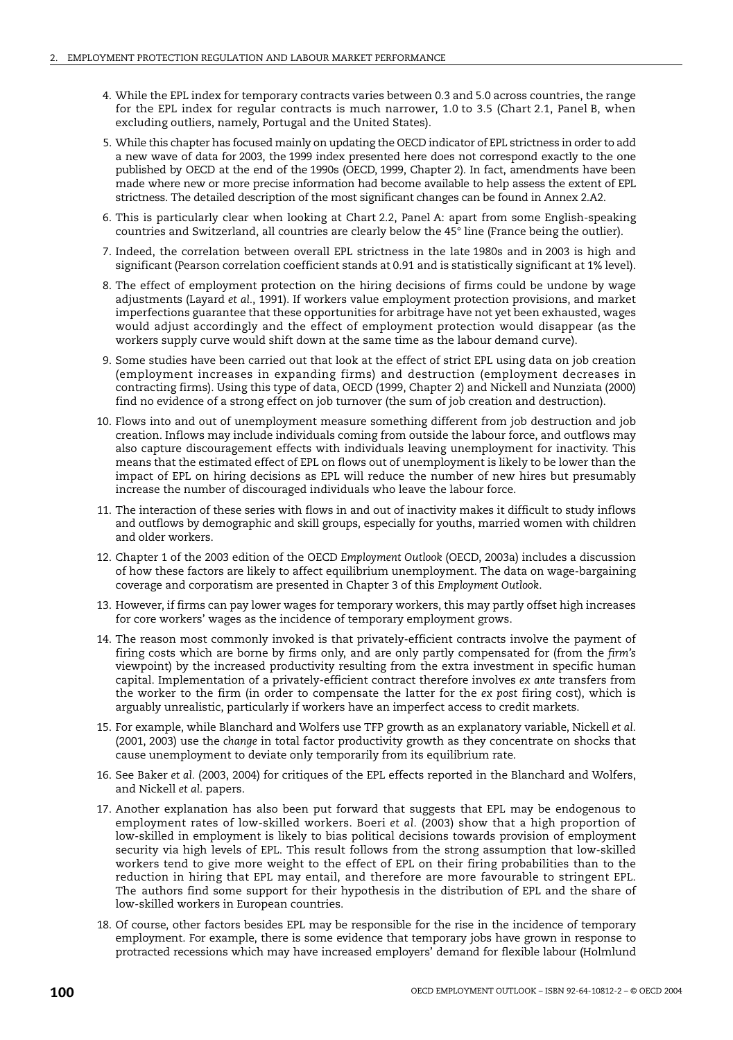- 4. While the EPL index for temporary contracts varies between 0.3 and 5.0 across countries, the range for the EPL index for regular contracts is much narrower, 1.0 to 3.5 (Chart 2.1, Panel B, when excluding outliers, namely, Portugal and the United States).
- 5. While this chapter has focused mainly on updating the OECD indicator of EPL strictness in order to add a new wave of data for 2003, the 1999 index presented here does not correspond exactly to the one published by OECD at the end of the 1990s (OECD, 1999, Chapter 2). In fact, amendments have been made where new or more precise information had become available to help assess the extent of EPL strictness. The detailed description of the most significant changes can be found in Annex 2.A2.
- 6. This is particularly clear when looking at Chart 2.2, Panel A: apart from some English-speaking countries and Switzerland, all countries are clearly below the 45° line (France being the outlier).
- 7. Indeed, the correlation between overall EPL strictness in the late 1980s and in 2003 is high and significant (Pearson correlation coefficient stands at 0.91 and is statistically significant at 1% level).
- 8. The effect of employment protection on the hiring decisions of firms could be undone by wage adjustments (Layard *et al.*, 1991). If workers value employment protection provisions, and market imperfections guarantee that these opportunities for arbitrage have not yet been exhausted, wages would adjust accordingly and the effect of employment protection would disappear (as the workers supply curve would shift down at the same time as the labour demand curve).
- 9. Some studies have been carried out that look at the effect of strict EPL using data on job creation (employment increases in expanding firms) and destruction (employment decreases in contracting firms). Using this type of data, OECD (1999, Chapter 2) and Nickell and Nunziata (2000) find no evidence of a strong effect on job turnover (the sum of job creation and destruction).
- 10. Flows into and out of unemployment measure something different from job destruction and job creation. Inflows may include individuals coming from outside the labour force, and outflows may also capture discouragement effects with individuals leaving unemployment for inactivity. This means that the estimated effect of EPL on flows out of unemployment is likely to be lower than the impact of EPL on hiring decisions as EPL will reduce the number of new hires but presumably increase the number of discouraged individuals who leave the labour force.
- 11. The interaction of these series with flows in and out of inactivity makes it difficult to study inflows and outflows by demographic and skill groups, especially for youths, married women with children and older workers.
- 12. Chapter 1 of the 2003 edition of the OECD *Employment Outlook* (OECD, 2003a) includes a discussion of how these factors are likely to affect equilibrium unemployment. The data on wage-bargaining coverage and corporatism are presented in Chapter 3 of this *Employment Outlook*.
- 13. However, if firms can pay lower wages for temporary workers, this may partly offset high increases for core workers' wages as the incidence of temporary employment grows.
- 14. The reason most commonly invoked is that privately-efficient contracts involve the payment of firing costs which are borne by firms only, and are only partly compensated for (from the *firm's* viewpoint) by the increased productivity resulting from the extra investment in specific human capital. Implementation of a privately-efficient contract therefore involves *ex ante* transfers from the worker to the firm (in order to compensate the latter for the *ex post* firing cost), which is arguably unrealistic, particularly if workers have an imperfect access to credit markets.
- 15. For example, while Blanchard and Wolfers use TFP growth as an explanatory variable, Nickell *et al.* (2001, 2003) use the *change* in total factor productivity growth as they concentrate on shocks that cause unemployment to deviate only temporarily from its equilibrium rate.
- 16. See Baker *et al.* (2003, 2004) for critiques of the EPL effects reported in the Blanchard and Wolfers, and Nickell *et al.* papers.
- 17. Another explanation has also been put forward that suggests that EPL may be endogenous to employment rates of low-skilled workers. Boeri *et al.* (2003) show that a high proportion of low-skilled in employment is likely to bias political decisions towards provision of employment security via high levels of EPL. This result follows from the strong assumption that low-skilled workers tend to give more weight to the effect of EPL on their firing probabilities than to the reduction in hiring that EPL may entail, and therefore are more favourable to stringent EPL. The authors find some support for their hypothesis in the distribution of EPL and the share of low-skilled workers in European countries.
- 18. Of course, other factors besides EPL may be responsible for the rise in the incidence of temporary employment. For example, there is some evidence that temporary jobs have grown in response to protracted recessions which may have increased employers' demand for flexible labour (Holmlund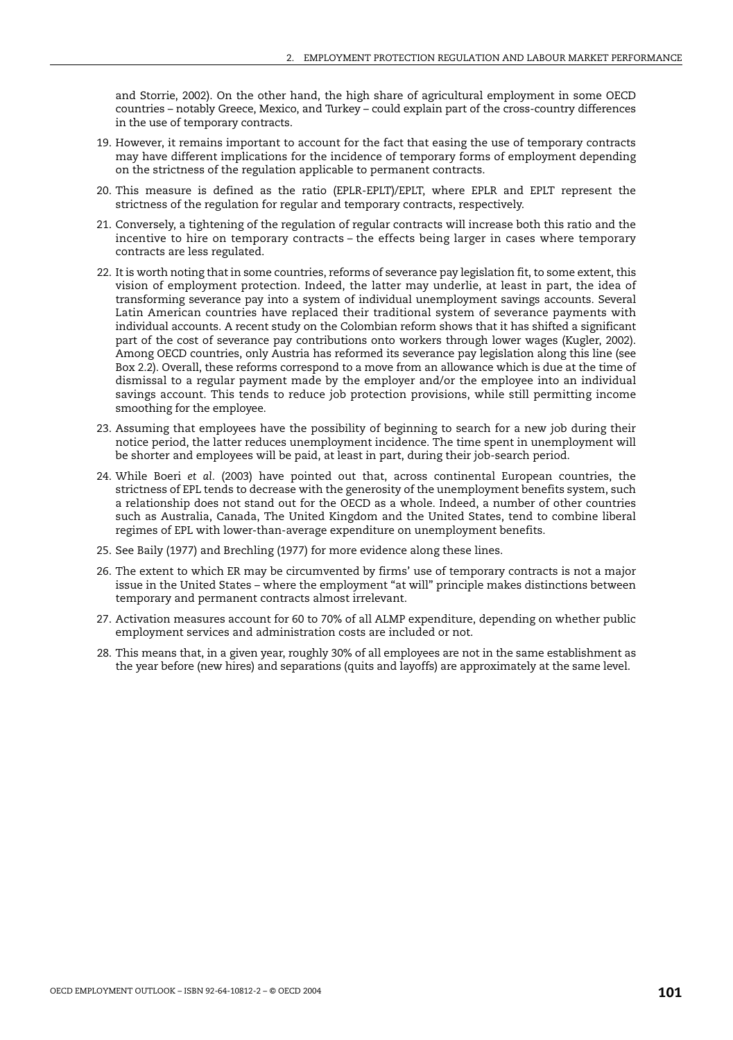and Storrie, 2002). On the other hand, the high share of agricultural employment in some OECD countries – notably Greece, Mexico, and Turkey – could explain part of the cross-country differences in the use of temporary contracts.

- 19. However, it remains important to account for the fact that easing the use of temporary contracts may have different implications for the incidence of temporary forms of employment depending on the strictness of the regulation applicable to permanent contracts.
- 20. This measure is defined as the ratio (EPLR-EPLT)/EPLT, where EPLR and EPLT represent the strictness of the regulation for regular and temporary contracts, respectively.
- 21. Conversely, a tightening of the regulation of regular contracts will increase both this ratio and the incentive to hire on temporary contracts – the effects being larger in cases where temporary contracts are less regulated.
- 22. It is worth noting that in some countries, reforms of severance pay legislation fit, to some extent, this vision of employment protection. Indeed, the latter may underlie, at least in part, the idea of transforming severance pay into a system of individual unemployment savings accounts. Several Latin American countries have replaced their traditional system of severance payments with individual accounts. A recent study on the Colombian reform shows that it has shifted a significant part of the cost of severance pay contributions onto workers through lower wages (Kugler, 2002). Among OECD countries, only Austria has reformed its severance pay legislation along this line (see Box 2.2). Overall, these reforms correspond to a move from an allowance which is due at the time of dismissal to a regular payment made by the employer and/or the employee into an individual savings account. This tends to reduce job protection provisions, while still permitting income smoothing for the employee.
- 23. Assuming that employees have the possibility of beginning to search for a new job during their notice period, the latter reduces unemployment incidence. The time spent in unemployment will be shorter and employees will be paid, at least in part, during their job-search period.
- 24. While Boeri *et al.* (2003) have pointed out that, across continental European countries, the strictness of EPL tends to decrease with the generosity of the unemployment benefits system, such a relationship does not stand out for the OECD as a whole. Indeed, a number of other countries such as Australia, Canada, The United Kingdom and the United States, tend to combine liberal regimes of EPL with lower-than-average expenditure on unemployment benefits.
- 25. See Baily (1977) and Brechling (1977) for more evidence along these lines.
- 26. The extent to which ER may be circumvented by firms' use of temporary contracts is not a major issue in the United States – where the employment "at will" principle makes distinctions between temporary and permanent contracts almost irrelevant.
- 27. Activation measures account for 60 to 70% of all ALMP expenditure, depending on whether public employment services and administration costs are included or not.
- 28. This means that, in a given year, roughly 30% of all employees are not in the same establishment as the year before (new hires) and separations (quits and layoffs) are approximately at the same level.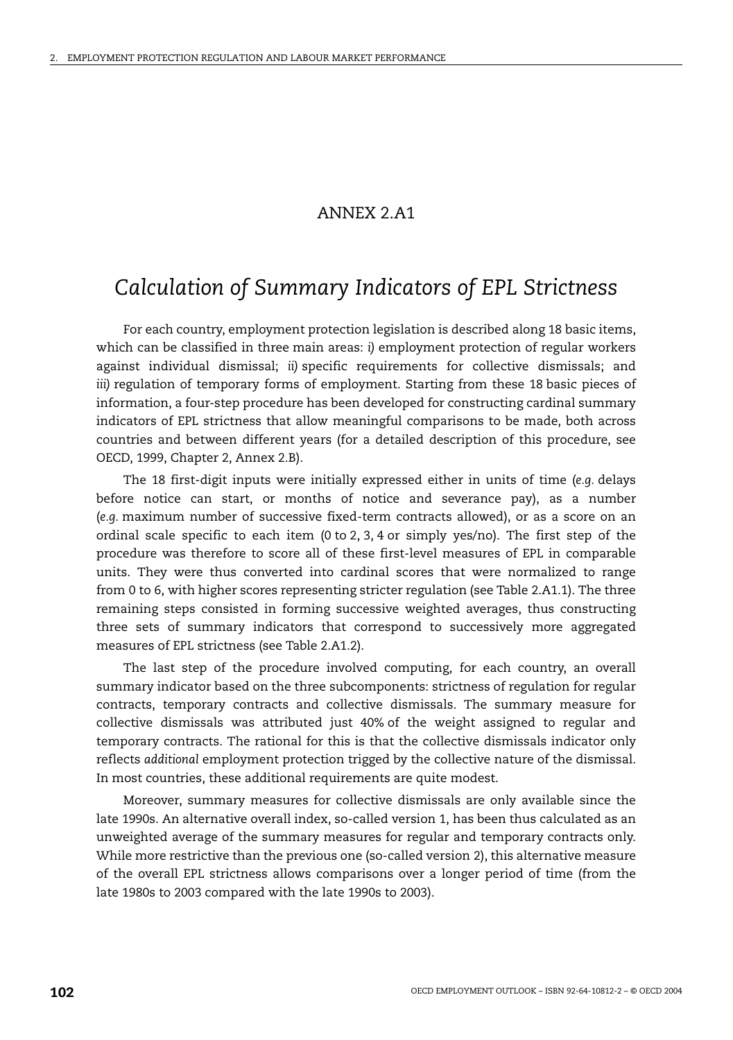### ANNEX 2.A1

## *Calculation of Summary Indicators of EPL Strictness*

For each country, employment protection legislation is described along 18 basic items, which can be classified in three main areas: *i)* employment protection of regular workers against individual dismissal; *ii)* specific requirements for collective dismissals; and *iii)* regulation of temporary forms of employment. Starting from these 18 basic pieces of information, a four-step procedure has been developed for constructing cardinal summary indicators of EPL strictness that allow meaningful comparisons to be made, both across countries and between different years (for a detailed description of this procedure, see OECD, 1999, Chapter 2, Annex 2.B).

The 18 first-digit inputs were initially expressed either in units of time (*e.g.* delays before notice can start, or months of notice and severance pay), as a number (*e.g.* maximum number of successive fixed-term contracts allowed), or as a score on an ordinal scale specific to each item (0 to 2, 3, 4 or simply yes/no). The first step of the procedure was therefore to score all of these first-level measures of EPL in comparable units. They were thus converted into cardinal scores that were normalized to range from 0 to 6, with higher scores representing stricter regulation (see Table 2.A1.1). The three remaining steps consisted in forming successive weighted averages, thus constructing three sets of summary indicators that correspond to successively more aggregated measures of EPL strictness (see Table 2.A1.2).

The last step of the procedure involved computing, for each country, an overall summary indicator based on the three subcomponents: strictness of regulation for regular contracts, temporary contracts and collective dismissals. The summary measure for collective dismissals was attributed just 40% of the weight assigned to regular and temporary contracts. The rational for this is that the collective dismissals indicator only reflects *additional* employment protection trigged by the collective nature of the dismissal. In most countries, these additional requirements are quite modest.

Moreover, summary measures for collective dismissals are only available since the late 1990s. An alternative overall index, so-called version 1, has been thus calculated as an unweighted average of the summary measures for regular and temporary contracts only. While more restrictive than the previous one (so-called version 2), this alternative measure of the overall EPL strictness allows comparisons over a longer period of time (from the late 1980s to 2003 compared with the late 1990s to 2003).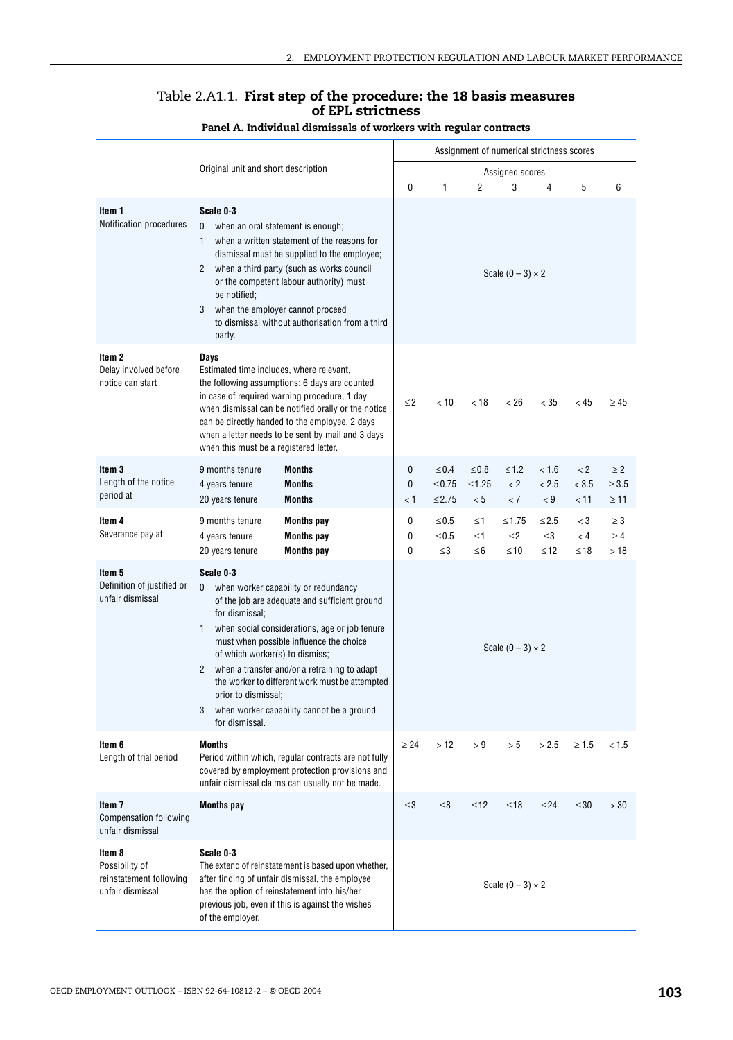## Table 2.A1.1. **First step of the procedure: the 18 basis measures of EPL strictness**

|                                                                         |                                                                                                                             |                                                                                                                                                                                                                                                                                                                                  |               |                                      |                            | Assignment of numerical strictness scores |                              |                          |                                     |
|-------------------------------------------------------------------------|-----------------------------------------------------------------------------------------------------------------------------|----------------------------------------------------------------------------------------------------------------------------------------------------------------------------------------------------------------------------------------------------------------------------------------------------------------------------------|---------------|--------------------------------------|----------------------------|-------------------------------------------|------------------------------|--------------------------|-------------------------------------|
|                                                                         | Original unit and short description                                                                                         |                                                                                                                                                                                                                                                                                                                                  |               |                                      |                            | Assigned scores                           |                              |                          |                                     |
|                                                                         |                                                                                                                             |                                                                                                                                                                                                                                                                                                                                  | 0             | 1                                    | 2                          | 3                                         | 4                            | 5                        | 6                                   |
| Item <sub>1</sub><br><b>Notification procedures</b>                     | Scale 0-3<br>0<br>1<br>2<br>be notified;<br>3<br>party.                                                                     | when an oral statement is enough;<br>when a written statement of the reasons for<br>dismissal must be supplied to the employee;<br>when a third party (such as works council<br>or the competent labour authority) must<br>when the employer cannot proceed<br>to dismissal without authorisation from a third                   |               |                                      |                            | Scale $(0-3) \times 2$                    |                              |                          |                                     |
| Item <sub>2</sub><br>Delay involved before<br>notice can start          | Days<br>Estimated time includes, where relevant,<br>when this must be a registered letter.                                  | the following assumptions: 6 days are counted<br>in case of required warning procedure, 1 day<br>when dismissal can be notified orally or the notice<br>can be directly handed to the employee, 2 days<br>when a letter needs to be sent by mail and 3 days                                                                      | $\leq$ 2      | < 10                                 | < 18                       | < 26                                      | $<$ 35                       | < 45                     | $\geq 45$                           |
| Item <sub>3</sub><br>Length of the notice<br>period at                  | 9 months tenure<br>4 years tenure<br>20 years tenure                                                                        | <b>Months</b><br><b>Months</b><br><b>Months</b>                                                                                                                                                                                                                                                                                  | 0<br>0<br>< 1 | $\leq 0.4$<br>$\leq$ 0.75<br>$≤2.75$ | $≤ 0.8$<br>$≤1.25$<br>< 5  | $≤1.2$<br>$\lt 2$<br>< 7                  | < 1.6<br>< 2.5<br>< 9        | $\lt 2$<br>< 3.5<br>< 11 | $\geq$ 2<br>$\geq 3.5$<br>$\geq 11$ |
| ltem 4<br>Severance pay at                                              | 9 months tenure<br>4 years tenure<br>20 years tenure                                                                        | Months pay<br><b>Months pay</b><br><b>Months pay</b>                                                                                                                                                                                                                                                                             | 0<br>0<br>0   | ≤ $0.5$<br>$\leq 0.5$<br>$\leq$ 3    | ≤1<br>$\leq 1$<br>$\leq 6$ | ≤1.75<br>$\leq$ 2<br>$\leq 10$            | ≤ $2.5$<br>$\leq$ 3<br>$≤12$ | $<$ 3<br>< 4<br>≤18      | $\geq$ 3<br>$\geq 4$<br>>18         |
| Item 5<br>Definition of justified or<br>unfair dismissal                | Scale 0-3<br>0<br>for dismissal;<br>1.<br>of which worker(s) to dismiss;<br>2<br>prior to dismissal;<br>3<br>for dismissal. | when worker capability or redundancy<br>of the job are adequate and sufficient ground<br>when social considerations, age or job tenure<br>must when possible influence the choice<br>when a transfer and/or a retraining to adapt<br>the worker to different work must be attempted<br>when worker capability cannot be a ground |               |                                      |                            | Scale $(0-3) \times 2$                    |                              |                          |                                     |
| ltem 6<br>Length of trial period                                        | Months                                                                                                                      | Period within which, regular contracts are not fully<br>covered by employment protection provisions and<br>unfair dismissal claims can usually not be made.                                                                                                                                                                      | $\geq$ 24     |                                      | $>12$ $>9$                 | > 5                                       |                              | $>2.5$ $\geq 1.5$ < 1.5  |                                     |
| Item <sub>7</sub><br><b>Compensation following</b><br>unfair dismissal  | <b>Months pay</b>                                                                                                           |                                                                                                                                                                                                                                                                                                                                  | $\leq$ 3      | $\leq 8$                             | $\leq$ 12                  | ≤18                                       | $\leq$ 24                    | $\leq 30$                | >30                                 |
| ltem 8<br>Possibility of<br>reinstatement following<br>unfair dismissal | Scale 0-3<br>of the employer.                                                                                               | The extend of reinstatement is based upon whether,<br>after finding of unfair dismissal, the employee<br>has the option of reinstatement into his/her<br>previous job, even if this is against the wishes                                                                                                                        |               |                                      |                            | Scale $(0-3) \times 2$                    |                              |                          |                                     |

#### **Panel A. Individual dismissals of workers with regular contracts**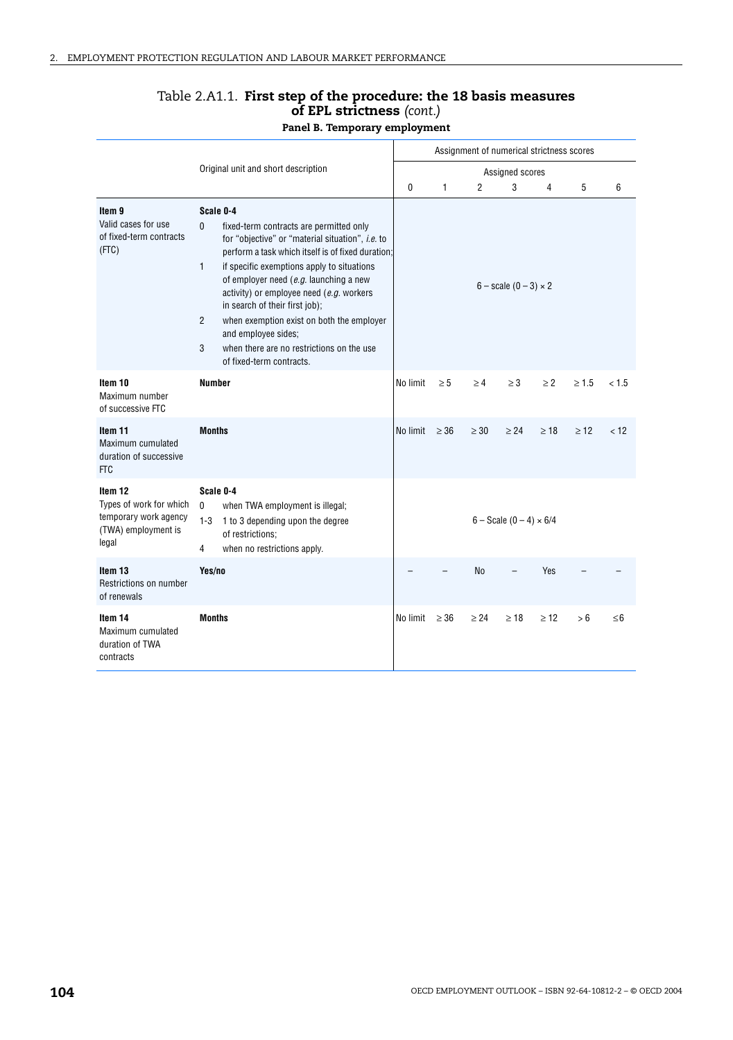|                                                                                             |                                                                                                                                                                                                                                                                                                                                                                                                                                                                                                                                           |          |              |                | Assignment of numerical strictness scores |          |            |          |
|---------------------------------------------------------------------------------------------|-------------------------------------------------------------------------------------------------------------------------------------------------------------------------------------------------------------------------------------------------------------------------------------------------------------------------------------------------------------------------------------------------------------------------------------------------------------------------------------------------------------------------------------------|----------|--------------|----------------|-------------------------------------------|----------|------------|----------|
|                                                                                             | Original unit and short description                                                                                                                                                                                                                                                                                                                                                                                                                                                                                                       |          |              |                | Assigned scores                           |          |            |          |
|                                                                                             |                                                                                                                                                                                                                                                                                                                                                                                                                                                                                                                                           | 0        | $\mathbf{1}$ | $\overline{2}$ | 3                                         | 4        | 5          | 6        |
| Item 9<br>Valid cases for use<br>of fixed-term contracts<br>(FTC)                           | Scale 0-4<br>$\mathbf{0}$<br>fixed-term contracts are permitted only<br>for "objective" or "material situation", i.e. to<br>perform a task which itself is of fixed duration;<br>$\mathbf{1}$<br>if specific exemptions apply to situations<br>of employer need $(e.g.$ launching a new<br>activity) or employee need (e.g. workers<br>in search of their first job);<br>$\overline{2}$<br>when exemption exist on both the employer<br>and employee sides;<br>3<br>when there are no restrictions on the use<br>of fixed-term contracts. |          |              |                | $6 - scale (0 - 3) \times 2$              |          |            |          |
| Item 10<br>Maximum number<br>of successive FTC                                              | <b>Number</b>                                                                                                                                                                                                                                                                                                                                                                                                                                                                                                                             | No limit | $\geq 5$     | $\geq 4$       | $\geq 3$                                  | $\geq$ 2 | $\geq 1.5$ | < 1.5    |
| Item 11<br>Maximum cumulated<br>duration of successive<br><b>FTC</b>                        | <b>Months</b>                                                                                                                                                                                                                                                                                                                                                                                                                                                                                                                             | No limit | $\geq 36$    | > 30           | $\geq 24$                                 | >18      | >12        | < 12     |
| Item 12<br>Types of work for which<br>temporary work agency<br>(TWA) employment is<br>legal | Scale 0-4<br>$\mathbf 0$<br>when TWA employment is illegal;<br>$1 - 3$<br>1 to 3 depending upon the degree<br>of restrictions;<br>4<br>when no restrictions apply.                                                                                                                                                                                                                                                                                                                                                                        |          |              |                | $6 - Scale (0 - 4) \times 6/4$            |          |            |          |
| Item 13<br>Restrictions on number<br>of renewals                                            | Yes/no                                                                                                                                                                                                                                                                                                                                                                                                                                                                                                                                    |          |              | No             |                                           | Yes      |            |          |
| Item 14<br>Maximum cumulated<br>duration of TWA<br>contracts                                | <b>Months</b>                                                                                                                                                                                                                                                                                                                                                                                                                                                                                                                             | No limit | $\geq 36$    | > 24           | $\geq 18$                                 | >12      | > 6        | $\leq 6$ |

## Table 2.A1.1. **First step of the procedure: the 18 basis measures of EPL strictness** *(cont.)*

#### **Panel B. Temporary employment**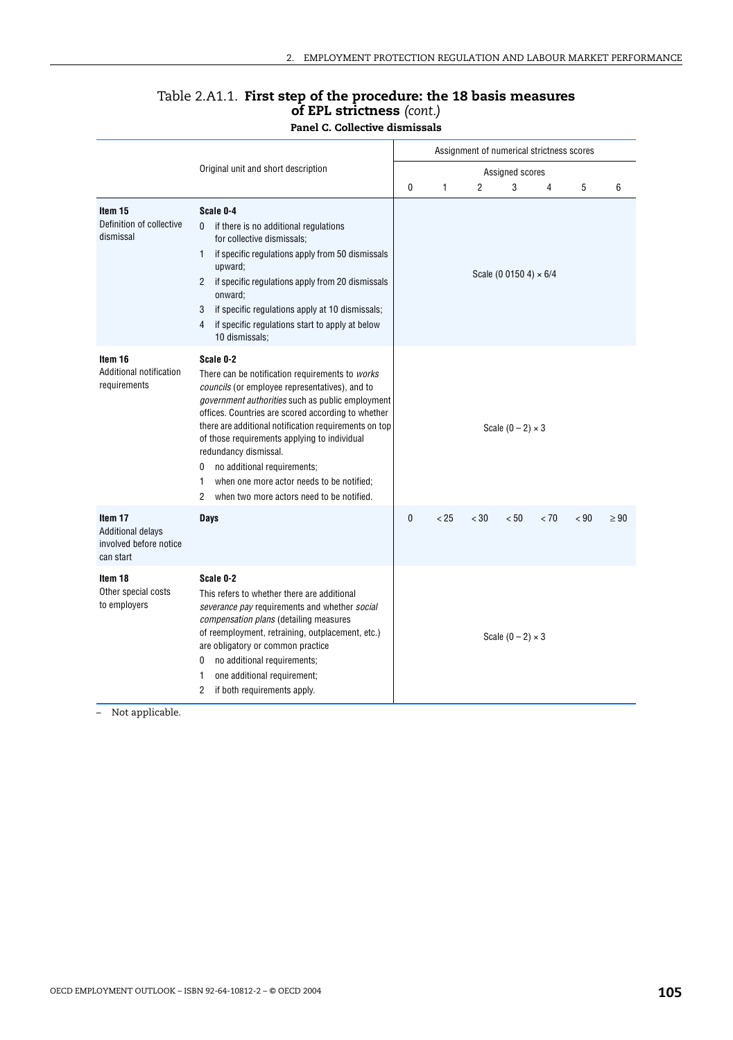|                                                                            |                                                                                                                                                                                                                                                                                                                                                                                                                                                                                                           |   |              |        |                               | Assignment of numerical strictness scores |      |           |
|----------------------------------------------------------------------------|-----------------------------------------------------------------------------------------------------------------------------------------------------------------------------------------------------------------------------------------------------------------------------------------------------------------------------------------------------------------------------------------------------------------------------------------------------------------------------------------------------------|---|--------------|--------|-------------------------------|-------------------------------------------|------|-----------|
|                                                                            | Original unit and short description                                                                                                                                                                                                                                                                                                                                                                                                                                                                       |   |              |        | Assigned scores               |                                           |      |           |
|                                                                            |                                                                                                                                                                                                                                                                                                                                                                                                                                                                                                           | 0 | $\mathbf{1}$ | 2      | 3                             | 4                                         | 5    | 6         |
| Item 15<br>Definition of collective<br>dismissal                           | Scale 0-4<br>if there is no additional regulations<br>0<br>for collective dismissals:<br>if specific regulations apply from 50 dismissals<br>1<br>upward;<br>if specific regulations apply from 20 dismissals<br>$\overline{2}$<br>onward;<br>if specific regulations apply at 10 dismissals;<br>3<br>4<br>if specific regulations start to apply at below<br>10 dismissals;                                                                                                                              |   |              |        | Scale (0 0150 4) $\times$ 6/4 |                                           |      |           |
| ltem 16<br>Additional notification<br>requirements                         | Scale 0-2<br>There can be notification requirements to works<br>councils (or employee representatives), and to<br><i>government authorities</i> such as public employment<br>offices. Countries are scored according to whether<br>there are additional notification requirements on top<br>of those requirements applying to individual<br>redundancy dismissal.<br>no additional requirements;<br>0<br>1<br>when one more actor needs to be notified;<br>2<br>when two more actors need to be notified. |   |              |        | Scale $(0-2) \times 3$        |                                           |      |           |
| Item 17<br><b>Additional delays</b><br>involved before notice<br>can start | Days                                                                                                                                                                                                                                                                                                                                                                                                                                                                                                      | 0 | < 25         | $<$ 30 | < 50                          | < 70                                      | < 90 | $\geq 90$ |
| Item 18<br>Other special costs<br>to employers                             | Scale 0-2<br>This refers to whether there are additional<br>severance pay requirements and whether social<br>compensation plans (detailing measures<br>of reemployment, retraining, outplacement, etc.)<br>are obligatory or common practice<br>no additional requirements;<br>0<br>1<br>one additional requirement;<br>2<br>if both requirements apply.                                                                                                                                                  |   |              |        | Scale $(0-2) \times 3$        |                                           |      |           |

## Table 2.A1.1. **First step of the procedure: the 18 basis measures of EPL strictness** *(cont.)*

**Panel C. Collective dismissals**

– Not applicable.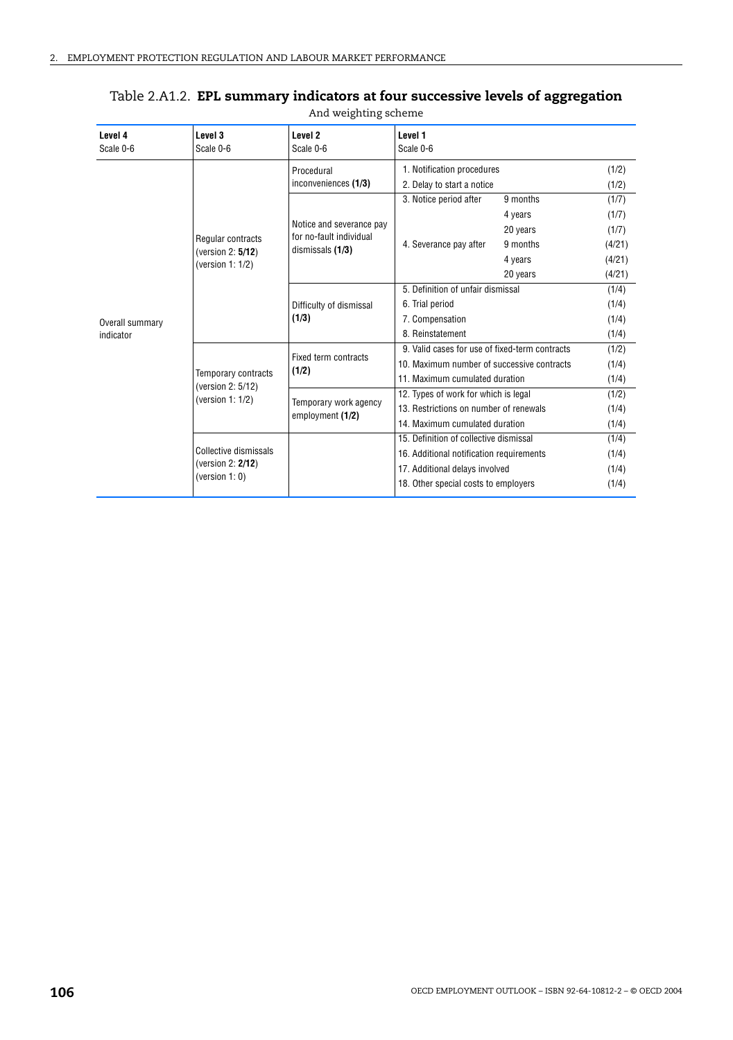| Level 4<br>Scale 0-6 | Level 3                                  |                                                     |                                                |          |        |
|----------------------|------------------------------------------|-----------------------------------------------------|------------------------------------------------|----------|--------|
|                      |                                          | Level <sub>2</sub>                                  | Level 1                                        |          |        |
|                      | Scale 0-6                                | Scale 0-6                                           | Scale 0-6                                      |          |        |
|                      |                                          | Procedural                                          | 1. Notification procedures                     |          | (1/2)  |
|                      |                                          | inconveniences (1/3)                                | 2. Delay to start a notice                     |          | (1/2)  |
|                      |                                          |                                                     | 3. Notice period after                         | 9 months | (1/7)  |
|                      |                                          |                                                     |                                                | 4 years  | (1/7)  |
|                      |                                          | Notice and severance pay<br>for no-fault individual |                                                | 20 years | (1/7)  |
|                      | Regular contracts<br>(version $2:5/12$ ) | dismissals $(1/3)$                                  | 4. Severance pay after                         | 9 months | (4/21) |
|                      | (version $1:1/2$ )                       |                                                     |                                                | 4 years  | (4/21) |
|                      |                                          |                                                     |                                                | 20 years | (4/21) |
|                      |                                          |                                                     | 5. Definition of unfair dismissal              |          | (1/4)  |
|                      |                                          | Difficulty of dismissal                             | 6. Trial period                                |          | (1/4)  |
| Overall summary      |                                          | (1/3)                                               | 7. Compensation                                |          | (1/4)  |
| indicator            |                                          |                                                     | 8. Reinstatement                               |          | (1/4)  |
|                      |                                          | Fixed term contracts                                | 9. Valid cases for use of fixed-term contracts |          | (1/2)  |
|                      |                                          | (1/2)                                               | 10. Maximum number of successive contracts     |          | (1/4)  |
|                      | Temporary contracts<br>(version 2: 5/12) |                                                     | 11. Maximum cumulated duration                 |          | (1/4)  |
|                      | (version $1:1/2$ )                       | Temporary work agency                               | 12. Types of work for which is legal           |          | (1/2)  |
|                      |                                          | employment (1/2)                                    | 13 Restrictions on number of renewals          |          | (1/4)  |
|                      |                                          |                                                     | 14. Maximum cumulated duration                 |          | (1/4)  |
|                      |                                          |                                                     | 15. Definition of collective dismissal         |          | (1/4)  |
|                      | Collective dismissals                    |                                                     | 16. Additional notification requirements       |          | (1/4)  |
|                      | (version $2:2/12$ )<br>(version $1:0$ )  |                                                     | 17. Additional delays involved                 |          | (1/4)  |
|                      |                                          |                                                     | 18. Other special costs to employers           |          | (1/4)  |

### Table 2.A1.2. **EPL summary indicators at four successive levels of aggregation** And weighting scheme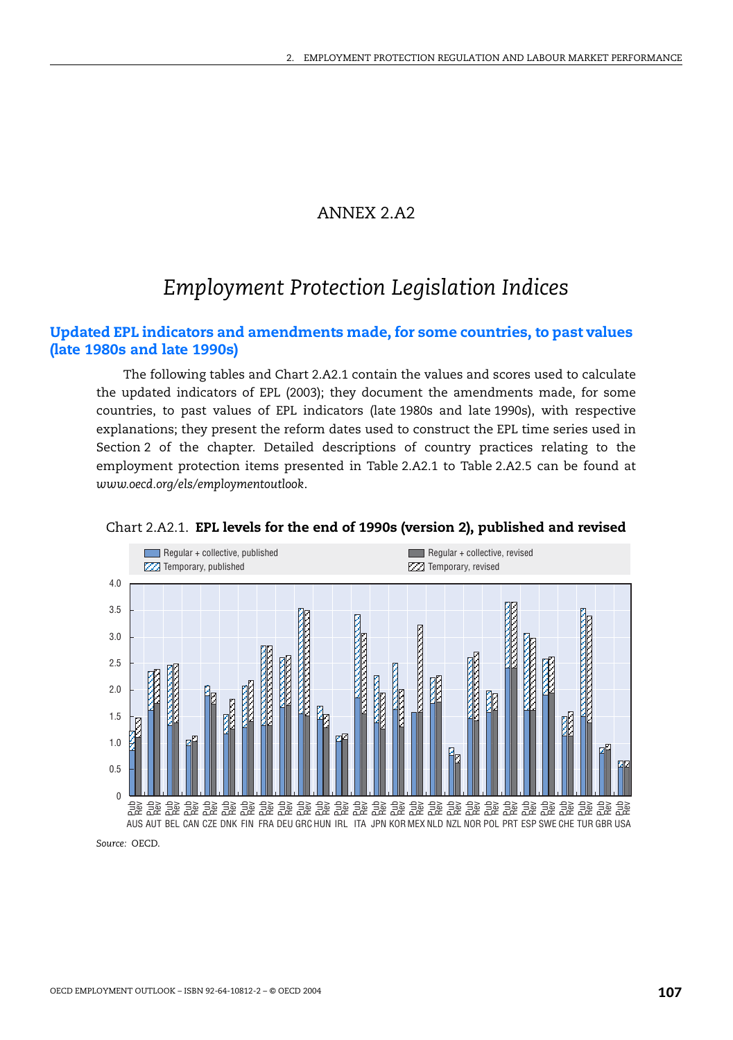## ANNEX 2.A2

## *Employment Protection Legislation Indices*

## **Updated EPL indicators and amendments made, for some countries, to past values (late 1980s and late 1990s)**

The following tables and Chart 2.A2.1 contain the values and scores used to calculate the updated indicators of EPL (2003); they document the amendments made, for some countries, to past values of EPL indicators (late 1980s and late 1990s), with respective explanations; they present the reform dates used to construct the EPL time series used in Section 2 of the chapter. Detailed descriptions of country practices relating to the employment protection items presented in Table 2.A2.1 to Table 2.A2.5 can be found at *www.oecd.org/els/employmentoutlook*.



#### Chart 2.A2.1. **EPL levels for the end of 1990s (version 2), published and revised**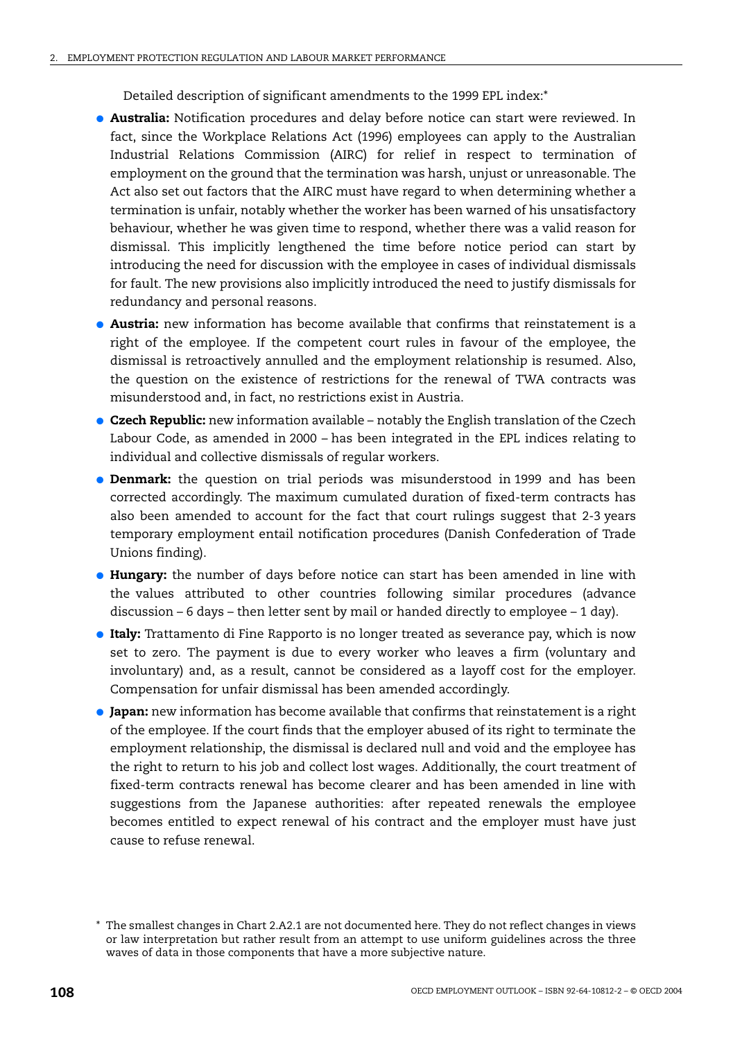Detailed description of significant amendments to the 1999 EPL index:\*

- **Australia:** Notification procedures and delay before notice can start were reviewed. In fact, since the Workplace Relations Act (1996) employees can apply to the Australian Industrial Relations Commission (AIRC) for relief in respect to termination of employment on the ground that the termination was harsh, unjust or unreasonable. The Act also set out factors that the AIRC must have regard to when determining whether a termination is unfair, notably whether the worker has been warned of his unsatisfactory behaviour, whether he was given time to respond, whether there was a valid reason for dismissal. This implicitly lengthened the time before notice period can start by introducing the need for discussion with the employee in cases of individual dismissals for fault. The new provisions also implicitly introduced the need to justify dismissals for redundancy and personal reasons.
- **Austria:** new information has become available that confirms that reinstatement is a right of the employee. If the competent court rules in favour of the employee, the dismissal is retroactively annulled and the employment relationship is resumed. Also, the question on the existence of restrictions for the renewal of TWA contracts was misunderstood and, in fact, no restrictions exist in Austria.
- **Czech Republic:** new information available notably the English translation of the Czech Labour Code, as amended in 2000 – has been integrated in the EPL indices relating to individual and collective dismissals of regular workers.
- **Denmark:** the question on trial periods was misunderstood in 1999 and has been corrected accordingly. The maximum cumulated duration of fixed-term contracts has also been amended to account for the fact that court rulings suggest that 2-3 years temporary employment entail notification procedures (Danish Confederation of Trade Unions finding).
- **Hungary:** the number of days before notice can start has been amended in line with the values attributed to other countries following similar procedures (advance discussion  $-6$  days  $-$  then letter sent by mail or handed directly to employee  $-1$  day).
- **Italy:** Trattamento di Fine Rapporto is no longer treated as severance pay, which is now set to zero. The payment is due to every worker who leaves a firm (voluntary and involuntary) and, as a result, cannot be considered as a layoff cost for the employer. Compensation for unfair dismissal has been amended accordingly.
- **Japan:** new information has become available that confirms that reinstatement is a right of the employee. If the court finds that the employer abused of its right to terminate the employment relationship, the dismissal is declared null and void and the employee has the right to return to his job and collect lost wages. Additionally, the court treatment of fixed-term contracts renewal has become clearer and has been amended in line with suggestions from the Japanese authorities: after repeated renewals the employee becomes entitled to expect renewal of his contract and the employer must have just cause to refuse renewal.

<sup>\*</sup> The smallest changes in Chart 2.A2.1 are not documented here. They do not reflect changes in views or law interpretation but rather result from an attempt to use uniform guidelines across the three waves of data in those components that have a more subjective nature.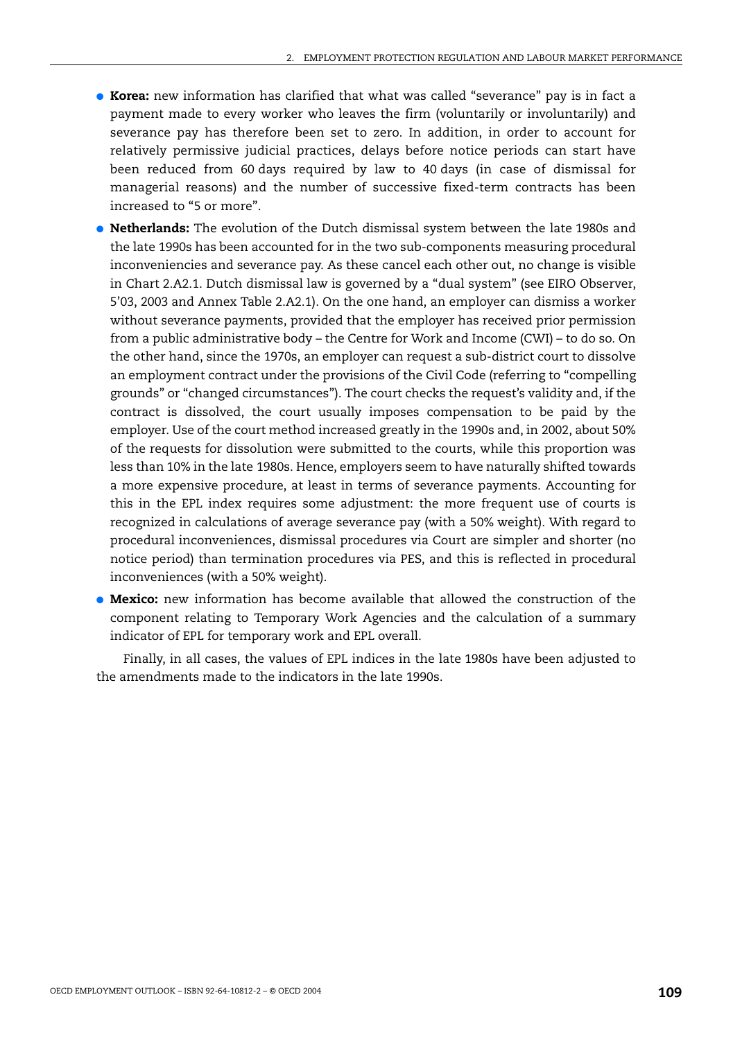- **Korea:** new information has clarified that what was called "severance" pay is in fact a payment made to every worker who leaves the firm (voluntarily or involuntarily) and severance pay has therefore been set to zero. In addition, in order to account for relatively permissive judicial practices, delays before notice periods can start have been reduced from 60 days required by law to 40 days (in case of dismissal for managerial reasons) and the number of successive fixed-term contracts has been increased to "5 or more".
- **Netherlands:** The evolution of the Dutch dismissal system between the late 1980s and the late 1990s has been accounted for in the two sub-components measuring procedural inconveniencies and severance pay. As these cancel each other out, no change is visible in Chart 2.A2.1. Dutch dismissal law is governed by a "dual system" (see EIRO Observer, 5'03, 2003 and Annex Table 2.A2.1). On the one hand, an employer can dismiss a worker without severance payments, provided that the employer has received prior permission from a public administrative body – the Centre for Work and Income (CWI) – to do so. On the other hand, since the 1970s, an employer can request a sub-district court to dissolve an employment contract under the provisions of the Civil Code (referring to "compelling grounds" or "changed circumstances"). The court checks the request's validity and, if the contract is dissolved, the court usually imposes compensation to be paid by the employer. Use of the court method increased greatly in the 1990s and, in 2002, about 50% of the requests for dissolution were submitted to the courts, while this proportion was less than 10% in the late 1980s. Hence, employers seem to have naturally shifted towards a more expensive procedure, at least in terms of severance payments. Accounting for this in the EPL index requires some adjustment: the more frequent use of courts is recognized in calculations of average severance pay (with a 50% weight). With regard to procedural inconveniences, dismissal procedures via Court are simpler and shorter (no notice period) than termination procedures via PES, and this is reflected in procedural inconveniences (with a 50% weight).
- **Mexico:** new information has become available that allowed the construction of the component relating to Temporary Work Agencies and the calculation of a summary indicator of EPL for temporary work and EPL overall.

Finally, in all cases, the values of EPL indices in the late 1980s have been adjusted to the amendments made to the indicators in the late 1990s.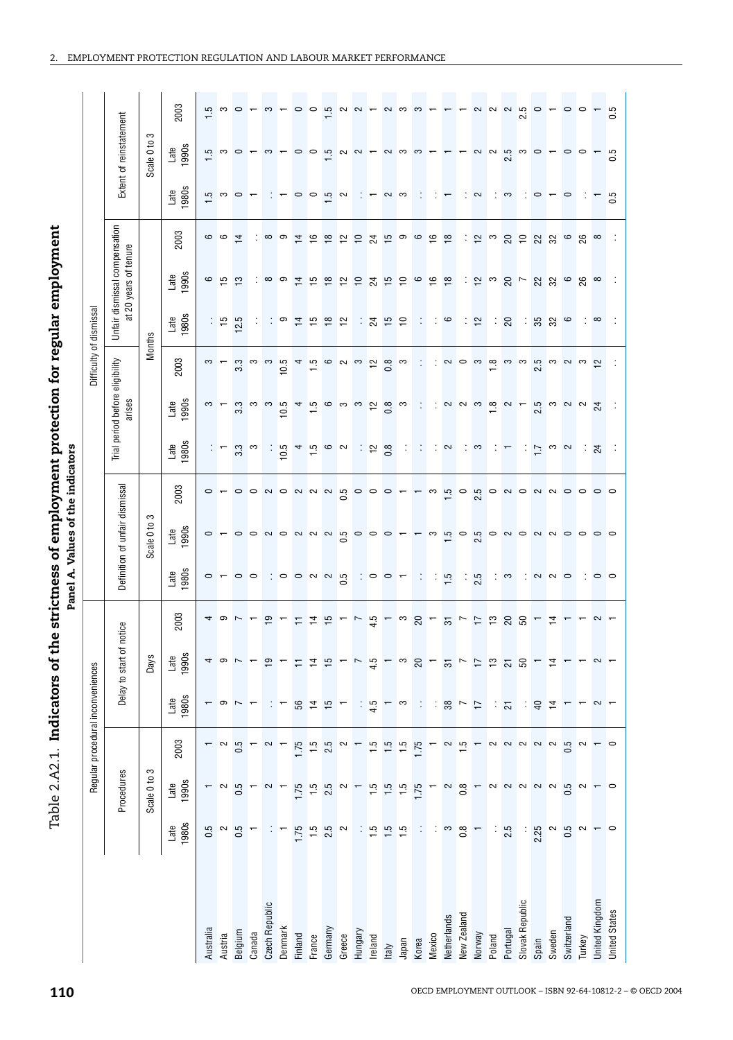| dicators of the strictness of employment protection for regular emplor | Danal A Values of the indicators    |
|------------------------------------------------------------------------|-------------------------------------|
| A2.1.                                                                  | Fallel A. Values VI Life IIIulicatu |

|                      |                                                               |                                  | Regular procedural incon |                                                                                | veniences                 |             |                                       |                                                         |                                    |                                                                            |                                                       |                                  | Difficulty of dismissal     |                                                        |                                |                                            |                                                                                                                                                                                                                                                                                                                                                                                                                                                                                         |                          |
|----------------------|---------------------------------------------------------------|----------------------------------|--------------------------|--------------------------------------------------------------------------------|---------------------------|-------------|---------------------------------------|---------------------------------------------------------|------------------------------------|----------------------------------------------------------------------------|-------------------------------------------------------|----------------------------------|-----------------------------|--------------------------------------------------------|--------------------------------|--------------------------------------------|-----------------------------------------------------------------------------------------------------------------------------------------------------------------------------------------------------------------------------------------------------------------------------------------------------------------------------------------------------------------------------------------------------------------------------------------------------------------------------------------|--------------------------|
|                      |                                                               | Procedures                       |                          |                                                                                | Delay to start of notice  |             |                                       | Definition of unfair dismissal                          |                                    |                                                                            | Trial period before eligibility<br>arises             |                                  |                             | Unfair dismissal compensation<br>at 20 years of tenure |                                |                                            | Extent of reinstatement                                                                                                                                                                                                                                                                                                                                                                                                                                                                 |                          |
|                      |                                                               | Scale 0 to 3                     |                          |                                                                                | Days                      |             |                                       | Scale 0 to 3                                            |                                    |                                                                            |                                                       |                                  | <b>Months</b>               |                                                        |                                |                                            | က<br>Scale 0 to                                                                                                                                                                                                                                                                                                                                                                                                                                                                         |                          |
|                      | 1980s<br>Late                                                 | Late<br>1990s                    | 2003                     | $\frac{ _{\text{late}}}{ _{\text{1980s}}}$                                     | $\frac{$ Late<br>1990s    | 2003        | $\frac{\text{Late}}{\text{1980s}}$    | Late<br>1990s                                           | 2003                               | $\frac{1}{1980s}$                                                          | 1990s<br>Late                                         | 2003                             | $\frac{Late}{1980s}$        | 1990s<br>Late                                          | 2003                           | Late<br>1980s                              | $\frac{1}{19}$                                                                                                                                                                                                                                                                                                                                                                                                                                                                          | 2003                     |
| Australia            | 0.5                                                           |                                  |                          |                                                                                |                           |             |                                       |                                                         |                                    |                                                                            |                                                       |                                  |                             | 9                                                      |                                |                                            |                                                                                                                                                                                                                                                                                                                                                                                                                                                                                         |                          |
| Austria              | $\sim$                                                        |                                  |                          | $ \circ$                                                                       | ⊣ თ                       | 40          | $0 - 0$                               | o + o o u o u u u u o o o + + w u o u o u o u u o o o o | O + O O N O N N N N O O O + + M N. | $\mathbb{R}^{\mathsf{m}}$                                                  | $\frac{1}{2}$                                         | $\infty$ $-$                     | : ≌                         | <b>500</b>                                             | $\circ$ $\circ$                | က္ကာ                                       | က္က                                                                                                                                                                                                                                                                                                                                                                                                                                                                                     | Faotatoo Faataaattraaa g |
| Belgium              | 0.5                                                           | 0.5                              | 0.5                      | $\sim$ $-$                                                                     | $\overline{ }$            | $\sim$ $-$  |                                       |                                                         |                                    | <b>ვ</b><br>ვ                                                              | ္ပံုက                                                 | <u>က္</u> ကာ                     | 2.5                         |                                                        | $\overline{4}$                 | $\circ$                                    | $\circ$ $\sim$                                                                                                                                                                                                                                                                                                                                                                                                                                                                          |                          |
| Canada               |                                                               |                                  |                          |                                                                                |                           |             |                                       |                                                         |                                    |                                                                            |                                                       |                                  |                             |                                                        |                                |                                            |                                                                                                                                                                                                                                                                                                                                                                                                                                                                                         |                          |
| Czech Republic       |                                                               |                                  |                          |                                                                                |                           | $P -$       |                                       |                                                         |                                    |                                                                            | က                                                     |                                  |                             |                                                        |                                |                                            |                                                                                                                                                                                                                                                                                                                                                                                                                                                                                         |                          |
| Denmark              |                                                               |                                  |                          |                                                                                |                           |             |                                       |                                                         |                                    |                                                                            | 10.5                                                  |                                  | ∶ື                          |                                                        |                                |                                            |                                                                                                                                                                                                                                                                                                                                                                                                                                                                                         |                          |
| Finland              | 1.75                                                          | 1.75                             | 1.75                     | $\therefore$ - $\frac{16}{12}$ $\frac{11}{12}$ $\frac{11}{12}$ $\frac{11}{12}$ | $P = 72P$                 |             | : 0 0 0 0 0 0                         |                                                         |                                    | $\frac{1}{10}$ a $\frac{1}{10}$ a $\alpha$                                 | 4                                                     | OCT CONDUCO<br>OCT CONDUCO       | 75                          | $\circ$ $\circ$ $\frac{1}{4}$ $\approx$                | : 894922229962                 | $\circ$ $\circ$                            | $\begin{array}{ccccccccccccccccc} \multicolumn{4}{c}{} & \multicolumn{4}{c}{} & \multicolumn{4}{c}{} & \multicolumn{4}{c}{} & \multicolumn{4}{c}{} & \multicolumn{4}{c}{} & \multicolumn{4}{c}{} & \multicolumn{4}{c}{} & \multicolumn{4}{c}{} & \multicolumn{4}{c}{} & \multicolumn{4}{c}{} & \multicolumn{4}{c}{} & \multicolumn{4}{c}{} & \multicolumn{4}{c}{} & \multicolumn{4}{c}{} & \multicolumn{4}{c}{} & \multicolumn{4}{c}{} & \multicolumn{4}{c}{} & \multicolumn{4}{c}{} &$ |                          |
| France               | $\frac{15}{15}$                                               | $\frac{15}{1}$                   | $1.5$<br>2.5             |                                                                                |                           |             |                                       |                                                         |                                    |                                                                            |                                                       |                                  |                             |                                                        |                                |                                            |                                                                                                                                                                                                                                                                                                                                                                                                                                                                                         |                          |
| Germany              | 2.5                                                           | 2.5                              |                          |                                                                                |                           |             |                                       |                                                         |                                    |                                                                            | 1.5 6 m m m m m 6                                     |                                  | $\frac{8}{2}$ $\frac{1}{2}$ | $\frac{8}{10}$                                         |                                | rù u                                       |                                                                                                                                                                                                                                                                                                                                                                                                                                                                                         |                          |
| Greece               | $\sim$                                                        |                                  |                          |                                                                                |                           |             |                                       |                                                         |                                    |                                                                            |                                                       |                                  |                             |                                                        |                                |                                            |                                                                                                                                                                                                                                                                                                                                                                                                                                                                                         |                          |
| Hungary              |                                                               |                                  |                          |                                                                                |                           |             |                                       |                                                         |                                    |                                                                            |                                                       |                                  |                             | 225                                                    |                                |                                            |                                                                                                                                                                                                                                                                                                                                                                                                                                                                                         |                          |
| Ireland              |                                                               |                                  | $\frac{15}{2}$           |                                                                                | 4.5                       |             |                                       |                                                         |                                    | $\frac{1}{2}$ $\frac{1}{2}$ $\frac{8}{6}$                                  |                                                       |                                  | $\frac{1}{2}$               |                                                        |                                |                                            |                                                                                                                                                                                                                                                                                                                                                                                                                                                                                         |                          |
| Italy                | $\frac{1}{2}$ in $\frac{1}{2}$ in $\frac{1}{2}$               | $\frac{15}{1}$ 5 $\frac{175}{1}$ | $\frac{15}{1}$           | $\frac{1}{4}$ $\frac{1}{4}$ $\frac{1}{4}$ $\frac{1}{10}$                       |                           |             | $\frac{1}{2}$ $\circ$ $\circ$ $\circ$ |                                                         |                                    |                                                                            |                                                       |                                  | 52                          | $\frac{1}{2}$                                          |                                | $ \sim$ $\infty$                           |                                                                                                                                                                                                                                                                                                                                                                                                                                                                                         |                          |
| Japan                |                                                               |                                  | $\frac{15}{15}$          |                                                                                | က                         |             |                                       |                                                         |                                    |                                                                            | က                                                     |                                  |                             | P                                                      |                                |                                            |                                                                                                                                                                                                                                                                                                                                                                                                                                                                                         |                          |
| Korea                |                                                               |                                  | 1.75                     |                                                                                | $R - R$ 5 7 7 7 8 7 7 7 7 |             | - 11                                  |                                                         |                                    | $\mathbb{R}^n \times \mathbb{R}^n \times \mathbb{R}^n \times \mathbb{R}^n$ |                                                       |                                  |                             | $\mathbf{c}$                                           |                                |                                            |                                                                                                                                                                                                                                                                                                                                                                                                                                                                                         |                          |
| Mexico               |                                                               |                                  |                          |                                                                                |                           |             |                                       |                                                         |                                    |                                                                            |                                                       |                                  |                             | 999                                                    |                                |                                            |                                                                                                                                                                                                                                                                                                                                                                                                                                                                                         |                          |
| Netherlands          | $\frac{1}{2}$ m $\frac{1}{2}$ m $\frac{1}{2}$ m $\frac{1}{2}$ | $\sim$                           |                          | $\therefore$ 28 $\sim$ 5                                                       |                           |             | $\frac{1}{1}$                         |                                                         |                                    |                                                                            | $\alpha$ $\alpha$ $\alpha$ $\alpha$ $\alpha$ $\alpha$ | : : ျပေ တစ် မဲ မဲ မိ မိ မိ မိ မိ | : ဖ                         |                                                        |                                | $\mathbf{r} = \mathbf{r} \cdot \mathbf{r}$ |                                                                                                                                                                                                                                                                                                                                                                                                                                                                                         |                          |
| New Zealand          |                                                               | 0.8                              | <u>ي</u>                 |                                                                                |                           |             |                                       |                                                         |                                    |                                                                            |                                                       |                                  |                             |                                                        |                                |                                            |                                                                                                                                                                                                                                                                                                                                                                                                                                                                                         |                          |
| Norway               |                                                               |                                  |                          |                                                                                |                           |             | $\frac{1}{2}$                         |                                                         | O <b>D</b> O N O N N O O           |                                                                            |                                                       |                                  | $\frac{1}{2}$               | : 2 ా 8 ా 8 ఖ ఉ 8 ఇ                                    | : 2 <sub>ຕ</sub> ຊ ຊ ຊ ຊ ຊ ຊ ∞ |                                            |                                                                                                                                                                                                                                                                                                                                                                                                                                                                                         |                          |
| Poland               |                                                               | 22222                            |                          |                                                                                |                           |             |                                       |                                                         |                                    |                                                                            |                                                       |                                  |                             |                                                        |                                |                                            |                                                                                                                                                                                                                                                                                                                                                                                                                                                                                         |                          |
| Portugal             | 2.5                                                           |                                  | $\sim$ $\sim$            | ់ ស                                                                            |                           |             | <u>: ო</u>                            |                                                         |                                    | in the                                                                     |                                                       |                                  |                             |                                                        |                                | <u>: ო</u>                                 |                                                                                                                                                                                                                                                                                                                                                                                                                                                                                         |                          |
| Slovak Republic      |                                                               |                                  |                          | $\mathbb{C}$                                                                   |                           |             |                                       |                                                         |                                    |                                                                            |                                                       |                                  |                             |                                                        |                                |                                            | $\begin{array}{c} 1.5 \\ 1.5 \\ 1.5 \end{array}$                                                                                                                                                                                                                                                                                                                                                                                                                                        |                          |
| Spain                | 2.25                                                          |                                  |                          |                                                                                |                           |             |                                       |                                                         |                                    |                                                                            |                                                       |                                  |                             |                                                        |                                | $\circ$ $\sim$                             |                                                                                                                                                                                                                                                                                                                                                                                                                                                                                         |                          |
| Sweden               | $\sim$                                                        |                                  |                          | 40                                                                             |                           |             | $\therefore$ $\circ$ $\circ$          |                                                         |                                    | $\therefore$ $\overline{C}$ $\omega$ $\alpha$                              |                                                       |                                  | : ඝ <u>ඍ</u> ෧              |                                                        |                                |                                            |                                                                                                                                                                                                                                                                                                                                                                                                                                                                                         |                          |
| Switzerland          | 0.5                                                           | $0.5$ $\alpha$                   | 2 2 5 2                  | $- -$                                                                          |                           | $- 7 - 0 -$ |                                       |                                                         |                                    |                                                                            | ro co co                                              |                                  |                             |                                                        |                                | $\circ$                                    | $00 - 5$                                                                                                                                                                                                                                                                                                                                                                                                                                                                                |                          |
| Turkey               | $\sim$                                                        |                                  |                          |                                                                                |                           |             |                                       |                                                         |                                    | ÷                                                                          |                                                       |                                  |                             |                                                        |                                |                                            |                                                                                                                                                                                                                                                                                                                                                                                                                                                                                         |                          |
| United Kingdom       |                                                               |                                  |                          | $\sim$ $-$                                                                     | $\sim$ $-$                |             | $\blacksquare$ : $\lhd$ $\lhd$        |                                                         | $\circ$ $\circ$                    | $\overline{24}$                                                            | $\overline{c}$                                        |                                  | $\infty$                    |                                                        |                                |                                            |                                                                                                                                                                                                                                                                                                                                                                                                                                                                                         | $\overline{ }$           |
| <b>United States</b> |                                                               | $\circ$                          | $\circ$                  |                                                                                |                           |             |                                       |                                                         |                                    |                                                                            |                                                       |                                  |                             |                                                        |                                | P.                                         |                                                                                                                                                                                                                                                                                                                                                                                                                                                                                         | 0.5                      |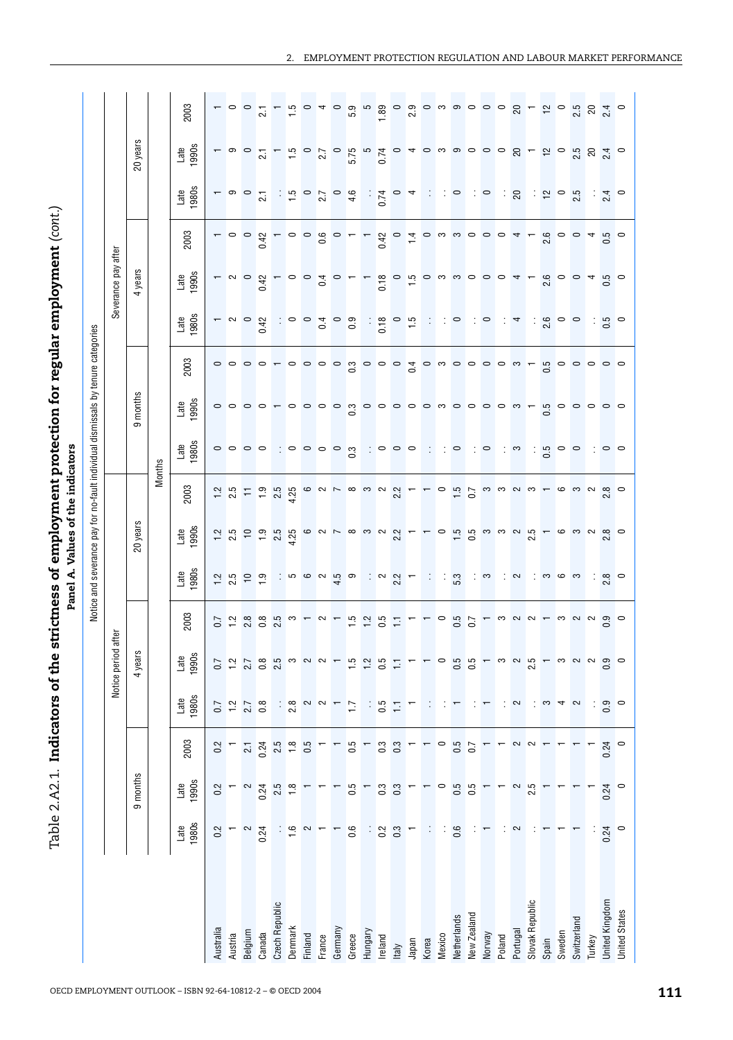|                      |                                                                       |                                           |                                            |                                                                                                                               |                                                                                                               |                  | Notice and severance pay for no-fault individual dismissals by tenure categories |                                             |               |                                                                                                               |                 |                 |                                                                                                                                                                                                                                                                                                                     |                                                                                                                                                                                                                                                                                                                     |                                            |                                                                                                                                                                                                                                                                                                                     |                                                                                                                                                                                                                                                                                                                                    |  |
|----------------------|-----------------------------------------------------------------------|-------------------------------------------|--------------------------------------------|-------------------------------------------------------------------------------------------------------------------------------|---------------------------------------------------------------------------------------------------------------|------------------|----------------------------------------------------------------------------------|---------------------------------------------|---------------|---------------------------------------------------------------------------------------------------------------|-----------------|-----------------|---------------------------------------------------------------------------------------------------------------------------------------------------------------------------------------------------------------------------------------------------------------------------------------------------------------------|---------------------------------------------------------------------------------------------------------------------------------------------------------------------------------------------------------------------------------------------------------------------------------------------------------------------|--------------------------------------------|---------------------------------------------------------------------------------------------------------------------------------------------------------------------------------------------------------------------------------------------------------------------------------------------------------------------|------------------------------------------------------------------------------------------------------------------------------------------------------------------------------------------------------------------------------------------------------------------------------------------------------------------------------------|--|
|                      |                                                                       |                                           |                                            |                                                                                                                               | Notice period after                                                                                           |                  |                                                                                  |                                             |               |                                                                                                               |                 |                 |                                                                                                                                                                                                                                                                                                                     | Severance pay after                                                                                                                                                                                                                                                                                                 |                                            |                                                                                                                                                                                                                                                                                                                     |                                                                                                                                                                                                                                                                                                                                    |  |
|                      |                                                                       | 9 months                                  |                                            |                                                                                                                               | 4 years                                                                                                       |                  |                                                                                  | 20 years                                    |               |                                                                                                               | months<br>ၜ     |                 |                                                                                                                                                                                                                                                                                                                     | 4 years                                                                                                                                                                                                                                                                                                             |                                            |                                                                                                                                                                                                                                                                                                                     | 20 years                                                                                                                                                                                                                                                                                                                           |  |
|                      |                                                                       |                                           |                                            |                                                                                                                               |                                                                                                               |                  |                                                                                  |                                             |               | <b>Months</b>                                                                                                 |                 |                 |                                                                                                                                                                                                                                                                                                                     |                                                                                                                                                                                                                                                                                                                     |                                            |                                                                                                                                                                                                                                                                                                                     |                                                                                                                                                                                                                                                                                                                                    |  |
|                      | <b>1980s</b><br>Late                                                  | 1990s<br>Late                             | 2003                                       | 1980s<br>Late                                                                                                                 | $\frac{_\text{Late}}{1990s}$                                                                                  | 2003             | $\frac{\text{Late}}{\text{1980s}}$                                               | Late<br>1990s                               | 2003          | $\frac{1}{3}$                                                                                                 | $Late$<br>1990s | 2003            | $\frac{\text{Late}}{\text{1980}}$                                                                                                                                                                                                                                                                                   | Late<br>1990s                                                                                                                                                                                                                                                                                                       | 2003                                       | $\frac{\text{Late}}{\text{1980s}}$                                                                                                                                                                                                                                                                                  | $Late$<br>1990s                                                                                                                                                                                                                                                                                                                    |  |
| Australia            | $\frac{2}{3}$                                                         | $\frac{2}{3}$                             | $\approx$                                  |                                                                                                                               |                                                                                                               | $\overline{0.7}$ |                                                                                  |                                             |               |                                                                                                               |                 |                 |                                                                                                                                                                                                                                                                                                                     |                                                                                                                                                                                                                                                                                                                     |                                            |                                                                                                                                                                                                                                                                                                                     |                                                                                                                                                                                                                                                                                                                                    |  |
| Austria              |                                                                       |                                           |                                            |                                                                                                                               | $0.7$<br>1.2                                                                                                  |                  |                                                                                  | $\frac{2}{1}$ $\frac{5}{10}$ $\frac{5}{10}$ | 12.5          |                                                                                                               |                 |                 |                                                                                                                                                                                                                                                                                                                     |                                                                                                                                                                                                                                                                                                                     | $\circ$                                    | ြ                                                                                                                                                                                                                                                                                                                   |                                                                                                                                                                                                                                                                                                                                    |  |
| Belgium              | $\sim$                                                                |                                           | $2.1$<br>$0.24$<br>$2.5$<br>$1.8$<br>$1.5$ | $0.7$<br>$1.2$<br>$2.7$<br>$0.8$                                                                                              | $2.7$<br>0.8                                                                                                  |                  | $7.5$<br>$2.5$<br>$7.9$<br>$7.9$                                                 |                                             | $= 20$        | $\circ \circ \circ \circ$                                                                                     |                 |                 | $ \circ$ $\frac{a}{r}$                                                                                                                                                                                                                                                                                              | $N = \frac{a}{r} - 0 = 0$                                                                                                                                                                                                                                                                                           | $\circ$                                    | $\frac{0}{21}$                                                                                                                                                                                                                                                                                                      | $\begin{array}{c} 0 & 0 & - & - & 0 \\ 0 & 0 & 0 & - & 0 \\ 0 & 0 & 0 & 0 \\ 0 & 0 & 0 & 0 \\ 0 & 0 & 0 & 0 \\ 0 & 0 & 0 & 0 \\ 0 & 0 & 0 & 0 \\ 0 & 0 & 0 & 0 \\ 0 & 0 & 0 & 0 \\ 0 & 0 & 0 & 0 \\ 0 & 0 & 0 & 0 \\ 0 & 0 & 0 & 0 \\ 0 & 0 & 0 & 0 \\ 0 & 0 & 0 & 0 \\ 0 & 0 & 0 & 0 & 0 \\ 0 & 0 & 0 & 0 & 0 \\ 0 & 0 & 0 & 0 &$ |  |
| Canada               | 0.24                                                                  | 0.24                                      |                                            |                                                                                                                               |                                                                                                               |                  |                                                                                  | $\frac{1}{2}$                               |               |                                                                                                               |                 |                 |                                                                                                                                                                                                                                                                                                                     |                                                                                                                                                                                                                                                                                                                     | $\overline{a}$                             |                                                                                                                                                                                                                                                                                                                     |                                                                                                                                                                                                                                                                                                                                    |  |
| Czech Republic       |                                                                       | $2.5$<br>1.8                              |                                            |                                                                                                                               | 2.5                                                                                                           |                  |                                                                                  | $2.5$<br>$4.25$                             | $2.5$<br>4.25 |                                                                                                               |                 |                 |                                                                                                                                                                                                                                                                                                                     |                                                                                                                                                                                                                                                                                                                     |                                            |                                                                                                                                                                                                                                                                                                                     |                                                                                                                                                                                                                                                                                                                                    |  |
| Denmark              | $\frac{16}{16}$ a $-$                                                 |                                           |                                            |                                                                                                                               |                                                                                                               |                  |                                                                                  |                                             |               |                                                                                                               |                 |                 |                                                                                                                                                                                                                                                                                                                     |                                                                                                                                                                                                                                                                                                                     | $\circ$                                    |                                                                                                                                                                                                                                                                                                                     |                                                                                                                                                                                                                                                                                                                                    |  |
| Finland              |                                                                       |                                           |                                            |                                                                                                                               | $m \sim N$                                                                                                    |                  |                                                                                  |                                             |               |                                                                                                               |                 |                 |                                                                                                                                                                                                                                                                                                                     |                                                                                                                                                                                                                                                                                                                     | $\circ$                                    |                                                                                                                                                                                                                                                                                                                     |                                                                                                                                                                                                                                                                                                                                    |  |
| France               |                                                                       |                                           |                                            |                                                                                                                               |                                                                                                               |                  |                                                                                  |                                             |               |                                                                                                               |                 |                 |                                                                                                                                                                                                                                                                                                                     |                                                                                                                                                                                                                                                                                                                     | 0.6                                        |                                                                                                                                                                                                                                                                                                                     |                                                                                                                                                                                                                                                                                                                                    |  |
| Germany              |                                                                       |                                           |                                            | $\frac{1}{2}$ $\frac{1}{2}$ $\frac{1}{2}$ $\frac{1}{2}$ $\frac{1}{2}$ $\frac{1}{2}$ $\frac{1}{2}$ $\frac{1}{2}$ $\frac{1}{2}$ |                                                                                                               |                  | $\frac{4}{10}$ to the value of $\frac{4}{10}$                                    |                                             |               | $\frac{1}{2}$ , $\frac{1}{2}$ , $\frac{1}{2}$ , $\frac{1}{2}$ , $\frac{1}{2}$ , $\frac{1}{2}$ , $\frac{1}{2}$ |                 |                 | $\frac{1}{2}$ $\frac{1}{2}$ $\frac{1}{2}$ $\frac{1}{2}$ $\frac{1}{2}$ $\frac{1}{2}$ $\frac{1}{2}$ $\frac{1}{2}$ $\frac{1}{2}$ $\frac{1}{2}$ $\frac{1}{2}$ $\frac{1}{2}$ $\frac{1}{2}$ $\frac{1}{2}$ $\frac{1}{2}$ $\frac{1}{2}$ $\frac{1}{2}$ $\frac{1}{2}$ $\frac{1}{2}$ $\frac{1}{2}$ $\frac{1}{2}$ $\frac{1}{2}$ |                                                                                                                                                                                                                                                                                                                     |                                            | $\frac{1}{2}$ $\frac{1}{2}$ $\frac{1}{2}$ $\frac{1}{2}$ $\frac{1}{2}$ $\frac{1}{2}$ $\frac{1}{2}$ $\frac{1}{2}$ $\frac{1}{2}$ $\frac{1}{2}$ $\frac{1}{2}$ $\frac{1}{2}$ $\frac{1}{2}$ $\frac{1}{2}$ $\frac{1}{2}$ $\frac{1}{2}$ $\frac{1}{2}$ $\frac{1}{2}$ $\frac{1}{2}$ $\frac{1}{2}$ $\frac{1}{2}$ $\frac{1}{2}$ |                                                                                                                                                                                                                                                                                                                                    |  |
| Greece               | 0.6                                                                   | $5 - 33 - 7$                              |                                            |                                                                                                                               | $\frac{5}{15}$                                                                                                |                  |                                                                                  |                                             |               |                                                                                                               |                 |                 |                                                                                                                                                                                                                                                                                                                     |                                                                                                                                                                                                                                                                                                                     |                                            |                                                                                                                                                                                                                                                                                                                     | 5.75                                                                                                                                                                                                                                                                                                                               |  |
| Hungary              |                                                                       |                                           |                                            |                                                                                                                               | $\frac{1}{2}$                                                                                                 |                  |                                                                                  |                                             |               |                                                                                                               |                 |                 |                                                                                                                                                                                                                                                                                                                     |                                                                                                                                                                                                                                                                                                                     |                                            |                                                                                                                                                                                                                                                                                                                     |                                                                                                                                                                                                                                                                                                                                    |  |
| Ireland              | $\frac{1}{2}$ $\frac{1}{2}$ $\frac{1}{2}$ $\frac{1}{2}$ $\frac{1}{2}$ |                                           |                                            | $\frac{1}{2}$ is $\frac{1}{2}$ in $\frac{1}{2}$                                                                               | 6.5                                                                                                           |                  | $\frac{1}{2}$ $\frac{1}{2}$ $\frac{1}{2}$ $\frac{1}{2}$ $\frac{1}{2}$            |                                             |               | $\frac{1}{2}$ $\circ$ $\circ$ $\circ$                                                                         |                 |                 | $\frac{1}{2}$ = $\frac{1}{2}$                                                                                                                                                                                                                                                                                       |                                                                                                                                                                                                                                                                                                                     | 0.42                                       | $\frac{1}{2}$ 0 4                                                                                                                                                                                                                                                                                                   |                                                                                                                                                                                                                                                                                                                                    |  |
| Italy                |                                                                       |                                           |                                            |                                                                                                                               | 들                                                                                                             |                  |                                                                                  |                                             |               |                                                                                                               |                 |                 |                                                                                                                                                                                                                                                                                                                     |                                                                                                                                                                                                                                                                                                                     | $\circ$                                    |                                                                                                                                                                                                                                                                                                                     |                                                                                                                                                                                                                                                                                                                                    |  |
| Japan                |                                                                       |                                           |                                            |                                                                                                                               |                                                                                                               |                  |                                                                                  |                                             |               |                                                                                                               |                 |                 |                                                                                                                                                                                                                                                                                                                     |                                                                                                                                                                                                                                                                                                                     | 4                                          |                                                                                                                                                                                                                                                                                                                     |                                                                                                                                                                                                                                                                                                                                    |  |
| Korea                | 41                                                                    |                                           | $\overline{\phantom{0}}$                   | ÷.                                                                                                                            | $\overline{ }$                                                                                                |                  |                                                                                  |                                             |               |                                                                                                               |                 |                 |                                                                                                                                                                                                                                                                                                                     |                                                                                                                                                                                                                                                                                                                     |                                            |                                                                                                                                                                                                                                                                                                                     |                                                                                                                                                                                                                                                                                                                                    |  |
| Mexico               |                                                                       | $\circ$                                   |                                            |                                                                                                                               | $\circ$                                                                                                       |                  | ∷ : ສ                                                                            |                                             |               |                                                                                                               |                 |                 | $\frac{1}{2}$ : $\frac{1}{2}$                                                                                                                                                                                                                                                                                       |                                                                                                                                                                                                                                                                                                                     |                                            |                                                                                                                                                                                                                                                                                                                     |                                                                                                                                                                                                                                                                                                                                    |  |
| <b>Netherlands</b>   | $\frac{1}{5}$                                                         | $\begin{array}{c} 0.5 \\ 0.5 \end{array}$ | $\begin{array}{c} 0.5 \\ 0.7 \end{array}$  |                                                                                                                               | $\begin{array}{c} 0.5 \\ 0.5 \end{array}$                                                                     |                  |                                                                                  |                                             |               |                                                                                                               |                 |                 |                                                                                                                                                                                                                                                                                                                     |                                                                                                                                                                                                                                                                                                                     |                                            |                                                                                                                                                                                                                                                                                                                     |                                                                                                                                                                                                                                                                                                                                    |  |
| New Zealand          | 江州                                                                    |                                           |                                            |                                                                                                                               |                                                                                                               |                  | <u>: ო</u>                                                                       |                                             |               | $\therefore$ $\circ$ $\circ$ $\circ$ $\circ$                                                                  |                 |                 | $\blacksquare$                                                                                                                                                                                                                                                                                                      | $\frac{1}{2}$ $\frac{1}{2}$ $\frac{1}{2}$ $\frac{1}{2}$ $\frac{1}{2}$ $\frac{1}{2}$ $\frac{1}{2}$ $\frac{1}{2}$ $\frac{1}{2}$ $\frac{1}{2}$ $\frac{1}{2}$ $\frac{1}{2}$ $\frac{1}{2}$ $\frac{1}{2}$ $\frac{1}{2}$ $\frac{1}{2}$ $\frac{1}{2}$ $\frac{1}{2}$ $\frac{1}{2}$ $\frac{1}{2}$ $\frac{1}{2}$ $\frac{1}{2}$ | $\circ$ $\circ$ $\circ$ $\circ$ $\circ$    | $\therefore$ $\circ$ $\circ$                                                                                                                                                                                                                                                                                        | rio 40 w w o o o o o a - a o mo 40                                                                                                                                                                                                                                                                                                 |  |
| Norway               |                                                                       |                                           |                                            |                                                                                                                               | $\begin{array}{c} \n - \circ \circ \circ \circ - \circ \circ \circ \circ \\ \n \circ \circ \circ \end{array}$ |                  |                                                                                  |                                             |               |                                                                                                               |                 |                 |                                                                                                                                                                                                                                                                                                                     |                                                                                                                                                                                                                                                                                                                     |                                            |                                                                                                                                                                                                                                                                                                                     |                                                                                                                                                                                                                                                                                                                                    |  |
| Poland               |                                                                       |                                           |                                            | $\vdots$ $\sim$                                                                                                               |                                                                                                               |                  |                                                                                  |                                             |               |                                                                                                               |                 |                 | $\frac{1}{4}$                                                                                                                                                                                                                                                                                                       |                                                                                                                                                                                                                                                                                                                     |                                            | ະ ສ                                                                                                                                                                                                                                                                                                                 |                                                                                                                                                                                                                                                                                                                                    |  |
| Portugal             | $\frac{1}{2}$                                                         | $\sim$                                    | $\sim$ $\sim$                              |                                                                                                                               |                                                                                                               |                  |                                                                                  |                                             |               |                                                                                                               |                 |                 |                                                                                                                                                                                                                                                                                                                     |                                                                                                                                                                                                                                                                                                                     | $4 -$                                      |                                                                                                                                                                                                                                                                                                                     |                                                                                                                                                                                                                                                                                                                                    |  |
| Slovak Republic      |                                                                       | 2.5                                       |                                            |                                                                                                                               |                                                                                                               |                  |                                                                                  |                                             |               |                                                                                                               |                 |                 |                                                                                                                                                                                                                                                                                                                     |                                                                                                                                                                                                                                                                                                                     |                                            |                                                                                                                                                                                                                                                                                                                     |                                                                                                                                                                                                                                                                                                                                    |  |
| Spain                |                                                                       |                                           |                                            | ္က — လ                                                                                                                        |                                                                                                               |                  | $\alpha$ $\alpha$ $\alpha$ $\beta$                                               |                                             |               | $\frac{1}{2}$ $\frac{1}{2}$ $\frac{1}{2}$ $\frac{1}{2}$                                                       |                 |                 | $\frac{1}{2}$ $\frac{1}{2}$ $\frac{1}{2}$ $\frac{1}{2}$ $\frac{1}{2}$                                                                                                                                                                                                                                               | 600460                                                                                                                                                                                                                                                                                                              | $\begin{array}{c} 0 \\ 0 \\ 0 \end{array}$ | : ೪ ° ೫                                                                                                                                                                                                                                                                                                             |                                                                                                                                                                                                                                                                                                                                    |  |
| Sweden               |                                                                       |                                           |                                            |                                                                                                                               |                                                                                                               |                  |                                                                                  |                                             |               |                                                                                                               |                 |                 |                                                                                                                                                                                                                                                                                                                     |                                                                                                                                                                                                                                                                                                                     |                                            |                                                                                                                                                                                                                                                                                                                     |                                                                                                                                                                                                                                                                                                                                    |  |
| Switzerland          |                                                                       |                                           |                                            |                                                                                                                               |                                                                                                               |                  |                                                                                  |                                             |               |                                                                                                               |                 |                 |                                                                                                                                                                                                                                                                                                                     |                                                                                                                                                                                                                                                                                                                     |                                            |                                                                                                                                                                                                                                                                                                                     |                                                                                                                                                                                                                                                                                                                                    |  |
| Turkey               |                                                                       |                                           |                                            | $\ddot{\cdot}$                                                                                                                |                                                                                                               |                  |                                                                                  |                                             |               | $\blacksquare$ : $\circ$ $\circ$                                                                              |                 |                 |                                                                                                                                                                                                                                                                                                                     |                                                                                                                                                                                                                                                                                                                     |                                            |                                                                                                                                                                                                                                                                                                                     |                                                                                                                                                                                                                                                                                                                                    |  |
| United Kingdom       | 0.24                                                                  | 0.24                                      | 0.24                                       | 0.9                                                                                                                           | 0.9                                                                                                           |                  | $\frac{1}{2}$ $\frac{8}{2}$ $\circ$                                              |                                             |               |                                                                                                               |                 | $\circ$ $\circ$ | : " ေ                                                                                                                                                                                                                                                                                                               |                                                                                                                                                                                                                                                                                                                     | $\frac{5}{6}$                              | $\frac{1}{24}$ 0                                                                                                                                                                                                                                                                                                    |                                                                                                                                                                                                                                                                                                                                    |  |
| <b>United States</b> | $\circ$                                                               |                                           |                                            | $\circ$                                                                                                                       |                                                                                                               |                  |                                                                                  |                                             |               |                                                                                                               |                 |                 |                                                                                                                                                                                                                                                                                                                     |                                                                                                                                                                                                                                                                                                                     |                                            |                                                                                                                                                                                                                                                                                                                     |                                                                                                                                                                                                                                                                                                                                    |  |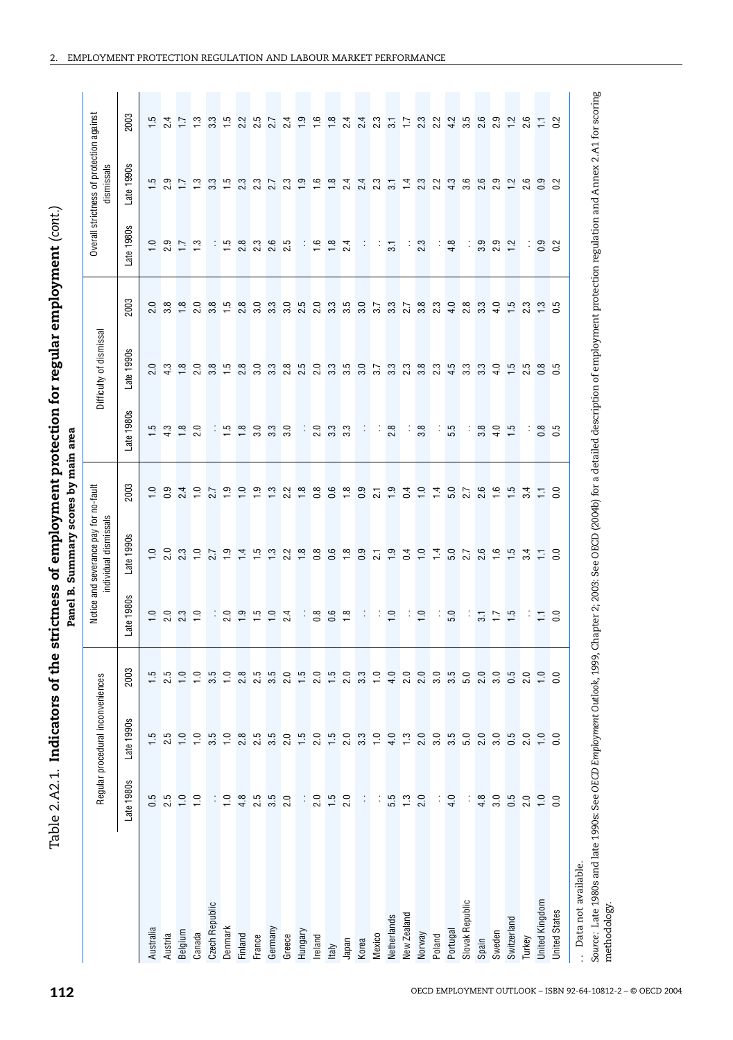| Late 1990s<br>$2.\overline{3}$<br>23<br>21368<br>$2.9$<br>$7.2$<br>$2.6$<br>00 N<br>$1.5$ $2.5$ $1.3$<br>$3, 3$<br>1.5<br>2.7<br>$7.6$ $7.8$ $7.4$<br>$2.3 \over 2.3$<br>14.3<br>$\sim$<br>$\sim$<br>$\overline{\mathbf{a}}$<br>$\circ$<br>$\circ$<br>Late 1980s<br>19972<br>$\frac{5}{1}$<br>$2.\overline{3}$<br><u>ဖ</u> ြော<br>$\frac{1}{1}$ $\frac{6}{1}$<br>4.8<br>3.9<br>2.9<br>0.2<br>÷<br>$\frac{8}{10}$<br>$\overline{2.4}$<br>2.3<br>÷<br>$\overline{3}$<br>$\sim$ $\sim$<br>$\overline{\mathbf{N}}$<br>$\overline{\mathbf{N}}$<br>2003<br>$\frac{8}{1}$<br>3.8<br>5<br>2000 5000 5000 5000 5000 500<br>2000 500 500 500<br>4.0<br>3.3<br>$2.\overline{3}$ $1.\overline{3}$ 0.5<br>$\circ$<br>$\infty$<br>20<br>$\frac{15}{15}$<br>2.8<br>3.3<br>3.0<br>က<br>28<br>$\frac{1}{4}$<br>$\frac{5}{1}$<br>പ്ത്<br>$\overline{\mathbf{a}}$<br>Late 1990s<br>$2.000000$<br>2.3808085<br>Late 1980s<br>$1.9$ $9.9$ $0.9$<br>$1.9$ $0.9$ $0.9$<br>$\frac{1}{2}$ $\frac{1}{2}$ $\frac{1}{2}$ $\frac{1}{2}$ $\frac{1}{2}$<br>33<br>3.0<br>2.0<br>3.3<br>3.3<br>2.8<br>3.8<br>5.5<br>3.8<br>$\frac{1}{4}$ .5<br><u>∞ ო</u><br>÷,<br>÷<br>$\overline{\circ}$ $\overline{\circ}$<br>2003<br>ာ<br>$2.4$<br>$7.9$<br>$7.9$<br>$7.9$ $7.3$ $7.3$<br>7.8888887<br>$\frac{9}{0.4}$<br>$\overline{1.0}$<br>$5.0$<br>2.7<br>$\mathbf{c}$<br>$1.5$ $1.5$ $3.4$<br>$\circ$<br>$\circ$<br>$\frac{4}{11}$<br>Ξ<br>÷<br>$\circ$<br>$\sim$<br>$\overline{\mathbf{N}}$<br>$\circ$<br>Late 1990s<br>2.0<br>S<br>$\frac{10}{11}$<br>$\frac{1}{2}$<br>$\frac{8}{1.8}$<br>0.6<br>$0.\overline{9}$ $2.\overline{1}$<br>$\frac{9}{10}$<br>$\frac{0}{1}$<br>5.0<br>2.7<br>2.6<br>$\frac{6}{10}$<br>$1.5$<br>3.4<br>$\frac{0}{1}$<br>2.7<br>$\frac{4}{1}$ = $\frac{1}{2}$<br>$\frac{13}{2}$<br>$\overline{0.4}$<br>$\frac{1}{4}$<br>$\overline{0.0}$<br>Ξ<br>$\sim$<br>Late 1980s<br>2.0<br>2.3<br>$\frac{1}{2}$<br>2.0<br>$\frac{5}{1}$ .5<br>$\frac{1}{2}$<br>24<br>$\frac{3}{5}$<br>0.6<br>$\frac{8}{10}$<br>$\frac{1}{2}$<br>$\frac{10}{10}$<br>5.0<br>$\frac{1}{2}$ 3<br>$\frac{10}{10}$<br>÷<br>$\overline{31}$<br>$\frac{17}{15}$<br>÷<br>÷.<br>÷<br>÷<br>$\cdot$<br>2003<br>3.5<br>$4.0$<br>$2.0$<br>$2.0$<br>$\begin{array}{c} 0 \\ 0 \\ 0 \\ 0 \\ 0 \\ \end{array}$<br>3.0<br>$1.5$ $0.9$ $1.9$<br>8 5 5 6 9<br>2 8 9 20<br>$1.5$ 0 $1.5$ 0 $-2.5$<br>$\frac{33}{10}$<br>2.0<br>$0.5$<br>$2.0$<br>$\frac{1}{2}$<br>$\overline{0}$<br>് പ<br>Late 1990s<br>$1.5$ 2.0<br>2.5<br>$\overline{1}$ .0<br>$\frac{1}{10}$<br>3.5<br>$\frac{1}{2}$<br>2.8<br>2.5<br>3.5<br>2.0<br>1.5<br>2.0<br>$3.\overline{3}$<br>1.0<br>4.3<br>2.0<br>3.0<br>3.5<br>5.0<br>2.0<br>3.0<br>0.5<br>2.0<br>$\overline{1.0}$<br>$\overline{0}$ .<br>$\frac{15}{1}$<br>Late 1980s<br>$\begin{array}{c} 0.5 \\ 2.5 \end{array}$<br>$\frac{10}{10}$<br>2.5<br>$\begin{array}{c} 5 \\ 2.0 \end{array}$<br>$\frac{1}{2}$<br>$\begin{array}{c} 5.5 \\ -1.3 \end{array}$<br>4.8<br>3.0<br>0.5<br>2.0<br>$\overline{1.0}$<br>÷<br>$\frac{1}{2}$<br>4.8<br>$1.5$<br>2.0<br>÷<br>2.0<br>$\frac{1}{4}$<br>$\ddot{\phantom{a}}$<br>$\overline{0}$<br>÷<br>Data not available.<br>Slovak Republic<br>United Kingdom<br>Czech Republic<br>methodology.<br><b>United States</b><br>New Zealand<br>Netherlands<br>Switzerland<br>Denmark<br>Australia<br>Germany<br>Belgium<br>Hungary<br>Portugal<br>Sweden<br>Canada<br>Norway<br>Austria<br>Finland<br>Mexico<br>Greece<br>Poland<br>Ireland<br>France<br>Turkey<br>Spain<br>Japan<br>Korea<br>Italy |  | Regular procedural inconven | iences | Notice and severance pay for no-fault<br>individual dismissals |  | Difficulty of dismissal |  | Overall strictness of protection against<br>dismissals |      |
|----------------------------------------------------------------------------------------------------------------------------------------------------------------------------------------------------------------------------------------------------------------------------------------------------------------------------------------------------------------------------------------------------------------------------------------------------------------------------------------------------------------------------------------------------------------------------------------------------------------------------------------------------------------------------------------------------------------------------------------------------------------------------------------------------------------------------------------------------------------------------------------------------------------------------------------------------------------------------------------------------------------------------------------------------------------------------------------------------------------------------------------------------------------------------------------------------------------------------------------------------------------------------------------------------------------------------------------------------------------------------------------------------------------------------------------------------------------------------------------------------------------------------------------------------------------------------------------------------------------------------------------------------------------------------------------------------------------------------------------------------------------------------------------------------------------------------------------------------------------------------------------------------------------------------------------------------------------------------------------------------------------------------------------------------------------------------------------------------------------------------------------------------------------------------------------------------------------------------------------------------------------------------------------------------------------------------------------------------------------------------------------------------------------------------------------------------------------------------------------------------------------------------------------------------------------------------------------------------------------------------------------------------------------------------------------------------------------------------------------------------------------------------------------------------------------------------------------------------------------------------------------------------------------------------------------------------------------------------------------------------------------------------------------------------------------------------------------------------------------------------------------------------------------------------------------------------------------------------------------------------------------------------------------------------------------------------------------------------------------------------------------------------------------------------------------------------------------------------------------------|--|-----------------------------|--------|----------------------------------------------------------------|--|-------------------------|--|--------------------------------------------------------|------|
| $1.5$ $2.7$ $1.3$                                                                                                                                                                                                                                                                                                                                                                                                                                                                                                                                                                                                                                                                                                                                                                                                                                                                                                                                                                                                                                                                                                                                                                                                                                                                                                                                                                                                                                                                                                                                                                                                                                                                                                                                                                                                                                                                                                                                                                                                                                                                                                                                                                                                                                                                                                                                                                                                                                                                                                                                                                                                                                                                                                                                                                                                                                                                                                                                                                                                                                                                                                                                                                                                                                                                                                                                                                                                                                                                            |  |                             |        |                                                                |  |                         |  |                                                        | 2003 |
|                                                                                                                                                                                                                                                                                                                                                                                                                                                                                                                                                                                                                                                                                                                                                                                                                                                                                                                                                                                                                                                                                                                                                                                                                                                                                                                                                                                                                                                                                                                                                                                                                                                                                                                                                                                                                                                                                                                                                                                                                                                                                                                                                                                                                                                                                                                                                                                                                                                                                                                                                                                                                                                                                                                                                                                                                                                                                                                                                                                                                                                                                                                                                                                                                                                                                                                                                                                                                                                                                              |  |                             |        |                                                                |  |                         |  |                                                        |      |
|                                                                                                                                                                                                                                                                                                                                                                                                                                                                                                                                                                                                                                                                                                                                                                                                                                                                                                                                                                                                                                                                                                                                                                                                                                                                                                                                                                                                                                                                                                                                                                                                                                                                                                                                                                                                                                                                                                                                                                                                                                                                                                                                                                                                                                                                                                                                                                                                                                                                                                                                                                                                                                                                                                                                                                                                                                                                                                                                                                                                                                                                                                                                                                                                                                                                                                                                                                                                                                                                                              |  |                             |        |                                                                |  |                         |  |                                                        |      |
| Source: Late 1980s and late 1990s: See OECD Employment Outlook, 1999, Chapter 2; 2003: See OECD (2004b) for a detailed description of employment protection regulation and Annex 2.A1 for scoring<br>$\frac{1}{2}$ 3 3 4 5 6 6<br>$2.9$<br>$7.2$<br>$2.6$<br>$\frac{9}{1}$ $\frac{1}{6}$<br>$\frac{18}{24}$<br>$2.\overline{3}$<br>$\frac{1}{2}$ $\frac{1}{2}$                                                                                                                                                                                                                                                                                                                                                                                                                                                                                                                                                                                                                                                                                                                                                                                                                                                                                                                                                                                                                                                                                                                                                                                                                                                                                                                                                                                                                                                                                                                                                                                                                                                                                                                                                                                                                                                                                                                                                                                                                                                                                                                                                                                                                                                                                                                                                                                                                                                                                                                                                                                                                                                                                                                                                                                                                                                                                                                                                                                                                                                                                                                               |  |                             |        |                                                                |  |                         |  |                                                        |      |
|                                                                                                                                                                                                                                                                                                                                                                                                                                                                                                                                                                                                                                                                                                                                                                                                                                                                                                                                                                                                                                                                                                                                                                                                                                                                                                                                                                                                                                                                                                                                                                                                                                                                                                                                                                                                                                                                                                                                                                                                                                                                                                                                                                                                                                                                                                                                                                                                                                                                                                                                                                                                                                                                                                                                                                                                                                                                                                                                                                                                                                                                                                                                                                                                                                                                                                                                                                                                                                                                                              |  |                             |        |                                                                |  |                         |  |                                                        |      |
|                                                                                                                                                                                                                                                                                                                                                                                                                                                                                                                                                                                                                                                                                                                                                                                                                                                                                                                                                                                                                                                                                                                                                                                                                                                                                                                                                                                                                                                                                                                                                                                                                                                                                                                                                                                                                                                                                                                                                                                                                                                                                                                                                                                                                                                                                                                                                                                                                                                                                                                                                                                                                                                                                                                                                                                                                                                                                                                                                                                                                                                                                                                                                                                                                                                                                                                                                                                                                                                                                              |  |                             |        |                                                                |  |                         |  |                                                        |      |
|                                                                                                                                                                                                                                                                                                                                                                                                                                                                                                                                                                                                                                                                                                                                                                                                                                                                                                                                                                                                                                                                                                                                                                                                                                                                                                                                                                                                                                                                                                                                                                                                                                                                                                                                                                                                                                                                                                                                                                                                                                                                                                                                                                                                                                                                                                                                                                                                                                                                                                                                                                                                                                                                                                                                                                                                                                                                                                                                                                                                                                                                                                                                                                                                                                                                                                                                                                                                                                                                                              |  |                             |        |                                                                |  |                         |  |                                                        |      |
|                                                                                                                                                                                                                                                                                                                                                                                                                                                                                                                                                                                                                                                                                                                                                                                                                                                                                                                                                                                                                                                                                                                                                                                                                                                                                                                                                                                                                                                                                                                                                                                                                                                                                                                                                                                                                                                                                                                                                                                                                                                                                                                                                                                                                                                                                                                                                                                                                                                                                                                                                                                                                                                                                                                                                                                                                                                                                                                                                                                                                                                                                                                                                                                                                                                                                                                                                                                                                                                                                              |  |                             |        |                                                                |  |                         |  |                                                        |      |
|                                                                                                                                                                                                                                                                                                                                                                                                                                                                                                                                                                                                                                                                                                                                                                                                                                                                                                                                                                                                                                                                                                                                                                                                                                                                                                                                                                                                                                                                                                                                                                                                                                                                                                                                                                                                                                                                                                                                                                                                                                                                                                                                                                                                                                                                                                                                                                                                                                                                                                                                                                                                                                                                                                                                                                                                                                                                                                                                                                                                                                                                                                                                                                                                                                                                                                                                                                                                                                                                                              |  |                             |        |                                                                |  |                         |  |                                                        |      |
|                                                                                                                                                                                                                                                                                                                                                                                                                                                                                                                                                                                                                                                                                                                                                                                                                                                                                                                                                                                                                                                                                                                                                                                                                                                                                                                                                                                                                                                                                                                                                                                                                                                                                                                                                                                                                                                                                                                                                                                                                                                                                                                                                                                                                                                                                                                                                                                                                                                                                                                                                                                                                                                                                                                                                                                                                                                                                                                                                                                                                                                                                                                                                                                                                                                                                                                                                                                                                                                                                              |  |                             |        |                                                                |  |                         |  |                                                        |      |
|                                                                                                                                                                                                                                                                                                                                                                                                                                                                                                                                                                                                                                                                                                                                                                                                                                                                                                                                                                                                                                                                                                                                                                                                                                                                                                                                                                                                                                                                                                                                                                                                                                                                                                                                                                                                                                                                                                                                                                                                                                                                                                                                                                                                                                                                                                                                                                                                                                                                                                                                                                                                                                                                                                                                                                                                                                                                                                                                                                                                                                                                                                                                                                                                                                                                                                                                                                                                                                                                                              |  |                             |        |                                                                |  |                         |  |                                                        | 2.4  |
|                                                                                                                                                                                                                                                                                                                                                                                                                                                                                                                                                                                                                                                                                                                                                                                                                                                                                                                                                                                                                                                                                                                                                                                                                                                                                                                                                                                                                                                                                                                                                                                                                                                                                                                                                                                                                                                                                                                                                                                                                                                                                                                                                                                                                                                                                                                                                                                                                                                                                                                                                                                                                                                                                                                                                                                                                                                                                                                                                                                                                                                                                                                                                                                                                                                                                                                                                                                                                                                                                              |  |                             |        |                                                                |  |                         |  |                                                        |      |
|                                                                                                                                                                                                                                                                                                                                                                                                                                                                                                                                                                                                                                                                                                                                                                                                                                                                                                                                                                                                                                                                                                                                                                                                                                                                                                                                                                                                                                                                                                                                                                                                                                                                                                                                                                                                                                                                                                                                                                                                                                                                                                                                                                                                                                                                                                                                                                                                                                                                                                                                                                                                                                                                                                                                                                                                                                                                                                                                                                                                                                                                                                                                                                                                                                                                                                                                                                                                                                                                                              |  |                             |        |                                                                |  |                         |  |                                                        |      |
|                                                                                                                                                                                                                                                                                                                                                                                                                                                                                                                                                                                                                                                                                                                                                                                                                                                                                                                                                                                                                                                                                                                                                                                                                                                                                                                                                                                                                                                                                                                                                                                                                                                                                                                                                                                                                                                                                                                                                                                                                                                                                                                                                                                                                                                                                                                                                                                                                                                                                                                                                                                                                                                                                                                                                                                                                                                                                                                                                                                                                                                                                                                                                                                                                                                                                                                                                                                                                                                                                              |  |                             |        |                                                                |  |                         |  |                                                        |      |
|                                                                                                                                                                                                                                                                                                                                                                                                                                                                                                                                                                                                                                                                                                                                                                                                                                                                                                                                                                                                                                                                                                                                                                                                                                                                                                                                                                                                                                                                                                                                                                                                                                                                                                                                                                                                                                                                                                                                                                                                                                                                                                                                                                                                                                                                                                                                                                                                                                                                                                                                                                                                                                                                                                                                                                                                                                                                                                                                                                                                                                                                                                                                                                                                                                                                                                                                                                                                                                                                                              |  |                             |        |                                                                |  |                         |  |                                                        |      |
|                                                                                                                                                                                                                                                                                                                                                                                                                                                                                                                                                                                                                                                                                                                                                                                                                                                                                                                                                                                                                                                                                                                                                                                                                                                                                                                                                                                                                                                                                                                                                                                                                                                                                                                                                                                                                                                                                                                                                                                                                                                                                                                                                                                                                                                                                                                                                                                                                                                                                                                                                                                                                                                                                                                                                                                                                                                                                                                                                                                                                                                                                                                                                                                                                                                                                                                                                                                                                                                                                              |  |                             |        |                                                                |  |                         |  |                                                        |      |
|                                                                                                                                                                                                                                                                                                                                                                                                                                                                                                                                                                                                                                                                                                                                                                                                                                                                                                                                                                                                                                                                                                                                                                                                                                                                                                                                                                                                                                                                                                                                                                                                                                                                                                                                                                                                                                                                                                                                                                                                                                                                                                                                                                                                                                                                                                                                                                                                                                                                                                                                                                                                                                                                                                                                                                                                                                                                                                                                                                                                                                                                                                                                                                                                                                                                                                                                                                                                                                                                                              |  |                             |        |                                                                |  |                         |  |                                                        |      |
|                                                                                                                                                                                                                                                                                                                                                                                                                                                                                                                                                                                                                                                                                                                                                                                                                                                                                                                                                                                                                                                                                                                                                                                                                                                                                                                                                                                                                                                                                                                                                                                                                                                                                                                                                                                                                                                                                                                                                                                                                                                                                                                                                                                                                                                                                                                                                                                                                                                                                                                                                                                                                                                                                                                                                                                                                                                                                                                                                                                                                                                                                                                                                                                                                                                                                                                                                                                                                                                                                              |  |                             |        |                                                                |  |                         |  |                                                        | 31   |
|                                                                                                                                                                                                                                                                                                                                                                                                                                                                                                                                                                                                                                                                                                                                                                                                                                                                                                                                                                                                                                                                                                                                                                                                                                                                                                                                                                                                                                                                                                                                                                                                                                                                                                                                                                                                                                                                                                                                                                                                                                                                                                                                                                                                                                                                                                                                                                                                                                                                                                                                                                                                                                                                                                                                                                                                                                                                                                                                                                                                                                                                                                                                                                                                                                                                                                                                                                                                                                                                                              |  |                             |        |                                                                |  |                         |  |                                                        |      |
|                                                                                                                                                                                                                                                                                                                                                                                                                                                                                                                                                                                                                                                                                                                                                                                                                                                                                                                                                                                                                                                                                                                                                                                                                                                                                                                                                                                                                                                                                                                                                                                                                                                                                                                                                                                                                                                                                                                                                                                                                                                                                                                                                                                                                                                                                                                                                                                                                                                                                                                                                                                                                                                                                                                                                                                                                                                                                                                                                                                                                                                                                                                                                                                                                                                                                                                                                                                                                                                                                              |  |                             |        |                                                                |  |                         |  |                                                        |      |
|                                                                                                                                                                                                                                                                                                                                                                                                                                                                                                                                                                                                                                                                                                                                                                                                                                                                                                                                                                                                                                                                                                                                                                                                                                                                                                                                                                                                                                                                                                                                                                                                                                                                                                                                                                                                                                                                                                                                                                                                                                                                                                                                                                                                                                                                                                                                                                                                                                                                                                                                                                                                                                                                                                                                                                                                                                                                                                                                                                                                                                                                                                                                                                                                                                                                                                                                                                                                                                                                                              |  |                             |        |                                                                |  |                         |  |                                                        |      |
|                                                                                                                                                                                                                                                                                                                                                                                                                                                                                                                                                                                                                                                                                                                                                                                                                                                                                                                                                                                                                                                                                                                                                                                                                                                                                                                                                                                                                                                                                                                                                                                                                                                                                                                                                                                                                                                                                                                                                                                                                                                                                                                                                                                                                                                                                                                                                                                                                                                                                                                                                                                                                                                                                                                                                                                                                                                                                                                                                                                                                                                                                                                                                                                                                                                                                                                                                                                                                                                                                              |  |                             |        |                                                                |  |                         |  |                                                        |      |
|                                                                                                                                                                                                                                                                                                                                                                                                                                                                                                                                                                                                                                                                                                                                                                                                                                                                                                                                                                                                                                                                                                                                                                                                                                                                                                                                                                                                                                                                                                                                                                                                                                                                                                                                                                                                                                                                                                                                                                                                                                                                                                                                                                                                                                                                                                                                                                                                                                                                                                                                                                                                                                                                                                                                                                                                                                                                                                                                                                                                                                                                                                                                                                                                                                                                                                                                                                                                                                                                                              |  |                             |        |                                                                |  |                         |  |                                                        |      |
|                                                                                                                                                                                                                                                                                                                                                                                                                                                                                                                                                                                                                                                                                                                                                                                                                                                                                                                                                                                                                                                                                                                                                                                                                                                                                                                                                                                                                                                                                                                                                                                                                                                                                                                                                                                                                                                                                                                                                                                                                                                                                                                                                                                                                                                                                                                                                                                                                                                                                                                                                                                                                                                                                                                                                                                                                                                                                                                                                                                                                                                                                                                                                                                                                                                                                                                                                                                                                                                                                              |  |                             |        |                                                                |  |                         |  |                                                        |      |
|                                                                                                                                                                                                                                                                                                                                                                                                                                                                                                                                                                                                                                                                                                                                                                                                                                                                                                                                                                                                                                                                                                                                                                                                                                                                                                                                                                                                                                                                                                                                                                                                                                                                                                                                                                                                                                                                                                                                                                                                                                                                                                                                                                                                                                                                                                                                                                                                                                                                                                                                                                                                                                                                                                                                                                                                                                                                                                                                                                                                                                                                                                                                                                                                                                                                                                                                                                                                                                                                                              |  |                             |        |                                                                |  |                         |  |                                                        |      |
|                                                                                                                                                                                                                                                                                                                                                                                                                                                                                                                                                                                                                                                                                                                                                                                                                                                                                                                                                                                                                                                                                                                                                                                                                                                                                                                                                                                                                                                                                                                                                                                                                                                                                                                                                                                                                                                                                                                                                                                                                                                                                                                                                                                                                                                                                                                                                                                                                                                                                                                                                                                                                                                                                                                                                                                                                                                                                                                                                                                                                                                                                                                                                                                                                                                                                                                                                                                                                                                                                              |  |                             |        |                                                                |  |                         |  |                                                        |      |
|                                                                                                                                                                                                                                                                                                                                                                                                                                                                                                                                                                                                                                                                                                                                                                                                                                                                                                                                                                                                                                                                                                                                                                                                                                                                                                                                                                                                                                                                                                                                                                                                                                                                                                                                                                                                                                                                                                                                                                                                                                                                                                                                                                                                                                                                                                                                                                                                                                                                                                                                                                                                                                                                                                                                                                                                                                                                                                                                                                                                                                                                                                                                                                                                                                                                                                                                                                                                                                                                                              |  |                             |        |                                                                |  |                         |  |                                                        |      |
|                                                                                                                                                                                                                                                                                                                                                                                                                                                                                                                                                                                                                                                                                                                                                                                                                                                                                                                                                                                                                                                                                                                                                                                                                                                                                                                                                                                                                                                                                                                                                                                                                                                                                                                                                                                                                                                                                                                                                                                                                                                                                                                                                                                                                                                                                                                                                                                                                                                                                                                                                                                                                                                                                                                                                                                                                                                                                                                                                                                                                                                                                                                                                                                                                                                                                                                                                                                                                                                                                              |  |                             |        |                                                                |  |                         |  |                                                        |      |
|                                                                                                                                                                                                                                                                                                                                                                                                                                                                                                                                                                                                                                                                                                                                                                                                                                                                                                                                                                                                                                                                                                                                                                                                                                                                                                                                                                                                                                                                                                                                                                                                                                                                                                                                                                                                                                                                                                                                                                                                                                                                                                                                                                                                                                                                                                                                                                                                                                                                                                                                                                                                                                                                                                                                                                                                                                                                                                                                                                                                                                                                                                                                                                                                                                                                                                                                                                                                                                                                                              |  |                             |        |                                                                |  |                         |  |                                                        |      |
|                                                                                                                                                                                                                                                                                                                                                                                                                                                                                                                                                                                                                                                                                                                                                                                                                                                                                                                                                                                                                                                                                                                                                                                                                                                                                                                                                                                                                                                                                                                                                                                                                                                                                                                                                                                                                                                                                                                                                                                                                                                                                                                                                                                                                                                                                                                                                                                                                                                                                                                                                                                                                                                                                                                                                                                                                                                                                                                                                                                                                                                                                                                                                                                                                                                                                                                                                                                                                                                                                              |  |                             |        |                                                                |  |                         |  |                                                        |      |
|                                                                                                                                                                                                                                                                                                                                                                                                                                                                                                                                                                                                                                                                                                                                                                                                                                                                                                                                                                                                                                                                                                                                                                                                                                                                                                                                                                                                                                                                                                                                                                                                                                                                                                                                                                                                                                                                                                                                                                                                                                                                                                                                                                                                                                                                                                                                                                                                                                                                                                                                                                                                                                                                                                                                                                                                                                                                                                                                                                                                                                                                                                                                                                                                                                                                                                                                                                                                                                                                                              |  |                             |        |                                                                |  |                         |  |                                                        |      |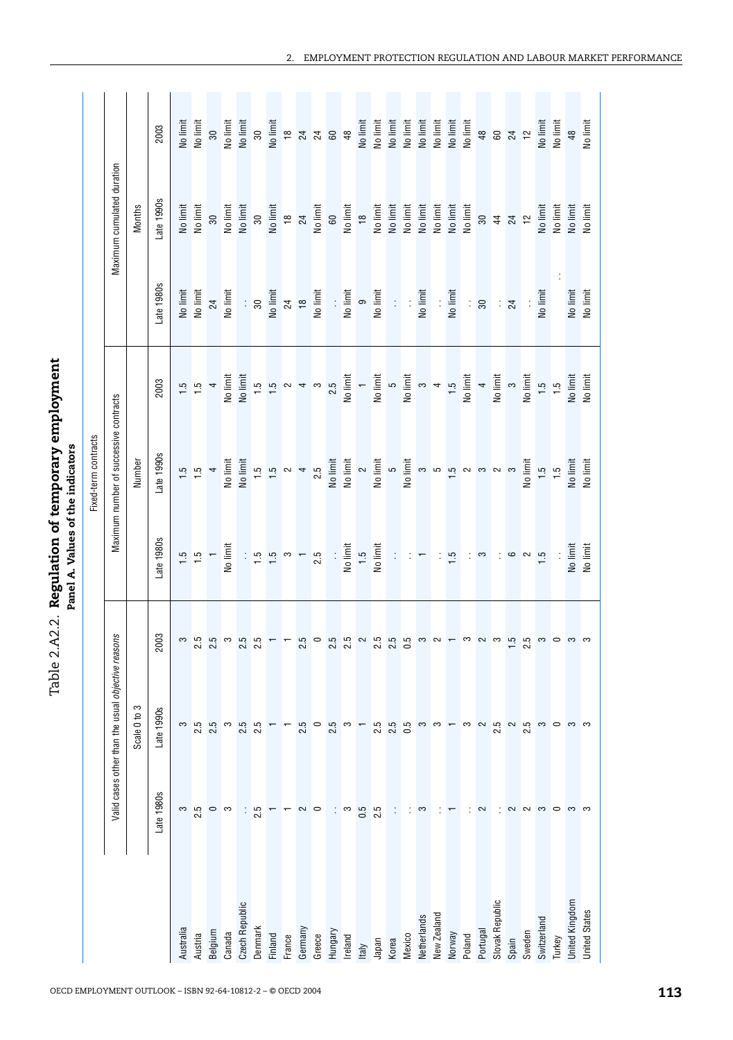|                      |                 | Valid cases other than the usual objective reasons                 |                                                                                                                                       |                                                                                                                                             | Maximum number of successive contracts                                                                                                                                                                                   |                                                                                                                                                                                                                           |                                                      | Maximum cumulated duration                                           |                                                                      |
|----------------------|-----------------|--------------------------------------------------------------------|---------------------------------------------------------------------------------------------------------------------------------------|---------------------------------------------------------------------------------------------------------------------------------------------|--------------------------------------------------------------------------------------------------------------------------------------------------------------------------------------------------------------------------|---------------------------------------------------------------------------------------------------------------------------------------------------------------------------------------------------------------------------|------------------------------------------------------|----------------------------------------------------------------------|----------------------------------------------------------------------|
|                      |                 | Scale 0 to 3                                                       |                                                                                                                                       |                                                                                                                                             | Number                                                                                                                                                                                                                   |                                                                                                                                                                                                                           |                                                      | <b>Months</b>                                                        |                                                                      |
|                      | Late 1980s      | Late 1990s                                                         | 2003                                                                                                                                  | Late 1980s                                                                                                                                  | Late 1990s                                                                                                                                                                                                               | 2003                                                                                                                                                                                                                      | Late 1980s                                           | Late 1990s                                                           | 2003                                                                 |
| Australia            | က               |                                                                    | $\frac{3}{25}$                                                                                                                        |                                                                                                                                             |                                                                                                                                                                                                                          |                                                                                                                                                                                                                           | No limit<br>No limit                                 | No limit                                                             | No limit                                                             |
| Austria              | 2.5             | $\frac{3}{25}$                                                     |                                                                                                                                       | $\frac{15}{15}$                                                                                                                             |                                                                                                                                                                                                                          |                                                                                                                                                                                                                           |                                                      | No limit                                                             | No limit                                                             |
| Belgium              | $\circ$ $\circ$ | 2.5                                                                | 2.5<br>2.                                                                                                                             |                                                                                                                                             | $\frac{15}{1}$ 5                                                                                                                                                                                                         | $1.5$ 4                                                                                                                                                                                                                   | 24                                                   | 30 <sub>o</sub>                                                      | 30 <sub>o</sub>                                                      |
| Canada               |                 | က                                                                  |                                                                                                                                       | No limit                                                                                                                                    | No limit                                                                                                                                                                                                                 | No limit                                                                                                                                                                                                                  | No limit                                             | No limit                                                             | No limit                                                             |
| Czech Republic       |                 | 2.5                                                                | $\begin{array}{c} 2.5 \\ 2.5 \end{array}$                                                                                             |                                                                                                                                             | No limit                                                                                                                                                                                                                 | No limit                                                                                                                                                                                                                  |                                                      | No limit                                                             | No limit<br>30                                                       |
| Denmark              | 2.5             | 2.5                                                                |                                                                                                                                       |                                                                                                                                             |                                                                                                                                                                                                                          |                                                                                                                                                                                                                           |                                                      | $\frac{8}{3}$                                                        |                                                                      |
| Finland              |                 |                                                                    |                                                                                                                                       |                                                                                                                                             |                                                                                                                                                                                                                          |                                                                                                                                                                                                                           |                                                      |                                                                      | No limit<br>18                                                       |
| France               |                 |                                                                    |                                                                                                                                       | $\frac{1}{2}$ $\frac{1}{2}$ $\frac{1}{2}$ $\frac{1}{2}$ $\frac{1}{2}$ $\frac{1}{2}$ $\frac{1}{2}$ $\frac{1}{2}$ $\frac{1}{2}$ $\frac{1}{2}$ | $\frac{15}{1}$ in a $\frac{1}{2}$ a $\frac{1}{4}$ in a $\frac{1}{2}$                                                                                                                                                     | $\frac{1}{2}$<br>$\frac{1}{2}$<br>$\frac{1}{2}$<br>$\frac{1}{2}$<br>$\frac{1}{2}$<br>$\frac{1}{2}$<br>$\frac{1}{2}$<br>$\frac{1}{2}$<br>$\frac{1}{2}$<br>$\frac{1}{2}$<br>$\frac{1}{2}$<br>$\frac{1}{2}$<br>$\frac{1}{2}$ | $\frac{30}{100}$<br>No limit<br>24<br>18<br>No limit | No limit<br>18<br>24<br>No limit<br>60                               |                                                                      |
| Germany              | 2               | 2.5                                                                | 2.5                                                                                                                                   |                                                                                                                                             |                                                                                                                                                                                                                          |                                                                                                                                                                                                                           |                                                      |                                                                      |                                                                      |
| Greece               | $\circ$         | $\circ$                                                            | $\circ$ 555                                                                                                                           |                                                                                                                                             |                                                                                                                                                                                                                          |                                                                                                                                                                                                                           |                                                      |                                                                      | 2 2 2 3 3                                                            |
| Hungary              |                 | 2.5                                                                |                                                                                                                                       |                                                                                                                                             |                                                                                                                                                                                                                          |                                                                                                                                                                                                                           |                                                      |                                                                      |                                                                      |
| Ireland              | က               | က                                                                  |                                                                                                                                       |                                                                                                                                             |                                                                                                                                                                                                                          |                                                                                                                                                                                                                           |                                                      |                                                                      |                                                                      |
| Italy                | 0.5             |                                                                    |                                                                                                                                       | $\frac{1}{\sqrt{1.5}}$                                                                                                                      |                                                                                                                                                                                                                          |                                                                                                                                                                                                                           |                                                      | No limit<br>18                                                       | No limit                                                             |
| Japan                | 2.5             |                                                                    | $\begin{array}{c} \mathbf{N} & \mathbf{N} & \mathbf{N} & \mathbf{N} \\ \mathbf{N} & \mathbf{N} & \mathbf{N} & \mathbf{N} \end{array}$ | No limit                                                                                                                                    |                                                                                                                                                                                                                          |                                                                                                                                                                                                                           | No limit<br>$\frac{9}{2}$<br>No limit<br>No limit    | No limit<br>No limit<br>No limit<br>No limit<br>No limit<br>No limit | No limit                                                             |
| Korea                |                 |                                                                    |                                                                                                                                       |                                                                                                                                             |                                                                                                                                                                                                                          |                                                                                                                                                                                                                           |                                                      |                                                                      |                                                                      |
| Mexico               |                 | 2.5<br>2.5<br>2.6<br>2.6<br>2.6<br>2.6<br>2.6<br>2.6<br>2.6<br>2.6 |                                                                                                                                       |                                                                                                                                             |                                                                                                                                                                                                                          |                                                                                                                                                                                                                           |                                                      |                                                                      |                                                                      |
| <b>Netherlands</b>   | S               |                                                                    |                                                                                                                                       |                                                                                                                                             |                                                                                                                                                                                                                          |                                                                                                                                                                                                                           |                                                      |                                                                      |                                                                      |
| New Zealand          |                 | က                                                                  |                                                                                                                                       |                                                                                                                                             |                                                                                                                                                                                                                          |                                                                                                                                                                                                                           |                                                      |                                                                      | No limit<br>No limit<br>No limit<br>No limit<br>No limit<br>No limit |
| Norway               |                 | $\overline{\phantom{0}}$                                           |                                                                                                                                       | <u>: ဗု</u>                                                                                                                                 |                                                                                                                                                                                                                          |                                                                                                                                                                                                                           |                                                      |                                                                      |                                                                      |
| Poland               |                 | က                                                                  | က                                                                                                                                     | <u>း က</u>                                                                                                                                  |                                                                                                                                                                                                                          |                                                                                                                                                                                                                           |                                                      |                                                                      |                                                                      |
| Portugal             | 2               | $\sim$                                                             | $\sim$                                                                                                                                |                                                                                                                                             |                                                                                                                                                                                                                          |                                                                                                                                                                                                                           |                                                      | 30 <sub>o</sub>                                                      | 48                                                                   |
| Slovak Republic      |                 | 2.5                                                                | က                                                                                                                                     |                                                                                                                                             | Moline Reserved No. 2016<br>2016 11: 2016 11: 2016 11: 2016 11: 2016 11: 2016 11: 2016 11: 2016 11: 20<br>2016 12: 2016 12: 2016 12: 2016 12: 2016 12: 2016 12: 2016 12: 2016 12: 2016 12: 2016 12: 2016 12: 2016 12: 20 |                                                                                                                                                                                                                           |                                                      | $\frac{4}{3}$                                                        | $\mathbb{S}^0$                                                       |
| Spain                | $\sim$          | $\begin{array}{c} \n\alpha & \beta & \alpha \n\end{array}$         | $1.5$<br>2.5                                                                                                                          | $\frac{1}{2}$ ( $\frac{1}{2}$ ( $\frac{1}{2}$ )                                                                                             |                                                                                                                                                                                                                          |                                                                                                                                                                                                                           |                                                      | 24                                                                   | $24$<br>12                                                           |
| Sweden               | $\sim$          |                                                                    |                                                                                                                                       |                                                                                                                                             | No limit                                                                                                                                                                                                                 |                                                                                                                                                                                                                           |                                                      | $\approx$                                                            |                                                                      |
| Switzerland          | $\circ$ $\circ$ |                                                                    | $\frac{1}{2}$                                                                                                                         |                                                                                                                                             | $1.5$<br>$1.5$                                                                                                                                                                                                           |                                                                                                                                                                                                                           | No limit                                             | No limit                                                             | No limit                                                             |
| Turkey               |                 |                                                                    |                                                                                                                                       |                                                                                                                                             |                                                                                                                                                                                                                          |                                                                                                                                                                                                                           |                                                      | No limit                                                             | No limit                                                             |
| United Kingdom       | က က             | က က                                                                | က က                                                                                                                                   | No limit                                                                                                                                    | No limit                                                                                                                                                                                                                 | No limit                                                                                                                                                                                                                  | No limit                                             | No limit                                                             | 48                                                                   |
| <b>United States</b> |                 |                                                                    |                                                                                                                                       | No limit                                                                                                                                    | No limit                                                                                                                                                                                                                 | <b>Vo limit</b>                                                                                                                                                                                                           | No limit                                             | No limit                                                             | No limit                                                             |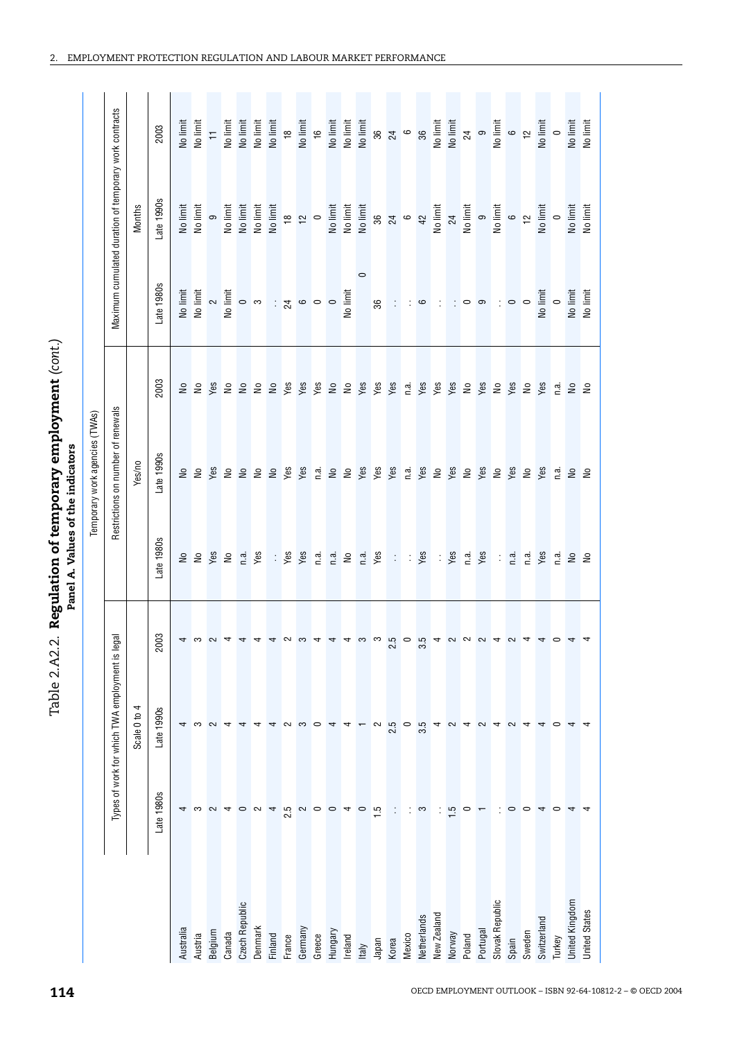| ۰. | ۰. |  |
|----|----|--|
|    |    |  |

|                      |               |                                                 |                |                      | Temporary work agencies (TWAs)     |                |                                                                                                                 |                                                        |                                                       |
|----------------------|---------------|-------------------------------------------------|----------------|----------------------|------------------------------------|----------------|-----------------------------------------------------------------------------------------------------------------|--------------------------------------------------------|-------------------------------------------------------|
|                      |               | Types of work for which TWA employment is legal |                |                      | Restrictions on number of renewals |                |                                                                                                                 | Maximum cumulated duration of temporary work contracts |                                                       |
|                      |               | 4<br>Scale 0 to                                 |                |                      | Yes/no                             |                |                                                                                                                 | <b>Months</b>                                          |                                                       |
|                      | Late 1980s    | Late 1990s                                      | 2003           | Late 1980s           | Late 1990s                         | 2003           | Late 1980s                                                                                                      | Late 1990s                                             | 2003                                                  |
| Australia            | 4             |                                                 | 4 <sub>o</sub> | 22                   |                                    | 2 <sup>o</sup> | No limit<br>No limit                                                                                            | No limit                                               | No limit                                              |
| Austria              | က             |                                                 |                |                      | 228                                |                |                                                                                                                 | No limit                                               | No limit                                              |
| Belgium              | $\sim$        |                                                 | $\sim$ 4       | Yes                  |                                    | Yes            | $\sim$                                                                                                          | $\circ$                                                | $\overline{1}$                                        |
| Canada               | 4             |                                                 |                | $\geq$               | $\epsilon$                         | $\frac{1}{2}$  |                                                                                                                 | No limit                                               | No limit                                              |
| Czech Republic       | $\circ$       |                                                 | 4 4 4 7 8 4 4  | n.a.<br>Yes          | 2222                               | $\geq$         | No limit<br>$\begin{bmatrix} 0 \\ 0 \\ 3 \end{bmatrix}$                                                         | No limit                                               | No limit                                              |
| Denmark              | 2             |                                                 |                |                      |                                    | $\epsilon$     |                                                                                                                 |                                                        |                                                       |
| Finland              | 4             |                                                 |                |                      |                                    | $\epsilon$     |                                                                                                                 | No limit<br>No limit                                   |                                                       |
| France               | 2.5           |                                                 |                | ∶ se                 |                                    | Yes            | $\frac{1}{2}$ $\frac{1}{2}$ $\frac{1}{2}$ $\frac{1}{2}$ $\frac{1}{2}$ $\frac{1}{2}$ $\frac{1}{2}$ $\frac{1}{2}$ |                                                        | No limit<br>No limit<br>18<br>No limit<br>16          |
| Germany              | $\sim$        |                                                 |                | Yes                  | Yes                                | Yes            |                                                                                                                 | $\begin{array}{c} \infty \\ \infty \end{array}$        |                                                       |
| Greece               | $\circ$       |                                                 |                | n.d.                 | r.a.                               | Yes            |                                                                                                                 |                                                        |                                                       |
| Hungary              | $\circ$       |                                                 |                | $\frac{a}{n}$ $\geq$ | 28                                 | 2 <sup>o</sup> |                                                                                                                 | No limit<br>No limit                                   | No limit<br>No limit                                  |
| Ireland              | 4             |                                                 | $\overline{4}$ |                      |                                    |                | No limit                                                                                                        |                                                        |                                                       |
| Italy                | $\circ$       |                                                 | <u>ຕ ຕ</u>     | n.a.                 | Yes                                | Yes            | $\circ$                                                                                                         | No limit<br>36<br>24<br>42                             |                                                       |
| Japan                | $\frac{5}{1}$ |                                                 |                | Yes                  |                                    | Yes            | 36                                                                                                              |                                                        |                                                       |
| Korea                |               | 2.5                                             | $\frac{5}{20}$ |                      | Yes<br>Yes                         | Yes            |                                                                                                                 |                                                        | No limit<br>36<br>8<br>6<br>6                         |
| Mexico               |               | $\circ$                                         |                | $\sim 100$           |                                    | n.a.           |                                                                                                                 |                                                        |                                                       |
| <b>Netherlands</b>   | က             | 3.5                                             |                | Yes                  | Yes                                | Yes            | $\therefore$ $\circ$                                                                                            |                                                        | 36                                                    |
| New Zealand          |               |                                                 |                |                      |                                    | Yes            |                                                                                                                 |                                                        |                                                       |
| Norway               | $\frac{5}{1}$ |                                                 |                | : say                |                                    | Yes            |                                                                                                                 |                                                        |                                                       |
| Poland               | $\circ$       |                                                 |                | n.a.                 | <b>PERSES</b>                      | $rac{1}{2}$    | $\therefore$ $\circ$ $\circ$                                                                                    |                                                        |                                                       |
| Portugal             |               |                                                 |                | Yes                  |                                    | Yes            |                                                                                                                 |                                                        |                                                       |
| Slovak Republic      |               |                                                 |                | $\cdot$ :            | <b>P</b> Se S                      | $rac{1}{2}$    |                                                                                                                 | No limit<br>24<br>No limit<br>9<br>No limit<br>6<br>6  | No limit<br>No limit<br>24<br>9<br>No limit<br>6<br>6 |
| Spain                | $\circ$       |                                                 | $\sim$ 4       | n.a.                 |                                    | Yes            | $\mathbf{C} \circ \mathbf{C}$                                                                                   |                                                        |                                                       |
| Sweden               | $\circ$       |                                                 |                | $\vec{e}$            |                                    | $\frac{1}{2}$  |                                                                                                                 |                                                        |                                                       |
| Switzerland          | 4             |                                                 | $\sim$         | Yes                  |                                    | Yes            | No limit<br>0                                                                                                   | No limit<br>0                                          | No limit<br>0                                         |
| Turkey               | $\circ$       | $\circ$                                         |                | n.a.                 | $\overline{\mathbf{a}}$            | n.a.           |                                                                                                                 |                                                        |                                                       |
| United Kingdom       | ₹             |                                                 | 4              | 2 <sup>o</sup>       | 22                                 | 2 <sup>o</sup> | No limit                                                                                                        | No limit                                               | No limit                                              |
| <b>United States</b> | ₹             |                                                 |                |                      |                                    |                | No limit                                                                                                        | No limit                                               | No limit                                              |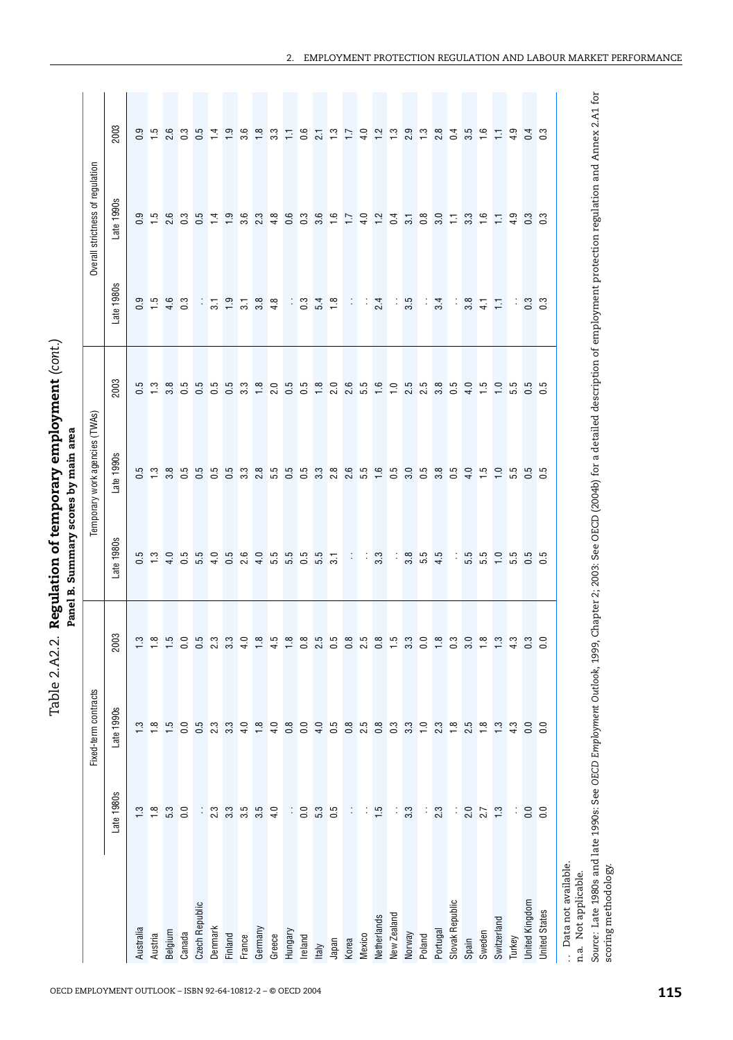|                                                                                                                                                                                           |                  | Fixed-term contracts |                                                                                                                                                                                                                               |                                | Temporary work agencies (TWAs) |                         |                                                                                     | Overall strictness of regulation |                                                                                                                |
|-------------------------------------------------------------------------------------------------------------------------------------------------------------------------------------------|------------------|----------------------|-------------------------------------------------------------------------------------------------------------------------------------------------------------------------------------------------------------------------------|--------------------------------|--------------------------------|-------------------------|-------------------------------------------------------------------------------------|----------------------------------|----------------------------------------------------------------------------------------------------------------|
|                                                                                                                                                                                           | Late 1980s       | Late 1990s           | 2003                                                                                                                                                                                                                          | Late 1980s                     | <b>1990s</b><br>Late           | 2003                    | Late 1980s                                                                          | Late 1990s                       | 2003                                                                                                           |
| Australia                                                                                                                                                                                 | 1.3              | $\frac{3}{2}$        |                                                                                                                                                                                                                               |                                |                                |                         |                                                                                     |                                  |                                                                                                                |
| Austria                                                                                                                                                                                   | $\frac{8}{10}$   | $\frac{8}{10}$       | $1.8$ $1.8$ $1.9$ $1.9$ $1.9$ $1.9$ $1.9$ $1.9$ $1.9$ $1.9$ $1.9$ $1.9$ $1.9$ $1.9$ $1.9$ $1.9$ $1.9$ $1.9$ $1.9$ $1.9$ $1.9$ $1.9$ $1.9$ $1.9$ $1.9$ $1.9$ $1.9$ $1.9$ $1.9$ $1.9$ $1.9$ $1.9$ $1.9$ $1.9$ $1.9$ $1.9$ $1.9$ |                                |                                | 0.7800                  | $0.56$ $0.36$                                                                       |                                  | 0 5 5 6 6 7 6 7 6 7 8 7 8                                                                                      |
| Belgium                                                                                                                                                                                   | 5.3              | $\frac{5}{1}$        |                                                                                                                                                                                                                               |                                |                                |                         |                                                                                     |                                  |                                                                                                                |
| Canada                                                                                                                                                                                    | $\overline{0.0}$ | $\overline{0}$ .     |                                                                                                                                                                                                                               |                                |                                |                         |                                                                                     |                                  |                                                                                                                |
| Czech Republic                                                                                                                                                                            | :                | 0.5                  |                                                                                                                                                                                                                               |                                |                                |                         |                                                                                     |                                  |                                                                                                                |
| Denmark                                                                                                                                                                                   | 2.3              | 2.3                  |                                                                                                                                                                                                                               |                                |                                |                         | $\frac{1}{2}$ $\frac{1}{2}$ $\frac{1}{2}$ $\frac{1}{2}$ $\frac{1}{2}$ $\frac{1}{2}$ |                                  |                                                                                                                |
| Finland                                                                                                                                                                                   | 3.3              | 3.3                  |                                                                                                                                                                                                                               |                                |                                |                         |                                                                                     |                                  |                                                                                                                |
| France                                                                                                                                                                                    | 3.5              | 4.0                  |                                                                                                                                                                                                                               |                                |                                |                         |                                                                                     |                                  |                                                                                                                |
| Germany                                                                                                                                                                                   | 3.5              | $\frac{8}{10}$       |                                                                                                                                                                                                                               |                                |                                |                         | $3.\overline{8}$                                                                    |                                  |                                                                                                                |
| Greece                                                                                                                                                                                    | 4.0              | 4.0                  |                                                                                                                                                                                                                               |                                |                                |                         |                                                                                     |                                  |                                                                                                                |
| Hungary                                                                                                                                                                                   |                  | 0.8                  | 1 4 1 0 2 3 4 5 6 7 6 7 7 8 9 7                                                                                                                                                                                               | 5 1 4 5 16 4 5 6 4 5 6 7 6 7 6 |                                | 8 5 5 5 5 6 7 8 9 9 9 9 |                                                                                     |                                  | $\frac{1}{10}$ .6                                                                                              |
| Ireland                                                                                                                                                                                   | 0.0              | 0.0                  |                                                                                                                                                                                                                               |                                |                                |                         | $\frac{1}{2}$                                                                       |                                  |                                                                                                                |
| Italy                                                                                                                                                                                     | 5.3              | 4.0                  |                                                                                                                                                                                                                               | 5.7                            |                                |                         | $5.\overline{4}$<br>1.8                                                             | 8 9 9 7 9 2 3 5 6 8 9            |                                                                                                                |
| Japan                                                                                                                                                                                     | 0.5              | 0.5                  |                                                                                                                                                                                                                               |                                |                                |                         |                                                                                     |                                  |                                                                                                                |
| Korea                                                                                                                                                                                     | ÷                | 0.8                  |                                                                                                                                                                                                                               |                                |                                |                         | $\sim$                                                                              |                                  |                                                                                                                |
| Mexico                                                                                                                                                                                    | $\cdot$          | 2.5                  |                                                                                                                                                                                                                               | း း ဗ္ဗ                        |                                |                         | - 1                                                                                 |                                  |                                                                                                                |
| Netherlands                                                                                                                                                                               | $\ddot{5}$       | 0.8                  |                                                                                                                                                                                                                               |                                |                                |                         | 2.4                                                                                 |                                  |                                                                                                                |
| New Zealand                                                                                                                                                                               | ÷                | 0.3                  |                                                                                                                                                                                                                               |                                |                                |                         |                                                                                     |                                  |                                                                                                                |
| Norway                                                                                                                                                                                    | 3.3              | 3.3                  |                                                                                                                                                                                                                               | $3.5$<br>$5.5$<br>$4.5$        |                                |                         | $\frac{1}{3}$                                                                       |                                  |                                                                                                                |
| Poland                                                                                                                                                                                    | ÷                | $\frac{10}{10}$      |                                                                                                                                                                                                                               |                                |                                |                         | ÷,                                                                                  |                                  |                                                                                                                |
| Portugal                                                                                                                                                                                  | 2.3              | 2.3                  |                                                                                                                                                                                                                               |                                | 3.8                            |                         | 3.4                                                                                 |                                  |                                                                                                                |
| Slovak Republic                                                                                                                                                                           | ÷                | $\frac{8}{10}$       |                                                                                                                                                                                                                               |                                | $\frac{50}{5}$                 | $\circ$                 |                                                                                     |                                  |                                                                                                                |
| Spain                                                                                                                                                                                     | 2.0              | 2.5                  | $3.9$ $\frac{8}{1}$ $\frac{13}{1}$                                                                                                                                                                                            | 5.5<br>5.5                     | $4.\overline{5}$               | 5.9912                  | $\frac{1}{3}$                                                                       | $7.39$ $7.7$                     | 21 22 22 23 23 24 25 26 26 27 28 29 29 20 20 21 22 23 24 25 26 27 28 29 29 20 20 20 20 20 20 20 20 20 20 20 20 |
| Sweden                                                                                                                                                                                    | 2.7              | 18                   |                                                                                                                                                                                                                               |                                |                                |                         | $\frac{1}{4}$ $\frac{1}{4}$                                                         |                                  |                                                                                                                |
| Switzerland                                                                                                                                                                               | 1.3              | $\frac{13}{2}$       |                                                                                                                                                                                                                               | $\frac{1}{2}$                  | $\frac{1}{2}$                  |                         |                                                                                     |                                  |                                                                                                                |
| Turkey                                                                                                                                                                                    | ÷                | 4.3                  | 4.3                                                                                                                                                                                                                           | 5.5<br>5.5<br>5.0              | rö.<br>ျက်                     | 5.5                     |                                                                                     | $4.9$<br>0.3<br>0.3              | $4.9$<br>0.4<br>0.3                                                                                            |
| United Kingdom                                                                                                                                                                            | 0.0              | 0.0                  | $0.\overline{3}$                                                                                                                                                                                                              |                                | ro ro<br>$\circ$ $\circ$       | 5 S<br>$\circ$ $\circ$  | း ဒီ ဒီ                                                                             |                                  |                                                                                                                |
| <b>United States</b>                                                                                                                                                                      | $\overline{0.0}$ | <b>CO</b>            |                                                                                                                                                                                                                               |                                |                                |                         |                                                                                     |                                  |                                                                                                                |
| . Data not available.<br>n.a. Not applicable.                                                                                                                                             |                  |                      |                                                                                                                                                                                                                               |                                |                                |                         |                                                                                     |                                  |                                                                                                                |
| Source: Late 1980s and late 1990s: See OECD Employment Outlook, 1999, Chapter 2; 2003: See OECD (2004b) for a detailed description of employment protection regulation and Annex 2.A1 for |                  |                      |                                                                                                                                                                                                                               |                                |                                |                         |                                                                                     |                                  |                                                                                                                |
| scoring methodology.                                                                                                                                                                      |                  |                      |                                                                                                                                                                                                                               |                                |                                |                         |                                                                                     |                                  |                                                                                                                |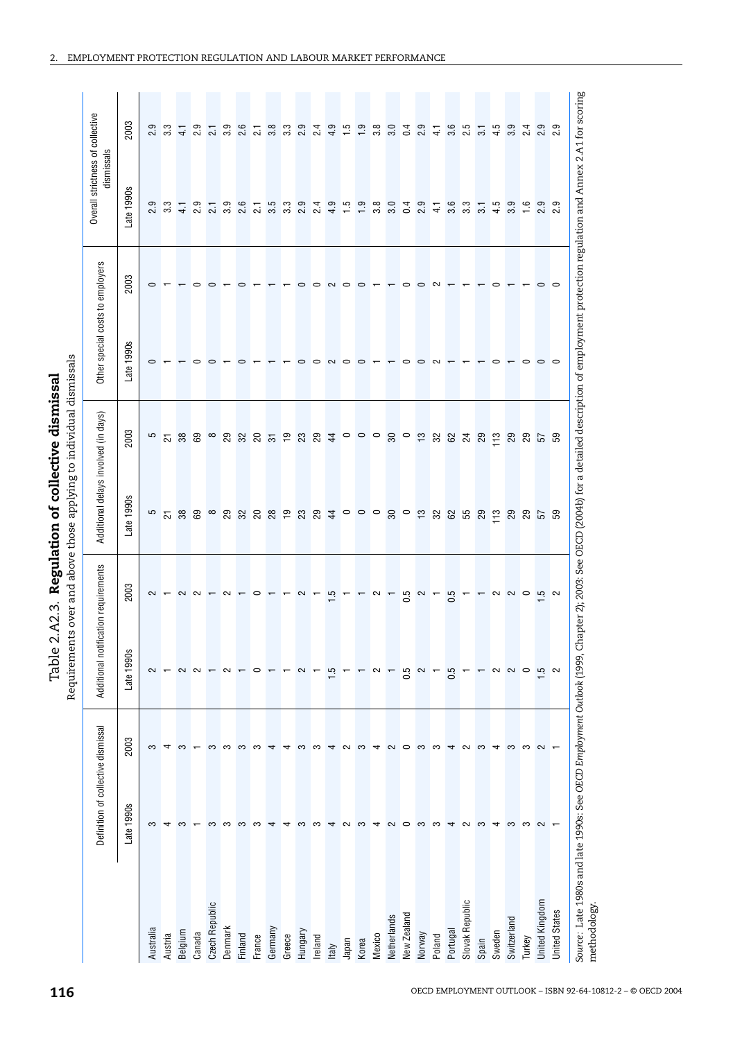|                           | Definition of collective dismissal | Additional notification requirements |                         | Additional delays involved (in days) |                                                   | Other special costs to employers |                | Overall strictness of collective<br>dismissals |                                           |
|---------------------------|------------------------------------|--------------------------------------|-------------------------|--------------------------------------|---------------------------------------------------|----------------------------------|----------------|------------------------------------------------|-------------------------------------------|
| Late 1990s                | 2003                               | Late 1990s                           | 2003                    | Late 1990s                           | 2003                                              | Late 1990s                       | 2003           | Late 1990s                                     | 2003                                      |
| က<br>Australia            | S                                  | $\sim$ $-$                           | $\sim$ $-$              |                                      |                                                   |                                  | $\circ$        |                                                | 2. 3<br>3. 3                              |
| 4<br>Austria              | 4                                  |                                      |                         |                                      |                                                   |                                  |                | 2.9<br>3.3                                     |                                           |
| S<br>Belgium              | S                                  | $\sim$ $\sim$                        |                         | 5 8 8 8 8 8 8 8 8 9                  | <b>" 2 % &amp;</b>                                |                                  |                |                                                | 4.1                                       |
| Canada                    |                                    |                                      | $\sim$ $\sim$           |                                      |                                                   | $\circ$                          | $\circ$        | $\frac{1}{4}$ - 8                              | 2.9                                       |
| S<br>Czech Republic       | S                                  |                                      |                         |                                      |                                                   | $\circ$                          | $\circ$ $-$    | $\overline{2.1}$                               | 2.1                                       |
| S<br>Denmark              | က                                  | $\sim$                               | $\sim$                  |                                      |                                                   |                                  |                | 3.9                                            | 3.9                                       |
| S<br>Finland              | $\infty$                           |                                      |                         |                                      |                                                   |                                  | $\circ$        | $2.5$ $2.5$                                    | 2.5                                       |
| S<br>France               | က                                  | 0                                    | $\circ$                 |                                      |                                                   |                                  |                |                                                |                                           |
| 4<br>Germany              | $\overline{ }$                     |                                      |                         |                                      | $^{\circ}$ 2 3 $\%$ 2 $\frac{1}{2}$ $\frac{1}{2}$ |                                  |                |                                                | $\infty$<br>က                             |
| 4<br>Greece               | 4                                  |                                      |                         |                                      |                                                   |                                  |                | 3.3                                            | 3.3                                       |
| S<br>Hungary              | က                                  | 2                                    | $\sim$                  | 221000800388821                      | R R T O O O O O O T N & A R T R R R G B           |                                  | $\circ$        | $2.9$<br>$2.4$                                 | ၜႄ<br>$\overline{\mathbf{c}}$             |
| S<br>Ireland              | S                                  |                                      |                         |                                      |                                                   | $\circ$                          | $\circ$        |                                                | 2.4                                       |
| 4<br>Italy                | $\overline{\phantom{a}}$           | $\ddot{5}$                           | r.                      |                                      |                                                   | $\sim$                           | $\sim$         | 4.9                                            |                                           |
| $\sim$<br>Japan           | $\sim$ $\sim$                      |                                      |                         |                                      |                                                   | $\circ$                          | $\circ$        |                                                |                                           |
| ွ<br>Korea                |                                    |                                      |                         |                                      |                                                   | $\circ$                          |                | $1.9$ $8$ $8$ $9$                              | $4.5$ $9.8$<br>$7.9$<br>$8.8$             |
| 4<br>Mexico               | $\overline{4}$                     | $\sim$                               | $\sim$                  |                                      |                                                   | $ -$                             |                |                                                |                                           |
| $\sim$<br>Netherlands     | $\sim$                             |                                      |                         |                                      |                                                   |                                  | $O - - + O$    |                                                | 3.0                                       |
| $\circ$<br>New Zealand    | $\circ$                            | $\frac{5}{0}$                        | 0.5                     |                                      |                                                   | $\circ$                          |                | 0.4                                            | 0.4                                       |
| S<br>Norway               | က                                  | $\sim$                               | $\overline{\mathbf{c}}$ |                                      |                                                   | 0                                | $\circ$        | 2.9                                            | 2.9                                       |
| က<br>Poland               | က                                  |                                      |                         |                                      |                                                   | $\sim$                           | $\sim$         | $\frac{1}{4}$                                  | $\frac{1}{4}$                             |
| 4<br>Portugal             | 4                                  | 0.5                                  | 0.5                     |                                      |                                                   |                                  |                | 3.6                                            | G.<br>က                                   |
| $\sim$<br>Slovak Republic | $\sim$                             |                                      |                         |                                      |                                                   |                                  |                | 3.3                                            | rö.<br>$\overline{\mathbf{a}}$            |
| S<br>Spain                | င                                  |                                      |                         |                                      |                                                   |                                  | $\overline{ }$ | 3.1                                            | 3.1                                       |
| $\overline{ }$<br>Sweden  | $\overline{4}$                     |                                      |                         |                                      |                                                   | $\circ$                          | $\circ$        | 4.5                                            | 4.5                                       |
| S<br>Switzerland          | S                                  | NNO                                  | NNO                     |                                      |                                                   |                                  |                | 3.9                                            | ၜႄ<br>က                                   |
| က<br>Turkey               | က                                  |                                      |                         | 8858                                 |                                                   | $\circ$                          | $\overline{ }$ | $\frac{6}{16}$                                 | $\overline{4}$<br>$\overline{\mathbf{a}}$ |
| $\sim$<br>United Kingdom  | $\sim$                             | $\frac{15}{2}$ $\alpha$              | rù u                    |                                      |                                                   | $\circ$                          | $\circ$        | 0<br>2. 9                                      | ၜ<br>$\sim$ $\sim$                        |
| <b>United States</b>      |                                    |                                      |                         |                                      |                                                   | $\circ$                          |                |                                                | ာ                                         |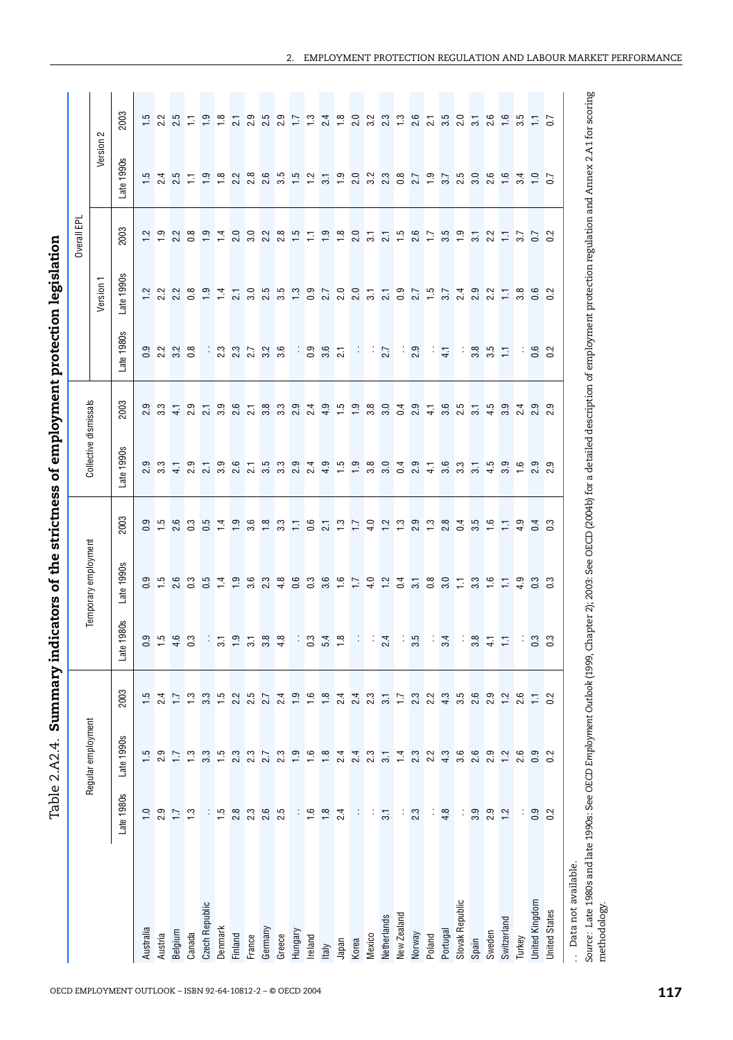| $2,000\n2,000\n3,100$<br>$2.3$ $0.5$ $0.5$ $1.5$<br>$7.2$ $2.2$<br>പ്ത്<br>Late 1980s<br>÷<br>0<br>0<br>0<br>0<br>0<br>0<br>0<br>0<br>2.3<br>$3.6$<br>$3.5$<br>$2.1$<br>2.9<br>$2.7$<br>$3.2$<br>$3.6$<br>2.7<br>÷<br>$\overline{4}$<br>÷<br>÷<br>Collective dismissals<br>2003<br>2.9<br>တ္<br>2.6<br>$\infty$<br>္မ်ား<br>တ္<br>2.4<br>4.9<br>$\frac{15}{1.9}$<br>3.8<br>3.0<br>0.4<br>2.9<br>3.6<br>ro.<br>2.3<br>2.3<br>$\frac{1}{4}$<br>4.1<br>$\overline{21}$<br>$\overline{21}$<br>ကြ<br>က<br>$\mathbf{a}$<br>$\overline{\mathbf{a}}$<br>Late 1990s<br>2.3<br>$3.3 + 5.9$<br>$3.4 + 3.5$<br>$\overline{4}$<br>2003<br>$0.\overline{5}$<br>2.6<br>1.9<br>$2.\overline{3}$<br>2.8<br>က္<br>0.5<br>$\frac{8}{1}$<br>$7.7$<br>$4.0$<br>$\frac{2}{1}$ $\frac{3}{1}$<br>$\overline{4}$<br>$\frac{4}{1}$<br>3.6<br>္လွ်<br>F<br>0.6<br>2.1<br>$\circ$<br>$\circ$<br>Temporary employment<br>Late 1990s<br><u>ဖေ</u> က ဟ<br>$\overline{1}$<br>0.8<br>3.0<br>ၜႄ<br>$\frac{15}{15}$<br>E<br>3.1<br>$\sim$<br>ö<br>$\circ$<br>ö<br>Late 1980s<br>$0.56$<br>$0.56$<br>$0.36$<br>3.8<br>$\frac{1}{3}$ 3 $\frac{4}{3}$ 8<br>$\mathbb{C}^{\times}$<br>$\frac{1}{2}$<br>$\frac{8}{4}$<br>÷<br>3.5<br>3.4<br>$\overline{31}$<br>2.4<br>$\overline{31}$<br><b>SO</b><br>ちみてるほうこうことももの はんさいけい こうちゅうとうけい<br>20<br>Regular employment<br>Late 1990s<br>2.3<br>$\frac{1}{2}$<br>$2.\overline{3}$<br>$2.\overline{2}$<br>$4.\overline{3}$ 6<br>1.5<br>2.9<br>1.7<br>$\frac{3}{12}$<br>$\begin{array}{c} 3 \\ 1 \end{array}$<br>2.3<br>2.7<br>23<br>$1.8$ $1.8$ $2.4$<br>2.4<br>2.3<br>$\frac{1}{4}$<br>3.1<br>Late 1980s<br>2.8<br>2.3<br>2.6<br>2.5<br>$\frac{6}{16}$<br>÷<br>2.9<br>$\frac{3}{1}$<br>÷<br>$\frac{15}{1}$<br>÷<br>1.8<br>24<br>÷<br>÷<br>2.3<br>4.8<br>÷<br>$\frac{10}{10}$<br>$\overline{11}$<br>$\overline{3}$ .<br>÷<br>Slovak Republic<br>Czech Republic<br>New Zealand<br><b>Netherlands</b><br>Denmark<br>Australia<br>Germany<br>Belgium<br>Hungary<br>Portugal<br>Canada<br>Norway<br>Austria<br>Finland<br>Greece<br>Mexico<br>Poland<br>Ireland<br>France<br>Japan<br>Korea<br>Italy |       |     |            |     |                      |     |     |                | Version 1                        |                                  |                                           | Version 2                                          |
|-------------------------------------------------------------------------------------------------------------------------------------------------------------------------------------------------------------------------------------------------------------------------------------------------------------------------------------------------------------------------------------------------------------------------------------------------------------------------------------------------------------------------------------------------------------------------------------------------------------------------------------------------------------------------------------------------------------------------------------------------------------------------------------------------------------------------------------------------------------------------------------------------------------------------------------------------------------------------------------------------------------------------------------------------------------------------------------------------------------------------------------------------------------------------------------------------------------------------------------------------------------------------------------------------------------------------------------------------------------------------------------------------------------------------------------------------------------------------------------------------------------------------------------------------------------------------------------------------------------------------------------------------------------------------------------------------------------------------------------------------------------------------------------------------------------------------------------------------------------------------------------------------------------------------------------------------------------------------------------------------------------------------------------------------------------------------------------------------|-------|-----|------------|-----|----------------------|-----|-----|----------------|----------------------------------|----------------------------------|-------------------------------------------|----------------------------------------------------|
|                                                                                                                                                                                                                                                                                                                                                                                                                                                                                                                                                                                                                                                                                                                                                                                                                                                                                                                                                                                                                                                                                                                                                                                                                                                                                                                                                                                                                                                                                                                                                                                                                                                                                                                                                                                                                                                                                                                                                                                                                                                                                                 |       |     |            |     |                      |     |     |                |                                  |                                  |                                           |                                                    |
|                                                                                                                                                                                                                                                                                                                                                                                                                                                                                                                                                                                                                                                                                                                                                                                                                                                                                                                                                                                                                                                                                                                                                                                                                                                                                                                                                                                                                                                                                                                                                                                                                                                                                                                                                                                                                                                                                                                                                                                                                                                                                                 |       |     |            |     |                      |     |     |                | Late 1990s                       | 2003                             | <b>1990s</b><br>Late 1                    | 2003                                               |
|                                                                                                                                                                                                                                                                                                                                                                                                                                                                                                                                                                                                                                                                                                                                                                                                                                                                                                                                                                                                                                                                                                                                                                                                                                                                                                                                                                                                                                                                                                                                                                                                                                                                                                                                                                                                                                                                                                                                                                                                                                                                                                 |       |     |            |     |                      |     |     |                |                                  |                                  |                                           |                                                    |
|                                                                                                                                                                                                                                                                                                                                                                                                                                                                                                                                                                                                                                                                                                                                                                                                                                                                                                                                                                                                                                                                                                                                                                                                                                                                                                                                                                                                                                                                                                                                                                                                                                                                                                                                                                                                                                                                                                                                                                                                                                                                                                 |       |     |            |     |                      |     |     |                |                                  |                                  |                                           |                                                    |
|                                                                                                                                                                                                                                                                                                                                                                                                                                                                                                                                                                                                                                                                                                                                                                                                                                                                                                                                                                                                                                                                                                                                                                                                                                                                                                                                                                                                                                                                                                                                                                                                                                                                                                                                                                                                                                                                                                                                                                                                                                                                                                 |       |     |            |     |                      |     |     |                |                                  | $7.9$ $2.2$                      | $1.5$<br>$2.4$<br>$2.5$<br>$1.1$          | $1.5$ $2.5$ $2.5$ $1.7$                            |
|                                                                                                                                                                                                                                                                                                                                                                                                                                                                                                                                                                                                                                                                                                                                                                                                                                                                                                                                                                                                                                                                                                                                                                                                                                                                                                                                                                                                                                                                                                                                                                                                                                                                                                                                                                                                                                                                                                                                                                                                                                                                                                 |       |     |            |     |                      |     |     |                | $\infty$<br>$\overline{\bullet}$ | $\infty$<br>$\circ$              |                                           |                                                    |
|                                                                                                                                                                                                                                                                                                                                                                                                                                                                                                                                                                                                                                                                                                                                                                                                                                                                                                                                                                                                                                                                                                                                                                                                                                                                                                                                                                                                                                                                                                                                                                                                                                                                                                                                                                                                                                                                                                                                                                                                                                                                                                 |       |     |            |     |                      |     |     |                | ၜ                                | $\frac{1}{2}$                    |                                           |                                                    |
|                                                                                                                                                                                                                                                                                                                                                                                                                                                                                                                                                                                                                                                                                                                                                                                                                                                                                                                                                                                                                                                                                                                                                                                                                                                                                                                                                                                                                                                                                                                                                                                                                                                                                                                                                                                                                                                                                                                                                                                                                                                                                                 |       |     |            |     |                      |     |     |                | $\frac{1}{4}$                    | $\frac{1}{4}$                    |                                           | $\frac{9}{1}$ $\frac{8}{1}$                        |
|                                                                                                                                                                                                                                                                                                                                                                                                                                                                                                                                                                                                                                                                                                                                                                                                                                                                                                                                                                                                                                                                                                                                                                                                                                                                                                                                                                                                                                                                                                                                                                                                                                                                                                                                                                                                                                                                                                                                                                                                                                                                                                 |       |     |            |     |                      |     |     |                | 2.1                              | $\cup$<br>$\sim$                 |                                           | $\overline{21}$                                    |
|                                                                                                                                                                                                                                                                                                                                                                                                                                                                                                                                                                                                                                                                                                                                                                                                                                                                                                                                                                                                                                                                                                                                                                                                                                                                                                                                                                                                                                                                                                                                                                                                                                                                                                                                                                                                                                                                                                                                                                                                                                                                                                 |       |     |            |     |                      |     |     |                | 3.0                              | $Q$ $Q$<br>ကြ                    |                                           |                                                    |
|                                                                                                                                                                                                                                                                                                                                                                                                                                                                                                                                                                                                                                                                                                                                                                                                                                                                                                                                                                                                                                                                                                                                                                                                                                                                                                                                                                                                                                                                                                                                                                                                                                                                                                                                                                                                                                                                                                                                                                                                                                                                                                 |       |     |            |     |                      |     |     |                | S                                | $\sim$                           | $1.7$ $2.8$ $3.8$ $3.8$ $4.9$ $5.7$ $5.7$ |                                                    |
|                                                                                                                                                                                                                                                                                                                                                                                                                                                                                                                                                                                                                                                                                                                                                                                                                                                                                                                                                                                                                                                                                                                                                                                                                                                                                                                                                                                                                                                                                                                                                                                                                                                                                                                                                                                                                                                                                                                                                                                                                                                                                                 |       |     |            |     |                      |     |     |                | P.                               | $\infty$<br>$\sim$               |                                           |                                                    |
|                                                                                                                                                                                                                                                                                                                                                                                                                                                                                                                                                                                                                                                                                                                                                                                                                                                                                                                                                                                                                                                                                                                                                                                                                                                                                                                                                                                                                                                                                                                                                                                                                                                                                                                                                                                                                                                                                                                                                                                                                                                                                                 |       |     |            |     |                      |     |     |                | $\frac{3}{1}$                    | $\frac{15}{11}$                  |                                           | $2.5$<br>$2.5$<br>$2.5$<br>$2.5$<br>$2.5$<br>$2.5$ |
|                                                                                                                                                                                                                                                                                                                                                                                                                                                                                                                                                                                                                                                                                                                                                                                                                                                                                                                                                                                                                                                                                                                                                                                                                                                                                                                                                                                                                                                                                                                                                                                                                                                                                                                                                                                                                                                                                                                                                                                                                                                                                                 |       |     |            |     |                      |     |     |                | 0.9                              |                                  |                                           |                                                    |
|                                                                                                                                                                                                                                                                                                                                                                                                                                                                                                                                                                                                                                                                                                                                                                                                                                                                                                                                                                                                                                                                                                                                                                                                                                                                                                                                                                                                                                                                                                                                                                                                                                                                                                                                                                                                                                                                                                                                                                                                                                                                                                 |       |     |            |     |                      |     |     |                |                                  |                                  |                                           |                                                    |
|                                                                                                                                                                                                                                                                                                                                                                                                                                                                                                                                                                                                                                                                                                                                                                                                                                                                                                                                                                                                                                                                                                                                                                                                                                                                                                                                                                                                                                                                                                                                                                                                                                                                                                                                                                                                                                                                                                                                                                                                                                                                                                 |       |     |            |     |                      |     |     |                |                                  | $7.\overline{8}$<br>7.8          | $\frac{1}{2}$                             |                                                    |
|                                                                                                                                                                                                                                                                                                                                                                                                                                                                                                                                                                                                                                                                                                                                                                                                                                                                                                                                                                                                                                                                                                                                                                                                                                                                                                                                                                                                                                                                                                                                                                                                                                                                                                                                                                                                                                                                                                                                                                                                                                                                                                 |       |     |            |     |                      |     |     |                |                                  |                                  | 2.2                                       |                                                    |
|                                                                                                                                                                                                                                                                                                                                                                                                                                                                                                                                                                                                                                                                                                                                                                                                                                                                                                                                                                                                                                                                                                                                                                                                                                                                                                                                                                                                                                                                                                                                                                                                                                                                                                                                                                                                                                                                                                                                                                                                                                                                                                 |       |     |            |     |                      |     |     |                |                                  | $\overline{31}$                  |                                           |                                                    |
|                                                                                                                                                                                                                                                                                                                                                                                                                                                                                                                                                                                                                                                                                                                                                                                                                                                                                                                                                                                                                                                                                                                                                                                                                                                                                                                                                                                                                                                                                                                                                                                                                                                                                                                                                                                                                                                                                                                                                                                                                                                                                                 |       |     |            |     |                      |     |     |                |                                  |                                  |                                           |                                                    |
|                                                                                                                                                                                                                                                                                                                                                                                                                                                                                                                                                                                                                                                                                                                                                                                                                                                                                                                                                                                                                                                                                                                                                                                                                                                                                                                                                                                                                                                                                                                                                                                                                                                                                                                                                                                                                                                                                                                                                                                                                                                                                                 |       |     |            |     |                      |     |     |                |                                  |                                  |                                           |                                                    |
|                                                                                                                                                                                                                                                                                                                                                                                                                                                                                                                                                                                                                                                                                                                                                                                                                                                                                                                                                                                                                                                                                                                                                                                                                                                                                                                                                                                                                                                                                                                                                                                                                                                                                                                                                                                                                                                                                                                                                                                                                                                                                                 |       |     |            |     |                      |     |     |                |                                  | $2.1$<br>$1.5$<br>$2.6$<br>$1.7$ | $2.3$<br>$0.8$<br>$7.9$                   |                                                    |
|                                                                                                                                                                                                                                                                                                                                                                                                                                                                                                                                                                                                                                                                                                                                                                                                                                                                                                                                                                                                                                                                                                                                                                                                                                                                                                                                                                                                                                                                                                                                                                                                                                                                                                                                                                                                                                                                                                                                                                                                                                                                                                 |       |     |            |     |                      |     |     |                |                                  |                                  |                                           |                                                    |
|                                                                                                                                                                                                                                                                                                                                                                                                                                                                                                                                                                                                                                                                                                                                                                                                                                                                                                                                                                                                                                                                                                                                                                                                                                                                                                                                                                                                                                                                                                                                                                                                                                                                                                                                                                                                                                                                                                                                                                                                                                                                                                 |       |     |            |     |                      |     |     |                | 3.7                              | 3.5                              |                                           |                                                    |
|                                                                                                                                                                                                                                                                                                                                                                                                                                                                                                                                                                                                                                                                                                                                                                                                                                                                                                                                                                                                                                                                                                                                                                                                                                                                                                                                                                                                                                                                                                                                                                                                                                                                                                                                                                                                                                                                                                                                                                                                                                                                                                 |       |     |            |     |                      |     |     |                | $2.322$<br>$2.327$               |                                  |                                           |                                                    |
|                                                                                                                                                                                                                                                                                                                                                                                                                                                                                                                                                                                                                                                                                                                                                                                                                                                                                                                                                                                                                                                                                                                                                                                                                                                                                                                                                                                                                                                                                                                                                                                                                                                                                                                                                                                                                                                                                                                                                                                                                                                                                                 | Spain | 3.9 | 0 0<br>2 0 | 3.8 | $3.\overline{3}$ 1.6 | 3.5 | 3.1 | 3. 9.<br>3. 9. |                                  | 3.1                              |                                           |                                                    |
| rö.<br>$\vec{v}$<br>$\overline{4}$<br>2.9<br>Sweden                                                                                                                                                                                                                                                                                                                                                                                                                                                                                                                                                                                                                                                                                                                                                                                                                                                                                                                                                                                                                                                                                                                                                                                                                                                                                                                                                                                                                                                                                                                                                                                                                                                                                                                                                                                                                                                                                                                                                                                                                                             |       |     |            |     |                      |     |     |                |                                  | 2 <sup>2</sup>                   |                                           |                                                    |
| 툳<br>ၜႄ<br>က<br>Ξ<br>F<br>들<br>1.2<br>Switzerland                                                                                                                                                                                                                                                                                                                                                                                                                                                                                                                                                                                                                                                                                                                                                                                                                                                                                                                                                                                                                                                                                                                                                                                                                                                                                                                                                                                                                                                                                                                                                                                                                                                                                                                                                                                                                                                                                                                                                                                                                                               |       |     |            |     |                      |     |     |                |                                  | $\frac{17}{5}$                   |                                           |                                                    |
| 4<br>് പ<br>$\frac{6}{4}$<br>ြော<br>₹<br>$7.89$<br>$0.902$<br>2.<br>Turkey                                                                                                                                                                                                                                                                                                                                                                                                                                                                                                                                                                                                                                                                                                                                                                                                                                                                                                                                                                                                                                                                                                                                                                                                                                                                                                                                                                                                                                                                                                                                                                                                                                                                                                                                                                                                                                                                                                                                                                                                                      |       |     |            |     |                      |     |     |                | $\infty$<br><u>ന്</u>            |                                  |                                           |                                                    |
| $\circ$ $\circ$<br>بہ ب<br>$\circ$ $\circ$<br><u>ာ တ</u><br>$\sim$ $\sim$<br>0 0<br>$\sim$ $\sim$<br>ن نه<br>$\circ$<br><u>က က</u><br>$\circ$ $\circ$<br>نی نب<br>$\circ$ $\circ$<br>0.2<br>United Kingdom                                                                                                                                                                                                                                                                                                                                                                                                                                                                                                                                                                                                                                                                                                                                                                                                                                                                                                                                                                                                                                                                                                                                                                                                                                                                                                                                                                                                                                                                                                                                                                                                                                                                                                                                                                                                                                                                                      |       |     |            |     |                      |     |     |                | $\circ$ $\sim$                   | $0.7$<br>$0.2$                   |                                           | $1.6$<br>$3.5$<br>$1.7$<br>$0.7$                   |
| $\circ$<br><b>United States</b>                                                                                                                                                                                                                                                                                                                                                                                                                                                                                                                                                                                                                                                                                                                                                                                                                                                                                                                                                                                                                                                                                                                                                                                                                                                                                                                                                                                                                                                                                                                                                                                                                                                                                                                                                                                                                                                                                                                                                                                                                                                                 |       |     |            |     |                      |     |     |                |                                  |                                  |                                           | $\circ$                                            |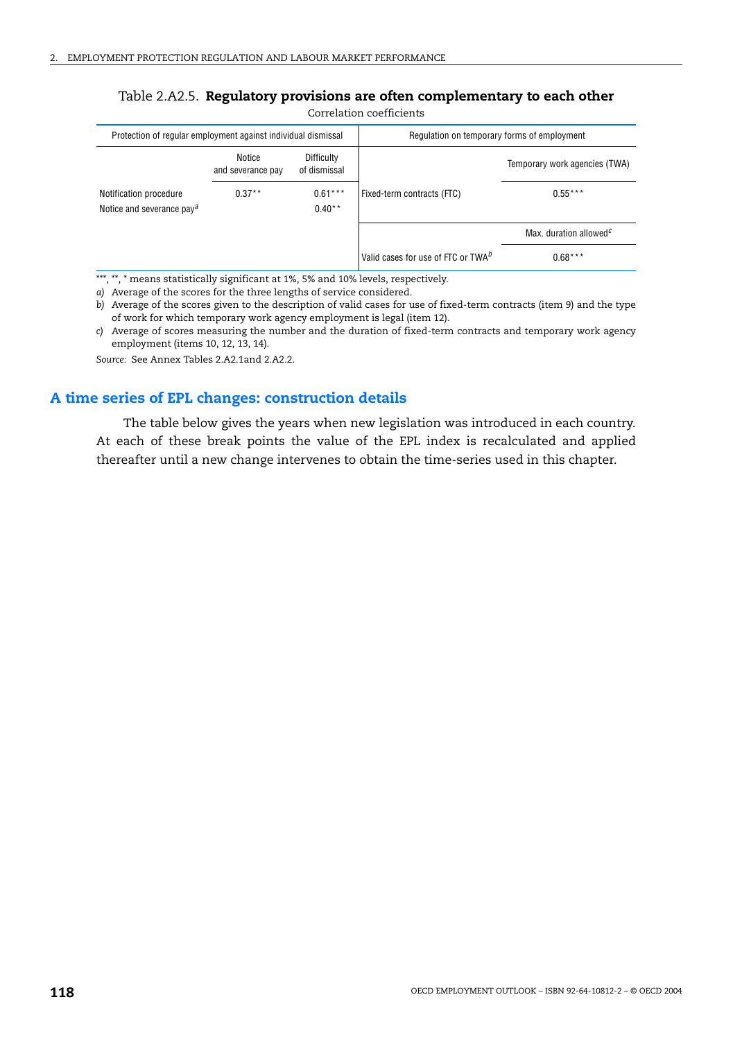| Protection of regular employment against individual dismissal                |                             |                            | Regulation on temporary forms of employment    |                                    |
|------------------------------------------------------------------------------|-----------------------------|----------------------------|------------------------------------------------|------------------------------------|
|                                                                              | Notice<br>and severance pay | Difficulty<br>of dismissal |                                                | Temporary work agencies (TWA)      |
| Notification procedure<br>Notice and severance pay <sup><math>a</math></sup> | $0.37**$                    | $0.61***$<br>$0.40**$      | Fixed-term contracts (FTC)                     | $0.55***$                          |
|                                                                              |                             |                            |                                                | Max. duration allowed <sup>c</sup> |
|                                                                              |                             |                            | Valid cases for use of FTC or TWA <sup>b</sup> | $0.68***$                          |

#### Table 2.A2.5. **Regulatory provisions are often complementary to each other** Correlation coefficients

\*\*\*, \*\*, \* means statistically significant at 1%, 5% and 10% levels, respectively.

*a)* Average of the scores for the three lengths of service considered.

*b)* Average of the scores given to the description of valid cases for use of fixed-term contracts (item 9) and the type of work for which temporary work agency employment is legal (item 12).

*c)* Average of scores measuring the number and the duration of fixed-term contracts and temporary work agency employment (items 10, 12, 13, 14).

*Source:* See Annex Tables 2.A2.1and 2.A2.2.

### **A time series of EPL changes: construction details**

The table below gives the years when new legislation was introduced in each country. At each of these break points the value of the EPL index is recalculated and applied thereafter until a new change intervenes to obtain the time-series used in this chapter.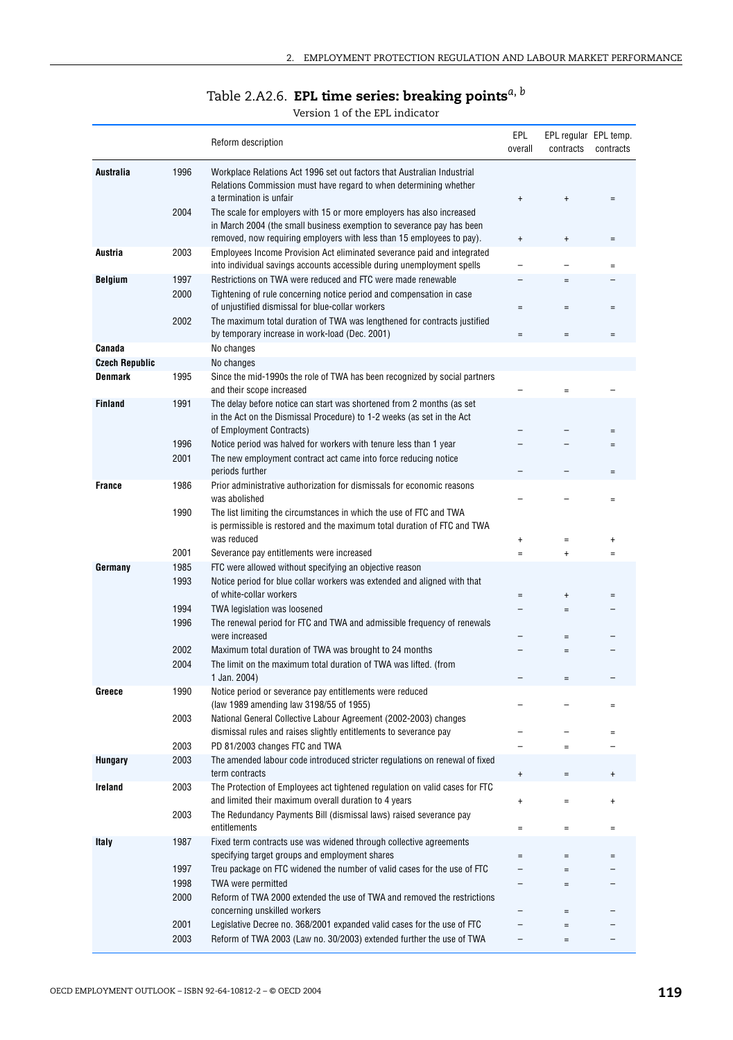## Table 2.A2.6. **EPL time series: breaking points***a*, *<sup>b</sup>*

Version 1 of the EPL indicator

|                                         |              | Reform description                                                                                                                                                                                                         | EPL<br>overall                   | EPL regular EPL temp.<br>contracts | contracts                        |
|-----------------------------------------|--------------|----------------------------------------------------------------------------------------------------------------------------------------------------------------------------------------------------------------------------|----------------------------------|------------------------------------|----------------------------------|
| <b>Australia</b>                        | 1996         | Workplace Relations Act 1996 set out factors that Australian Industrial<br>Relations Commission must have regard to when determining whether<br>a termination is unfair                                                    | $\ddot{}$                        | $\begin{array}{c} + \end{array}$   | $=$                              |
|                                         | 2004         | The scale for employers with 15 or more employers has also increased<br>in March 2004 (the small business exemption to severance pay has been                                                                              |                                  |                                    |                                  |
| Austria                                 | 2003         | removed, now requiring employers with less than 15 employees to pay).<br>Employees Income Provision Act eliminated severance paid and integrated<br>into individual savings accounts accessible during unemployment spells | $\boldsymbol{+}$                 | $\ddot{}$                          | $=$<br>$=$                       |
| Belgium                                 | 1997         | Restrictions on TWA were reduced and FTC were made renewable                                                                                                                                                               |                                  | $=$                                |                                  |
|                                         | 2000         | Tightening of rule concerning notice period and compensation in case<br>of unjustified dismissal for blue-collar workers                                                                                                   | $=$                              | $=$                                | $=$                              |
|                                         | 2002         | The maximum total duration of TWA was lengthened for contracts justified<br>by temporary increase in work-load (Dec. 2001)                                                                                                 | $=$                              | $=$                                | $=$                              |
| Canada                                  |              | No changes                                                                                                                                                                                                                 |                                  |                                    |                                  |
| <b>Czech Republic</b><br><b>Denmark</b> | 1995         | No changes<br>Since the mid-1990s the role of TWA has been recognized by social partners<br>and their scope increased                                                                                                      |                                  | $=$                                |                                  |
| <b>Finland</b>                          | 1991         | The delay before notice can start was shortened from 2 months (as set<br>in the Act on the Dismissal Procedure) to 1-2 weeks (as set in the Act                                                                            |                                  |                                    |                                  |
|                                         | 1996         | of Employment Contracts)<br>Notice period was halved for workers with tenure less than 1 year                                                                                                                              |                                  |                                    | $=$<br>$=$                       |
|                                         | 2001         | The new employment contract act came into force reducing notice<br>periods further                                                                                                                                         |                                  |                                    | $=$                              |
| France                                  | 1986         | Prior administrative authorization for dismissals for economic reasons<br>was abolished                                                                                                                                    |                                  |                                    | $=$                              |
|                                         | 1990         | The list limiting the circumstances in which the use of FTC and TWA<br>is permissible is restored and the maximum total duration of FTC and TWA<br>was reduced                                                             | $\ddot{}$                        | $=$                                | $\ddot{}$                        |
|                                         | 2001         | Severance pay entitlements were increased                                                                                                                                                                                  | $\equiv$                         | $\ddot{}$                          | $=$                              |
| Germany                                 | 1985         | FTC were allowed without specifying an objective reason                                                                                                                                                                    |                                  |                                    |                                  |
|                                         | 1993         | Notice period for blue collar workers was extended and aligned with that<br>of white-collar workers                                                                                                                        | $=$                              | $\ddot{}$                          | $=$                              |
|                                         | 1994         | TWA legislation was loosened                                                                                                                                                                                               |                                  | $=$                                |                                  |
|                                         | 1996         | The renewal period for FTC and TWA and admissible frequency of renewals<br>were increased                                                                                                                                  |                                  | $=$                                |                                  |
|                                         | 2002<br>2004 | Maximum total duration of TWA was brought to 24 months<br>The limit on the maximum total duration of TWA was lifted. (from<br>1 Jan. 2004)                                                                                 |                                  | $=$<br>$=$                         |                                  |
| Greece                                  | 1990         | Notice period or severance pay entitlements were reduced<br>(law 1989 amending law 3198/55 of 1955)                                                                                                                        |                                  |                                    | $=$                              |
|                                         | 2003         | National General Collective Labour Agreement (2002-2003) changes<br>dismissal rules and raises slightly entitlements to severance pay                                                                                      |                                  |                                    | $\quad = \quad$                  |
|                                         | 2003         | PD 81/2003 changes FTC and TWA                                                                                                                                                                                             |                                  | $=$                                |                                  |
| Hungary                                 | 2003         | The amended labour code introduced stricter regulations on renewal of fixed<br>term contracts                                                                                                                              | $^{\mathrm{+}}$                  | $=$                                | $^{\mathrm{+}}$                  |
| Ireland                                 | 2003<br>2003 | The Protection of Employees act tightened regulation on valid cases for FTC<br>and limited their maximum overall duration to 4 years<br>The Redundancy Payments Bill (dismissal laws) raised severance pay                 | $\begin{array}{c} + \end{array}$ | $=$                                | $\begin{array}{c} + \end{array}$ |
| Italy                                   | 1987         | entitlements<br>Fixed term contracts use was widened through collective agreements                                                                                                                                         | $\equiv$                         | $=$                                | $\quad \  \, =$                  |
|                                         |              | specifying target groups and employment shares                                                                                                                                                                             | $\equiv$                         | $=$                                | $\equiv$                         |
|                                         | 1997         | Treu package on FTC widened the number of valid cases for the use of FTC                                                                                                                                                   |                                  | $=$                                |                                  |
|                                         | 1998         | TWA were permitted                                                                                                                                                                                                         |                                  | $=$                                | -                                |
|                                         | 2000         | Reform of TWA 2000 extended the use of TWA and removed the restrictions<br>concerning unskilled workers                                                                                                                    |                                  | $=$                                |                                  |
|                                         | 2001<br>2003 | Legislative Decree no. 368/2001 expanded valid cases for the use of FTC<br>Reform of TWA 2003 (Law no. 30/2003) extended further the use of TWA                                                                            | -                                | $=$<br>$=$                         |                                  |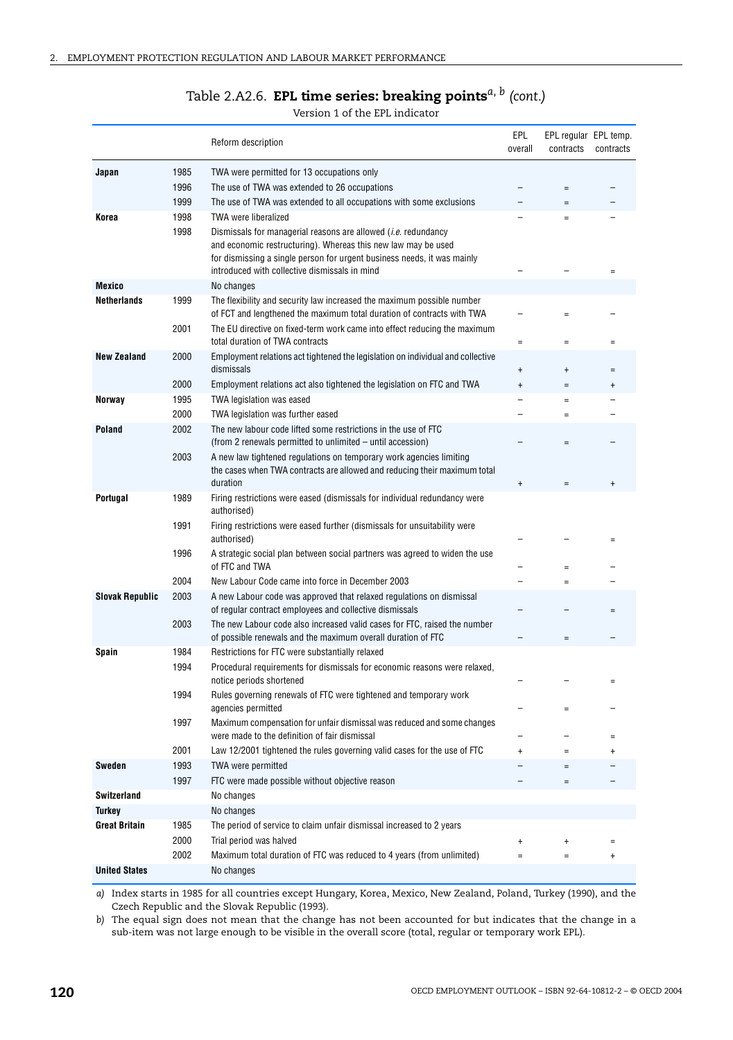| Table 2.A2.6. <b>EPL time series: breaking points</b> <sup><math>a, b</math></sup> (cont.) |  |  |  |  |  |
|--------------------------------------------------------------------------------------------|--|--|--|--|--|
|--------------------------------------------------------------------------------------------|--|--|--|--|--|

Version 1 of the EPL indicator

|                        |              | Reform description                                                                                                                                                                                                                                                 | EPL<br>overall                   | EPL regular EPL temp.<br>contracts | contracts                        |
|------------------------|--------------|--------------------------------------------------------------------------------------------------------------------------------------------------------------------------------------------------------------------------------------------------------------------|----------------------------------|------------------------------------|----------------------------------|
| Japan                  | 1985         | TWA were permitted for 13 occupations only                                                                                                                                                                                                                         |                                  |                                    |                                  |
|                        | 1996         | The use of TWA was extended to 26 occupations                                                                                                                                                                                                                      |                                  | $=$                                |                                  |
|                        | 1999         | The use of TWA was extended to all occupations with some exclusions                                                                                                                                                                                                |                                  | $=$                                |                                  |
| Korea                  | 1998         | <b>TWA</b> were liberalized                                                                                                                                                                                                                                        |                                  | $=$                                | $\equiv$                         |
|                        | 1998         | Dismissals for managerial reasons are allowed <i>(i.e.</i> redundancy<br>and economic restructuring). Whereas this new law may be used<br>for dismissing a single person for urgent business needs, it was mainly<br>introduced with collective dismissals in mind |                                  |                                    | $\equiv$                         |
| Mexico                 |              | No changes                                                                                                                                                                                                                                                         |                                  |                                    |                                  |
| <b>Netherlands</b>     | 1999         | The flexibility and security law increased the maximum possible number<br>of FCT and lengthened the maximum total duration of contracts with TWA                                                                                                                   |                                  |                                    |                                  |
|                        | 2001         | The EU directive on fixed-term work came into effect reducing the maximum<br>total duration of TWA contracts                                                                                                                                                       | $=$                              | $=$                                | $=$                              |
| <b>New Zealand</b>     | 2000         | Employment relations act tightened the legislation on individual and collective<br>dismissals                                                                                                                                                                      | $\ddot{}$                        | $\ddot{}$                          | $\equiv$                         |
|                        | 2000         | Employment relations act also tightened the legislation on FTC and TWA                                                                                                                                                                                             | $\ddot{}$                        | $=$                                | $\ddot{}$                        |
| Norway                 | 1995         | TWA legislation was eased                                                                                                                                                                                                                                          |                                  | $=$                                |                                  |
|                        | 2000         | TWA legislation was further eased                                                                                                                                                                                                                                  |                                  | $=$                                |                                  |
| Poland                 | 2002         | The new labour code lifted some restrictions in the use of FTC<br>(from 2 renewals permitted to unlimited - until accession)                                                                                                                                       |                                  | $=$                                |                                  |
|                        | 2003         | A new law tightened regulations on temporary work agencies limiting<br>the cases when TWA contracts are allowed and reducing their maximum total<br>duration                                                                                                       | $\begin{array}{c} + \end{array}$ |                                    | $\ddot{}$                        |
| Portugal               | 1989         | Firing restrictions were eased (dismissals for individual redundancy were<br>authorised)                                                                                                                                                                           |                                  |                                    |                                  |
|                        | 1991         | Firing restrictions were eased further (dismissals for unsuitability were<br>authorised)                                                                                                                                                                           |                                  |                                    | $\equiv$                         |
|                        | 1996         | A strategic social plan between social partners was agreed to widen the use<br>of FTC and TWA                                                                                                                                                                      |                                  | $=$                                |                                  |
|                        | 2004         | New Labour Code came into force in December 2003                                                                                                                                                                                                                   |                                  | $=$                                |                                  |
| <b>Slovak Republic</b> | 2003         | A new Labour code was approved that relaxed regulations on dismissal<br>of regular contract employees and collective dismissals                                                                                                                                    |                                  |                                    | $\equiv$                         |
|                        | 2003         | The new Labour code also increased valid cases for FTC, raised the number<br>of possible renewals and the maximum overall duration of FTC                                                                                                                          |                                  | $=$                                |                                  |
| Spain                  | 1984         | Restrictions for FTC were substantially relaxed                                                                                                                                                                                                                    |                                  |                                    |                                  |
|                        | 1994         | Procedural requirements for dismissals for economic reasons were relaxed,<br>notice periods shortened                                                                                                                                                              |                                  |                                    |                                  |
|                        | 1994         | Rules governing renewals of FTC were tightened and temporary work<br>agencies permitted                                                                                                                                                                            |                                  |                                    |                                  |
|                        | 1997         | Maximum compensation for unfair dismissal was reduced and some changes<br>were made to the definition of fair dismissal                                                                                                                                            |                                  |                                    |                                  |
|                        | 2001         | Law 12/2001 tightened the rules governing valid cases for the use of FTC                                                                                                                                                                                           | $\ddot{}$                        | $\quad \  \  =$                    | $\ddot{}$                        |
| Sweden                 | 1993<br>1997 | TWA were permitted<br>FTC were made possible without objective reason                                                                                                                                                                                              |                                  | $=$<br>$=$                         |                                  |
| Switzerland            |              | No changes                                                                                                                                                                                                                                                         |                                  |                                    |                                  |
| Turkey                 |              | No changes                                                                                                                                                                                                                                                         |                                  |                                    |                                  |
| <b>Great Britain</b>   | 1985         | The period of service to claim unfair dismissal increased to 2 years                                                                                                                                                                                               |                                  |                                    |                                  |
|                        | 2000         | Trial period was halved                                                                                                                                                                                                                                            | $\ddagger$                       | $\ddagger$                         | $\equiv$                         |
|                        | 2002         | Maximum total duration of FTC was reduced to 4 years (from unlimited)                                                                                                                                                                                              | $=$                              | $=$                                | $\begin{array}{c} + \end{array}$ |
| <b>United States</b>   |              | No changes                                                                                                                                                                                                                                                         |                                  |                                    |                                  |

*a)* Index starts in 1985 for all countries except Hungary, Korea, Mexico, New Zealand, Poland, Turkey (1990), and the Czech Republic and the Slovak Republic (1993).

*b)* The equal sign does not mean that the change has not been accounted for but indicates that the change in a sub-item was not large enough to be visible in the overall score (total, regular or temporary work EPL).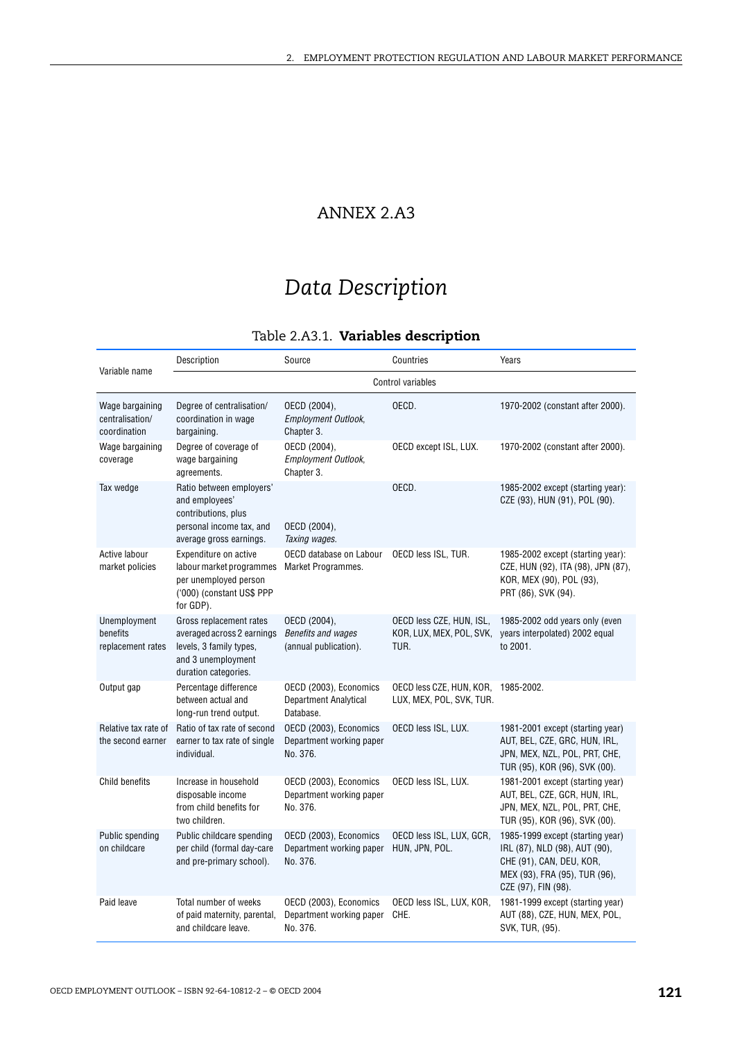## ANNEX 2.A3

## *Data Description*

## Table 2.A3.1. **Variables description**

| Variable name                                      | Description                                                                                                                    | Source                                                             | Countries                                                       | Years                                                                                                                                                 |
|----------------------------------------------------|--------------------------------------------------------------------------------------------------------------------------------|--------------------------------------------------------------------|-----------------------------------------------------------------|-------------------------------------------------------------------------------------------------------------------------------------------------------|
|                                                    |                                                                                                                                |                                                                    | Control variables                                               |                                                                                                                                                       |
| Wage bargaining<br>centralisation/<br>coordination | Degree of centralisation/<br>coordination in wage<br>bargaining.                                                               | OECD (2004),<br><b>Employment Outlook,</b><br>Chapter 3.           | OECD.                                                           | 1970-2002 (constant after 2000).                                                                                                                      |
| Wage bargaining<br>coverage                        | Degree of coverage of<br>wage bargaining<br>agreements.                                                                        | OECD (2004),<br>Employment Outlook,<br>Chapter 3.                  | OECD except ISL, LUX.                                           | 1970-2002 (constant after 2000).                                                                                                                      |
| Tax wedge                                          | Ratio between employers'<br>and employees'<br>contributions, plus<br>personal income tax, and<br>average gross earnings.       | OECD (2004),<br>Taxing wages.                                      | OECD.                                                           | 1985-2002 except (starting year):<br>CZE (93), HUN (91), POL (90).                                                                                    |
| Active labour<br>market policies                   | Expenditure on active<br>labour market programmes<br>per unemployed person<br>('000) (constant US\$ PPP<br>for GDP).           | OECD database on Labour<br>Market Programmes.                      | OECD less ISL, TUR.                                             | 1985-2002 except (starting year):<br>CZE, HUN (92), ITA (98), JPN (87),<br>KOR, MEX (90), POL (93),<br>PRT (86), SVK (94).                            |
| Unemployment<br>benefits<br>replacement rates      | Gross replacement rates<br>averaged across 2 earnings<br>levels, 3 family types,<br>and 3 unemployment<br>duration categories. | OECD (2004),<br><b>Benefits and wages</b><br>(annual publication). | OECD less CZE, HUN, ISL,<br>KOR, LUX, MEX, POL, SVK,<br>TUR.    | 1985-2002 odd years only (even<br>years interpolated) 2002 equal<br>to 2001.                                                                          |
| Output gap                                         | Percentage difference<br>between actual and<br>long-run trend output.                                                          | OECD (2003), Economics<br>Department Analytical<br>Database.       | OECD less CZE, HUN, KOR, 1985-2002.<br>LUX, MEX, POL, SVK, TUR. |                                                                                                                                                       |
| Relative tax rate of<br>the second earner          | Ratio of tax rate of second<br>earner to tax rate of single<br>individual.                                                     | OECD (2003), Economics<br>Department working paper<br>No. 376.     | OECD less ISL, LUX.                                             | 1981-2001 except (starting year)<br>AUT, BEL, CZE, GRC, HUN, IRL,<br>JPN, MEX, NZL, POL, PRT, CHE,<br>TUR (95), KOR (96), SVK (00).                   |
| Child benefits                                     | Increase in household<br>disposable income<br>from child benefits for<br>two children.                                         | OECD (2003), Economics<br>Department working paper<br>No. 376.     | OECD less ISL, LUX.                                             | 1981-2001 except (starting year)<br>AUT, BEL, CZE, GCR, HUN, IRL,<br>JPN, MEX, NZL, POL, PRT, CHE,<br>TUR (95), KOR (96), SVK (00).                   |
| Public spending<br>on childcare                    | Public childcare spending<br>per child (formal day-care<br>and pre-primary school).                                            | OECD (2003), Economics<br>Department working paper<br>No. 376.     | OECD less ISL, LUX, GCR,<br>HUN, JPN, POL.                      | 1985-1999 except (starting year)<br>IRL (87), NLD (98), AUT (90),<br>CHE (91), CAN, DEU, KOR,<br>MEX (93), FRA (95), TUR (96),<br>CZE (97), FIN (98). |
| Paid leave                                         | Total number of weeks<br>of paid maternity, parental,<br>and childcare leave.                                                  | OECD (2003), Economics<br>Department working paper<br>No. 376.     | OECD less ISL, LUX, KOR,<br>CHE.                                | 1981-1999 except (starting year)<br>AUT (88), CZE, HUN, MEX, POL,<br>SVK, TUR, (95).                                                                  |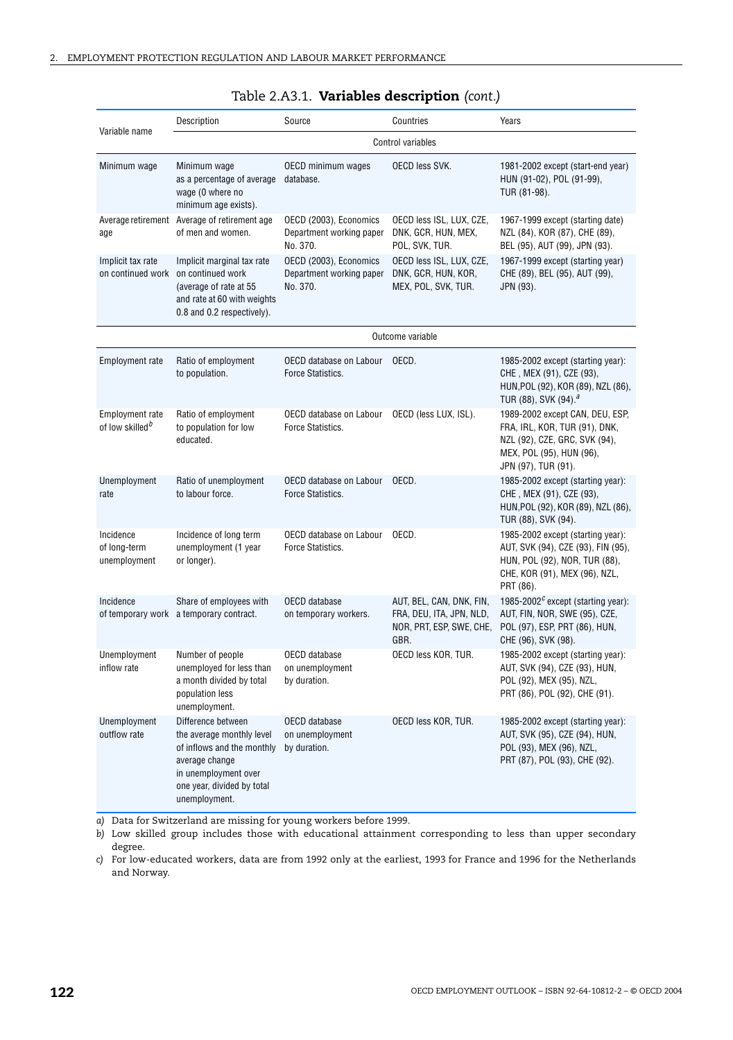| Variable name                                         | Description                                                                                                                                                            | Source                                                         | Countries                                                                                | Years                                                                                                                                                  |
|-------------------------------------------------------|------------------------------------------------------------------------------------------------------------------------------------------------------------------------|----------------------------------------------------------------|------------------------------------------------------------------------------------------|--------------------------------------------------------------------------------------------------------------------------------------------------------|
|                                                       |                                                                                                                                                                        |                                                                | Control variables                                                                        |                                                                                                                                                        |
| Minimum wage                                          | Minimum wage<br>as a percentage of average<br>wage (0 where no<br>minimum age exists).                                                                                 | OECD minimum wages<br>database.                                | <b>OECD less SVK.</b>                                                                    | 1981-2002 except (start-end year)<br>HUN (91-02), POL (91-99),<br>TUR (81-98).                                                                         |
| age                                                   | Average retirement Average of retirement age<br>of men and women.                                                                                                      | OECD (2003), Economics<br>Department working paper<br>No. 370. | OECD less ISL, LUX, CZE,<br>DNK, GCR, HUN, MEX,<br>POL, SVK, TUR.                        | 1967-1999 except (starting date)<br>NZL (84), KOR (87), CHE (89),<br>BEL (95), AUT (99), JPN (93).                                                     |
| Implicit tax rate                                     | Implicit marginal tax rate<br>on continued work on continued work<br>(average of rate at 55<br>and rate at 60 with weights<br>0.8 and 0.2 respectively).               | OECD (2003), Economics<br>Department working paper<br>No. 370. | OECD less ISL, LUX, CZE,<br>DNK, GCR, HUN, KOR,<br>MEX, POL, SVK, TUR.                   | 1967-1999 except (starting year)<br>CHE (89), BEL (95), AUT (99),<br>JPN (93).                                                                         |
|                                                       |                                                                                                                                                                        |                                                                | Outcome variable                                                                         |                                                                                                                                                        |
| <b>Employment rate</b>                                | Ratio of employment<br>to population.                                                                                                                                  | OECD database on Labour<br>Force Statistics.                   | OECD.                                                                                    | 1985-2002 except (starting year):<br>CHE, MEX (91), CZE (93),<br>HUN, POL (92), KOR (89), NZL (86),<br>TUR (88), SVK (94). <sup>a</sup>                |
| <b>Employment rate</b><br>of low skilled <sup>b</sup> | Ratio of employment<br>to population for low<br>educated.                                                                                                              | OECD database on Labour<br>Force Statistics.                   | OECD (less LUX, ISL).                                                                    | 1989-2002 except CAN, DEU, ESP,<br>FRA, IRL, KOR, TUR (91), DNK,<br>NZL (92), CZE, GRC, SVK (94),<br>MEX, POL (95), HUN (96),<br>JPN (97), TUR (91).   |
| Unemployment<br>rate                                  | Ratio of unemployment<br>to labour force.                                                                                                                              | OECD database on Labour<br>Force Statistics.                   | OECD.                                                                                    | 1985-2002 except (starting year):<br>CHE, MEX (91), CZE (93),<br>HUN, POL (92), KOR (89), NZL (86),<br>TUR (88), SVK (94).                             |
| Incidence<br>of long-term<br>unemployment             | Incidence of long term<br>unemployment (1 year<br>or longer).                                                                                                          | OECD database on Labour OECD.<br>Force Statistics.             |                                                                                          | 1985-2002 except (starting year):<br>AUT, SVK (94), CZE (93), FIN (95),<br>HUN, POL (92), NOR, TUR (88),<br>CHE, KOR (91), MEX (96), NZL,<br>PRT (86). |
| Incidence                                             | Share of employees with<br>of temporary work a temporary contract.                                                                                                     | OECD database<br>on temporary workers.                         | AUT, BEL, CAN, DNK, FIN,<br>FRA, DEU, ITA, JPN, NLD,<br>NOR, PRT, ESP, SWE, CHE,<br>GBR. | 1985-2002 <sup>c</sup> except (starting year):<br>AUT, FIN, NOR, SWE (95), CZE,<br>POL (97), ESP, PRT (86), HUN,<br>CHE (96), SVK (98).                |
| Unemployment<br>inflow rate                           | Number of people<br>unemployed for less than<br>a month divided by total<br>population less<br>unemployment.                                                           | OECD database<br>on unemployment<br>by duration.               | OECD less KOR, TUR.                                                                      | 1985-2002 except (starting year):<br>AUT, SVK (94), CZE (93), HUN,<br>POL (92), MEX (95), NZL,<br>PRT (86), POL (92), CHE (91).                        |
| Unemployment<br>outflow rate                          | Difference between<br>the average monthly level<br>of inflows and the monthly<br>average change<br>in unemployment over<br>one year, divided by total<br>unemployment. | OECD database<br>on unemployment<br>by duration.               | OECD less KOR, TUR.                                                                      | 1985-2002 except (starting year):<br>AUT, SVK (95), CZE (94), HUN,<br>POL (93), MEX (96), NZL,<br>PRT (87), POL (93), CHE (92).                        |

## Table 2.A3.1. **Variables description** *(cont.)*

*a)* Data for Switzerland are missing for young workers before 1999.

*b)* Low skilled group includes those with educational attainment corresponding to less than upper secondary degree.

*c)* For low-educated workers, data are from 1992 only at the earliest, 1993 for France and 1996 for the Netherlands and Norway.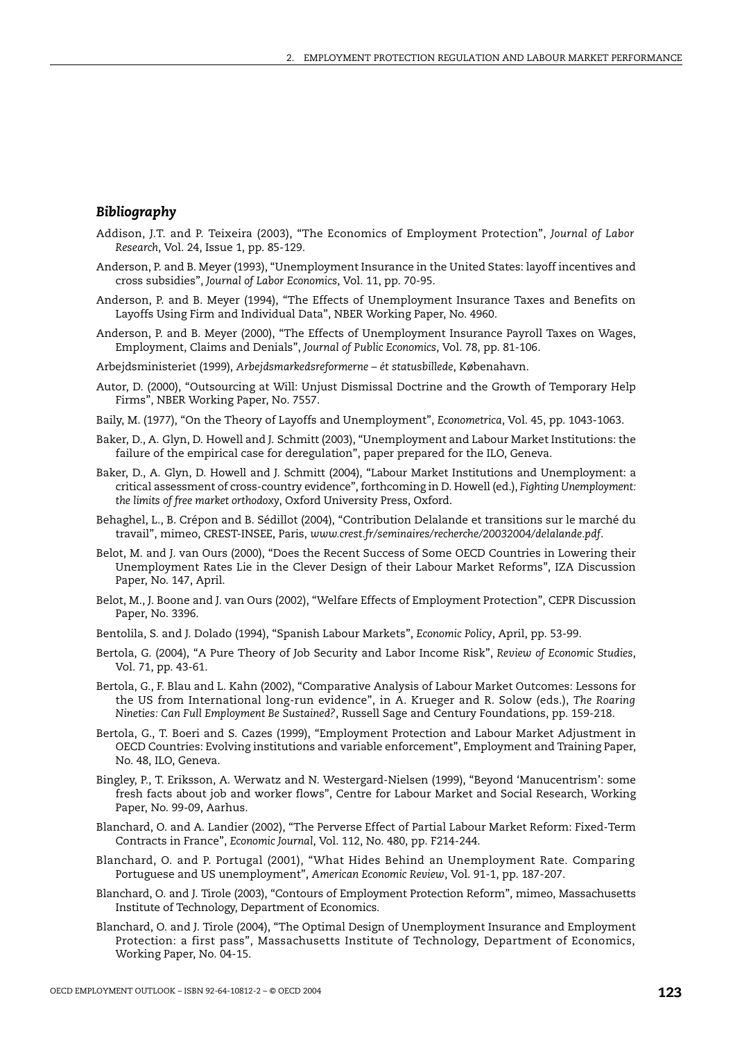#### *Bibliography*

- Addison, J.T. and P. Teixeira (2003), "The Economics of Employment Protection", *Journal of Labor Research*, Vol. 24, Issue 1, pp. 85-129.
- Anderson, P. and B. Meyer (1993), "Unemployment Insurance in the United States: layoff incentives and cross subsidies", *Journal of Labor Economics*, Vol. 11, pp. 70-95.
- Anderson, P. and B. Meyer (1994), "The Effects of Unemployment Insurance Taxes and Benefits on Layoffs Using Firm and Individual Data", NBER Working Paper, No. 4960.
- Anderson, P. and B. Meyer (2000), "The Effects of Unemployment Insurance Payroll Taxes on Wages, Employment, Claims and Denials", *Journal of Public Economics*, Vol. 78, pp. 81-106.
- Arbejdsministeriet (1999), *Arbejdsmarkedsreformerne ét statusbillede*, Købenahavn.
- Autor, D. (2000), "Outsourcing at Will: Unjust Dismissal Doctrine and the Growth of Temporary Help Firms", NBER Working Paper, No. 7557.
- Baily, M. (1977), "On the Theory of Layoffs and Unemployment", *Econometrica*, Vol. 45, pp. 1043-1063.
- Baker, D., A. Glyn, D. Howell and J. Schmitt (2003), "Unemployment and Labour Market Institutions: the failure of the empirical case for deregulation", paper prepared for the ILO, Geneva.
- Baker, D., A. Glyn, D. Howell and J. Schmitt (2004), "Labour Market Institutions and Unemployment: a critical assessment of cross-country evidence", forthcoming in D. Howell (ed.), *Fighting Unemployment: the limits of free market orthodoxy*, Oxford University Press, Oxford.
- Behaghel, L., B. Crépon and B. Sédillot (2004), "Contribution Delalande et transitions sur le marché du travail", mimeo, CREST-INSEE, Paris, *www.crest.fr/seminaires/recherche/20032004/delalande.pdf*.
- Belot, M. and J. van Ours (2000), "Does the Recent Success of Some OECD Countries in Lowering their Unemployment Rates Lie in the Clever Design of their Labour Market Reforms", IZA Discussion Paper, No. 147, April.
- Belot, M., J. Boone and J. van Ours (2002), "Welfare Effects of Employment Protection", CEPR Discussion Paper, No. 3396.
- Bentolila, S. and J. Dolado (1994), "Spanish Labour Markets", *Economic Policy*, April, pp. 53-99.
- Bertola, G. (2004), "A Pure Theory of Job Security and Labor Income Risk", *Review of Economic Studies*, Vol. 71, pp. 43-61.
- Bertola, G., F. Blau and L. Kahn (2002), "Comparative Analysis of Labour Market Outcomes: Lessons for the US from International long-run evidence", in A. Krueger and R. Solow (eds.), *The Roaring Nineties: Can Full Employment Be Sustained?*, Russell Sage and Century Foundations, pp. 159-218.
- Bertola, G., T. Boeri and S. Cazes (1999), "Employment Protection and Labour Market Adjustment in OECD Countries: Evolving institutions and variable enforcement", Employment and Training Paper, No. 48, ILO, Geneva.
- Bingley, P., T. Eriksson, A. Werwatz and N. Westergard-Nielsen (1999), "Beyond 'Manucentrism': some fresh facts about job and worker flows", Centre for Labour Market and Social Research, Working Paper, No. 99-09, Aarhus.
- Blanchard, O. and A. Landier (2002), "The Perverse Effect of Partial Labour Market Reform: Fixed-Term Contracts in France", *Economic Journal*, Vol. 112, No. 480, pp. F214-244.
- Blanchard, O. and P. Portugal (2001), "What Hides Behind an Unemployment Rate. Comparing Portuguese and US unemployment", *American Economic Review*, Vol. 91-1, pp. 187-207.
- Blanchard, O. and J. Tirole (2003), "Contours of Employment Protection Reform", mimeo, Massachusetts Institute of Technology, Department of Economics.
- Blanchard, O. and J. Tirole (2004), "The Optimal Design of Unemployment Insurance and Employment Protection: a first pass", Massachusetts Institute of Technology, Department of Economics, Working Paper, No. 04-15.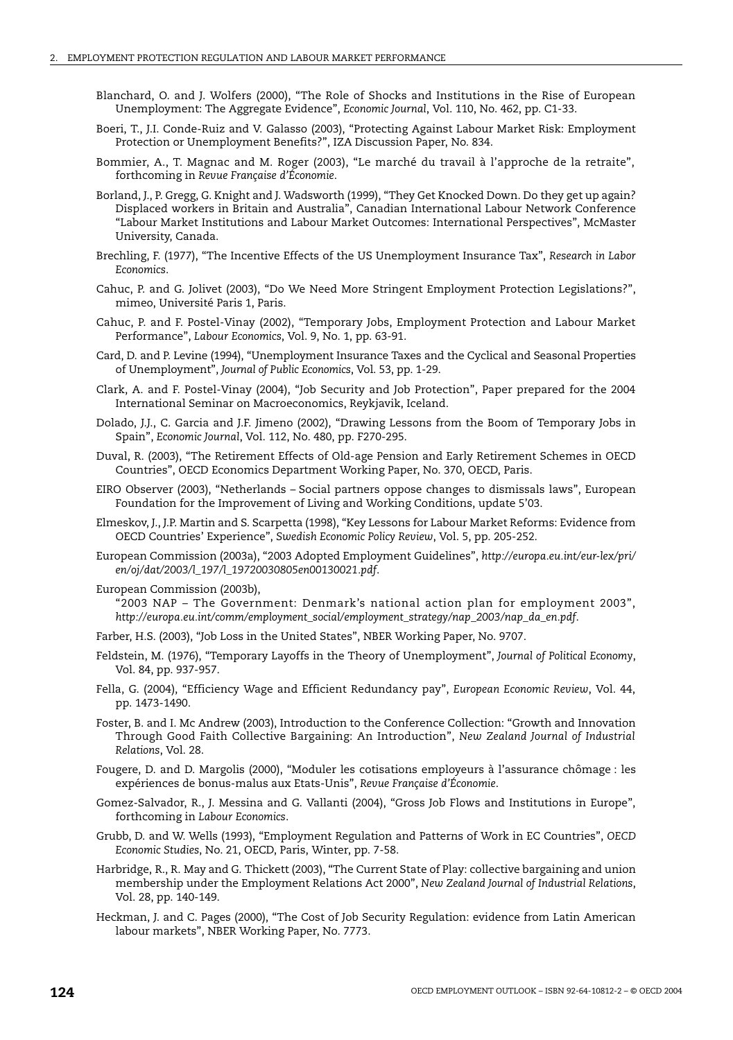- Blanchard, O. and J. Wolfers (2000), "The Role of Shocks and Institutions in the Rise of European Unemployment: The Aggregate Evidence", *Economic Journal*, Vol. 110, No. 462, pp. C1-33.
- Boeri, T., J.I. Conde-Ruiz and V. Galasso (2003), "Protecting Against Labour Market Risk: Employment Protection or Unemployment Benefits?", IZA Discussion Paper, No. 834.
- Bommier, A., T. Magnac and M. Roger (2003), "Le marché du travail à l'approche de la retraite", forthcoming in *Revue Française d'Économie*.
- Borland, J., P. Gregg, G. Knight and J. Wadsworth (1999), "They Get Knocked Down. Do they get up again? Displaced workers in Britain and Australia", Canadian International Labour Network Conference "Labour Market Institutions and Labour Market Outcomes: International Perspectives", McMaster University, Canada.
- Brechling, F. (1977), "The Incentive Effects of the US Unemployment Insurance Tax", *Research in Labor Economics*.
- Cahuc, P. and G. Jolivet (2003), "Do We Need More Stringent Employment Protection Legislations?", mimeo, Université Paris 1, Paris.
- Cahuc, P. and F. Postel-Vinay (2002), "Temporary Jobs, Employment Protection and Labour Market Performance", *Labour Economics*, Vol. 9, No. 1, pp. 63-91.
- Card, D. and P. Levine (1994), "Unemployment Insurance Taxes and the Cyclical and Seasonal Properties of Unemployment", *Journal of Public Economics*, Vol. 53, pp. 1-29.
- Clark, A. and F. Postel-Vinay (2004), "Job Security and Job Protection", Paper prepared for the 2004 International Seminar on Macroeconomics, Reykjavik, Iceland.
- Dolado, J.J., C. Garcia and J.F. Jimeno (2002), "Drawing Lessons from the Boom of Temporary Jobs in Spain", *Economic Journal*, Vol. 112, No. 480, pp. F270-295.
- Duval, R. (2003), "The Retirement Effects of Old-age Pension and Early Retirement Schemes in OECD Countries", OECD Economics Department Working Paper, No. 370, OECD, Paris.
- EIRO Observer (2003), "Netherlands Social partners oppose changes to dismissals laws", European Foundation for the Improvement of Living and Working Conditions, update 5'03.
- Elmeskov, J., J.P. Martin and S. Scarpetta (1998), "Key Lessons for Labour Market Reforms: Evidence from OECD Countries' Experience", *Swedish Economic Policy Review*, Vol. 5, pp. 205-252.
- European Commission (2003a), "2003 Adopted Employment Guidelines", *http://europa.eu.int/eur-lex/pri/ en/oj/dat/2003/l\_197/l\_19720030805en00130021.pdf*.
- European Commission (2003b),
	- "2003 NAP The Government: Denmark's national action plan for employment 2003", *http://europa.eu.int/comm/employment\_social/employment\_strategy/nap\_2003/nap\_da\_en.pdf*.
- Farber, H.S. (2003), "Job Loss in the United States", NBER Working Paper, No. 9707.
- Feldstein, M. (1976), "Temporary Layoffs in the Theory of Unemployment", *Journal of Political Economy*, Vol. 84, pp. 937-957.
- Fella, G. (2004), "Efficiency Wage and Efficient Redundancy pay", *European Economic Review*, Vol. 44, pp. 1473-1490.
- Foster, B. and I. Mc Andrew (2003), Introduction to the Conference Collection: "Growth and Innovation Through Good Faith Collective Bargaining: An Introduction", *New Zealand Journal of Industrial Relations*, Vol. 28.
- Fougere, D. and D. Margolis (2000), "Moduler les cotisations employeurs à l'assurance chômage : les expériences de bonus-malus aux Etats-Unis", *Revue Française d'Économie*.
- Gomez-Salvador, R., J. Messina and G. Vallanti (2004), "Gross Job Flows and Institutions in Europe", forthcoming in *Labour Economics*.
- Grubb, D. and W. Wells (1993), "Employment Regulation and Patterns of Work in EC Countries", *OECD Economic Studies*, No. 21, OECD, Paris, Winter, pp. 7-58.
- Harbridge, R., R. May and G. Thickett (2003), "The Current State of Play: collective bargaining and union membership under the Employment Relations Act 2000", *New Zealand Journal of Industrial Relations*, Vol. 28, pp. 140-149.
- Heckman, J. and C. Pages (2000), "The Cost of Job Security Regulation: evidence from Latin American labour markets", NBER Working Paper, No. 7773.